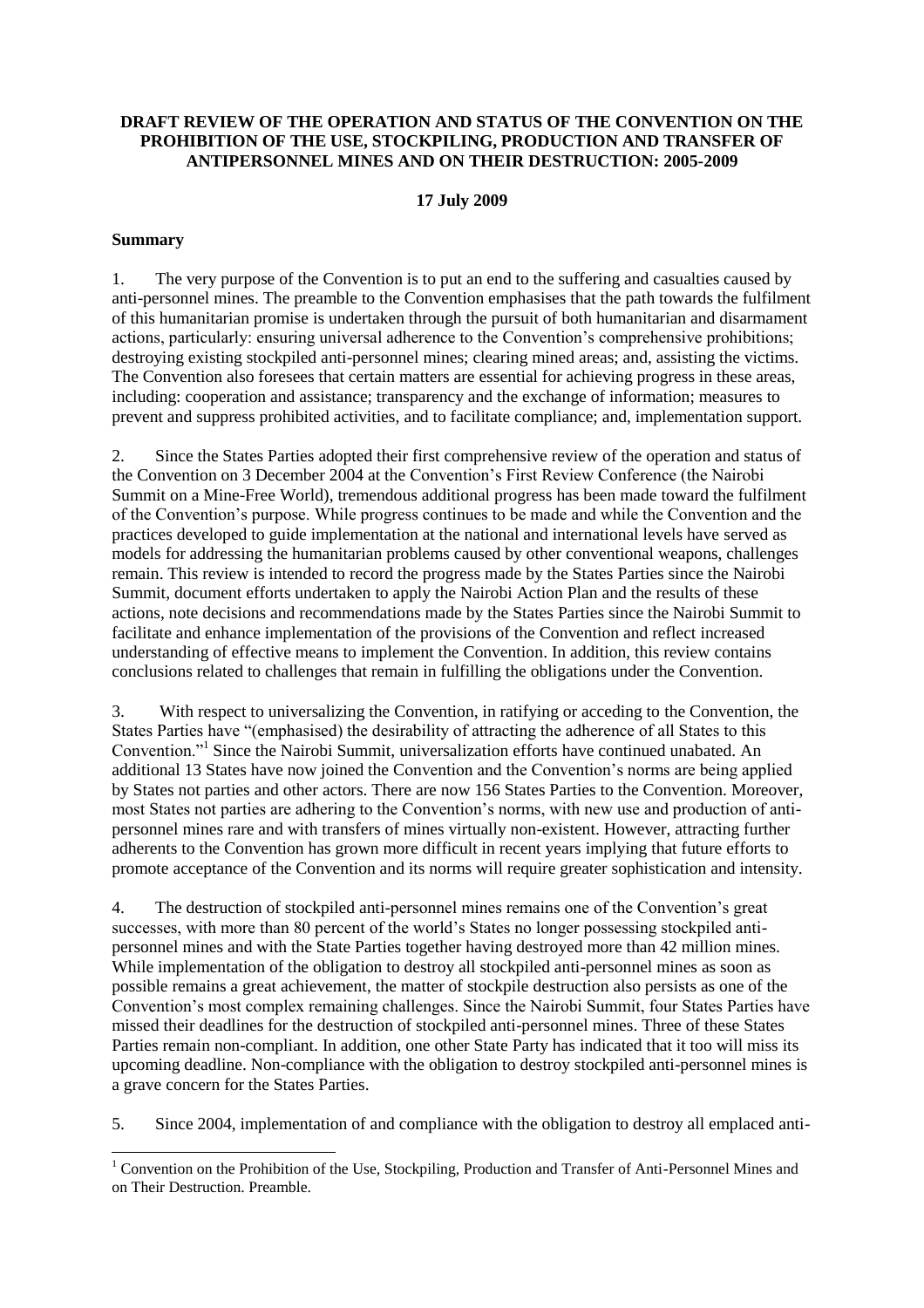## **DRAFT REVIEW OF THE OPERATION AND STATUS OF THE CONVENTION ON THE PROHIBITION OF THE USE, STOCKPILING, PRODUCTION AND TRANSFER OF ANTIPERSONNEL MINES AND ON THEIR DESTRUCTION: 2005-2009**

## **17 July 2009**

### **Summary**

1. The very purpose of the Convention is to put an end to the suffering and casualties caused by anti-personnel mines. The preamble to the Convention emphasises that the path towards the fulfilment of this humanitarian promise is undertaken through the pursuit of both humanitarian and disarmament actions, particularly: ensuring universal adherence to the Convention's comprehensive prohibitions; destroying existing stockpiled anti-personnel mines; clearing mined areas; and, assisting the victims. The Convention also foresees that certain matters are essential for achieving progress in these areas, including: cooperation and assistance; transparency and the exchange of information; measures to prevent and suppress prohibited activities, and to facilitate compliance; and, implementation support.

2. Since the States Parties adopted their first comprehensive review of the operation and status of the Convention on 3 December 2004 at the Convention's First Review Conference (the Nairobi Summit on a Mine-Free World), tremendous additional progress has been made toward the fulfilment of the Convention's purpose. While progress continues to be made and while the Convention and the practices developed to guide implementation at the national and international levels have served as models for addressing the humanitarian problems caused by other conventional weapons, challenges remain. This review is intended to record the progress made by the States Parties since the Nairobi Summit, document efforts undertaken to apply the Nairobi Action Plan and the results of these actions, note decisions and recommendations made by the States Parties since the Nairobi Summit to facilitate and enhance implementation of the provisions of the Convention and reflect increased understanding of effective means to implement the Convention. In addition, this review contains conclusions related to challenges that remain in fulfilling the obligations under the Convention.

3. With respect to universalizing the Convention, in ratifying or acceding to the Convention, the States Parties have "(emphasised) the desirability of attracting the adherence of all States to this Convention."<sup>1</sup> Since the Nairobi Summit, universalization efforts have continued unabated. An additional 13 States have now joined the Convention and the Convention's norms are being applied by States not parties and other actors. There are now 156 States Parties to the Convention. Moreover, most States not parties are adhering to the Convention's norms, with new use and production of antipersonnel mines rare and with transfers of mines virtually non-existent. However, attracting further adherents to the Convention has grown more difficult in recent years implying that future efforts to promote acceptance of the Convention and its norms will require greater sophistication and intensity.

4. The destruction of stockpiled anti-personnel mines remains one of the Convention's great successes, with more than 80 percent of the world's States no longer possessing stockpiled antipersonnel mines and with the State Parties together having destroyed more than 42 million mines. While implementation of the obligation to destroy all stockpiled anti-personnel mines as soon as possible remains a great achievement, the matter of stockpile destruction also persists as one of the Convention's most complex remaining challenges. Since the Nairobi Summit, four States Parties have missed their deadlines for the destruction of stockpiled anti-personnel mines. Three of these States Parties remain non-compliant. In addition, one other State Party has indicated that it too will miss its upcoming deadline. Non-compliance with the obligation to destroy stockpiled anti-personnel mines is a grave concern for the States Parties.

5. Since 2004, implementation of and compliance with the obligation to destroy all emplaced anti-

 $\overline{a}$  $1$  Convention on the Prohibition of the Use, Stockpiling, Production and Transfer of Anti-Personnel Mines and on Their Destruction. Preamble.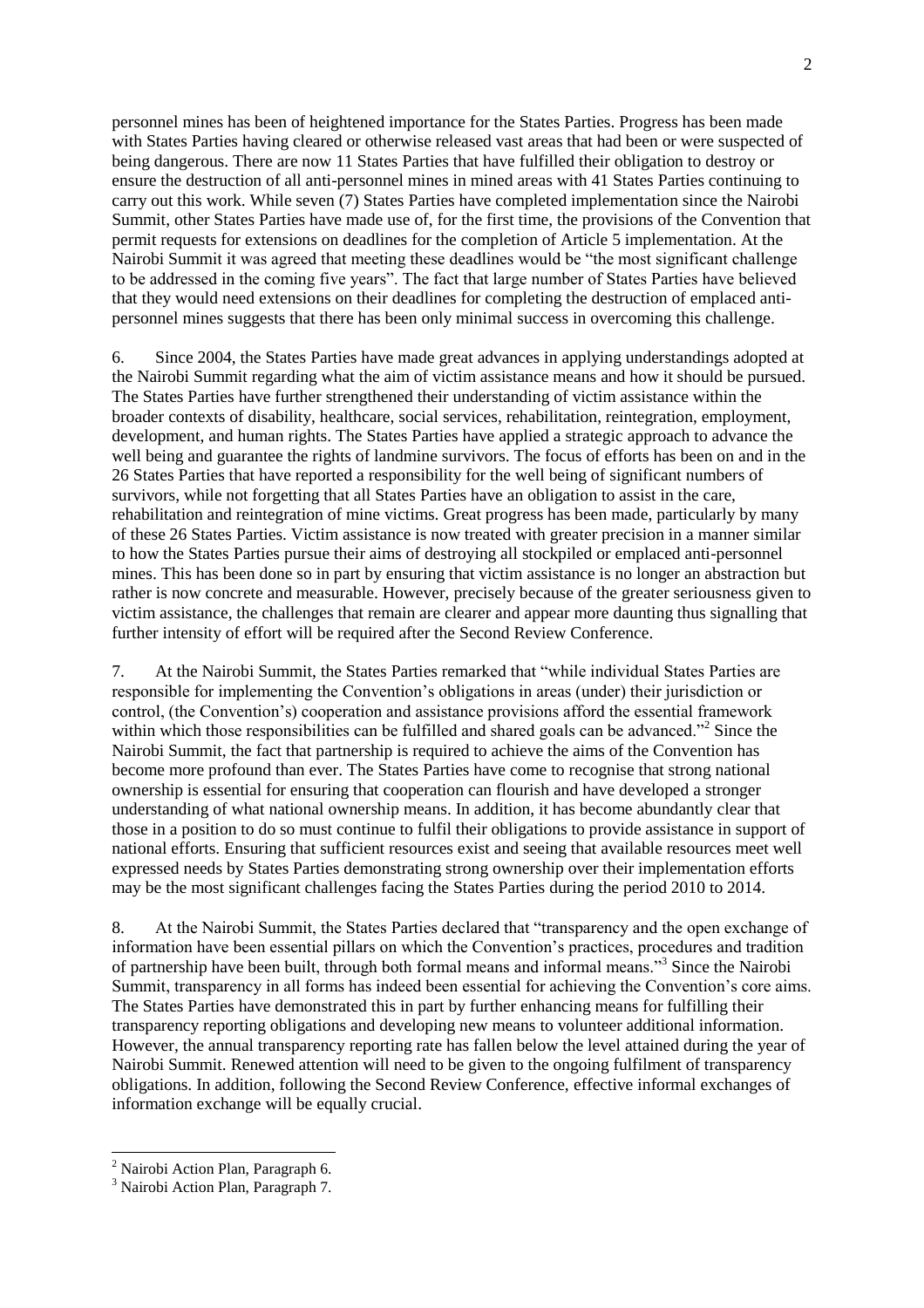personnel mines has been of heightened importance for the States Parties. Progress has been made with States Parties having cleared or otherwise released vast areas that had been or were suspected of being dangerous. There are now 11 States Parties that have fulfilled their obligation to destroy or ensure the destruction of all anti-personnel mines in mined areas with 41 States Parties continuing to carry out this work. While seven (7) States Parties have completed implementation since the Nairobi Summit, other States Parties have made use of, for the first time, the provisions of the Convention that permit requests for extensions on deadlines for the completion of Article 5 implementation. At the Nairobi Summit it was agreed that meeting these deadlines would be "the most significant challenge" to be addressed in the coming five years". The fact that large number of States Parties have believed that they would need extensions on their deadlines for completing the destruction of emplaced antipersonnel mines suggests that there has been only minimal success in overcoming this challenge.

6. Since 2004, the States Parties have made great advances in applying understandings adopted at the Nairobi Summit regarding what the aim of victim assistance means and how it should be pursued. The States Parties have further strengthened their understanding of victim assistance within the broader contexts of disability, healthcare, social services, rehabilitation, reintegration, employment, development, and human rights. The States Parties have applied a strategic approach to advance the well being and guarantee the rights of landmine survivors. The focus of efforts has been on and in the 26 States Parties that have reported a responsibility for the well being of significant numbers of survivors, while not forgetting that all States Parties have an obligation to assist in the care, rehabilitation and reintegration of mine victims. Great progress has been made, particularly by many of these 26 States Parties. Victim assistance is now treated with greater precision in a manner similar to how the States Parties pursue their aims of destroying all stockpiled or emplaced anti-personnel mines. This has been done so in part by ensuring that victim assistance is no longer an abstraction but rather is now concrete and measurable. However, precisely because of the greater seriousness given to victim assistance, the challenges that remain are clearer and appear more daunting thus signalling that further intensity of effort will be required after the Second Review Conference.

7. At the Nairobi Summit, the States Parties remarked that "while individual States Parties are responsible for implementing the Convention's obligations in areas (under) their jurisdiction or control, (the Convention's) cooperation and assistance provisions afford the essential framework within which those responsibilities can be fulfilled and shared goals can be advanced."<sup>2</sup> Since the Nairobi Summit, the fact that partnership is required to achieve the aims of the Convention has become more profound than ever. The States Parties have come to recognise that strong national ownership is essential for ensuring that cooperation can flourish and have developed a stronger understanding of what national ownership means. In addition, it has become abundantly clear that those in a position to do so must continue to fulfil their obligations to provide assistance in support of national efforts. Ensuring that sufficient resources exist and seeing that available resources meet well expressed needs by States Parties demonstrating strong ownership over their implementation efforts may be the most significant challenges facing the States Parties during the period 2010 to 2014.

8. At the Nairobi Summit, the States Parties declared that "transparency and the open exchange of information have been essential pillars on which the Convention's practices, procedures and tradition of partnership have been built, through both formal means and informal means."<sup>3</sup> Since the Nairobi Summit, transparency in all forms has indeed been essential for achieving the Convention's core aims. The States Parties have demonstrated this in part by further enhancing means for fulfilling their transparency reporting obligations and developing new means to volunteer additional information. However, the annual transparency reporting rate has fallen below the level attained during the year of Nairobi Summit. Renewed attention will need to be given to the ongoing fulfilment of transparency obligations. In addition, following the Second Review Conference, effective informal exchanges of information exchange will be equally crucial.

 $2$  Nairobi Action Plan, Paragraph 6.

<sup>&</sup>lt;sup>3</sup> Nairobi Action Plan, Paragraph 7.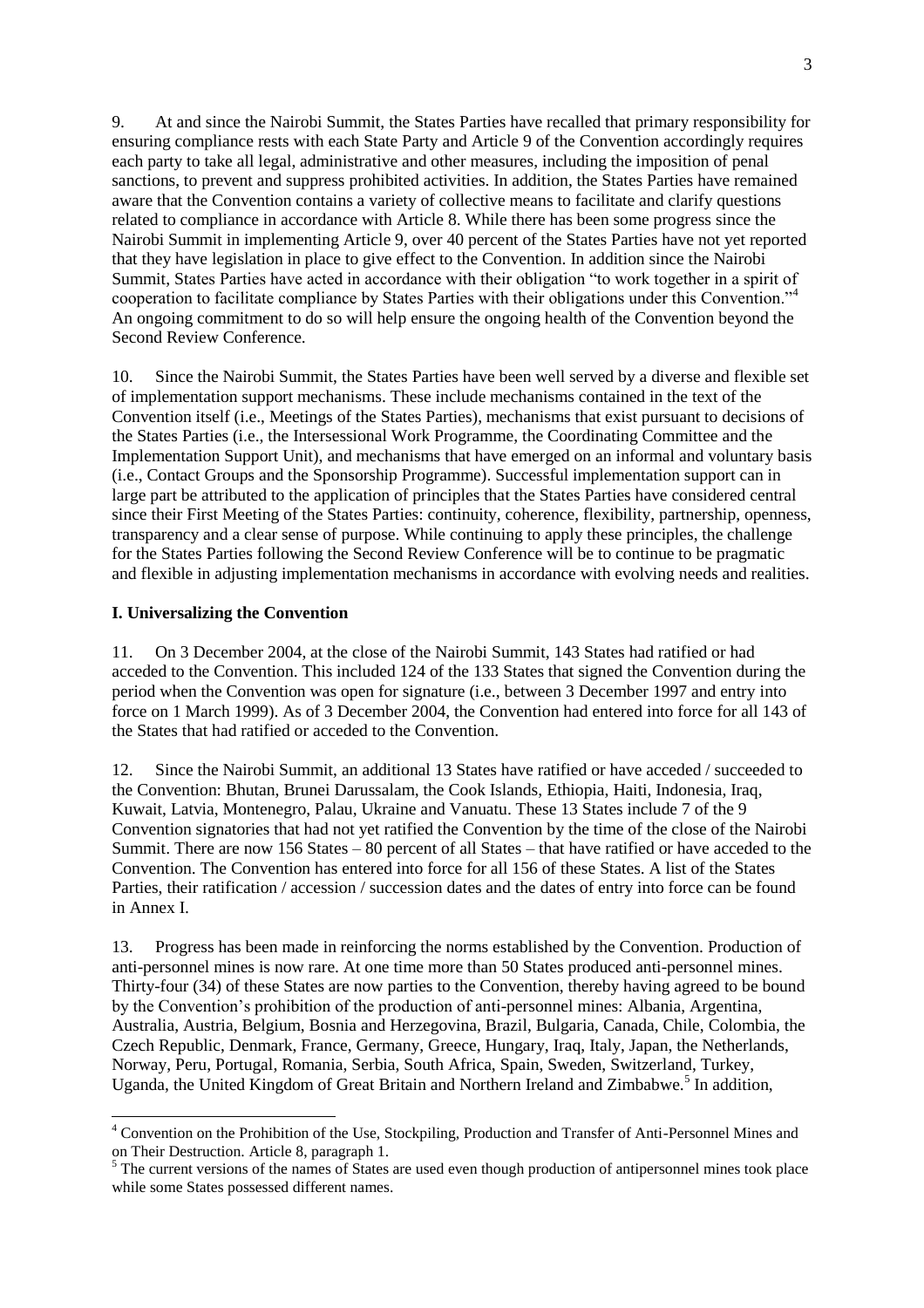9. At and since the Nairobi Summit, the States Parties have recalled that primary responsibility for ensuring compliance rests with each State Party and Article 9 of the Convention accordingly requires each party to take all legal, administrative and other measures, including the imposition of penal sanctions, to prevent and suppress prohibited activities. In addition, the States Parties have remained aware that the Convention contains a variety of collective means to facilitate and clarify questions related to compliance in accordance with Article 8. While there has been some progress since the Nairobi Summit in implementing Article 9, over 40 percent of the States Parties have not yet reported that they have legislation in place to give effect to the Convention. In addition since the Nairobi Summit, States Parties have acted in accordance with their obligation "to work together in a spirit of cooperation to facilitate compliance by States Parties with their obligations under this Convention."<sup>4</sup> An ongoing commitment to do so will help ensure the ongoing health of the Convention beyond the Second Review Conference.

10. Since the Nairobi Summit, the States Parties have been well served by a diverse and flexible set of implementation support mechanisms. These include mechanisms contained in the text of the Convention itself (i.e., Meetings of the States Parties), mechanisms that exist pursuant to decisions of the States Parties (i.e., the Intersessional Work Programme, the Coordinating Committee and the Implementation Support Unit), and mechanisms that have emerged on an informal and voluntary basis (i.e., Contact Groups and the Sponsorship Programme). Successful implementation support can in large part be attributed to the application of principles that the States Parties have considered central since their First Meeting of the States Parties: continuity, coherence, flexibility, partnership, openness, transparency and a clear sense of purpose. While continuing to apply these principles, the challenge for the States Parties following the Second Review Conference will be to continue to be pragmatic and flexible in adjusting implementation mechanisms in accordance with evolving needs and realities.

### **I. Universalizing the Convention**

 $\overline{a}$ 

11. On 3 December 2004, at the close of the Nairobi Summit, 143 States had ratified or had acceded to the Convention. This included 124 of the 133 States that signed the Convention during the period when the Convention was open for signature (i.e., between 3 December 1997 and entry into force on 1 March 1999). As of 3 December 2004, the Convention had entered into force for all 143 of the States that had ratified or acceded to the Convention.

12. Since the Nairobi Summit, an additional 13 States have ratified or have acceded / succeeded to the Convention: Bhutan, Brunei Darussalam, the Cook Islands, Ethiopia, Haiti, Indonesia, Iraq, Kuwait, Latvia, Montenegro, Palau, Ukraine and Vanuatu. These 13 States include 7 of the 9 Convention signatories that had not yet ratified the Convention by the time of the close of the Nairobi Summit. There are now 156 States – 80 percent of all States – that have ratified or have acceded to the Convention. The Convention has entered into force for all 156 of these States. A list of the States Parties, their ratification / accession / succession dates and the dates of entry into force can be found in Annex I.

13. Progress has been made in reinforcing the norms established by the Convention. Production of anti-personnel mines is now rare. At one time more than 50 States produced anti-personnel mines. Thirty-four (34) of these States are now parties to the Convention, thereby having agreed to be bound by the Convention's prohibition of the production of anti-personnel mines: Albania, Argentina, Australia, Austria, Belgium, Bosnia and Herzegovina, Brazil, Bulgaria, Canada, Chile, Colombia, the Czech Republic, Denmark, France, Germany, Greece, Hungary, Iraq, Italy, Japan, the Netherlands, Norway, Peru, Portugal, Romania, Serbia, South Africa, Spain, Sweden, Switzerland, Turkey, Uganda, the United Kingdom of Great Britain and Northern Ireland and Zimbabwe.<sup>5</sup> In addition,

<sup>4</sup> Convention on the Prohibition of the Use, Stockpiling, Production and Transfer of Anti-Personnel Mines and on Their Destruction. Article 8, paragraph 1.

<sup>&</sup>lt;sup>5</sup> The current versions of the names of States are used even though production of antipersonnel mines took place while some States possessed different names.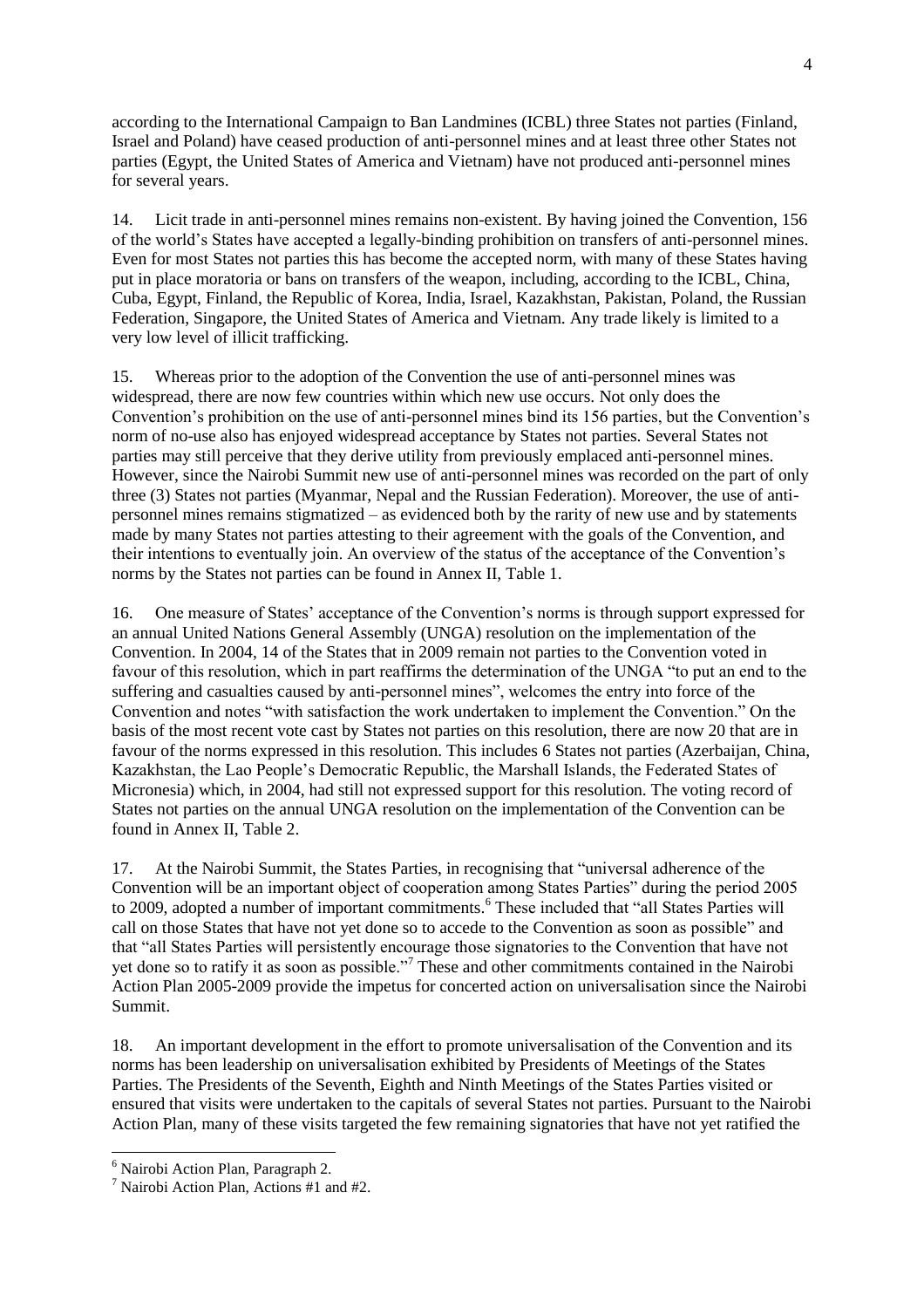according to the International Campaign to Ban Landmines (ICBL) three States not parties (Finland, Israel and Poland) have ceased production of anti-personnel mines and at least three other States not parties (Egypt, the United States of America and Vietnam) have not produced anti-personnel mines for several years.

14. Licit trade in anti-personnel mines remains non-existent. By having joined the Convention, 156 of the world's States have accepted a legally-binding prohibition on transfers of anti-personnel mines. Even for most States not parties this has become the accepted norm, with many of these States having put in place moratoria or bans on transfers of the weapon, including, according to the ICBL, China, Cuba, Egypt, Finland, the Republic of Korea, India, Israel, Kazakhstan, Pakistan, Poland, the Russian Federation, Singapore, the United States of America and Vietnam. Any trade likely is limited to a very low level of illicit trafficking.

15. Whereas prior to the adoption of the Convention the use of anti-personnel mines was widespread, there are now few countries within which new use occurs. Not only does the Convention's prohibition on the use of anti-personnel mines bind its 156 parties, but the Convention's norm of no-use also has enjoyed widespread acceptance by States not parties. Several States not parties may still perceive that they derive utility from previously emplaced anti-personnel mines. However, since the Nairobi Summit new use of anti-personnel mines was recorded on the part of only three (3) States not parties (Myanmar, Nepal and the Russian Federation). Moreover, the use of antipersonnel mines remains stigmatized – as evidenced both by the rarity of new use and by statements made by many States not parties attesting to their agreement with the goals of the Convention, and their intentions to eventually join. An overview of the status of the acceptance of the Convention's norms by the States not parties can be found in Annex II, Table 1.

16. One measure of States' acceptance of the Convention's norms is through support expressed for an annual United Nations General Assembly (UNGA) resolution on the implementation of the Convention. In 2004, 14 of the States that in 2009 remain not parties to the Convention voted in favour of this resolution, which in part reaffirms the determination of the UNGA "to put an end to the suffering and casualties caused by anti-personnel mines", welcomes the entry into force of the Convention and notes "with satisfaction the work undertaken to implement the Convention." On the basis of the most recent vote cast by States not parties on this resolution, there are now 20 that are in favour of the norms expressed in this resolution. This includes 6 States not parties (Azerbaijan, China, Kazakhstan, the Lao People's Democratic Republic, the Marshall Islands, the Federated States of Micronesia) which, in 2004, had still not expressed support for this resolution. The voting record of States not parties on the annual UNGA resolution on the implementation of the Convention can be found in Annex II, Table 2.

17. At the Nairobi Summit, the States Parties, in recognising that "universal adherence of the Convention will be an important object of cooperation among States Parties" during the period 2005 to 2009, adopted a number of important commitments.<sup>6</sup> These included that "all States Parties will call on those States that have not yet done so to accede to the Convention as soon as possible" and that "all States Parties will persistently encourage those signatories to the Convention that have not yet done so to ratify it as soon as possible."<sup>7</sup> These and other commitments contained in the Nairobi Action Plan 2005-2009 provide the impetus for concerted action on universalisation since the Nairobi Summit.

18. An important development in the effort to promote universalisation of the Convention and its norms has been leadership on universalisation exhibited by Presidents of Meetings of the States Parties. The Presidents of the Seventh, Eighth and Ninth Meetings of the States Parties visited or ensured that visits were undertaken to the capitals of several States not parties. Pursuant to the Nairobi Action Plan, many of these visits targeted the few remaining signatories that have not yet ratified the

<sup>&</sup>lt;sup>6</sup> Nairobi Action Plan, Paragraph 2.

<sup>7</sup> Nairobi Action Plan, Actions #1 and #2.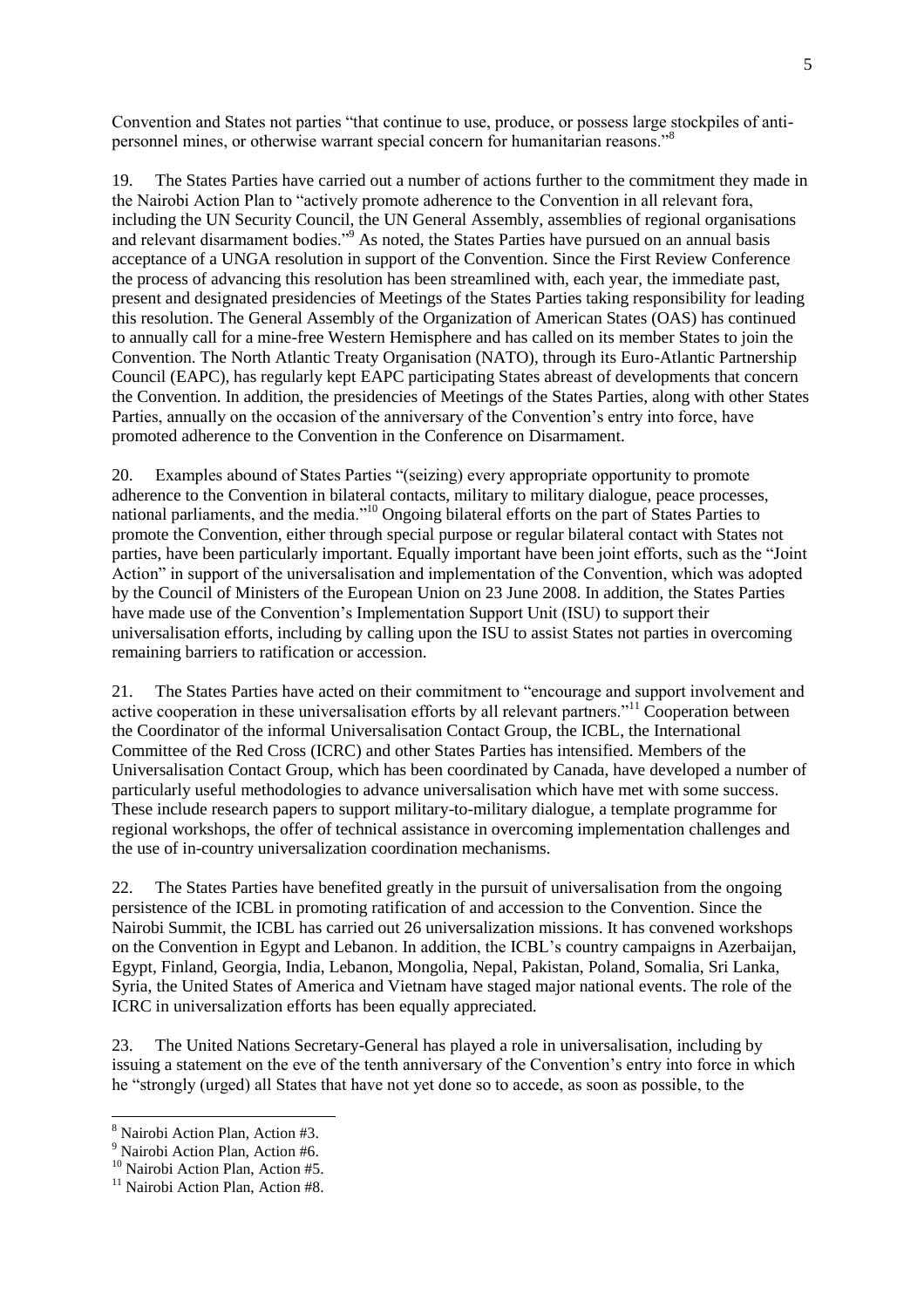Convention and States not parties "that continue to use, produce, or possess large stockpiles of antipersonnel mines, or otherwise warrant special concern for humanitarian reasons."<sup>8</sup>

19. The States Parties have carried out a number of actions further to the commitment they made in the Nairobi Action Plan to "actively promote adherence to the Convention in all relevant fora, including the UN Security Council, the UN General Assembly, assemblies of regional organisations and relevant disarmament bodies."<sup>9</sup> As noted, the States Parties have pursued on an annual basis acceptance of a UNGA resolution in support of the Convention. Since the First Review Conference the process of advancing this resolution has been streamlined with, each year, the immediate past, present and designated presidencies of Meetings of the States Parties taking responsibility for leading this resolution. The General Assembly of the Organization of American States (OAS) has continued to annually call for a mine-free Western Hemisphere and has called on its member States to join the Convention. The North Atlantic Treaty Organisation (NATO), through its Euro-Atlantic Partnership Council (EAPC), has regularly kept EAPC participating States abreast of developments that concern the Convention. In addition, the presidencies of Meetings of the States Parties, along with other States Parties, annually on the occasion of the anniversary of the Convention's entry into force, have promoted adherence to the Convention in the Conference on Disarmament.

20. Examples abound of States Parties "(seizing) every appropriate opportunity to promote adherence to the Convention in bilateral contacts, military to military dialogue, peace processes, national parliaments, and the media.<sup>10</sup> Ongoing bilateral efforts on the part of States Parties to promote the Convention, either through special purpose or regular bilateral contact with States not parties, have been particularly important. Equally important have been joint efforts, such as the "Joint" Action" in support of the universalisation and implementation of the Convention, which was adopted by the Council of Ministers of the European Union on 23 June 2008. In addition, the States Parties have made use of the Convention's Implementation Support Unit (ISU) to support their universalisation efforts, including by calling upon the ISU to assist States not parties in overcoming remaining barriers to ratification or accession.

21. The States Parties have acted on their commitment to "encourage and support involvement and active cooperation in these universalisation efforts by all relevant partners.<sup> $11$ </sup> Cooperation between the Coordinator of the informal Universalisation Contact Group, the ICBL, the International Committee of the Red Cross (ICRC) and other States Parties has intensified. Members of the Universalisation Contact Group, which has been coordinated by Canada, have developed a number of particularly useful methodologies to advance universalisation which have met with some success. These include research papers to support military-to-military dialogue, a template programme for regional workshops, the offer of technical assistance in overcoming implementation challenges and the use of in-country universalization coordination mechanisms.

22. The States Parties have benefited greatly in the pursuit of universalisation from the ongoing persistence of the ICBL in promoting ratification of and accession to the Convention. Since the Nairobi Summit, the ICBL has carried out 26 universalization missions. It has convened workshops on the Convention in Egypt and Lebanon. In addition, the ICBL's country campaigns in Azerbaijan, Egypt, Finland, Georgia, India, Lebanon, Mongolia, Nepal, Pakistan, Poland, Somalia, Sri Lanka, Syria, the United States of America and Vietnam have staged major national events. The role of the ICRC in universalization efforts has been equally appreciated.

23. The United Nations Secretary-General has played a role in universalisation, including by issuing a statement on the eve of the tenth anniversary of the Convention's entry into force in which he "strongly (urged) all States that have not yet done so to accede, as soon as possible, to the

<sup>8</sup> Nairobi Action Plan, Action #3.

<sup>&</sup>lt;sup>9</sup> Nairobi Action Plan, Action #6.

<sup>&</sup>lt;sup>10</sup> Nairobi Action Plan, Action #5.

 $11$  Nairobi Action Plan, Action #8.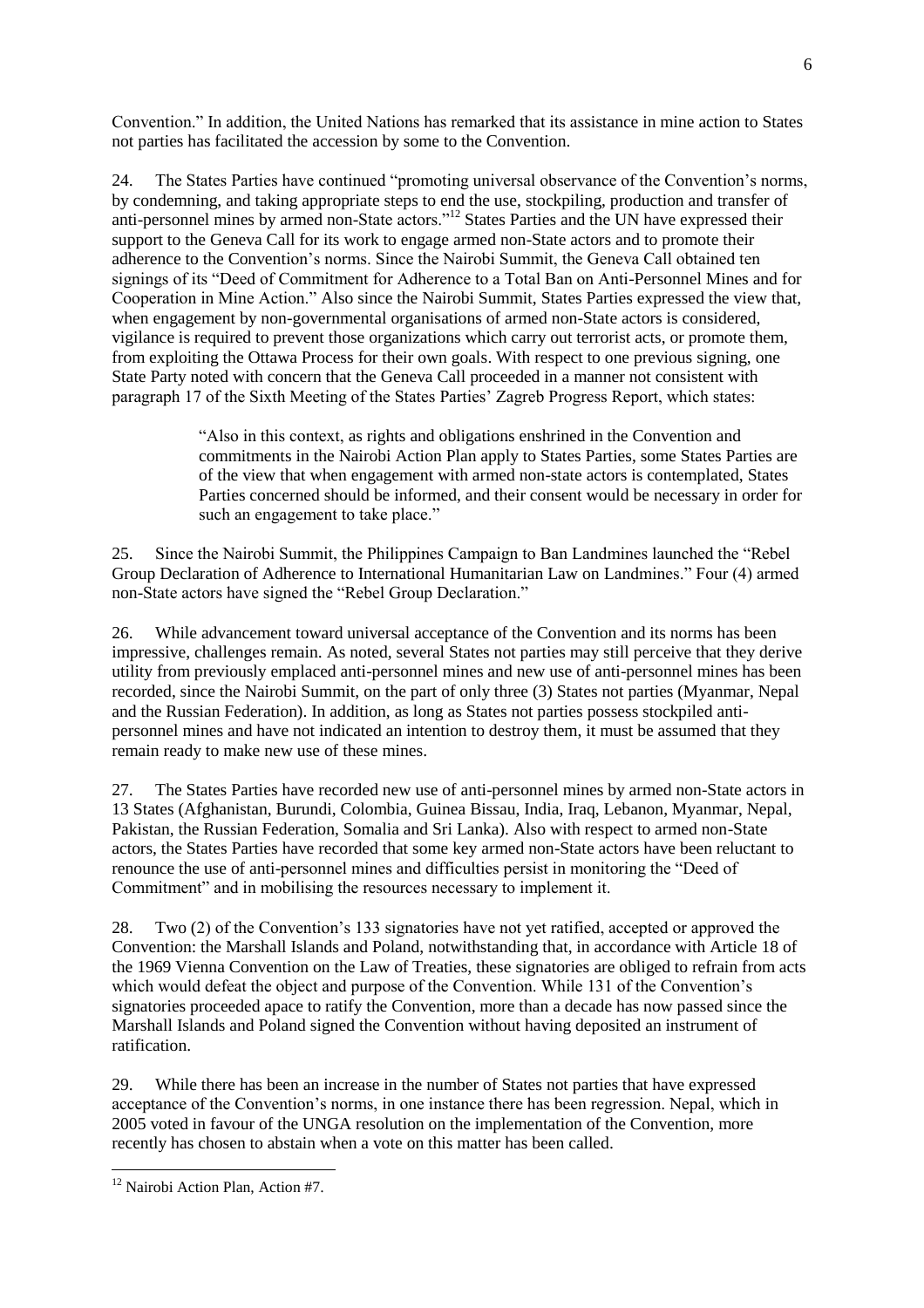Convention.‖ In addition, the United Nations has remarked that its assistance in mine action to States not parties has facilitated the accession by some to the Convention.

24. The States Parties have continued "promoting universal observance of the Convention's norms, by condemning, and taking appropriate steps to end the use, stockpiling, production and transfer of anti-personnel mines by armed non-State actors.<sup>"12</sup> States Parties and the UN have expressed their support to the Geneva Call for its work to engage armed non-State actors and to promote their adherence to the Convention's norms. Since the Nairobi Summit, the Geneva Call obtained ten signings of its "Deed of Commitment for Adherence to a Total Ban on Anti-Personnel Mines and for Cooperation in Mine Action." Also since the Nairobi Summit, States Parties expressed the view that, when engagement by non-governmental organisations of armed non-State actors is considered, vigilance is required to prevent those organizations which carry out terrorist acts, or promote them, from exploiting the Ottawa Process for their own goals. With respect to one previous signing, one State Party noted with concern that the Geneva Call proceeded in a manner not consistent with paragraph 17 of the Sixth Meeting of the States Parties' Zagreb Progress Report, which states:

> ―Also in this context, as rights and obligations enshrined in the Convention and commitments in the Nairobi Action Plan apply to States Parties, some States Parties are of the view that when engagement with armed non-state actors is contemplated, States Parties concerned should be informed, and their consent would be necessary in order for such an engagement to take place."

25. Since the Nairobi Summit, the Philippines Campaign to Ban Landmines launched the "Rebel" Group Declaration of Adherence to International Humanitarian Law on Landmines." Four (4) armed non-State actors have signed the "Rebel Group Declaration."

26. While advancement toward universal acceptance of the Convention and its norms has been impressive, challenges remain. As noted, several States not parties may still perceive that they derive utility from previously emplaced anti-personnel mines and new use of anti-personnel mines has been recorded, since the Nairobi Summit, on the part of only three (3) States not parties (Myanmar, Nepal and the Russian Federation). In addition, as long as States not parties possess stockpiled antipersonnel mines and have not indicated an intention to destroy them, it must be assumed that they remain ready to make new use of these mines.

27. The States Parties have recorded new use of anti-personnel mines by armed non-State actors in 13 States (Afghanistan, Burundi, Colombia, Guinea Bissau, India, Iraq, Lebanon, Myanmar, Nepal, Pakistan, the Russian Federation, Somalia and Sri Lanka). Also with respect to armed non-State actors, the States Parties have recorded that some key armed non-State actors have been reluctant to renounce the use of anti-personnel mines and difficulties persist in monitoring the "Deed of Commitment" and in mobilising the resources necessary to implement it.

28. Two (2) of the Convention's 133 signatories have not yet ratified, accepted or approved the Convention: the Marshall Islands and Poland, notwithstanding that, in accordance with Article 18 of the 1969 Vienna Convention on the Law of Treaties, these signatories are obliged to refrain from acts which would defeat the object and purpose of the Convention. While 131 of the Convention's signatories proceeded apace to ratify the Convention, more than a decade has now passed since the Marshall Islands and Poland signed the Convention without having deposited an instrument of ratification.

29. While there has been an increase in the number of States not parties that have expressed acceptance of the Convention's norms, in one instance there has been regression. Nepal, which in 2005 voted in favour of the UNGA resolution on the implementation of the Convention, more recently has chosen to abstain when a vote on this matter has been called.

6

 $\overline{a}$ <sup>12</sup> Nairobi Action Plan, Action #7.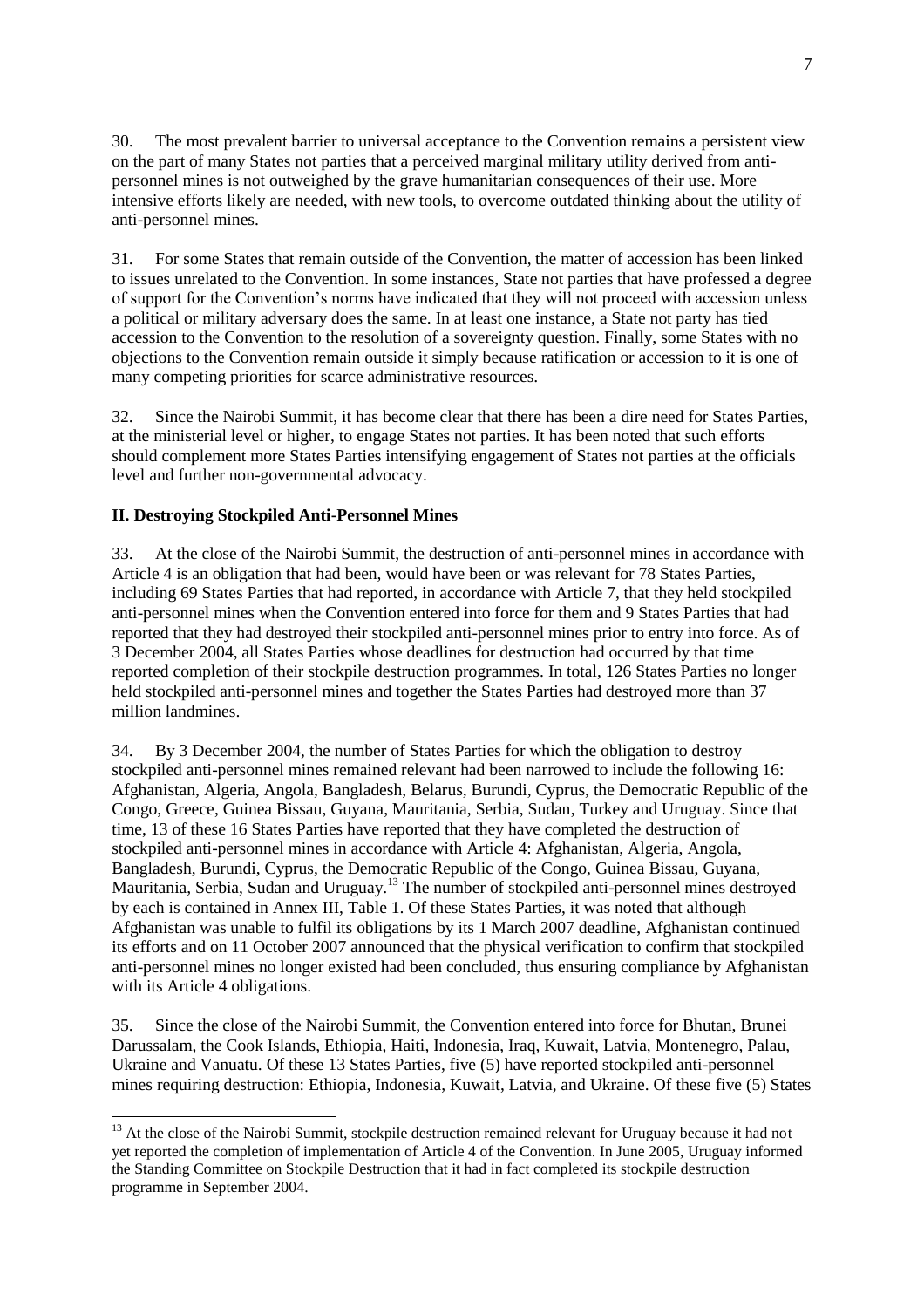30. The most prevalent barrier to universal acceptance to the Convention remains a persistent view on the part of many States not parties that a perceived marginal military utility derived from antipersonnel mines is not outweighed by the grave humanitarian consequences of their use. More intensive efforts likely are needed, with new tools, to overcome outdated thinking about the utility of anti-personnel mines.

31. For some States that remain outside of the Convention, the matter of accession has been linked to issues unrelated to the Convention. In some instances, State not parties that have professed a degree of support for the Convention's norms have indicated that they will not proceed with accession unless a political or military adversary does the same. In at least one instance, a State not party has tied accession to the Convention to the resolution of a sovereignty question. Finally, some States with no objections to the Convention remain outside it simply because ratification or accession to it is one of many competing priorities for scarce administrative resources.

32. Since the Nairobi Summit, it has become clear that there has been a dire need for States Parties, at the ministerial level or higher, to engage States not parties. It has been noted that such efforts should complement more States Parties intensifying engagement of States not parties at the officials level and further non-governmental advocacy.

## **II. Destroying Stockpiled Anti-Personnel Mines**

 $\overline{a}$ 

33. At the close of the Nairobi Summit, the destruction of anti-personnel mines in accordance with Article 4 is an obligation that had been, would have been or was relevant for 78 States Parties, including 69 States Parties that had reported, in accordance with Article 7, that they held stockpiled anti-personnel mines when the Convention entered into force for them and 9 States Parties that had reported that they had destroyed their stockpiled anti-personnel mines prior to entry into force. As of 3 December 2004, all States Parties whose deadlines for destruction had occurred by that time reported completion of their stockpile destruction programmes. In total, 126 States Parties no longer held stockpiled anti-personnel mines and together the States Parties had destroyed more than 37 million landmines.

34. By 3 December 2004, the number of States Parties for which the obligation to destroy stockpiled anti-personnel mines remained relevant had been narrowed to include the following 16: Afghanistan, Algeria, Angola, Bangladesh, Belarus, Burundi, Cyprus, the Democratic Republic of the Congo, Greece, Guinea Bissau, Guyana, Mauritania, Serbia, Sudan, Turkey and Uruguay. Since that time, 13 of these 16 States Parties have reported that they have completed the destruction of stockpiled anti-personnel mines in accordance with Article 4: Afghanistan, Algeria, Angola, Bangladesh, Burundi, Cyprus, the Democratic Republic of the Congo, Guinea Bissau, Guyana, Mauritania, Serbia, Sudan and Uruguay.<sup>13</sup> The number of stockpiled anti-personnel mines destroyed by each is contained in Annex III, Table 1. Of these States Parties, it was noted that although Afghanistan was unable to fulfil its obligations by its 1 March 2007 deadline, Afghanistan continued its efforts and on 11 October 2007 announced that the physical verification to confirm that stockpiled anti-personnel mines no longer existed had been concluded, thus ensuring compliance by Afghanistan with its Article 4 obligations.

35. Since the close of the Nairobi Summit, the Convention entered into force for Bhutan, Brunei Darussalam, the Cook Islands, Ethiopia, Haiti, Indonesia, Iraq, Kuwait, Latvia, Montenegro, Palau, Ukraine and Vanuatu. Of these 13 States Parties, five (5) have reported stockpiled anti-personnel mines requiring destruction: Ethiopia, Indonesia, Kuwait, Latvia, and Ukraine. Of these five (5) States

<sup>&</sup>lt;sup>13</sup> At the close of the Nairobi Summit, stockpile destruction remained relevant for Uruguay because it had not yet reported the completion of implementation of Article 4 of the Convention. In June 2005, Uruguay informed the Standing Committee on Stockpile Destruction that it had in fact completed its stockpile destruction programme in September 2004.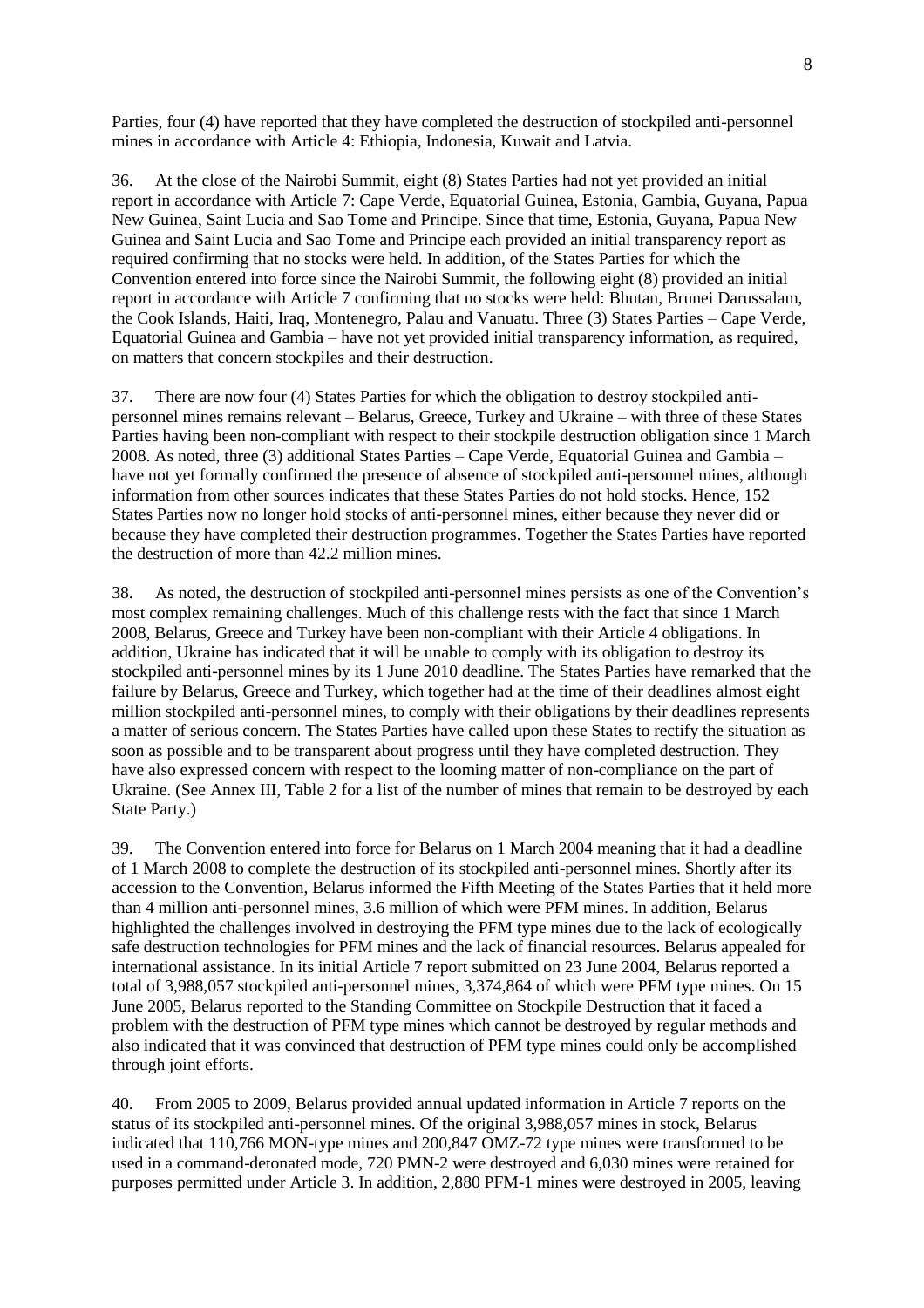Parties, four (4) have reported that they have completed the destruction of stockpiled anti-personnel mines in accordance with Article 4: Ethiopia, Indonesia, Kuwait and Latvia.

36. At the close of the Nairobi Summit, eight (8) States Parties had not yet provided an initial report in accordance with Article 7: Cape Verde, Equatorial Guinea, Estonia, Gambia, Guyana, Papua New Guinea, Saint Lucia and Sao Tome and Principe. Since that time, Estonia, Guyana, Papua New Guinea and Saint Lucia and Sao Tome and Principe each provided an initial transparency report as required confirming that no stocks were held. In addition, of the States Parties for which the Convention entered into force since the Nairobi Summit, the following eight (8) provided an initial report in accordance with Article 7 confirming that no stocks were held: Bhutan, Brunei Darussalam, the Cook Islands, Haiti, Iraq, Montenegro, Palau and Vanuatu. Three (3) States Parties – Cape Verde, Equatorial Guinea and Gambia – have not yet provided initial transparency information, as required, on matters that concern stockpiles and their destruction.

37. There are now four (4) States Parties for which the obligation to destroy stockpiled antipersonnel mines remains relevant – Belarus, Greece, Turkey and Ukraine – with three of these States Parties having been non-compliant with respect to their stockpile destruction obligation since 1 March 2008. As noted, three (3) additional States Parties – Cape Verde, Equatorial Guinea and Gambia – have not yet formally confirmed the presence of absence of stockpiled anti-personnel mines, although information from other sources indicates that these States Parties do not hold stocks. Hence, 152 States Parties now no longer hold stocks of anti-personnel mines, either because they never did or because they have completed their destruction programmes. Together the States Parties have reported the destruction of more than 42.2 million mines.

38. As noted, the destruction of stockpiled anti-personnel mines persists as one of the Convention's most complex remaining challenges. Much of this challenge rests with the fact that since 1 March 2008, Belarus, Greece and Turkey have been non-compliant with their Article 4 obligations. In addition, Ukraine has indicated that it will be unable to comply with its obligation to destroy its stockpiled anti-personnel mines by its 1 June 2010 deadline. The States Parties have remarked that the failure by Belarus, Greece and Turkey, which together had at the time of their deadlines almost eight million stockpiled anti-personnel mines, to comply with their obligations by their deadlines represents a matter of serious concern. The States Parties have called upon these States to rectify the situation as soon as possible and to be transparent about progress until they have completed destruction. They have also expressed concern with respect to the looming matter of non-compliance on the part of Ukraine. (See Annex III, Table 2 for a list of the number of mines that remain to be destroyed by each State Party.)

39. The Convention entered into force for Belarus on 1 March 2004 meaning that it had a deadline of 1 March 2008 to complete the destruction of its stockpiled anti-personnel mines. Shortly after its accession to the Convention, Belarus informed the Fifth Meeting of the States Parties that it held more than 4 million anti-personnel mines, 3.6 million of which were PFM mines. In addition, Belarus highlighted the challenges involved in destroying the PFM type mines due to the lack of ecologically safe destruction technologies for PFM mines and the lack of financial resources. Belarus appealed for international assistance. In its initial Article 7 report submitted on 23 June 2004, Belarus reported a total of 3,988,057 stockpiled anti-personnel mines, 3,374,864 of which were PFM type mines. On 15 June 2005, Belarus reported to the Standing Committee on Stockpile Destruction that it faced a problem with the destruction of PFM type mines which cannot be destroyed by regular methods and also indicated that it was convinced that destruction of PFM type mines could only be accomplished through joint efforts.

40. From 2005 to 2009, Belarus provided annual updated information in Article 7 reports on the status of its stockpiled anti-personnel mines. Of the original 3,988,057 mines in stock, Belarus indicated that 110,766 MON-type mines and 200,847 OMZ-72 type mines were transformed to be used in a command-detonated mode, 720 PMN-2 were destroyed and 6,030 mines were retained for purposes permitted under Article 3. In addition, 2,880 PFM-1 mines were destroyed in 2005, leaving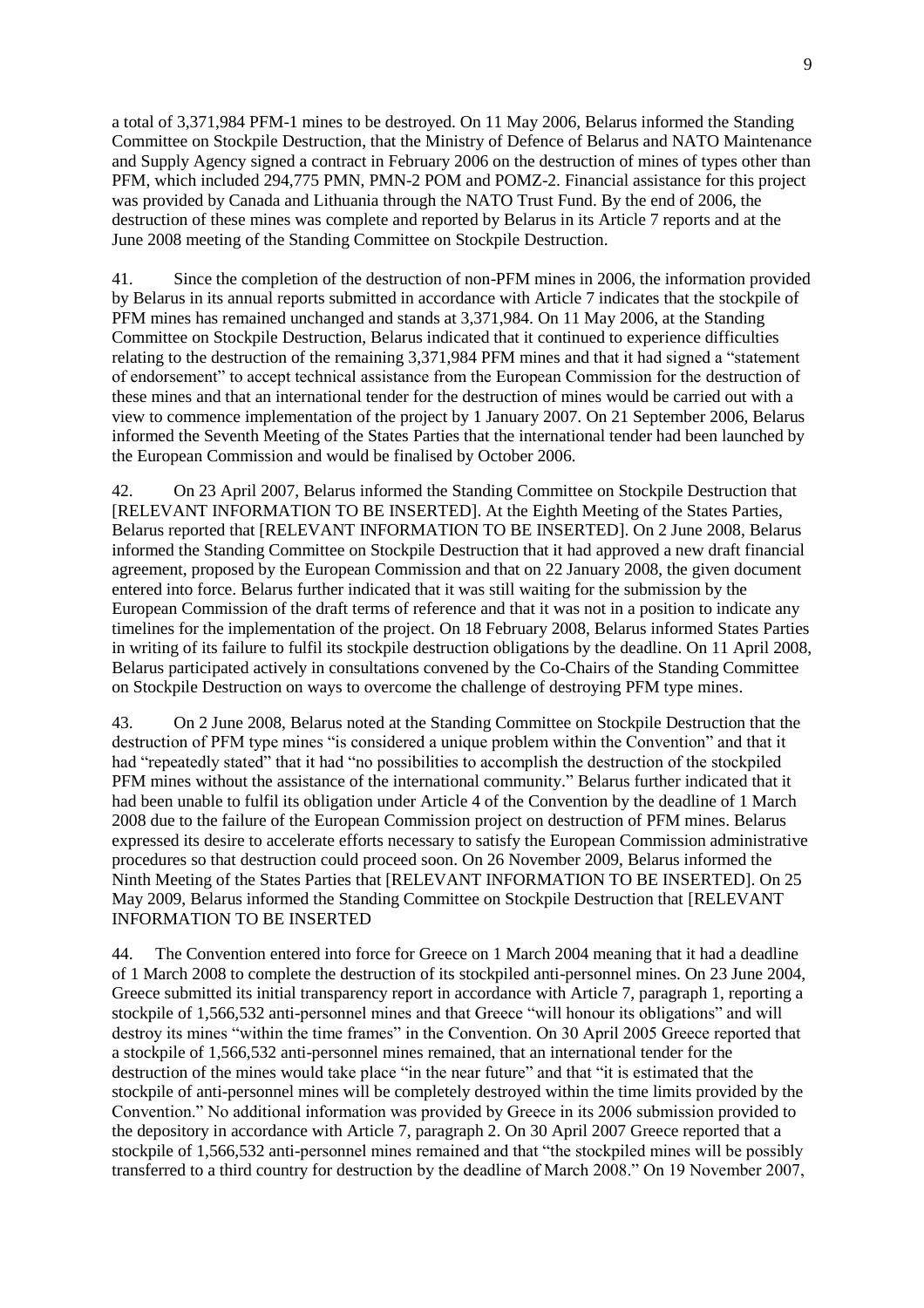a total of 3,371,984 PFM-1 mines to be destroyed. On 11 May 2006, Belarus informed the Standing Committee on Stockpile Destruction, that the Ministry of Defence of Belarus and NATO Maintenance and Supply Agency signed a contract in February 2006 on the destruction of mines of types other than PFM, which included 294,775 PMN, PMN-2 POM and POMZ-2. Financial assistance for this project was provided by Canada and Lithuania through the NATO Trust Fund. By the end of 2006, the destruction of these mines was complete and reported by Belarus in its Article 7 reports and at the June 2008 meeting of the Standing Committee on Stockpile Destruction.

41. Since the completion of the destruction of non-PFM mines in 2006, the information provided by Belarus in its annual reports submitted in accordance with Article 7 indicates that the stockpile of PFM mines has remained unchanged and stands at 3,371,984. On 11 May 2006, at the Standing Committee on Stockpile Destruction, Belarus indicated that it continued to experience difficulties relating to the destruction of the remaining 3,371,984 PFM mines and that it had signed a "statement" of endorsement" to accept technical assistance from the European Commission for the destruction of these mines and that an international tender for the destruction of mines would be carried out with a view to commence implementation of the project by 1 January 2007. On 21 September 2006, Belarus informed the Seventh Meeting of the States Parties that the international tender had been launched by the European Commission and would be finalised by October 2006.

42. On 23 April 2007, Belarus informed the Standing Committee on Stockpile Destruction that [RELEVANT INFORMATION TO BE INSERTED]. At the Eighth Meeting of the States Parties, Belarus reported that [RELEVANT INFORMATION TO BE INSERTED]. On 2 June 2008, Belarus informed the Standing Committee on Stockpile Destruction that it had approved a new draft financial agreement, proposed by the European Commission and that on 22 January 2008, the given document entered into force. Belarus further indicated that it was still waiting for the submission by the European Commission of the draft terms of reference and that it was not in a position to indicate any timelines for the implementation of the project. On 18 February 2008, Belarus informed States Parties in writing of its failure to fulfil its stockpile destruction obligations by the deadline. On 11 April 2008, Belarus participated actively in consultations convened by the Co-Chairs of the Standing Committee on Stockpile Destruction on ways to overcome the challenge of destroying PFM type mines.

43. On 2 June 2008, Belarus noted at the Standing Committee on Stockpile Destruction that the destruction of PFM type mines "is considered a unique problem within the Convention" and that it had "repeatedly stated" that it had "no possibilities to accomplish the destruction of the stockpiled PFM mines without the assistance of the international community." Belarus further indicated that it had been unable to fulfil its obligation under Article 4 of the Convention by the deadline of 1 March 2008 due to the failure of the European Commission project on destruction of PFM mines. Belarus expressed its desire to accelerate efforts necessary to satisfy the European Commission administrative procedures so that destruction could proceed soon. On 26 November 2009, Belarus informed the Ninth Meeting of the States Parties that [RELEVANT INFORMATION TO BE INSERTED]. On 25 May 2009, Belarus informed the Standing Committee on Stockpile Destruction that [RELEVANT INFORMATION TO BE INSERTED

44. The Convention entered into force for Greece on 1 March 2004 meaning that it had a deadline of 1 March 2008 to complete the destruction of its stockpiled anti-personnel mines. On 23 June 2004, Greece submitted its initial transparency report in accordance with Article 7, paragraph 1, reporting a stockpile of 1,566,532 anti-personnel mines and that Greece "will honour its obligations" and will destroy its mines "within the time frames" in the Convention. On 30 April 2005 Greece reported that a stockpile of 1,566,532 anti-personnel mines remained, that an international tender for the destruction of the mines would take place "in the near future" and that "it is estimated that the stockpile of anti-personnel mines will be completely destroyed within the time limits provided by the Convention." No additional information was provided by Greece in its 2006 submission provided to the depository in accordance with Article 7, paragraph 2. On 30 April 2007 Greece reported that a stockpile of 1,566,532 anti-personnel mines remained and that "the stockpiled mines will be possibly transferred to a third country for destruction by the deadline of March 2008." On 19 November 2007,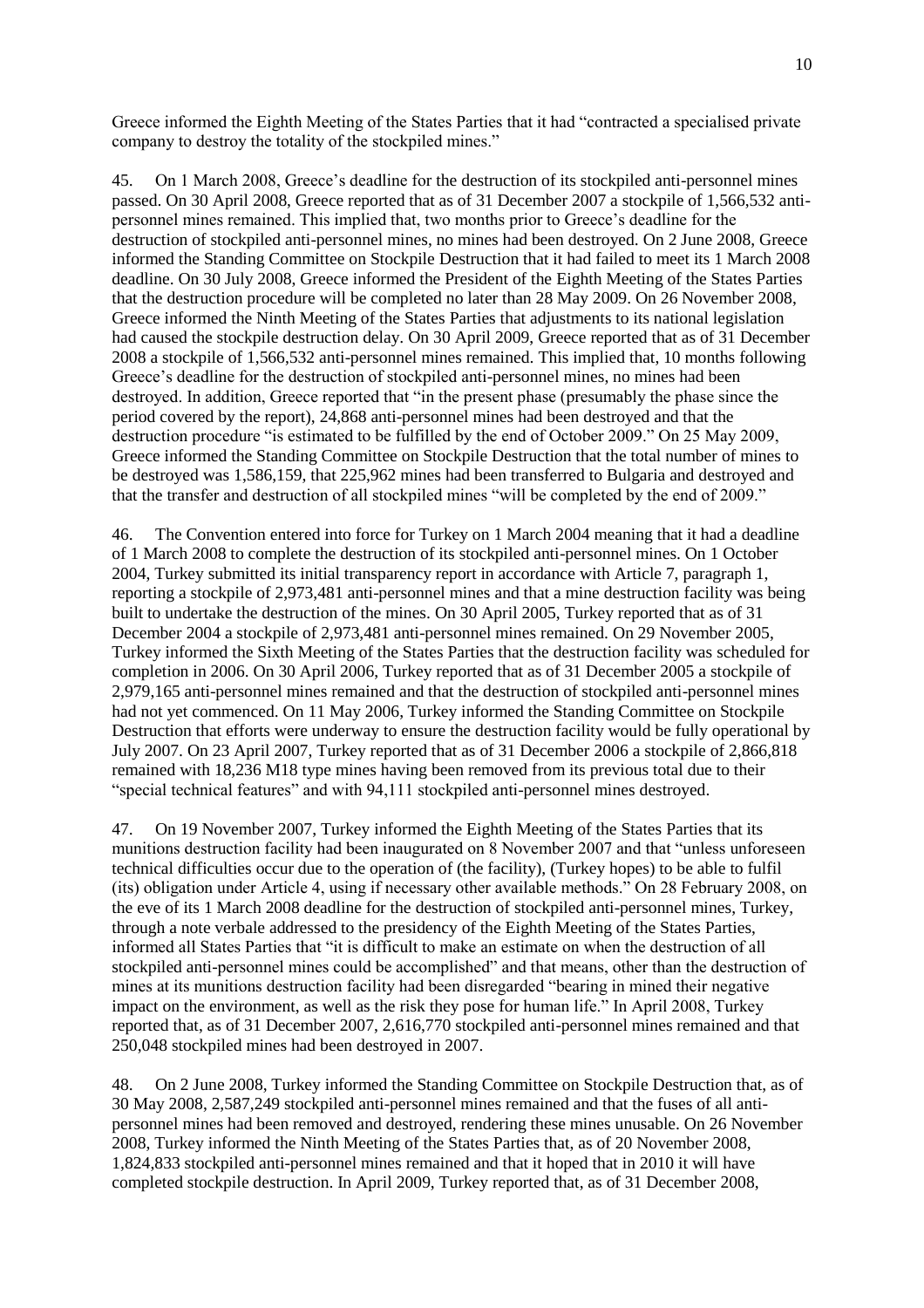Greece informed the Eighth Meeting of the States Parties that it had "contracted a specialised private" company to destroy the totality of the stockpiled mines."

45. On 1 March 2008, Greece's deadline for the destruction of its stockpiled anti-personnel mines passed. On 30 April 2008, Greece reported that as of 31 December 2007 a stockpile of 1,566,532 antipersonnel mines remained. This implied that, two months prior to Greece's deadline for the destruction of stockpiled anti-personnel mines, no mines had been destroyed. On 2 June 2008, Greece informed the Standing Committee on Stockpile Destruction that it had failed to meet its 1 March 2008 deadline. On 30 July 2008, Greece informed the President of the Eighth Meeting of the States Parties that the destruction procedure will be completed no later than 28 May 2009. On 26 November 2008, Greece informed the Ninth Meeting of the States Parties that adjustments to its national legislation had caused the stockpile destruction delay. On 30 April 2009, Greece reported that as of 31 December 2008 a stockpile of 1,566,532 anti-personnel mines remained. This implied that, 10 months following Greece's deadline for the destruction of stockpiled anti-personnel mines, no mines had been destroyed. In addition, Greece reported that "in the present phase (presumably the phase since the period covered by the report), 24,868 anti-personnel mines had been destroyed and that the destruction procedure "is estimated to be fulfilled by the end of October 2009." On 25 May 2009, Greece informed the Standing Committee on Stockpile Destruction that the total number of mines to be destroyed was 1,586,159, that 225,962 mines had been transferred to Bulgaria and destroyed and that the transfer and destruction of all stockpiled mines "will be completed by the end of 2009."

46. The Convention entered into force for Turkey on 1 March 2004 meaning that it had a deadline of 1 March 2008 to complete the destruction of its stockpiled anti-personnel mines. On 1 October 2004, Turkey submitted its initial transparency report in accordance with Article 7, paragraph 1, reporting a stockpile of 2,973,481 anti-personnel mines and that a mine destruction facility was being built to undertake the destruction of the mines. On 30 April 2005, Turkey reported that as of 31 December 2004 a stockpile of 2,973,481 anti-personnel mines remained. On 29 November 2005, Turkey informed the Sixth Meeting of the States Parties that the destruction facility was scheduled for completion in 2006. On 30 April 2006, Turkey reported that as of 31 December 2005 a stockpile of 2,979,165 anti-personnel mines remained and that the destruction of stockpiled anti-personnel mines had not yet commenced. On 11 May 2006, Turkey informed the Standing Committee on Stockpile Destruction that efforts were underway to ensure the destruction facility would be fully operational by July 2007. On 23 April 2007, Turkey reported that as of 31 December 2006 a stockpile of 2,866,818 remained with 18,236 M18 type mines having been removed from its previous total due to their "special technical features" and with 94,111 stockpiled anti-personnel mines destroyed.

47. On 19 November 2007, Turkey informed the Eighth Meeting of the States Parties that its munitions destruction facility had been inaugurated on 8 November 2007 and that "unless unforeseen technical difficulties occur due to the operation of (the facility), (Turkey hopes) to be able to fulfil (its) obligation under Article 4, using if necessary other available methods." On 28 February 2008, on the eve of its 1 March 2008 deadline for the destruction of stockpiled anti-personnel mines, Turkey, through a note verbale addressed to the presidency of the Eighth Meeting of the States Parties, informed all States Parties that "it is difficult to make an estimate on when the destruction of all stockpiled anti-personnel mines could be accomplished" and that means, other than the destruction of mines at its munitions destruction facility had been disregarded "bearing in mined their negative impact on the environment, as well as the risk they pose for human life." In April 2008, Turkey reported that, as of 31 December 2007, 2,616,770 stockpiled anti-personnel mines remained and that 250,048 stockpiled mines had been destroyed in 2007.

48. On 2 June 2008, Turkey informed the Standing Committee on Stockpile Destruction that, as of 30 May 2008, 2,587,249 stockpiled anti-personnel mines remained and that the fuses of all antipersonnel mines had been removed and destroyed, rendering these mines unusable. On 26 November 2008, Turkey informed the Ninth Meeting of the States Parties that, as of 20 November 2008, 1,824,833 stockpiled anti-personnel mines remained and that it hoped that in 2010 it will have completed stockpile destruction. In April 2009, Turkey reported that, as of 31 December 2008,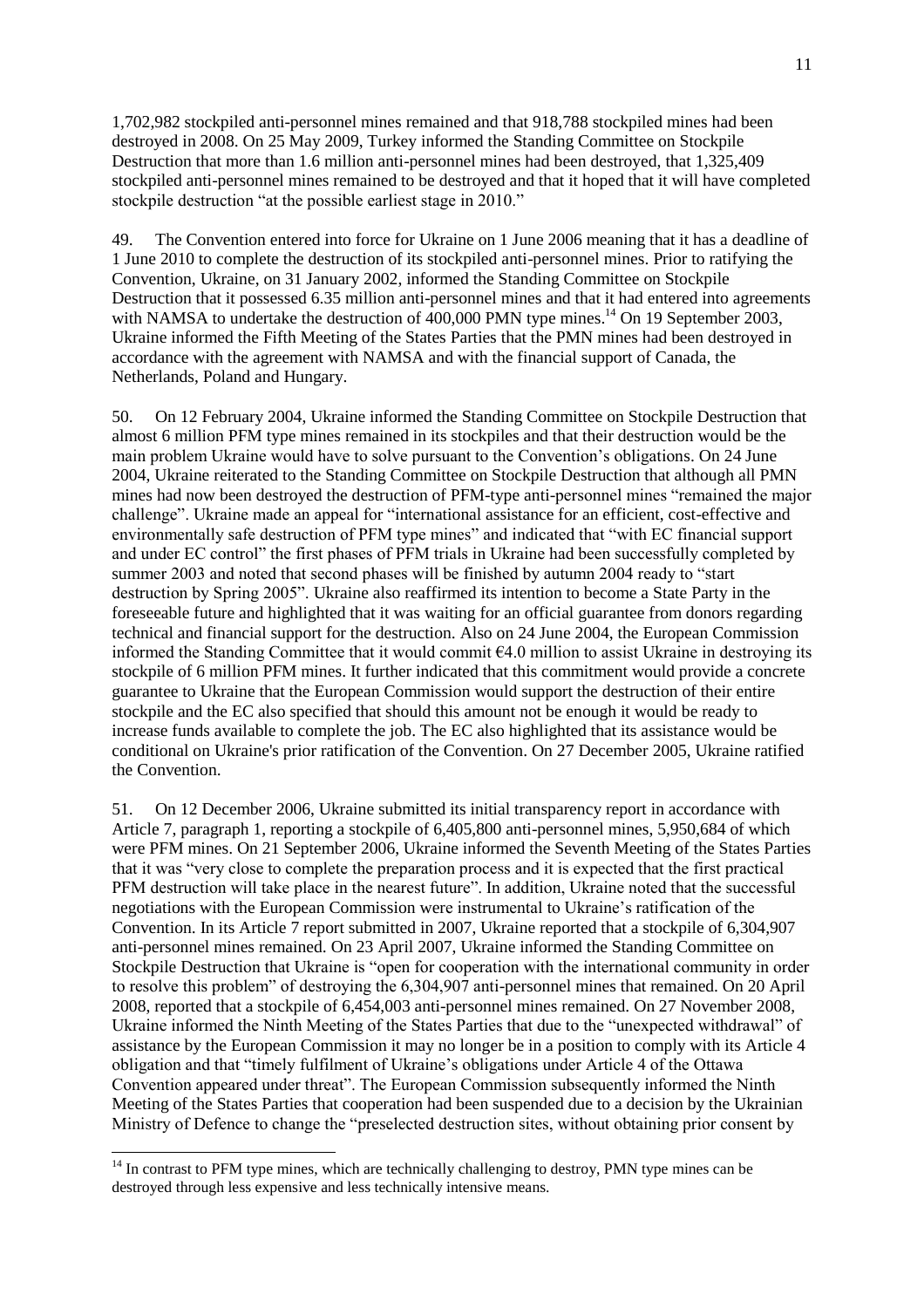1,702,982 stockpiled anti-personnel mines remained and that 918,788 stockpiled mines had been destroyed in 2008. On 25 May 2009, Turkey informed the Standing Committee on Stockpile Destruction that more than 1.6 million anti-personnel mines had been destroyed, that 1,325,409 stockpiled anti-personnel mines remained to be destroyed and that it hoped that it will have completed stockpile destruction "at the possible earliest stage in 2010."

49. The Convention entered into force for Ukraine on 1 June 2006 meaning that it has a deadline of 1 June 2010 to complete the destruction of its stockpiled anti-personnel mines. Prior to ratifying the Convention, Ukraine, on 31 January 2002, informed the Standing Committee on Stockpile Destruction that it possessed 6.35 million anti-personnel mines and that it had entered into agreements with NAMSA to undertake the destruction of 400,000 PMN type mines.<sup>14</sup> On 19 September 2003, Ukraine informed the Fifth Meeting of the States Parties that the PMN mines had been destroyed in accordance with the agreement with NAMSA and with the financial support of Canada, the Netherlands, Poland and Hungary.

50. On 12 February 2004, Ukraine informed the Standing Committee on Stockpile Destruction that almost 6 million PFM type mines remained in its stockpiles and that their destruction would be the main problem Ukraine would have to solve pursuant to the Convention's obligations. On 24 June 2004, Ukraine reiterated to the Standing Committee on Stockpile Destruction that although all PMN mines had now been destroyed the destruction of PFM-type anti-personnel mines "remained the major challenge". Ukraine made an appeal for "international assistance for an efficient, cost-effective and environmentally safe destruction of PFM type mines" and indicated that "with EC financial support and under EC control" the first phases of PFM trials in Ukraine had been successfully completed by summer 2003 and noted that second phases will be finished by autumn 2004 ready to "start" destruction by Spring 2005". Ukraine also reaffirmed its intention to become a State Party in the foreseeable future and highlighted that it was waiting for an official guarantee from donors regarding technical and financial support for the destruction. Also on 24 June 2004, the European Commission informed the Standing Committee that it would commit €4.0 million to assist Ukraine in destroying its stockpile of 6 million PFM mines. It further indicated that this commitment would provide a concrete guarantee to Ukraine that the European Commission would support the destruction of their entire stockpile and the EC also specified that should this amount not be enough it would be ready to increase funds available to complete the job. The EC also highlighted that its assistance would be conditional on Ukraine's prior ratification of the Convention. On 27 December 2005, Ukraine ratified the Convention.

51. On 12 December 2006, Ukraine submitted its initial transparency report in accordance with Article 7, paragraph 1, reporting a stockpile of 6,405,800 anti-personnel mines, 5,950,684 of which were PFM mines. On 21 September 2006, Ukraine informed the Seventh Meeting of the States Parties that it was ―very close to complete the preparation process and it is expected that the first practical PFM destruction will take place in the nearest future". In addition, Ukraine noted that the successful negotiations with the European Commission were instrumental to Ukraine's ratification of the Convention. In its Article 7 report submitted in 2007, Ukraine reported that a stockpile of 6,304,907 anti-personnel mines remained. On 23 April 2007, Ukraine informed the Standing Committee on Stockpile Destruction that Ukraine is "open for cooperation with the international community in order to resolve this problem" of destroying the 6,304,907 anti-personnel mines that remained. On 20 April 2008, reported that a stockpile of 6,454,003 anti-personnel mines remained. On 27 November 2008, Ukraine informed the Ninth Meeting of the States Parties that due to the "unexpected withdrawal" of assistance by the European Commission it may no longer be in a position to comply with its Article 4 obligation and that "timely fulfilment of Ukraine's obligations under Article 4 of the Ottawa Convention appeared under threat". The European Commission subsequently informed the Ninth Meeting of the States Parties that cooperation had been suspended due to a decision by the Ukrainian Ministry of Defence to change the "preselected destruction sites, without obtaining prior consent by

 $14$  In contrast to PFM type mines, which are technically challenging to destroy, PMN type mines can be destroyed through less expensive and less technically intensive means.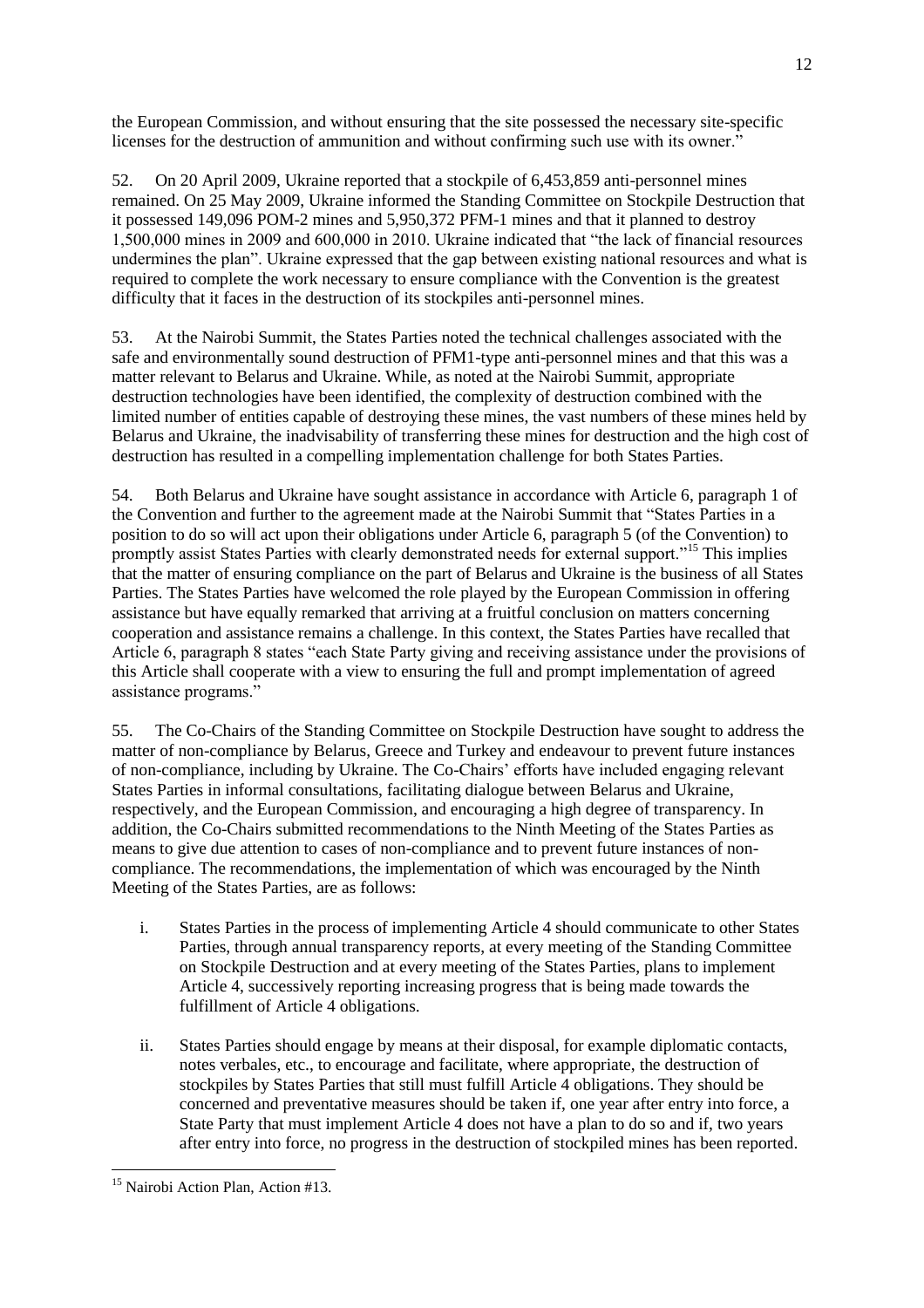the European Commission, and without ensuring that the site possessed the necessary site-specific licenses for the destruction of ammunition and without confirming such use with its owner."

52. On 20 April 2009, Ukraine reported that a stockpile of 6,453,859 anti-personnel mines remained. On 25 May 2009, Ukraine informed the Standing Committee on Stockpile Destruction that it possessed 149,096 POM-2 mines and 5,950,372 PFM-1 mines and that it planned to destroy 1,500,000 mines in 2009 and 600,000 in 2010. Ukraine indicated that "the lack of financial resources" undermines the plan". Ukraine expressed that the gap between existing national resources and what is required to complete the work necessary to ensure compliance with the Convention is the greatest difficulty that it faces in the destruction of its stockpiles anti-personnel mines.

53. At the Nairobi Summit, the States Parties noted the technical challenges associated with the safe and environmentally sound destruction of PFM1-type anti-personnel mines and that this was a matter relevant to Belarus and Ukraine. While, as noted at the Nairobi Summit, appropriate destruction technologies have been identified, the complexity of destruction combined with the limited number of entities capable of destroying these mines, the vast numbers of these mines held by Belarus and Ukraine, the inadvisability of transferring these mines for destruction and the high cost of destruction has resulted in a compelling implementation challenge for both States Parties.

54. Both Belarus and Ukraine have sought assistance in accordance with Article 6, paragraph 1 of the Convention and further to the agreement made at the Nairobi Summit that "States Parties in a position to do so will act upon their obligations under Article 6, paragraph 5 (of the Convention) to promptly assist States Parties with clearly demonstrated needs for external support."<sup>15</sup> This implies that the matter of ensuring compliance on the part of Belarus and Ukraine is the business of all States Parties. The States Parties have welcomed the role played by the European Commission in offering assistance but have equally remarked that arriving at a fruitful conclusion on matters concerning cooperation and assistance remains a challenge. In this context, the States Parties have recalled that Article 6, paragraph 8 states "each State Party giving and receiving assistance under the provisions of this Article shall cooperate with a view to ensuring the full and prompt implementation of agreed assistance programs."

55. The Co-Chairs of the Standing Committee on Stockpile Destruction have sought to address the matter of non-compliance by Belarus, Greece and Turkey and endeavour to prevent future instances of non-compliance, including by Ukraine. The Co-Chairs' efforts have included engaging relevant States Parties in informal consultations, facilitating dialogue between Belarus and Ukraine, respectively, and the European Commission, and encouraging a high degree of transparency. In addition, the Co-Chairs submitted recommendations to the Ninth Meeting of the States Parties as means to give due attention to cases of non-compliance and to prevent future instances of noncompliance. The recommendations, the implementation of which was encouraged by the Ninth Meeting of the States Parties, are as follows:

- i. States Parties in the process of implementing Article 4 should communicate to other States Parties, through annual transparency reports, at every meeting of the Standing Committee on Stockpile Destruction and at every meeting of the States Parties, plans to implement Article 4, successively reporting increasing progress that is being made towards the fulfillment of Article 4 obligations.
- ii. States Parties should engage by means at their disposal, for example diplomatic contacts, notes verbales, etc., to encourage and facilitate, where appropriate, the destruction of stockpiles by States Parties that still must fulfill Article 4 obligations. They should be concerned and preventative measures should be taken if, one year after entry into force, a State Party that must implement Article 4 does not have a plan to do so and if, two years after entry into force, no progress in the destruction of stockpiled mines has been reported.

 $\overline{a}$ <sup>15</sup> Nairobi Action Plan, Action #13.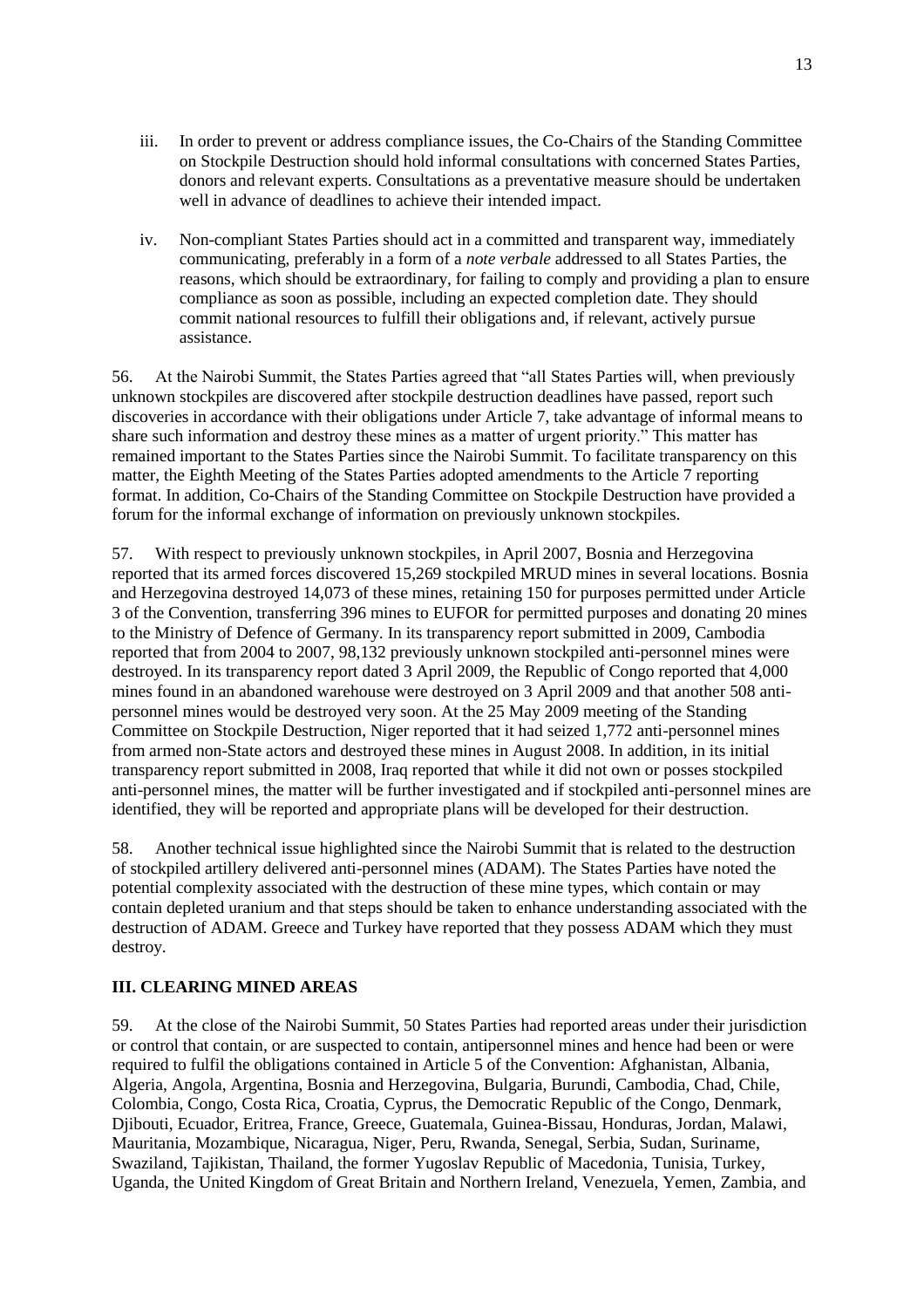- iii. In order to prevent or address compliance issues, the Co-Chairs of the Standing Committee on Stockpile Destruction should hold informal consultations with concerned States Parties, donors and relevant experts. Consultations as a preventative measure should be undertaken well in advance of deadlines to achieve their intended impact.
- iv. Non-compliant States Parties should act in a committed and transparent way, immediately communicating, preferably in a form of a *note verbale* addressed to all States Parties, the reasons, which should be extraordinary, for failing to comply and providing a plan to ensure compliance as soon as possible, including an expected completion date. They should commit national resources to fulfill their obligations and, if relevant, actively pursue assistance.

56. At the Nairobi Summit, the States Parties agreed that "all States Parties will, when previously unknown stockpiles are discovered after stockpile destruction deadlines have passed, report such discoveries in accordance with their obligations under Article 7, take advantage of informal means to share such information and destroy these mines as a matter of urgent priority." This matter has remained important to the States Parties since the Nairobi Summit. To facilitate transparency on this matter, the Eighth Meeting of the States Parties adopted amendments to the Article 7 reporting format. In addition, Co-Chairs of the Standing Committee on Stockpile Destruction have provided a forum for the informal exchange of information on previously unknown stockpiles.

57. With respect to previously unknown stockpiles, in April 2007, Bosnia and Herzegovina reported that its armed forces discovered 15,269 stockpiled MRUD mines in several locations. Bosnia and Herzegovina destroyed 14,073 of these mines, retaining 150 for purposes permitted under Article 3 of the Convention, transferring 396 mines to EUFOR for permitted purposes and donating 20 mines to the Ministry of Defence of Germany. In its transparency report submitted in 2009, Cambodia reported that from 2004 to 2007, 98,132 previously unknown stockpiled anti-personnel mines were destroyed. In its transparency report dated 3 April 2009, the Republic of Congo reported that 4,000 mines found in an abandoned warehouse were destroyed on 3 April 2009 and that another 508 antipersonnel mines would be destroyed very soon. At the 25 May 2009 meeting of the Standing Committee on Stockpile Destruction, Niger reported that it had seized 1,772 anti-personnel mines from armed non-State actors and destroyed these mines in August 2008. In addition, in its initial transparency report submitted in 2008, Iraq reported that while it did not own or posses stockpiled anti-personnel mines, the matter will be further investigated and if stockpiled anti-personnel mines are identified, they will be reported and appropriate plans will be developed for their destruction.

58. Another technical issue highlighted since the Nairobi Summit that is related to the destruction of stockpiled artillery delivered anti-personnel mines (ADAM). The States Parties have noted the potential complexity associated with the destruction of these mine types, which contain or may contain depleted uranium and that steps should be taken to enhance understanding associated with the destruction of ADAM. Greece and Turkey have reported that they possess ADAM which they must destroy.

### **III. CLEARING MINED AREAS**

59. At the close of the Nairobi Summit, 50 States Parties had reported areas under their jurisdiction or control that contain, or are suspected to contain, antipersonnel mines and hence had been or were required to fulfil the obligations contained in Article 5 of the Convention: Afghanistan, Albania, Algeria, Angola, Argentina, Bosnia and Herzegovina, Bulgaria, Burundi, Cambodia, Chad, Chile, Colombia, Congo, Costa Rica, Croatia, Cyprus, the Democratic Republic of the Congo, Denmark, Djibouti, Ecuador, Eritrea, France, Greece, Guatemala, Guinea-Bissau, Honduras, Jordan, Malawi, Mauritania, Mozambique, Nicaragua, Niger, Peru, Rwanda, Senegal, Serbia, Sudan, Suriname, Swaziland, Tajikistan, Thailand, the former Yugoslav Republic of Macedonia, Tunisia, Turkey, Uganda, the United Kingdom of Great Britain and Northern Ireland, Venezuela, Yemen, Zambia, and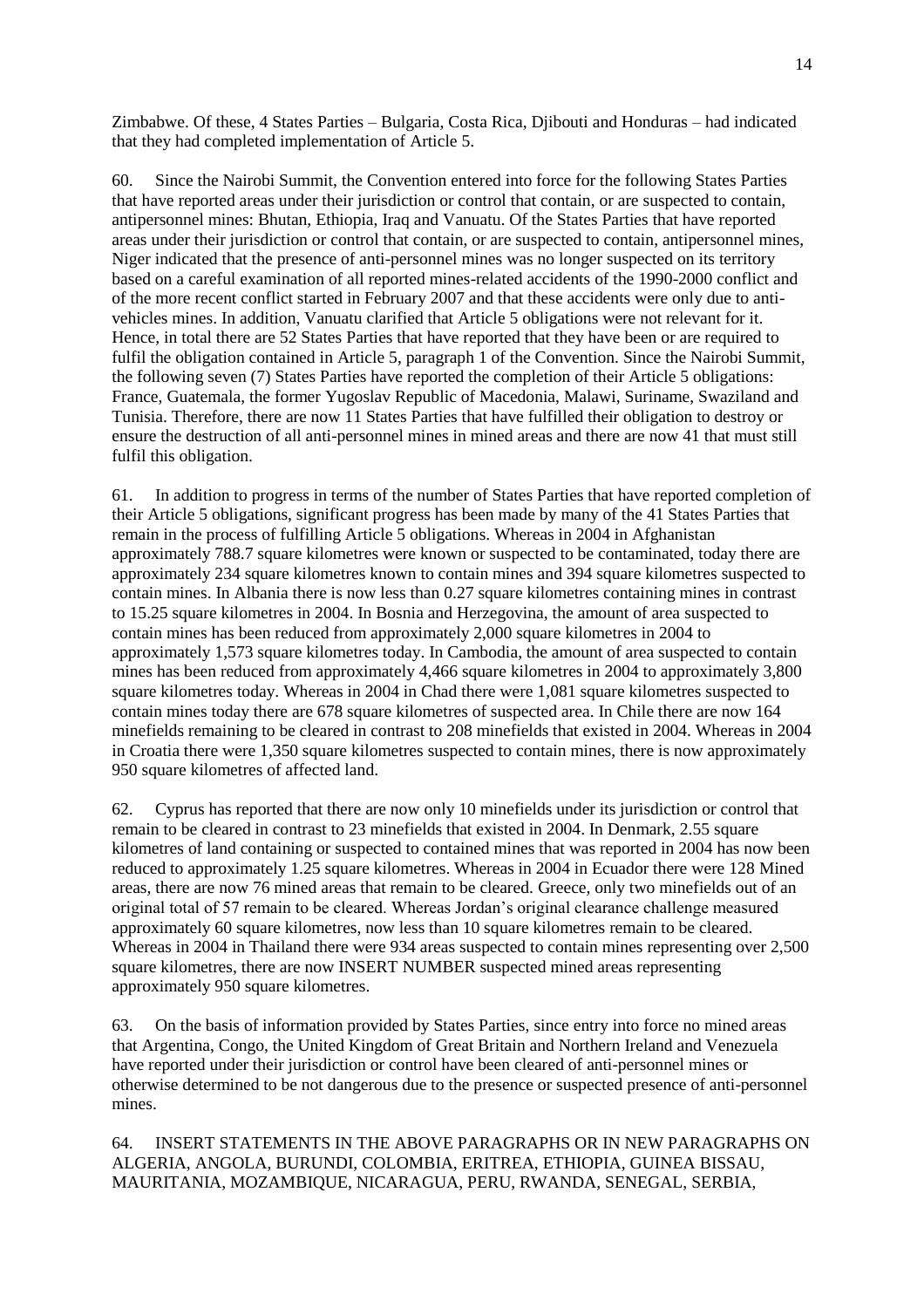Zimbabwe. Of these, 4 States Parties – Bulgaria, Costa Rica, Djibouti and Honduras – had indicated that they had completed implementation of Article 5.

60. Since the Nairobi Summit, the Convention entered into force for the following States Parties that have reported areas under their jurisdiction or control that contain, or are suspected to contain, antipersonnel mines: Bhutan, Ethiopia, Iraq and Vanuatu. Of the States Parties that have reported areas under their jurisdiction or control that contain, or are suspected to contain, antipersonnel mines, Niger indicated that the presence of anti-personnel mines was no longer suspected on its territory based on a careful examination of all reported mines-related accidents of the 1990-2000 conflict and of the more recent conflict started in February 2007 and that these accidents were only due to antivehicles mines. In addition, Vanuatu clarified that Article 5 obligations were not relevant for it. Hence, in total there are 52 States Parties that have reported that they have been or are required to fulfil the obligation contained in Article 5, paragraph 1 of the Convention. Since the Nairobi Summit, the following seven (7) States Parties have reported the completion of their Article 5 obligations: France, Guatemala, the former Yugoslav Republic of Macedonia, Malawi, Suriname, Swaziland and Tunisia. Therefore, there are now 11 States Parties that have fulfilled their obligation to destroy or ensure the destruction of all anti-personnel mines in mined areas and there are now 41 that must still fulfil this obligation.

61. In addition to progress in terms of the number of States Parties that have reported completion of their Article 5 obligations, significant progress has been made by many of the 41 States Parties that remain in the process of fulfilling Article 5 obligations. Whereas in 2004 in Afghanistan approximately 788.7 square kilometres were known or suspected to be contaminated, today there are approximately 234 square kilometres known to contain mines and 394 square kilometres suspected to contain mines. In Albania there is now less than 0.27 square kilometres containing mines in contrast to 15.25 square kilometres in 2004. In Bosnia and Herzegovina, the amount of area suspected to contain mines has been reduced from approximately 2,000 square kilometres in 2004 to approximately 1,573 square kilometres today. In Cambodia, the amount of area suspected to contain mines has been reduced from approximately 4,466 square kilometres in 2004 to approximately 3,800 square kilometres today. Whereas in 2004 in Chad there were 1,081 square kilometres suspected to contain mines today there are 678 square kilometres of suspected area. In Chile there are now 164 minefields remaining to be cleared in contrast to 208 minefields that existed in 2004. Whereas in 2004 in Croatia there were 1,350 square kilometres suspected to contain mines, there is now approximately 950 square kilometres of affected land.

62. Cyprus has reported that there are now only 10 minefields under its jurisdiction or control that remain to be cleared in contrast to 23 minefields that existed in 2004. In Denmark, 2.55 square kilometres of land containing or suspected to contained mines that was reported in 2004 has now been reduced to approximately 1.25 square kilometres. Whereas in 2004 in Ecuador there were 128 Mined areas, there are now 76 mined areas that remain to be cleared. Greece, only two minefields out of an original total of 57 remain to be cleared. Whereas Jordan's original clearance challenge measured approximately 60 square kilometres, now less than 10 square kilometres remain to be cleared. Whereas in 2004 in Thailand there were 934 areas suspected to contain mines representing over 2,500 square kilometres, there are now INSERT NUMBER suspected mined areas representing approximately 950 square kilometres.

63. On the basis of information provided by States Parties, since entry into force no mined areas that Argentina, Congo, the United Kingdom of Great Britain and Northern Ireland and Venezuela have reported under their jurisdiction or control have been cleared of anti-personnel mines or otherwise determined to be not dangerous due to the presence or suspected presence of anti-personnel mines.

64. INSERT STATEMENTS IN THE ABOVE PARAGRAPHS OR IN NEW PARAGRAPHS ON ALGERIA, ANGOLA, BURUNDI, COLOMBIA, ERITREA, ETHIOPIA, GUINEA BISSAU, MAURITANIA, MOZAMBIQUE, NICARAGUA, PERU, RWANDA, SENEGAL, SERBIA,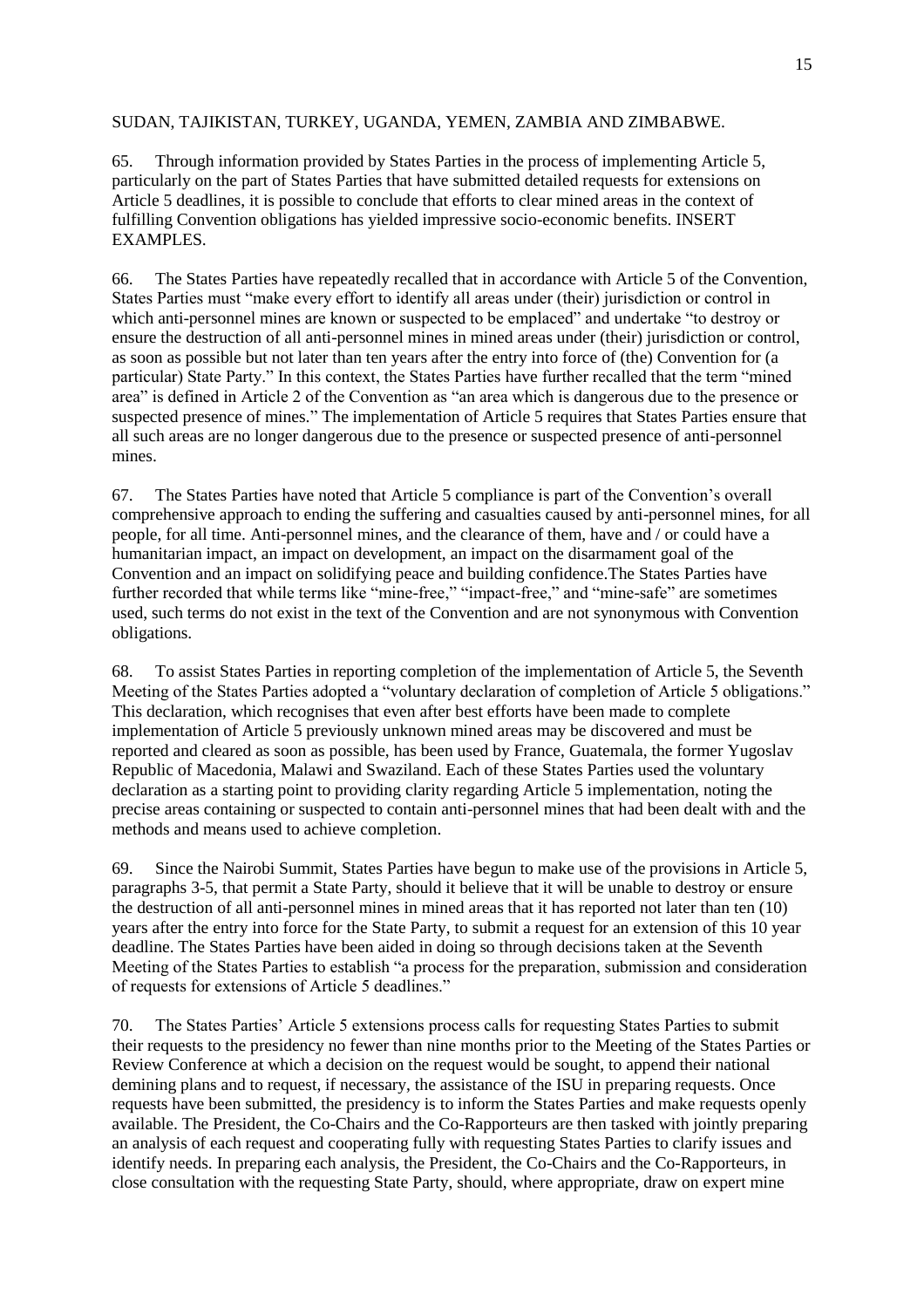### SUDAN, TAJIKISTAN, TURKEY, UGANDA, YEMEN, ZAMBIA AND ZIMBABWE.

65. Through information provided by States Parties in the process of implementing Article 5, particularly on the part of States Parties that have submitted detailed requests for extensions on Article 5 deadlines, it is possible to conclude that efforts to clear mined areas in the context of fulfilling Convention obligations has yielded impressive socio-economic benefits. INSERT EXAMPLES.

66. The States Parties have repeatedly recalled that in accordance with Article 5 of the Convention, States Parties must "make every effort to identify all areas under (their) jurisdiction or control in which anti-personnel mines are known or suspected to be emplaced" and undertake "to destroy or ensure the destruction of all anti-personnel mines in mined areas under (their) jurisdiction or control, as soon as possible but not later than ten years after the entry into force of (the) Convention for (a particular) State Party." In this context, the States Parties have further recalled that the term "mined area" is defined in Article 2 of the Convention as "an area which is dangerous due to the presence or suspected presence of mines." The implementation of Article 5 requires that States Parties ensure that all such areas are no longer dangerous due to the presence or suspected presence of anti-personnel mines.

67. The States Parties have noted that Article 5 compliance is part of the Convention's overall comprehensive approach to ending the suffering and casualties caused by anti-personnel mines, for all people, for all time. Anti-personnel mines, and the clearance of them, have and / or could have a humanitarian impact, an impact on development, an impact on the disarmament goal of the Convention and an impact on solidifying peace and building confidence.The States Parties have further recorded that while terms like "mine-free," "impact-free," and "mine-safe" are sometimes used, such terms do not exist in the text of the Convention and are not synonymous with Convention obligations.

68. To assist States Parties in reporting completion of the implementation of Article 5, the Seventh Meeting of the States Parties adopted a "voluntary declaration of completion of Article 5 obligations." This declaration, which recognises that even after best efforts have been made to complete implementation of Article 5 previously unknown mined areas may be discovered and must be reported and cleared as soon as possible, has been used by France, Guatemala, the former Yugoslav Republic of Macedonia, Malawi and Swaziland. Each of these States Parties used the voluntary declaration as a starting point to providing clarity regarding Article 5 implementation, noting the precise areas containing or suspected to contain anti-personnel mines that had been dealt with and the methods and means used to achieve completion.

69. Since the Nairobi Summit, States Parties have begun to make use of the provisions in Article 5, paragraphs 3-5, that permit a State Party, should it believe that it will be unable to destroy or ensure the destruction of all anti-personnel mines in mined areas that it has reported not later than ten (10) years after the entry into force for the State Party, to submit a request for an extension of this 10 year deadline. The States Parties have been aided in doing so through decisions taken at the Seventh Meeting of the States Parties to establish "a process for the preparation, submission and consideration of requests for extensions of Article 5 deadlines."

70. The States Parties' Article 5 extensions process calls for requesting States Parties to submit their requests to the presidency no fewer than nine months prior to the Meeting of the States Parties or Review Conference at which a decision on the request would be sought, to append their national demining plans and to request, if necessary, the assistance of the ISU in preparing requests. Once requests have been submitted, the presidency is to inform the States Parties and make requests openly available. The President, the Co-Chairs and the Co-Rapporteurs are then tasked with jointly preparing an analysis of each request and cooperating fully with requesting States Parties to clarify issues and identify needs. In preparing each analysis, the President, the Co-Chairs and the Co-Rapporteurs, in close consultation with the requesting State Party, should, where appropriate, draw on expert mine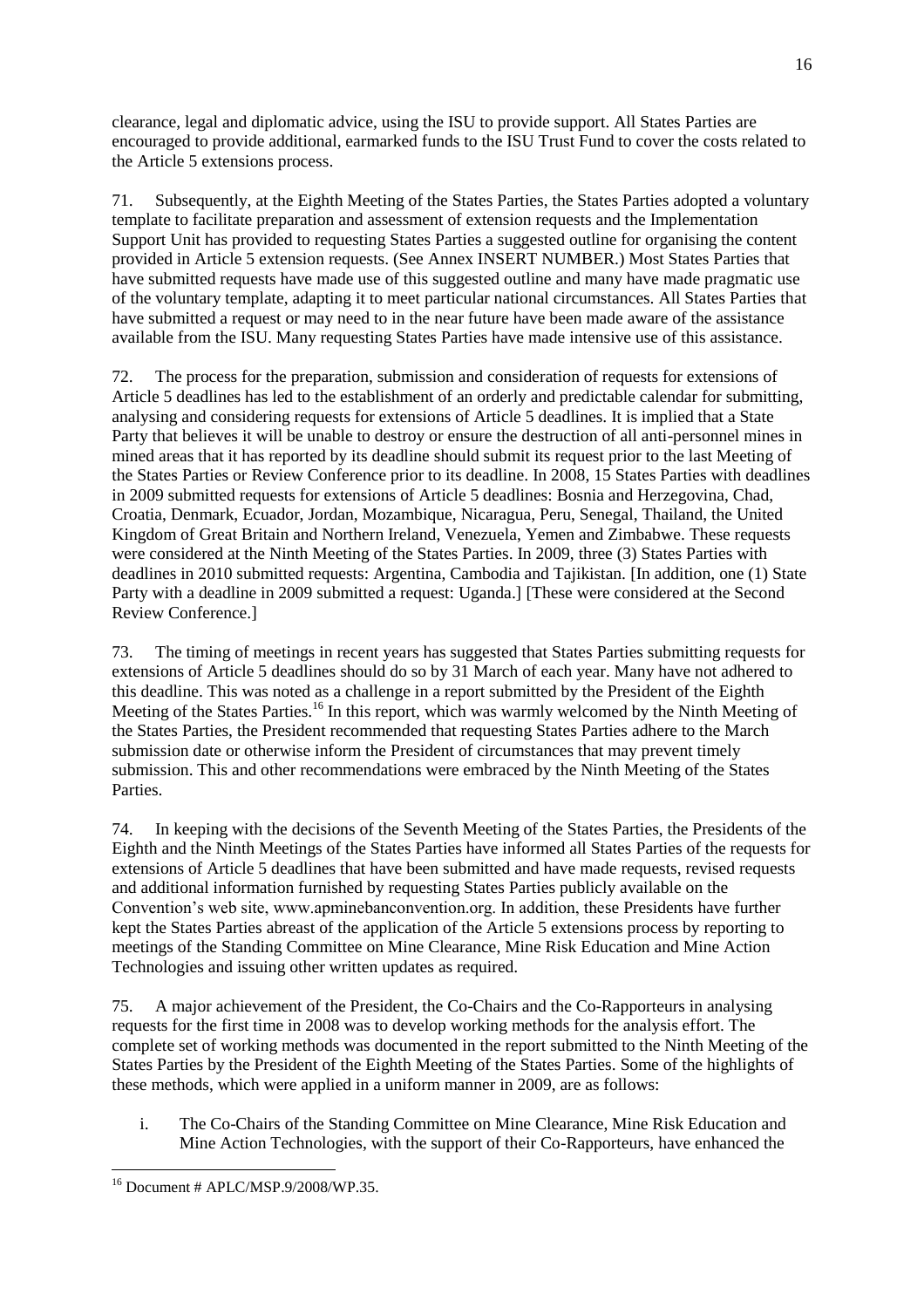clearance, legal and diplomatic advice, using the ISU to provide support. All States Parties are encouraged to provide additional, earmarked funds to the ISU Trust Fund to cover the costs related to the Article 5 extensions process.

71. Subsequently, at the Eighth Meeting of the States Parties, the States Parties adopted a voluntary template to facilitate preparation and assessment of extension requests and the Implementation Support Unit has provided to requesting States Parties a suggested outline for organising the content provided in Article 5 extension requests. (See Annex INSERT NUMBER.) Most States Parties that have submitted requests have made use of this suggested outline and many have made pragmatic use of the voluntary template, adapting it to meet particular national circumstances. All States Parties that have submitted a request or may need to in the near future have been made aware of the assistance available from the ISU. Many requesting States Parties have made intensive use of this assistance.

72. The process for the preparation, submission and consideration of requests for extensions of Article 5 deadlines has led to the establishment of an orderly and predictable calendar for submitting, analysing and considering requests for extensions of Article 5 deadlines. It is implied that a State Party that believes it will be unable to destroy or ensure the destruction of all anti-personnel mines in mined areas that it has reported by its deadline should submit its request prior to the last Meeting of the States Parties or Review Conference prior to its deadline. In 2008, 15 States Parties with deadlines in 2009 submitted requests for extensions of Article 5 deadlines: Bosnia and Herzegovina, Chad, Croatia, Denmark, Ecuador, Jordan, Mozambique, Nicaragua, Peru, Senegal, Thailand, the United Kingdom of Great Britain and Northern Ireland, Venezuela, Yemen and Zimbabwe. These requests were considered at the Ninth Meeting of the States Parties. In 2009, three (3) States Parties with deadlines in 2010 submitted requests: Argentina, Cambodia and Tajikistan. [In addition, one (1) State Party with a deadline in 2009 submitted a request: Uganda.] [These were considered at the Second Review Conference.]

73. The timing of meetings in recent years has suggested that States Parties submitting requests for extensions of Article 5 deadlines should do so by 31 March of each year. Many have not adhered to this deadline. This was noted as a challenge in a report submitted by the President of the Eighth Meeting of the States Parties.<sup>16</sup> In this report, which was warmly welcomed by the Ninth Meeting of the States Parties, the President recommended that requesting States Parties adhere to the March submission date or otherwise inform the President of circumstances that may prevent timely submission. This and other recommendations were embraced by the Ninth Meeting of the States Parties.

74. In keeping with the decisions of the Seventh Meeting of the States Parties, the Presidents of the Eighth and the Ninth Meetings of the States Parties have informed all States Parties of the requests for extensions of Article 5 deadlines that have been submitted and have made requests, revised requests and additional information furnished by requesting States Parties publicly available on the Convention's web site, www.apminebanconvention.org. In addition, these Presidents have further kept the States Parties abreast of the application of the Article 5 extensions process by reporting to meetings of the Standing Committee on Mine Clearance, Mine Risk Education and Mine Action Technologies and issuing other written updates as required.

75. A major achievement of the President, the Co-Chairs and the Co-Rapporteurs in analysing requests for the first time in 2008 was to develop working methods for the analysis effort. The complete set of working methods was documented in the report submitted to the Ninth Meeting of the States Parties by the President of the Eighth Meeting of the States Parties. Some of the highlights of these methods, which were applied in a uniform manner in 2009, are as follows:

i. The Co-Chairs of the Standing Committee on Mine Clearance, Mine Risk Education and Mine Action Technologies, with the support of their Co-Rapporteurs, have enhanced the

 $16$  Document # APLC/MSP.9/2008/WP.35.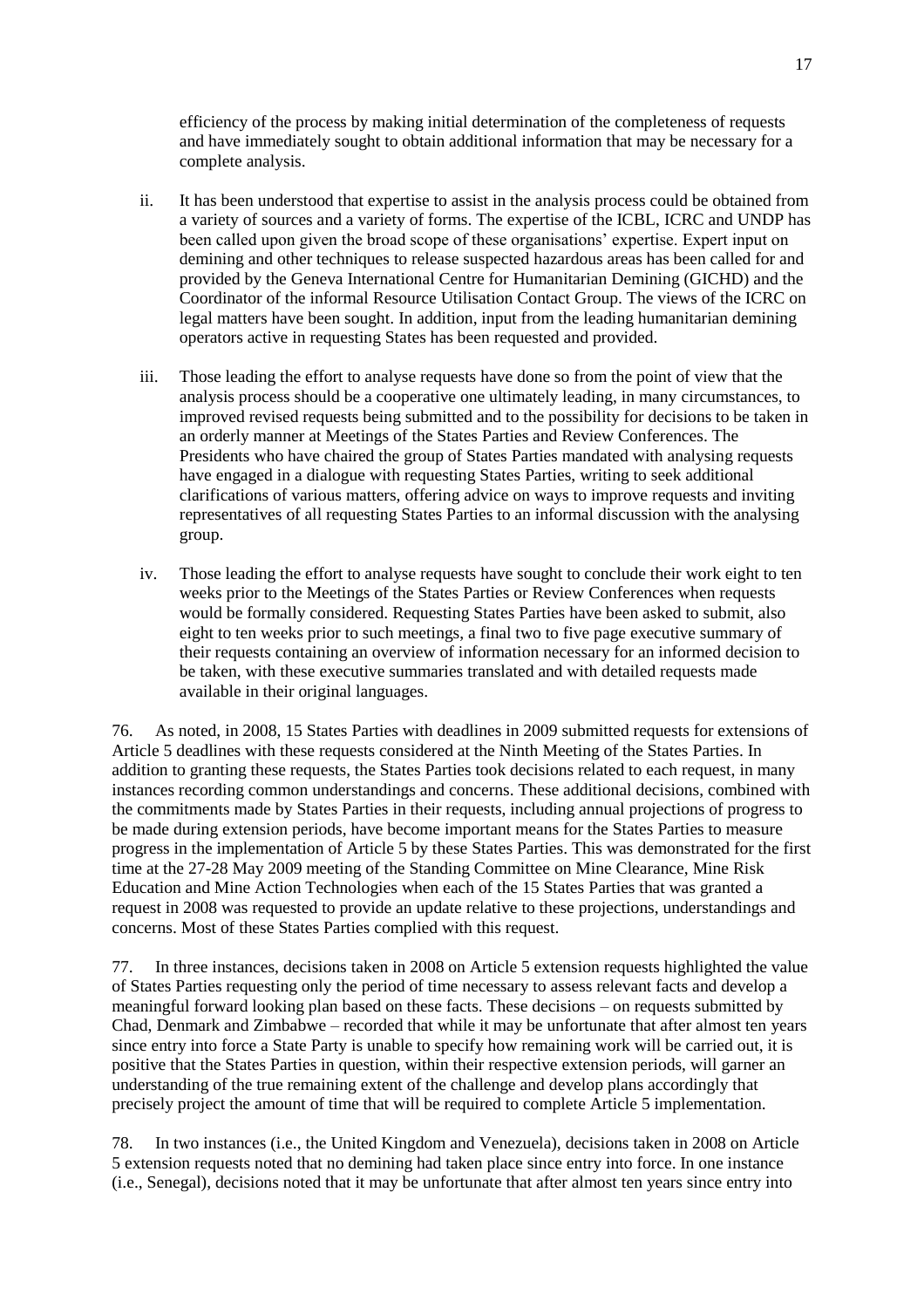efficiency of the process by making initial determination of the completeness of requests and have immediately sought to obtain additional information that may be necessary for a complete analysis.

- ii. It has been understood that expertise to assist in the analysis process could be obtained from a variety of sources and a variety of forms. The expertise of the ICBL, ICRC and UNDP has been called upon given the broad scope of these organisations' expertise. Expert input on demining and other techniques to release suspected hazardous areas has been called for and provided by the Geneva International Centre for Humanitarian Demining (GICHD) and the Coordinator of the informal Resource Utilisation Contact Group. The views of the ICRC on legal matters have been sought. In addition, input from the leading humanitarian demining operators active in requesting States has been requested and provided.
- iii. Those leading the effort to analyse requests have done so from the point of view that the analysis process should be a cooperative one ultimately leading, in many circumstances, to improved revised requests being submitted and to the possibility for decisions to be taken in an orderly manner at Meetings of the States Parties and Review Conferences. The Presidents who have chaired the group of States Parties mandated with analysing requests have engaged in a dialogue with requesting States Parties, writing to seek additional clarifications of various matters, offering advice on ways to improve requests and inviting representatives of all requesting States Parties to an informal discussion with the analysing group.
- iv. Those leading the effort to analyse requests have sought to conclude their work eight to ten weeks prior to the Meetings of the States Parties or Review Conferences when requests would be formally considered. Requesting States Parties have been asked to submit, also eight to ten weeks prior to such meetings, a final two to five page executive summary of their requests containing an overview of information necessary for an informed decision to be taken, with these executive summaries translated and with detailed requests made available in their original languages.

76. As noted, in 2008, 15 States Parties with deadlines in 2009 submitted requests for extensions of Article 5 deadlines with these requests considered at the Ninth Meeting of the States Parties. In addition to granting these requests, the States Parties took decisions related to each request, in many instances recording common understandings and concerns. These additional decisions, combined with the commitments made by States Parties in their requests, including annual projections of progress to be made during extension periods, have become important means for the States Parties to measure progress in the implementation of Article 5 by these States Parties. This was demonstrated for the first time at the 27-28 May 2009 meeting of the Standing Committee on Mine Clearance, Mine Risk Education and Mine Action Technologies when each of the 15 States Parties that was granted a request in 2008 was requested to provide an update relative to these projections, understandings and concerns. Most of these States Parties complied with this request.

77. In three instances, decisions taken in 2008 on Article 5 extension requests highlighted the value of States Parties requesting only the period of time necessary to assess relevant facts and develop a meaningful forward looking plan based on these facts. These decisions – on requests submitted by Chad, Denmark and Zimbabwe – recorded that while it may be unfortunate that after almost ten years since entry into force a State Party is unable to specify how remaining work will be carried out, it is positive that the States Parties in question, within their respective extension periods, will garner an understanding of the true remaining extent of the challenge and develop plans accordingly that precisely project the amount of time that will be required to complete Article 5 implementation.

78. In two instances (i.e., the United Kingdom and Venezuela), decisions taken in 2008 on Article 5 extension requests noted that no demining had taken place since entry into force. In one instance (i.e., Senegal), decisions noted that it may be unfortunate that after almost ten years since entry into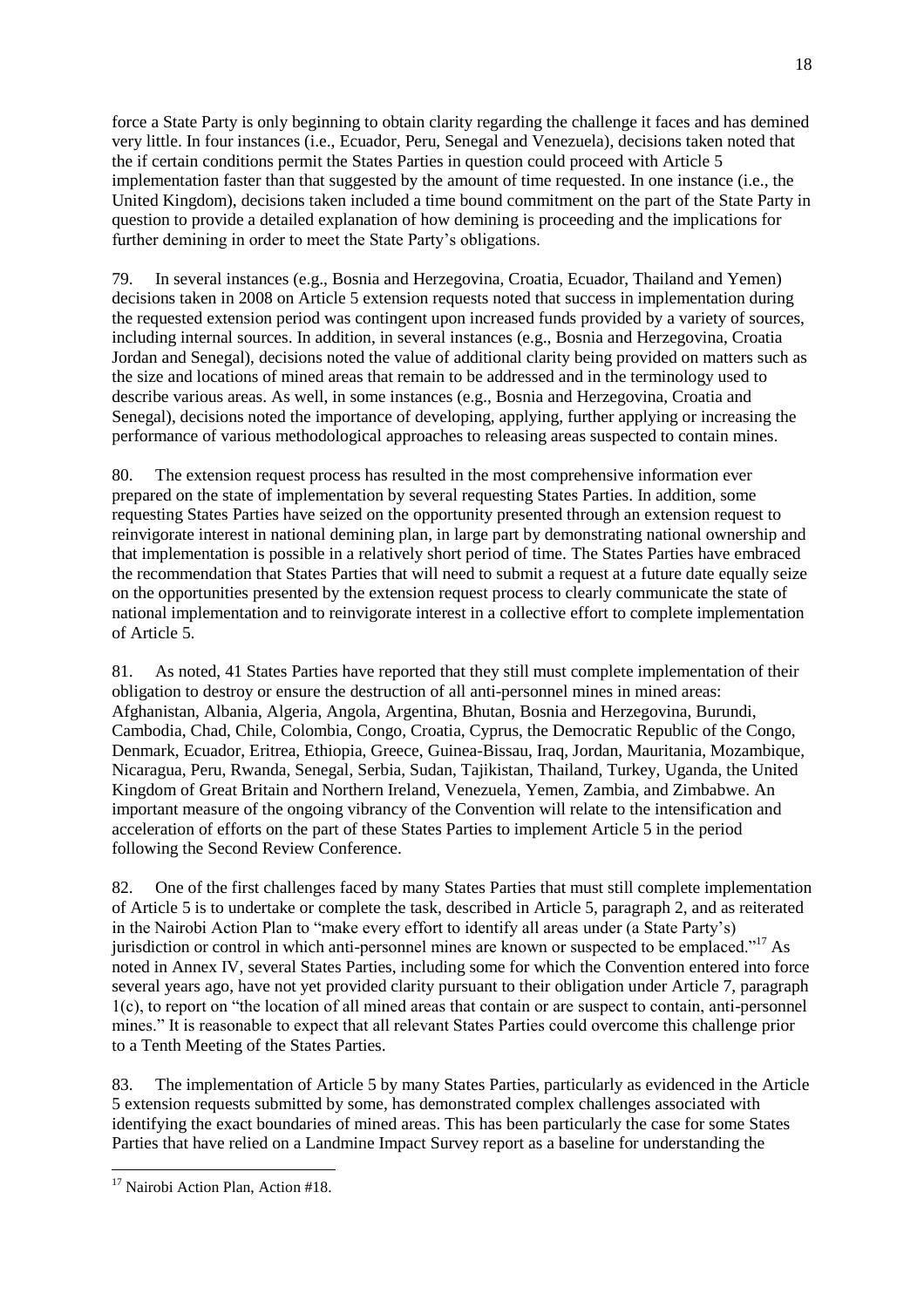force a State Party is only beginning to obtain clarity regarding the challenge it faces and has demined very little. In four instances (i.e., Ecuador, Peru, Senegal and Venezuela), decisions taken noted that the if certain conditions permit the States Parties in question could proceed with Article 5 implementation faster than that suggested by the amount of time requested. In one instance (i.e., the United Kingdom), decisions taken included a time bound commitment on the part of the State Party in question to provide a detailed explanation of how demining is proceeding and the implications for further demining in order to meet the State Party's obligations.

79. In several instances (e.g., Bosnia and Herzegovina, Croatia, Ecuador, Thailand and Yemen) decisions taken in 2008 on Article 5 extension requests noted that success in implementation during the requested extension period was contingent upon increased funds provided by a variety of sources, including internal sources. In addition, in several instances (e.g., Bosnia and Herzegovina, Croatia Jordan and Senegal), decisions noted the value of additional clarity being provided on matters such as the size and locations of mined areas that remain to be addressed and in the terminology used to describe various areas. As well, in some instances (e.g., Bosnia and Herzegovina, Croatia and Senegal), decisions noted the importance of developing, applying, further applying or increasing the performance of various methodological approaches to releasing areas suspected to contain mines.

80. The extension request process has resulted in the most comprehensive information ever prepared on the state of implementation by several requesting States Parties. In addition, some requesting States Parties have seized on the opportunity presented through an extension request to reinvigorate interest in national demining plan, in large part by demonstrating national ownership and that implementation is possible in a relatively short period of time. The States Parties have embraced the recommendation that States Parties that will need to submit a request at a future date equally seize on the opportunities presented by the extension request process to clearly communicate the state of national implementation and to reinvigorate interest in a collective effort to complete implementation of Article 5.

81. As noted, 41 States Parties have reported that they still must complete implementation of their obligation to destroy or ensure the destruction of all anti-personnel mines in mined areas: Afghanistan, Albania, Algeria, Angola, Argentina, Bhutan, Bosnia and Herzegovina, Burundi, Cambodia, Chad, Chile, Colombia, Congo, Croatia, Cyprus, the Democratic Republic of the Congo, Denmark, Ecuador, Eritrea, Ethiopia, Greece, Guinea-Bissau, Iraq, Jordan, Mauritania, Mozambique, Nicaragua, Peru, Rwanda, Senegal, Serbia, Sudan, Tajikistan, Thailand, Turkey, Uganda, the United Kingdom of Great Britain and Northern Ireland, Venezuela, Yemen, Zambia, and Zimbabwe. An important measure of the ongoing vibrancy of the Convention will relate to the intensification and acceleration of efforts on the part of these States Parties to implement Article 5 in the period following the Second Review Conference.

82. One of the first challenges faced by many States Parties that must still complete implementation of Article 5 is to undertake or complete the task, described in Article 5, paragraph 2, and as reiterated in the Nairobi Action Plan to "make every effort to identify all areas under (a State Party's) jurisdiction or control in which anti-personnel mines are known or suspected to be emplaced."<sup>17</sup> As noted in Annex IV, several States Parties, including some for which the Convention entered into force several years ago, have not yet provided clarity pursuant to their obligation under Article 7, paragraph  $1(c)$ , to report on "the location of all mined areas that contain or are suspect to contain, anti-personnel mines.‖ It is reasonable to expect that all relevant States Parties could overcome this challenge prior to a Tenth Meeting of the States Parties.

83. The implementation of Article 5 by many States Parties, particularly as evidenced in the Article 5 extension requests submitted by some, has demonstrated complex challenges associated with identifying the exact boundaries of mined areas. This has been particularly the case for some States Parties that have relied on a Landmine Impact Survey report as a baseline for understanding the

<sup>&</sup>lt;sup>17</sup> Nairobi Action Plan, Action #18.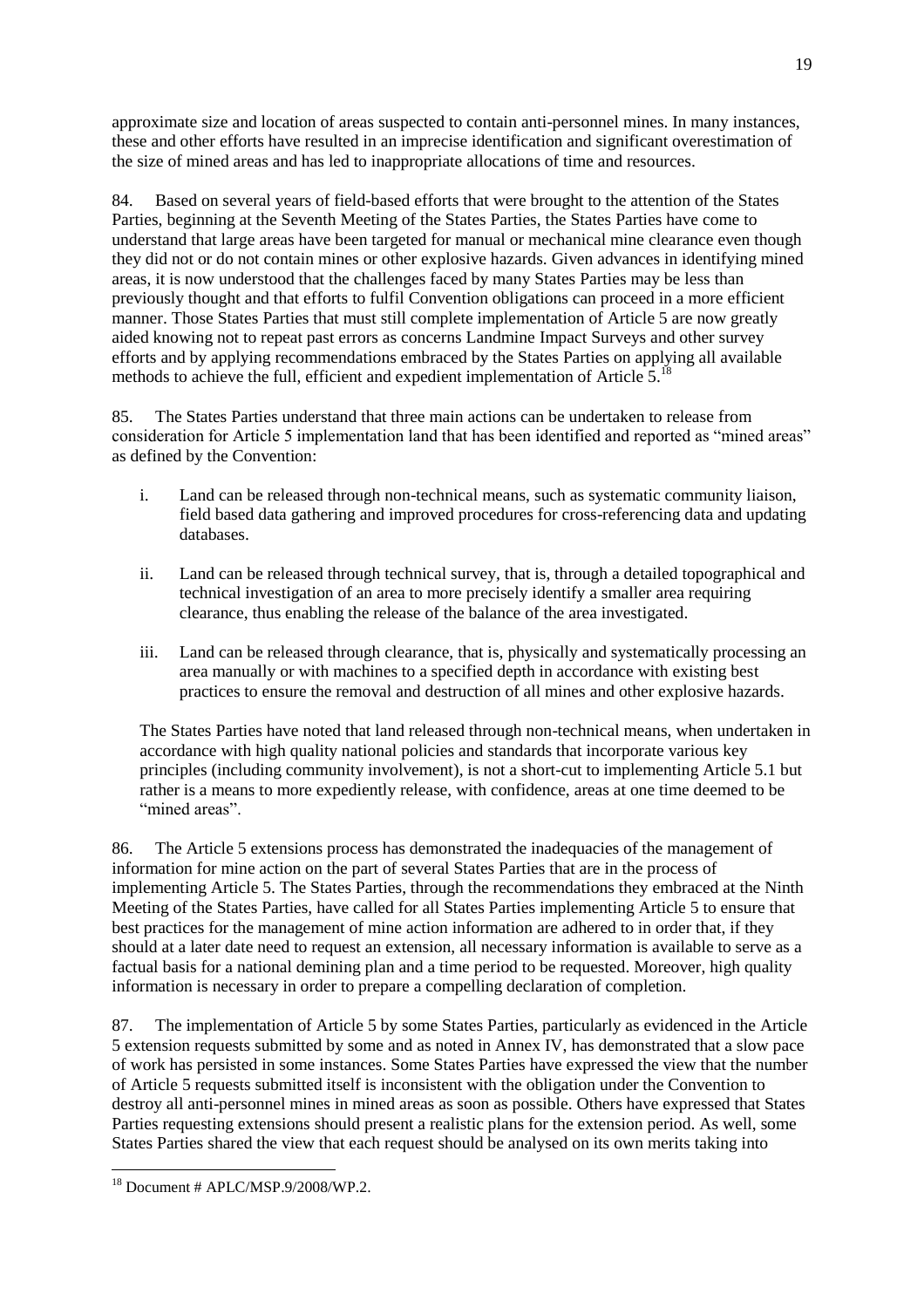approximate size and location of areas suspected to contain anti-personnel mines. In many instances, these and other efforts have resulted in an imprecise identification and significant overestimation of the size of mined areas and has led to inappropriate allocations of time and resources.

84. Based on several years of field-based efforts that were brought to the attention of the States Parties, beginning at the Seventh Meeting of the States Parties, the States Parties have come to understand that large areas have been targeted for manual or mechanical mine clearance even though they did not or do not contain mines or other explosive hazards. Given advances in identifying mined areas, it is now understood that the challenges faced by many States Parties may be less than previously thought and that efforts to fulfil Convention obligations can proceed in a more efficient manner. Those States Parties that must still complete implementation of Article 5 are now greatly aided knowing not to repeat past errors as concerns Landmine Impact Surveys and other survey efforts and by applying recommendations embraced by the States Parties on applying all available methods to achieve the full, efficient and expedient implementation of Article 5.<sup>18</sup>

85. The States Parties understand that three main actions can be undertaken to release from consideration for Article 5 implementation land that has been identified and reported as "mined areas" as defined by the Convention:

- i. Land can be released through non-technical means, such as systematic community liaison, field based data gathering and improved procedures for cross-referencing data and updating databases.
- ii. Land can be released through technical survey, that is, through a detailed topographical and technical investigation of an area to more precisely identify a smaller area requiring clearance, thus enabling the release of the balance of the area investigated.
- iii. Land can be released through clearance, that is, physically and systematically processing an area manually or with machines to a specified depth in accordance with existing best practices to ensure the removal and destruction of all mines and other explosive hazards.

The States Parties have noted that land released through non-technical means, when undertaken in accordance with high quality national policies and standards that incorporate various key principles (including community involvement), is not a short-cut to implementing Article 5.1 but rather is a means to more expediently release, with confidence, areas at one time deemed to be "mined areas".

86. The Article 5 extensions process has demonstrated the inadequacies of the management of information for mine action on the part of several States Parties that are in the process of implementing Article 5. The States Parties, through the recommendations they embraced at the Ninth Meeting of the States Parties, have called for all States Parties implementing Article 5 to ensure that best practices for the management of mine action information are adhered to in order that, if they should at a later date need to request an extension, all necessary information is available to serve as a factual basis for a national demining plan and a time period to be requested. Moreover, high quality information is necessary in order to prepare a compelling declaration of completion.

87. The implementation of Article 5 by some States Parties, particularly as evidenced in the Article 5 extension requests submitted by some and as noted in Annex IV, has demonstrated that a slow pace of work has persisted in some instances. Some States Parties have expressed the view that the number of Article 5 requests submitted itself is inconsistent with the obligation under the Convention to destroy all anti-personnel mines in mined areas as soon as possible. Others have expressed that States Parties requesting extensions should present a realistic plans for the extension period. As well, some States Parties shared the view that each request should be analysed on its own merits taking into

 $18$  Document # APLC/MSP.9/2008/WP.2.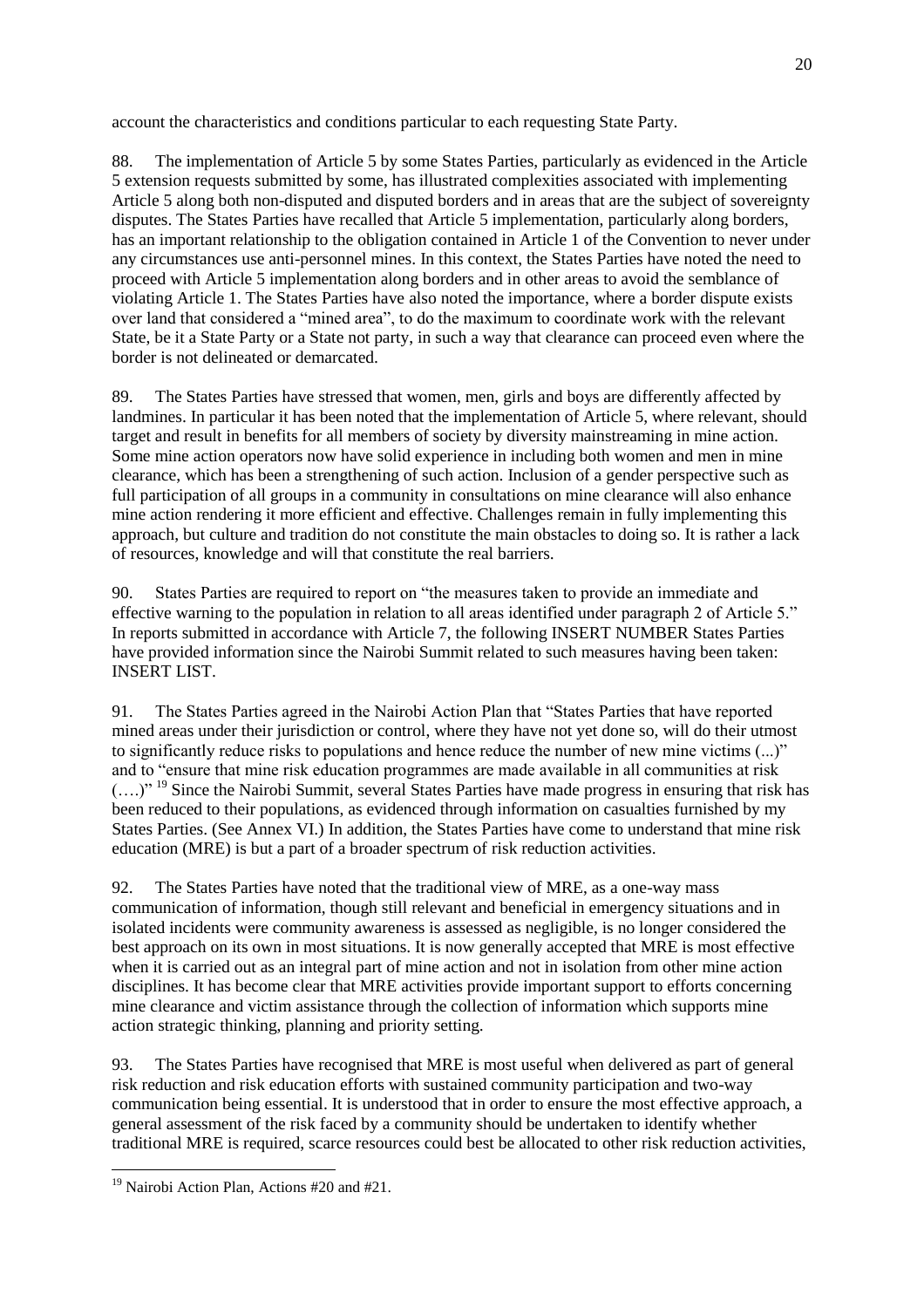account the characteristics and conditions particular to each requesting State Party.

88. The implementation of Article 5 by some States Parties, particularly as evidenced in the Article 5 extension requests submitted by some, has illustrated complexities associated with implementing Article 5 along both non-disputed and disputed borders and in areas that are the subject of sovereignty disputes. The States Parties have recalled that Article 5 implementation, particularly along borders, has an important relationship to the obligation contained in Article 1 of the Convention to never under any circumstances use anti-personnel mines. In this context, the States Parties have noted the need to proceed with Article 5 implementation along borders and in other areas to avoid the semblance of violating Article 1. The States Parties have also noted the importance, where a border dispute exists over land that considered a "mined area", to do the maximum to coordinate work with the relevant State, be it a State Party or a State not party, in such a way that clearance can proceed even where the border is not delineated or demarcated.

89. The States Parties have stressed that women, men, girls and boys are differently affected by landmines. In particular it has been noted that the implementation of Article 5, where relevant, should target and result in benefits for all members of society by diversity mainstreaming in mine action. Some mine action operators now have solid experience in including both women and men in mine clearance, which has been a strengthening of such action. Inclusion of a gender perspective such as full participation of all groups in a community in consultations on mine clearance will also enhance mine action rendering it more efficient and effective. Challenges remain in fully implementing this approach, but culture and tradition do not constitute the main obstacles to doing so. It is rather a lack of resources, knowledge and will that constitute the real barriers.

90. States Parties are required to report on "the measures taken to provide an immediate and effective warning to the population in relation to all areas identified under paragraph 2 of Article 5." In reports submitted in accordance with Article 7, the following INSERT NUMBER States Parties have provided information since the Nairobi Summit related to such measures having been taken: INSERT LIST.

91. The States Parties agreed in the Nairobi Action Plan that "States Parties that have reported mined areas under their jurisdiction or control, where they have not yet done so, will do their utmost to significantly reduce risks to populations and hence reduce the number of new mine victims  $(...)$ " and to "ensure that mine risk education programmes are made available in all communities at risk (....)<sup>" 19</sup> Since the Nairobi Summit, several States Parties have made progress in ensuring that risk has been reduced to their populations, as evidenced through information on casualties furnished by my States Parties. (See Annex VI.) In addition, the States Parties have come to understand that mine risk education (MRE) is but a part of a broader spectrum of risk reduction activities.

92. The States Parties have noted that the traditional view of MRE, as a one-way mass communication of information, though still relevant and beneficial in emergency situations and in isolated incidents were community awareness is assessed as negligible, is no longer considered the best approach on its own in most situations. It is now generally accepted that MRE is most effective when it is carried out as an integral part of mine action and not in isolation from other mine action disciplines. It has become clear that MRE activities provide important support to efforts concerning mine clearance and victim assistance through the collection of information which supports mine action strategic thinking, planning and priority setting.

93. The States Parties have recognised that MRE is most useful when delivered as part of general risk reduction and risk education efforts with sustained community participation and two-way communication being essential. It is understood that in order to ensure the most effective approach, a general assessment of the risk faced by a community should be undertaken to identify whether traditional MRE is required, scarce resources could best be allocated to other risk reduction activities,

<sup>&</sup>lt;sup>19</sup> Nairobi Action Plan, Actions #20 and #21.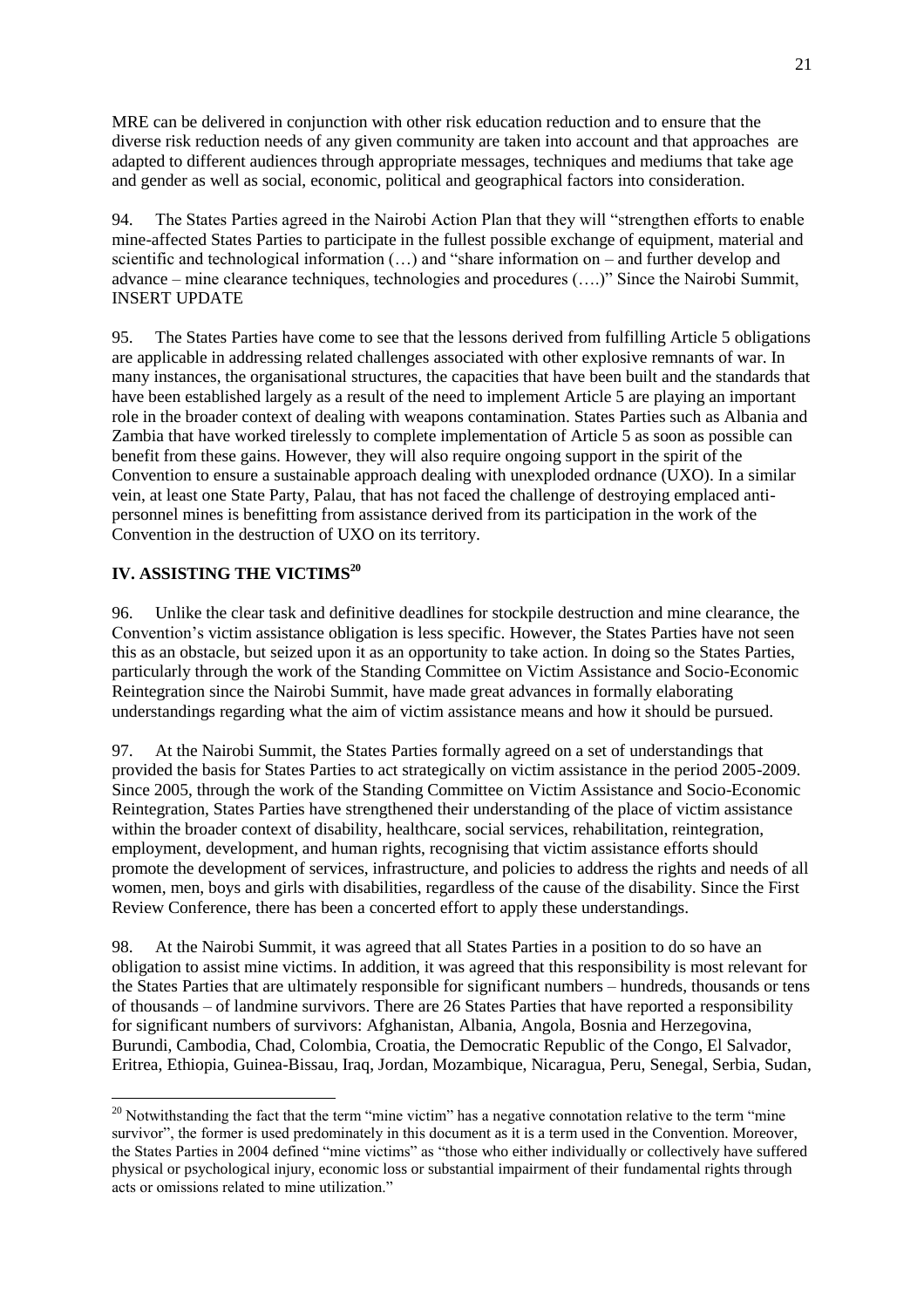MRE can be delivered in conjunction with other risk education reduction and to ensure that the diverse risk reduction needs of any given community are taken into account and that approaches are adapted to different audiences through appropriate messages, techniques and mediums that take age and gender as well as social, economic, political and geographical factors into consideration.

94. The States Parties agreed in the Nairobi Action Plan that they will "strengthen efforts to enable mine-affected States Parties to participate in the fullest possible exchange of equipment, material and scientific and technological information  $(...)$  and "share information on – and further develop and advance – mine clearance techniques, technologies and procedures (....)" Since the Nairobi Summit, INSERT UPDATE

95. The States Parties have come to see that the lessons derived from fulfilling Article 5 obligations are applicable in addressing related challenges associated with other explosive remnants of war. In many instances, the organisational structures, the capacities that have been built and the standards that have been established largely as a result of the need to implement Article 5 are playing an important role in the broader context of dealing with weapons contamination. States Parties such as Albania and Zambia that have worked tirelessly to complete implementation of Article 5 as soon as possible can benefit from these gains. However, they will also require ongoing support in the spirit of the Convention to ensure a sustainable approach dealing with unexploded ordnance (UXO). In a similar vein, at least one State Party, Palau, that has not faced the challenge of destroying emplaced antipersonnel mines is benefitting from assistance derived from its participation in the work of the Convention in the destruction of UXO on its territory.

# **IV. ASSISTING THE VICTIMS<sup>20</sup>**

96. Unlike the clear task and definitive deadlines for stockpile destruction and mine clearance, the Convention's victim assistance obligation is less specific. However, the States Parties have not seen this as an obstacle, but seized upon it as an opportunity to take action. In doing so the States Parties, particularly through the work of the Standing Committee on Victim Assistance and Socio-Economic Reintegration since the Nairobi Summit, have made great advances in formally elaborating understandings regarding what the aim of victim assistance means and how it should be pursued.

97. At the Nairobi Summit, the States Parties formally agreed on a set of understandings that provided the basis for States Parties to act strategically on victim assistance in the period 2005-2009. Since 2005, through the work of the Standing Committee on Victim Assistance and Socio-Economic Reintegration, States Parties have strengthened their understanding of the place of victim assistance within the broader context of disability, healthcare, social services, rehabilitation, reintegration, employment, development, and human rights, recognising that victim assistance efforts should promote the development of services, infrastructure, and policies to address the rights and needs of all women, men, boys and girls with disabilities, regardless of the cause of the disability. Since the First Review Conference, there has been a concerted effort to apply these understandings.

98. At the Nairobi Summit, it was agreed that all States Parties in a position to do so have an obligation to assist mine victims. In addition, it was agreed that this responsibility is most relevant for the States Parties that are ultimately responsible for significant numbers – hundreds, thousands or tens of thousands – of landmine survivors. There are 26 States Parties that have reported a responsibility for significant numbers of survivors: Afghanistan, Albania, Angola, Bosnia and Herzegovina, Burundi, Cambodia, Chad, Colombia, Croatia, the Democratic Republic of the Congo, El Salvador, Eritrea, Ethiopia, Guinea-Bissau, Iraq, Jordan, Mozambique, Nicaragua, Peru, Senegal, Serbia, Sudan,

  $20$  Notwithstanding the fact that the term "mine victim" has a negative connotation relative to the term "mine" survivor", the former is used predominately in this document as it is a term used in the Convention. Moreover, the States Parties in 2004 defined "mine victims" as "those who either individually or collectively have suffered physical or psychological injury, economic loss or substantial impairment of their fundamental rights through acts or omissions related to mine utilization."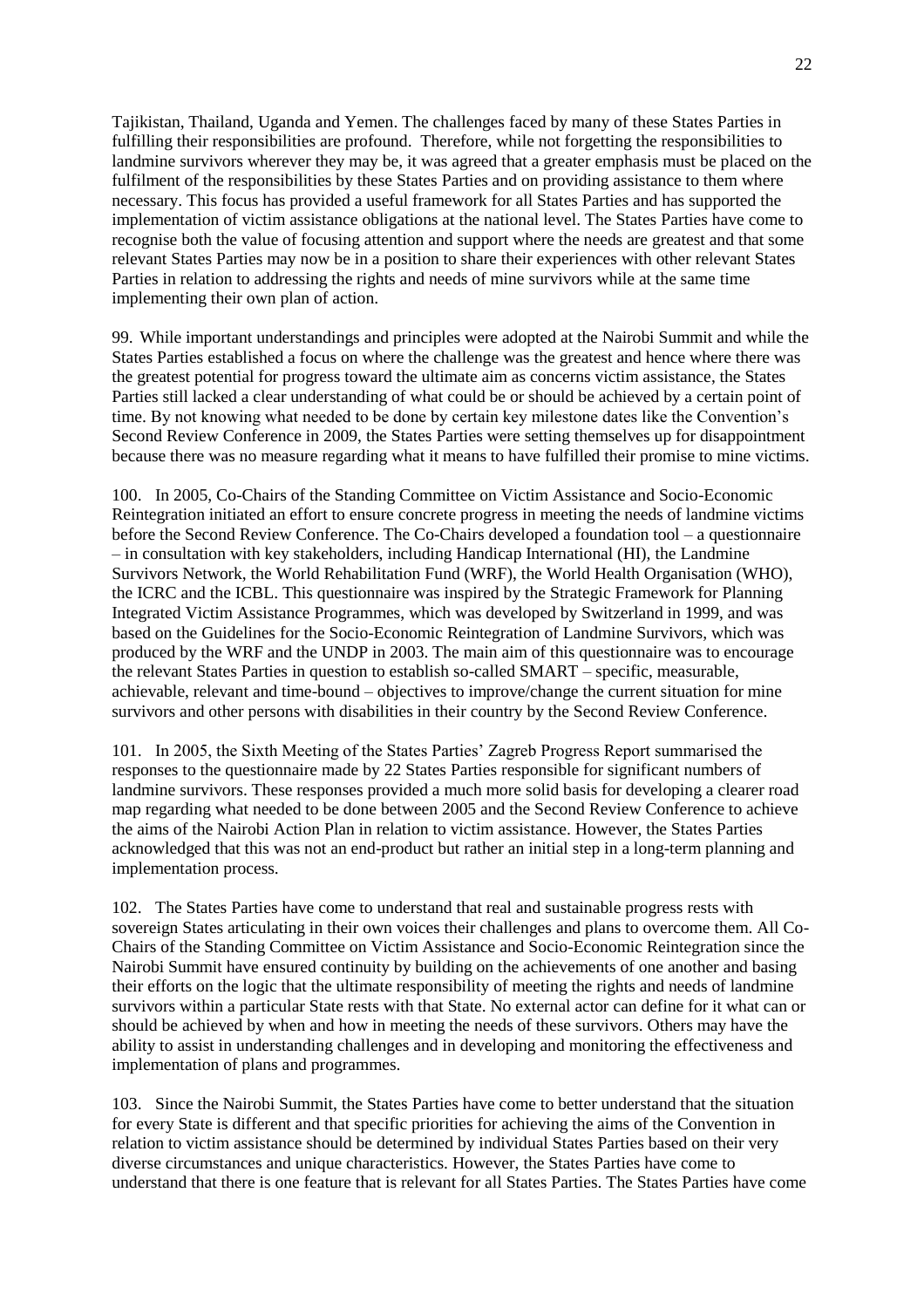Tajikistan, Thailand, Uganda and Yemen. The challenges faced by many of these States Parties in fulfilling their responsibilities are profound. Therefore, while not forgetting the responsibilities to landmine survivors wherever they may be, it was agreed that a greater emphasis must be placed on the fulfilment of the responsibilities by these States Parties and on providing assistance to them where necessary. This focus has provided a useful framework for all States Parties and has supported the implementation of victim assistance obligations at the national level. The States Parties have come to recognise both the value of focusing attention and support where the needs are greatest and that some relevant States Parties may now be in a position to share their experiences with other relevant States Parties in relation to addressing the rights and needs of mine survivors while at the same time implementing their own plan of action.

99. While important understandings and principles were adopted at the Nairobi Summit and while the States Parties established a focus on where the challenge was the greatest and hence where there was the greatest potential for progress toward the ultimate aim as concerns victim assistance, the States Parties still lacked a clear understanding of what could be or should be achieved by a certain point of time. By not knowing what needed to be done by certain key milestone dates like the Convention's Second Review Conference in 2009, the States Parties were setting themselves up for disappointment because there was no measure regarding what it means to have fulfilled their promise to mine victims.

100. In 2005, Co-Chairs of the Standing Committee on Victim Assistance and Socio-Economic Reintegration initiated an effort to ensure concrete progress in meeting the needs of landmine victims before the Second Review Conference. The Co-Chairs developed a foundation tool – a questionnaire – in consultation with key stakeholders, including Handicap International (HI), the Landmine Survivors Network, the World Rehabilitation Fund (WRF), the World Health Organisation (WHO), the ICRC and the ICBL. This questionnaire was inspired by the Strategic Framework for Planning Integrated Victim Assistance Programmes, which was developed by Switzerland in 1999, and was based on the Guidelines for the Socio-Economic Reintegration of Landmine Survivors, which was produced by the WRF and the UNDP in 2003. The main aim of this questionnaire was to encourage the relevant States Parties in question to establish so-called SMART – specific, measurable, achievable, relevant and time-bound – objectives to improve/change the current situation for mine survivors and other persons with disabilities in their country by the Second Review Conference.

101. In 2005, the Sixth Meeting of the States Parties' Zagreb Progress Report summarised the responses to the questionnaire made by 22 States Parties responsible for significant numbers of landmine survivors. These responses provided a much more solid basis for developing a clearer road map regarding what needed to be done between 2005 and the Second Review Conference to achieve the aims of the Nairobi Action Plan in relation to victim assistance. However, the States Parties acknowledged that this was not an end-product but rather an initial step in a long-term planning and implementation process.

102. The States Parties have come to understand that real and sustainable progress rests with sovereign States articulating in their own voices their challenges and plans to overcome them. All Co-Chairs of the Standing Committee on Victim Assistance and Socio-Economic Reintegration since the Nairobi Summit have ensured continuity by building on the achievements of one another and basing their efforts on the logic that the ultimate responsibility of meeting the rights and needs of landmine survivors within a particular State rests with that State. No external actor can define for it what can or should be achieved by when and how in meeting the needs of these survivors. Others may have the ability to assist in understanding challenges and in developing and monitoring the effectiveness and implementation of plans and programmes.

103. Since the Nairobi Summit, the States Parties have come to better understand that the situation for every State is different and that specific priorities for achieving the aims of the Convention in relation to victim assistance should be determined by individual States Parties based on their very diverse circumstances and unique characteristics. However, the States Parties have come to understand that there is one feature that is relevant for all States Parties. The States Parties have come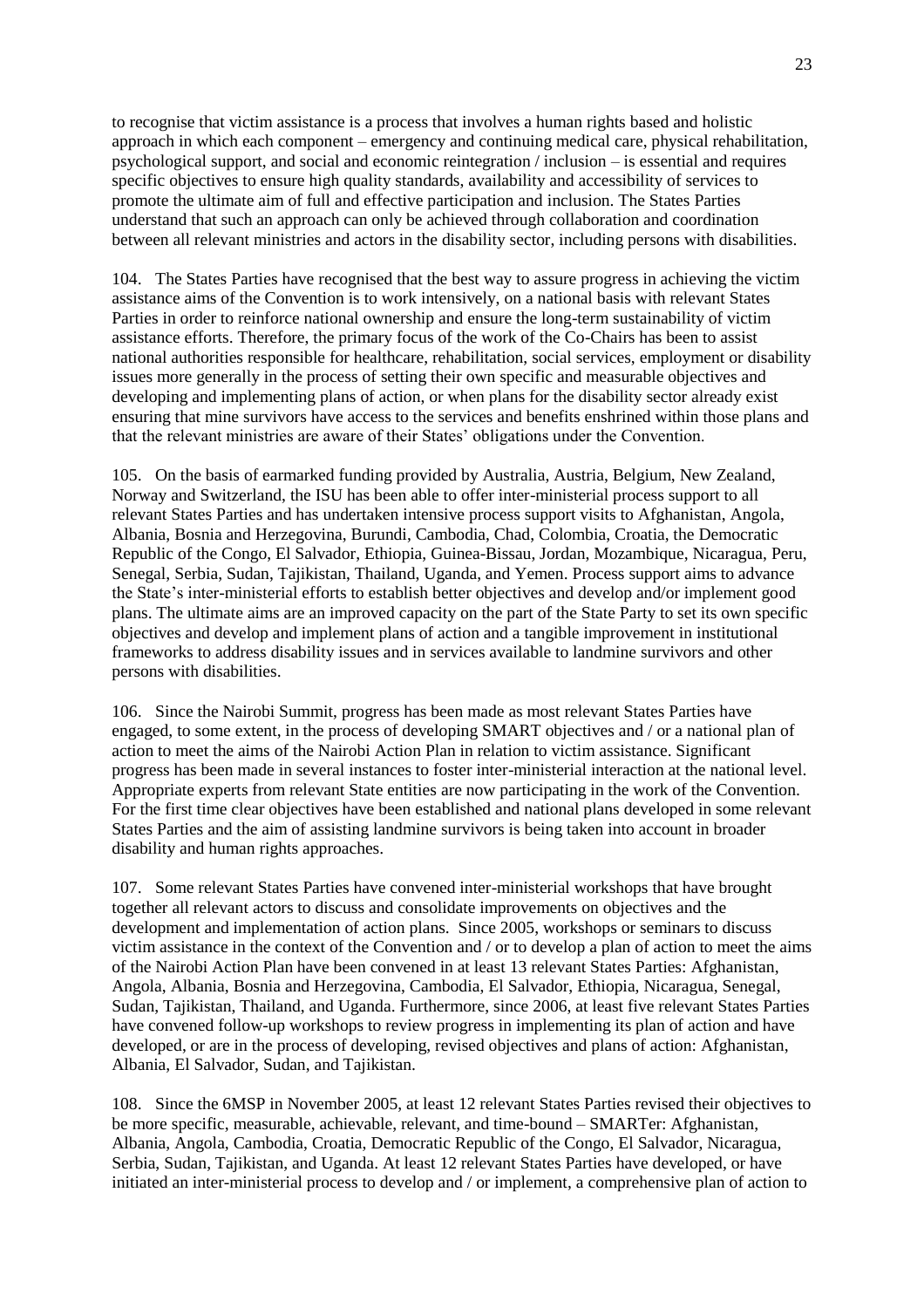to recognise that victim assistance is a process that involves a human rights based and holistic approach in which each component – emergency and continuing medical care, physical rehabilitation, psychological support, and social and economic reintegration / inclusion – is essential and requires specific objectives to ensure high quality standards, availability and accessibility of services to promote the ultimate aim of full and effective participation and inclusion. The States Parties understand that such an approach can only be achieved through collaboration and coordination between all relevant ministries and actors in the disability sector, including persons with disabilities.

104. The States Parties have recognised that the best way to assure progress in achieving the victim assistance aims of the Convention is to work intensively, on a national basis with relevant States Parties in order to reinforce national ownership and ensure the long-term sustainability of victim assistance efforts. Therefore, the primary focus of the work of the Co-Chairs has been to assist national authorities responsible for healthcare, rehabilitation, social services, employment or disability issues more generally in the process of setting their own specific and measurable objectives and developing and implementing plans of action, or when plans for the disability sector already exist ensuring that mine survivors have access to the services and benefits enshrined within those plans and that the relevant ministries are aware of their States' obligations under the Convention.

105. On the basis of earmarked funding provided by Australia, Austria, Belgium, New Zealand, Norway and Switzerland, the ISU has been able to offer inter-ministerial process support to all relevant States Parties and has undertaken intensive process support visits to Afghanistan, Angola, Albania, Bosnia and Herzegovina, Burundi, Cambodia, Chad, Colombia, Croatia, the Democratic Republic of the Congo, El Salvador, Ethiopia, Guinea-Bissau, Jordan, Mozambique, Nicaragua, Peru, Senegal, Serbia, Sudan, Tajikistan, Thailand, Uganda, and Yemen. Process support aims to advance the State's inter-ministerial efforts to establish better objectives and develop and/or implement good plans. The ultimate aims are an improved capacity on the part of the State Party to set its own specific objectives and develop and implement plans of action and a tangible improvement in institutional frameworks to address disability issues and in services available to landmine survivors and other persons with disabilities.

106. Since the Nairobi Summit, progress has been made as most relevant States Parties have engaged, to some extent, in the process of developing SMART objectives and / or a national plan of action to meet the aims of the Nairobi Action Plan in relation to victim assistance. Significant progress has been made in several instances to foster inter-ministerial interaction at the national level. Appropriate experts from relevant State entities are now participating in the work of the Convention. For the first time clear objectives have been established and national plans developed in some relevant States Parties and the aim of assisting landmine survivors is being taken into account in broader disability and human rights approaches.

107. Some relevant States Parties have convened inter-ministerial workshops that have brought together all relevant actors to discuss and consolidate improvements on objectives and the development and implementation of action plans. Since 2005, workshops or seminars to discuss victim assistance in the context of the Convention and / or to develop a plan of action to meet the aims of the Nairobi Action Plan have been convened in at least 13 relevant States Parties: Afghanistan, Angola, Albania, Bosnia and Herzegovina, Cambodia, El Salvador, Ethiopia, Nicaragua, Senegal, Sudan, Tajikistan, Thailand, and Uganda. Furthermore, since 2006, at least five relevant States Parties have convened follow-up workshops to review progress in implementing its plan of action and have developed, or are in the process of developing, revised objectives and plans of action: Afghanistan, Albania, El Salvador, Sudan, and Tajikistan.

108. Since the 6MSP in November 2005, at least 12 relevant States Parties revised their objectives to be more specific, measurable, achievable, relevant, and time-bound – SMARTer: Afghanistan, Albania, Angola, Cambodia, Croatia, Democratic Republic of the Congo, El Salvador, Nicaragua, Serbia, Sudan, Tajikistan, and Uganda. At least 12 relevant States Parties have developed, or have initiated an inter-ministerial process to develop and / or implement, a comprehensive plan of action to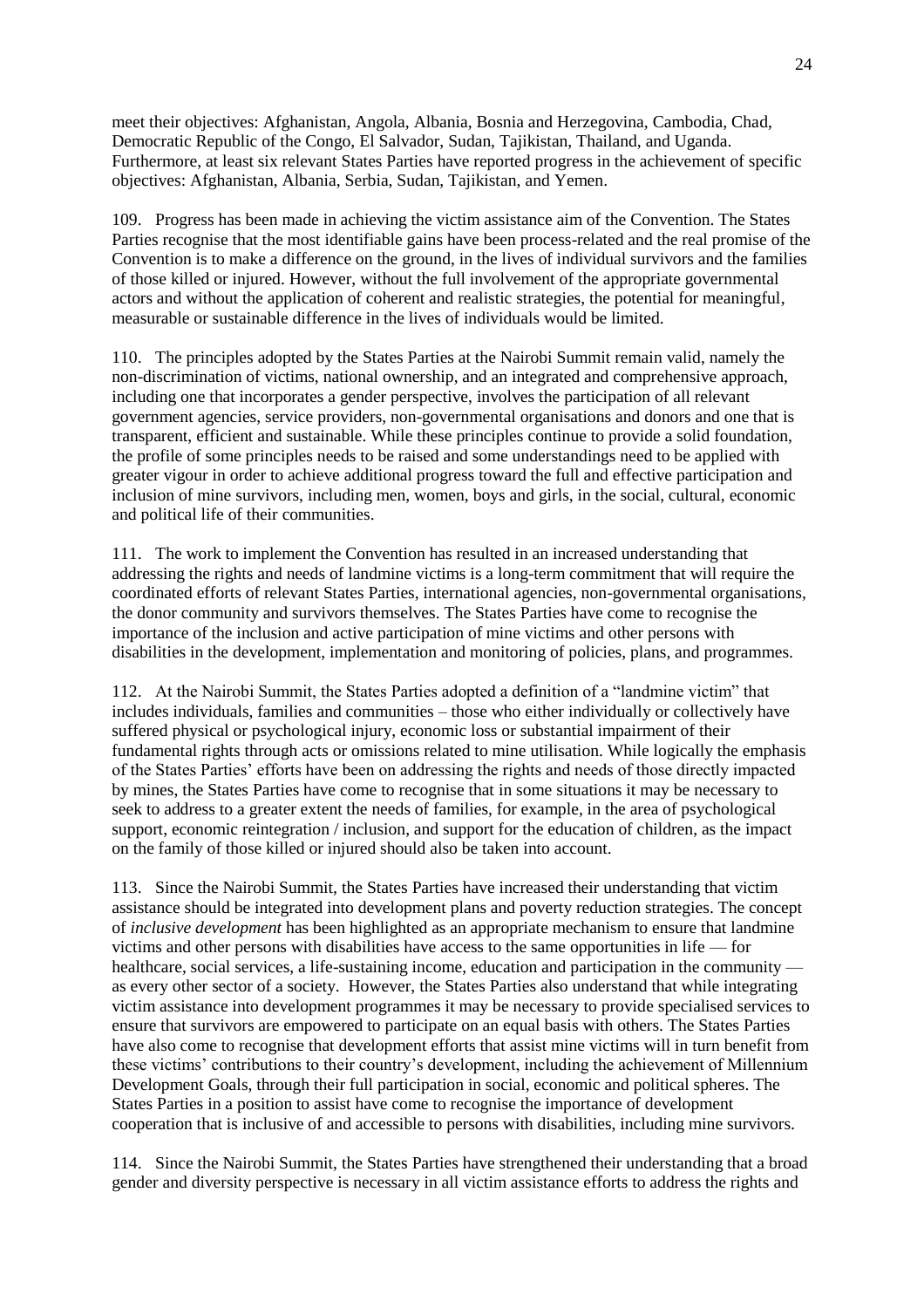meet their objectives: Afghanistan, Angola, Albania, Bosnia and Herzegovina, Cambodia, Chad, Democratic Republic of the Congo, El Salvador, Sudan, Tajikistan, Thailand, and Uganda. Furthermore, at least six relevant States Parties have reported progress in the achievement of specific objectives: Afghanistan, Albania, Serbia, Sudan, Tajikistan, and Yemen.

109. Progress has been made in achieving the victim assistance aim of the Convention. The States Parties recognise that the most identifiable gains have been process-related and the real promise of the Convention is to make a difference on the ground, in the lives of individual survivors and the families of those killed or injured. However, without the full involvement of the appropriate governmental actors and without the application of coherent and realistic strategies, the potential for meaningful, measurable or sustainable difference in the lives of individuals would be limited.

110. The principles adopted by the States Parties at the Nairobi Summit remain valid, namely the non-discrimination of victims, national ownership, and an integrated and comprehensive approach, including one that incorporates a gender perspective, involves the participation of all relevant government agencies, service providers, non-governmental organisations and donors and one that is transparent, efficient and sustainable. While these principles continue to provide a solid foundation, the profile of some principles needs to be raised and some understandings need to be applied with greater vigour in order to achieve additional progress toward the full and effective participation and inclusion of mine survivors, including men, women, boys and girls, in the social, cultural, economic and political life of their communities.

111. The work to implement the Convention has resulted in an increased understanding that addressing the rights and needs of landmine victims is a long-term commitment that will require the coordinated efforts of relevant States Parties, international agencies, non-governmental organisations, the donor community and survivors themselves. The States Parties have come to recognise the importance of the inclusion and active participation of mine victims and other persons with disabilities in the development, implementation and monitoring of policies, plans, and programmes.

112. At the Nairobi Summit, the States Parties adopted a definition of a "landmine victim" that includes individuals, families and communities – those who either individually or collectively have suffered physical or psychological injury, economic loss or substantial impairment of their fundamental rights through acts or omissions related to mine utilisation. While logically the emphasis of the States Parties' efforts have been on addressing the rights and needs of those directly impacted by mines, the States Parties have come to recognise that in some situations it may be necessary to seek to address to a greater extent the needs of families, for example, in the area of psychological support, economic reintegration / inclusion, and support for the education of children, as the impact on the family of those killed or injured should also be taken into account.

113. Since the Nairobi Summit, the States Parties have increased their understanding that victim assistance should be integrated into development plans and poverty reduction strategies. The concept of *inclusive development* has been highlighted as an appropriate mechanism to ensure that landmine victims and other persons with disabilities have access to the same opportunities in life — for healthcare, social services, a life-sustaining income, education and participation in the community as every other sector of a society. However, the States Parties also understand that while integrating victim assistance into development programmes it may be necessary to provide specialised services to ensure that survivors are empowered to participate on an equal basis with others. The States Parties have also come to recognise that development efforts that assist mine victims will in turn benefit from these victims' contributions to their country's development, including the achievement of Millennium Development Goals, through their full participation in social, economic and political spheres. The States Parties in a position to assist have come to recognise the importance of development cooperation that is inclusive of and accessible to persons with disabilities, including mine survivors.

114. Since the Nairobi Summit, the States Parties have strengthened their understanding that a broad gender and diversity perspective is necessary in all victim assistance efforts to address the rights and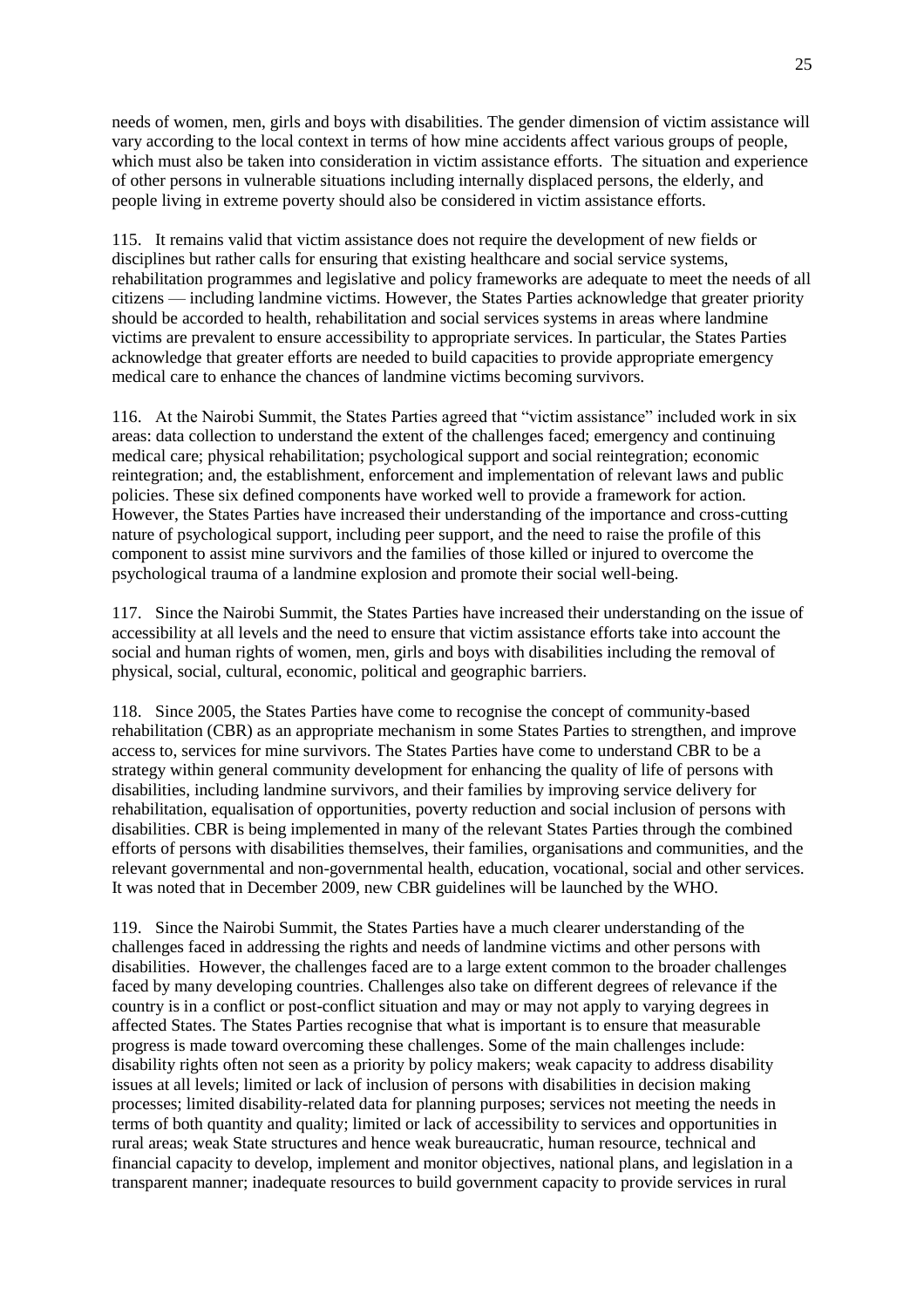needs of women, men, girls and boys with disabilities. The gender dimension of victim assistance will vary according to the local context in terms of how mine accidents affect various groups of people, which must also be taken into consideration in victim assistance efforts. The situation and experience of other persons in vulnerable situations including internally displaced persons, the elderly, and people living in extreme poverty should also be considered in victim assistance efforts.

115. It remains valid that victim assistance does not require the development of new fields or disciplines but rather calls for ensuring that existing healthcare and social service systems, rehabilitation programmes and legislative and policy frameworks are adequate to meet the needs of all citizens — including landmine victims. However, the States Parties acknowledge that greater priority should be accorded to health, rehabilitation and social services systems in areas where landmine victims are prevalent to ensure accessibility to appropriate services. In particular, the States Parties acknowledge that greater efforts are needed to build capacities to provide appropriate emergency medical care to enhance the chances of landmine victims becoming survivors.

116. At the Nairobi Summit, the States Parties agreed that "victim assistance" included work in six areas: data collection to understand the extent of the challenges faced; emergency and continuing medical care; physical rehabilitation; psychological support and social reintegration; economic reintegration; and, the establishment, enforcement and implementation of relevant laws and public policies. These six defined components have worked well to provide a framework for action. However, the States Parties have increased their understanding of the importance and cross-cutting nature of psychological support, including peer support, and the need to raise the profile of this component to assist mine survivors and the families of those killed or injured to overcome the psychological trauma of a landmine explosion and promote their social well-being.

117. Since the Nairobi Summit, the States Parties have increased their understanding on the issue of accessibility at all levels and the need to ensure that victim assistance efforts take into account the social and human rights of women, men, girls and boys with disabilities including the removal of physical, social, cultural, economic, political and geographic barriers.

118. Since 2005, the States Parties have come to recognise the concept of community-based rehabilitation (CBR) as an appropriate mechanism in some States Parties to strengthen, and improve access to, services for mine survivors. The States Parties have come to understand CBR to be a strategy within general community development for enhancing the quality of life of persons with disabilities, including landmine survivors, and their families by improving service delivery for rehabilitation, equalisation of opportunities, poverty reduction and social inclusion of persons with disabilities. CBR is being implemented in many of the relevant States Parties through the combined efforts of persons with disabilities themselves, their families, organisations and communities, and the relevant governmental and non-governmental health, education, vocational, social and other services. It was noted that in December 2009, new CBR guidelines will be launched by the WHO.

119. Since the Nairobi Summit, the States Parties have a much clearer understanding of the challenges faced in addressing the rights and needs of landmine victims and other persons with disabilities. However, the challenges faced are to a large extent common to the broader challenges faced by many developing countries. Challenges also take on different degrees of relevance if the country is in a conflict or post-conflict situation and may or may not apply to varying degrees in affected States. The States Parties recognise that what is important is to ensure that measurable progress is made toward overcoming these challenges. Some of the main challenges include: disability rights often not seen as a priority by policy makers; weak capacity to address disability issues at all levels; limited or lack of inclusion of persons with disabilities in decision making processes; limited disability-related data for planning purposes; services not meeting the needs in terms of both quantity and quality; limited or lack of accessibility to services and opportunities in rural areas; weak State structures and hence weak bureaucratic, human resource, technical and financial capacity to develop, implement and monitor objectives, national plans, and legislation in a transparent manner; inadequate resources to build government capacity to provide services in rural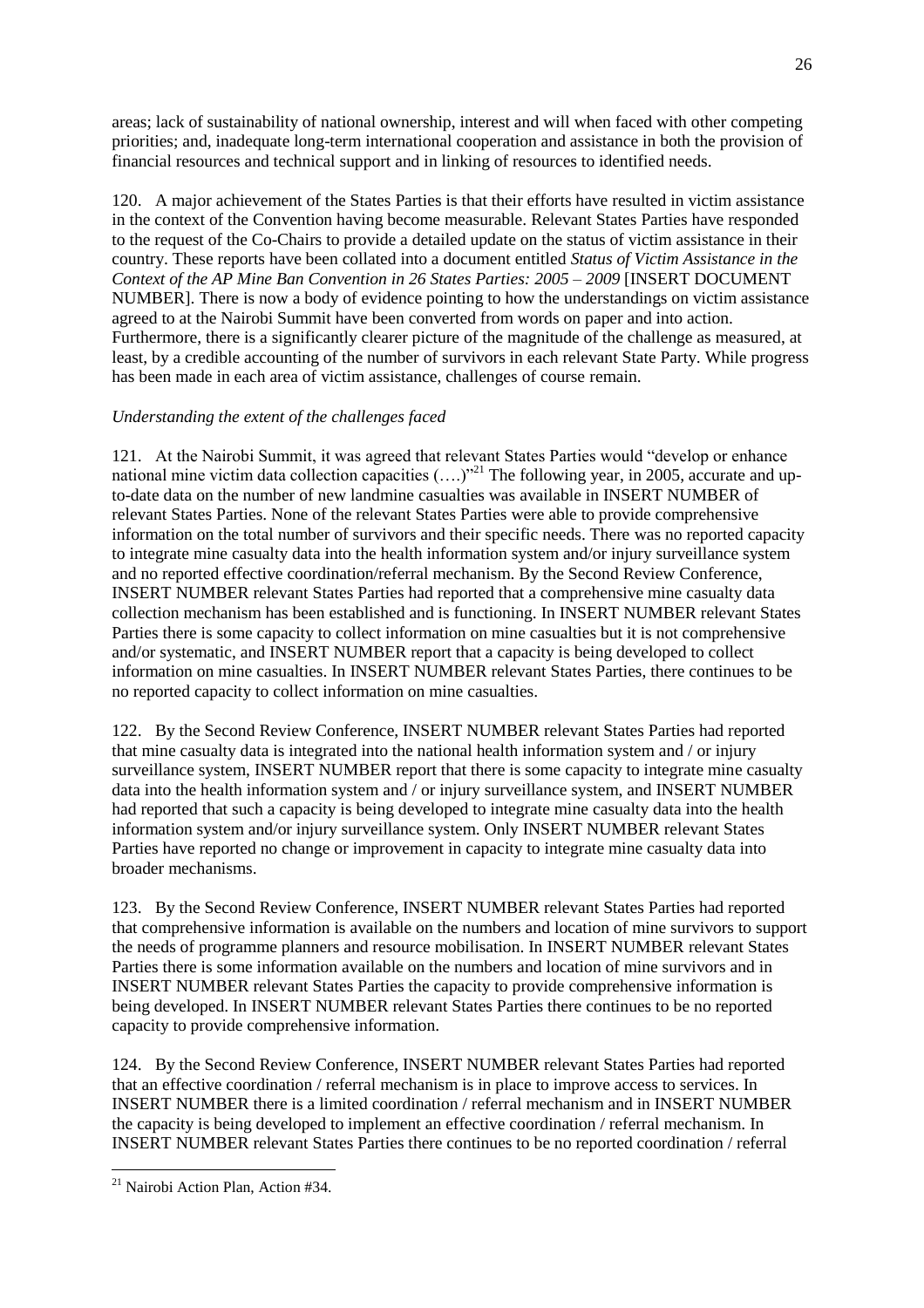areas; lack of sustainability of national ownership, interest and will when faced with other competing priorities; and, inadequate long-term international cooperation and assistance in both the provision of financial resources and technical support and in linking of resources to identified needs.

120. A major achievement of the States Parties is that their efforts have resulted in victim assistance in the context of the Convention having become measurable. Relevant States Parties have responded to the request of the Co-Chairs to provide a detailed update on the status of victim assistance in their country. These reports have been collated into a document entitled *Status of Victim Assistance in the Context of the AP Mine Ban Convention in 26 States Parties: 2005 – 2009* [INSERT DOCUMENT NUMBER]. There is now a body of evidence pointing to how the understandings on victim assistance agreed to at the Nairobi Summit have been converted from words on paper and into action. Furthermore, there is a significantly clearer picture of the magnitude of the challenge as measured, at least, by a credible accounting of the number of survivors in each relevant State Party. While progress has been made in each area of victim assistance, challenges of course remain.

## *Understanding the extent of the challenges faced*

121. At the Nairobi Summit, it was agreed that relevant States Parties would "develop or enhance national mine victim data collection capacities  $(...)^{21}$  The following year, in 2005, accurate and upto-date data on the number of new landmine casualties was available in INSERT NUMBER of relevant States Parties. None of the relevant States Parties were able to provide comprehensive information on the total number of survivors and their specific needs. There was no reported capacity to integrate mine casualty data into the health information system and/or injury surveillance system and no reported effective coordination/referral mechanism. By the Second Review Conference, INSERT NUMBER relevant States Parties had reported that a comprehensive mine casualty data collection mechanism has been established and is functioning. In INSERT NUMBER relevant States Parties there is some capacity to collect information on mine casualties but it is not comprehensive and/or systematic, and INSERT NUMBER report that a capacity is being developed to collect information on mine casualties. In INSERT NUMBER relevant States Parties, there continues to be no reported capacity to collect information on mine casualties.

122. By the Second Review Conference, INSERT NUMBER relevant States Parties had reported that mine casualty data is integrated into the national health information system and / or injury surveillance system, INSERT NUMBER report that there is some capacity to integrate mine casualty data into the health information system and / or injury surveillance system, and INSERT NUMBER had reported that such a capacity is being developed to integrate mine casualty data into the health information system and/or injury surveillance system. Only INSERT NUMBER relevant States Parties have reported no change or improvement in capacity to integrate mine casualty data into broader mechanisms.

123. By the Second Review Conference, INSERT NUMBER relevant States Parties had reported that comprehensive information is available on the numbers and location of mine survivors to support the needs of programme planners and resource mobilisation. In INSERT NUMBER relevant States Parties there is some information available on the numbers and location of mine survivors and in INSERT NUMBER relevant States Parties the capacity to provide comprehensive information is being developed. In INSERT NUMBER relevant States Parties there continues to be no reported capacity to provide comprehensive information.

124. By the Second Review Conference, INSERT NUMBER relevant States Parties had reported that an effective coordination / referral mechanism is in place to improve access to services. In INSERT NUMBER there is a limited coordination / referral mechanism and in INSERT NUMBER the capacity is being developed to implement an effective coordination / referral mechanism. In INSERT NUMBER relevant States Parties there continues to be no reported coordination / referral

<sup>&</sup>lt;sup>21</sup> Nairobi Action Plan, Action #34.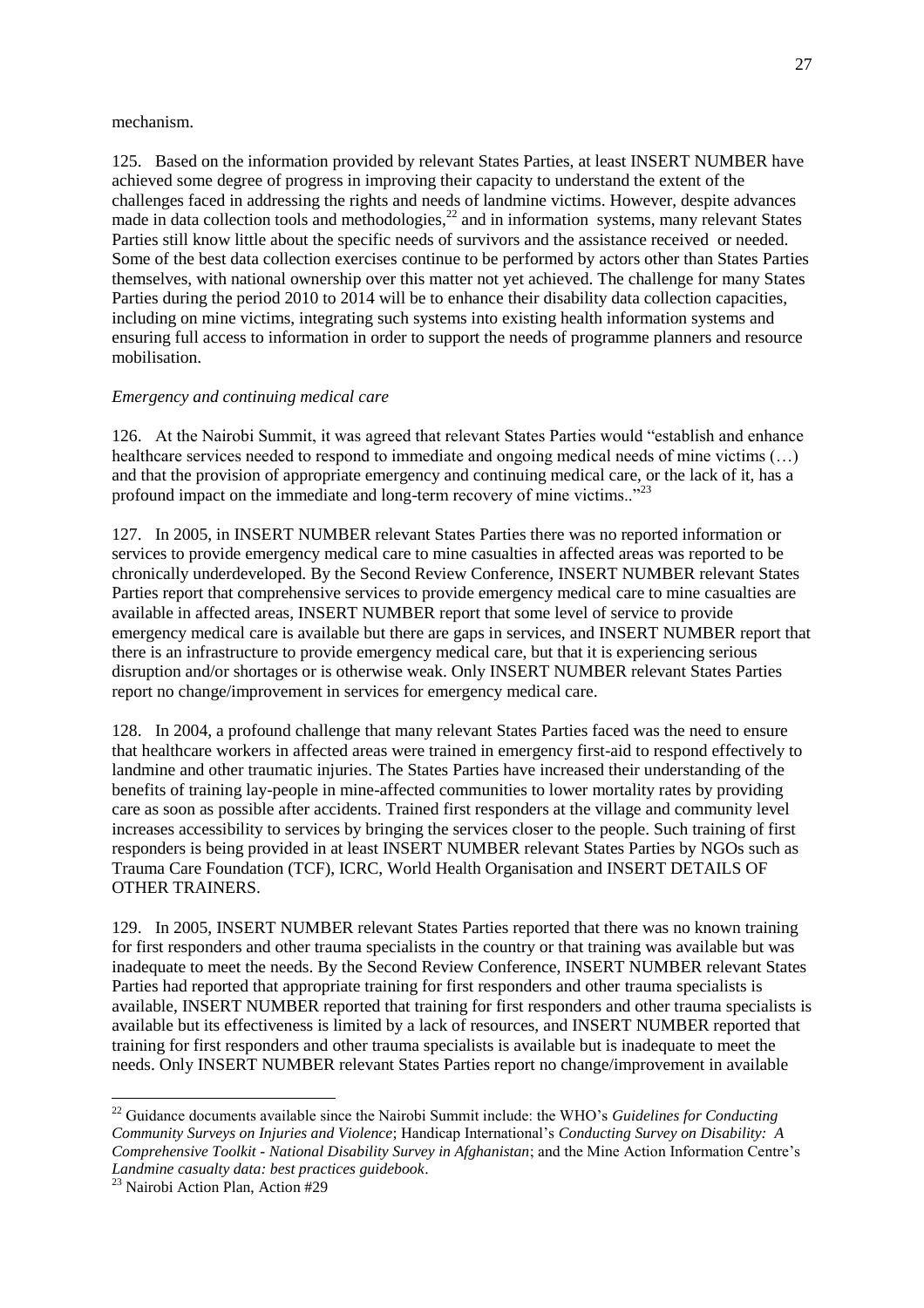#### mechanism.

125. Based on the information provided by relevant States Parties, at least INSERT NUMBER have achieved some degree of progress in improving their capacity to understand the extent of the challenges faced in addressing the rights and needs of landmine victims. However, despite advances made in data collection tools and methodologies, $^{22}$  and in information systems, many relevant States Parties still know little about the specific needs of survivors and the assistance received or needed. Some of the best data collection exercises continue to be performed by actors other than States Parties themselves, with national ownership over this matter not yet achieved. The challenge for many States Parties during the period 2010 to 2014 will be to enhance their disability data collection capacities, including on mine victims, integrating such systems into existing health information systems and ensuring full access to information in order to support the needs of programme planners and resource mobilisation.

### *Emergency and continuing medical care*

126. At the Nairobi Summit, it was agreed that relevant States Parties would "establish and enhance" healthcare services needed to respond to immediate and ongoing medical needs of mine victims (...) and that the provision of appropriate emergency and continuing medical care, or the lack of it, has a profound impact on the immediate and long-term recovery of mine victims.. $^{23}$ 

127. In 2005, in INSERT NUMBER relevant States Parties there was no reported information or services to provide emergency medical care to mine casualties in affected areas was reported to be chronically underdeveloped. By the Second Review Conference, INSERT NUMBER relevant States Parties report that comprehensive services to provide emergency medical care to mine casualties are available in affected areas, INSERT NUMBER report that some level of service to provide emergency medical care is available but there are gaps in services, and INSERT NUMBER report that there is an infrastructure to provide emergency medical care, but that it is experiencing serious disruption and/or shortages or is otherwise weak. Only INSERT NUMBER relevant States Parties report no change/improvement in services for emergency medical care.

128. In 2004, a profound challenge that many relevant States Parties faced was the need to ensure that healthcare workers in affected areas were trained in emergency first-aid to respond effectively to landmine and other traumatic injuries. The States Parties have increased their understanding of the benefits of training lay-people in mine-affected communities to lower mortality rates by providing care as soon as possible after accidents. Trained first responders at the village and community level increases accessibility to services by bringing the services closer to the people. Such training of first responders is being provided in at least INSERT NUMBER relevant States Parties by NGOs such as Trauma Care Foundation (TCF), ICRC, World Health Organisation and INSERT DETAILS OF OTHER TRAINERS.

129. In 2005, INSERT NUMBER relevant States Parties reported that there was no known training for first responders and other trauma specialists in the country or that training was available but was inadequate to meet the needs. By the Second Review Conference, INSERT NUMBER relevant States Parties had reported that appropriate training for first responders and other trauma specialists is available, INSERT NUMBER reported that training for first responders and other trauma specialists is available but its effectiveness is limited by a lack of resources, and INSERT NUMBER reported that training for first responders and other trauma specialists is available but is inadequate to meet the needs. Only INSERT NUMBER relevant States Parties report no change/improvement in available

<sup>22</sup> Guidance documents available since the Nairobi Summit include: the WHO's *Guidelines for Conducting Community Surveys on Injuries and Violence*; Handicap International's *Conducting Survey on Disability: A Comprehensive Toolkit - National Disability Survey in Afghanistan*; and the Mine Action Information Centre's *Landmine casualty data: best practices guidebook*.

<sup>23</sup> Nairobi Action Plan, Action #29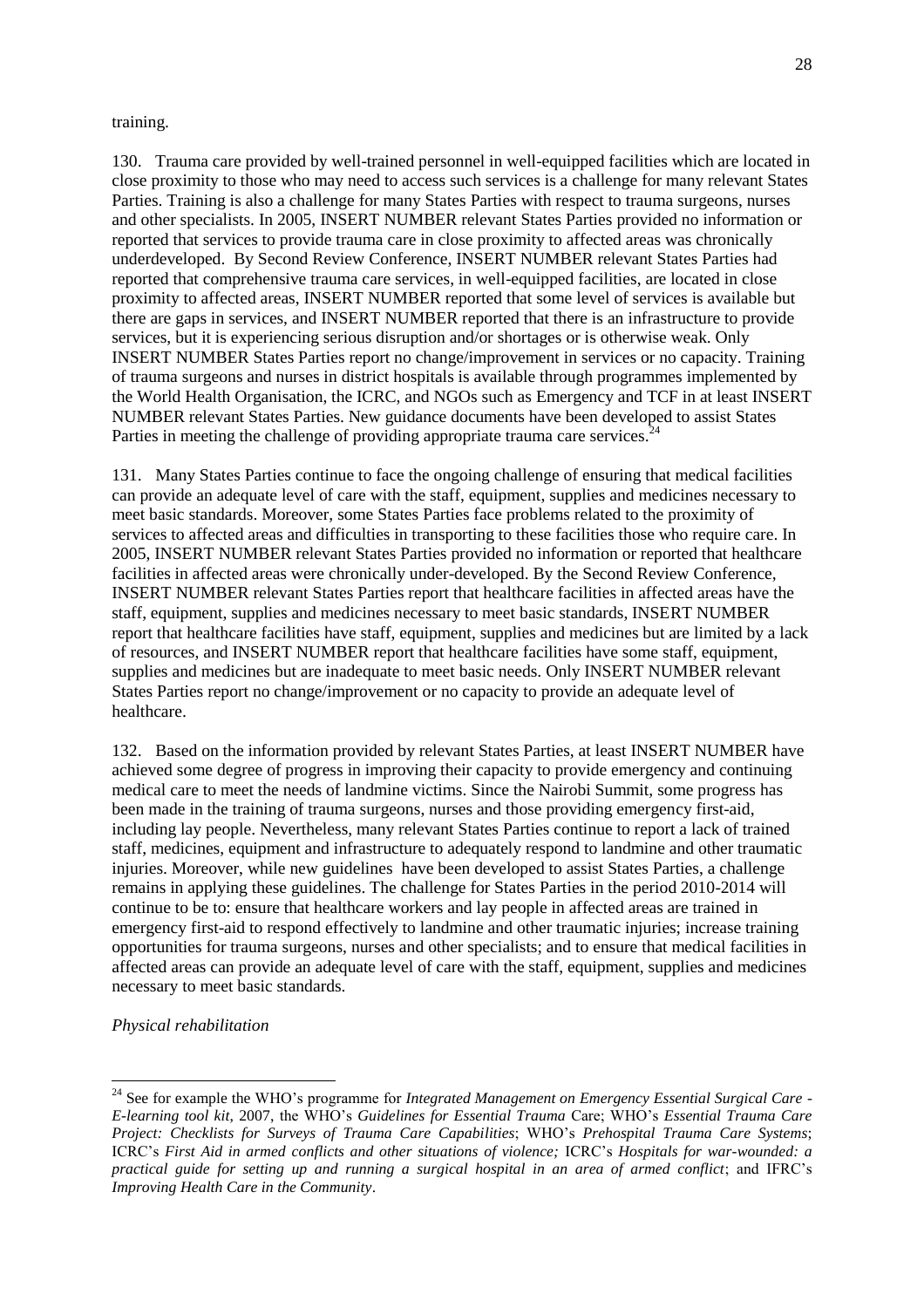#### training.

130. Trauma care provided by well-trained personnel in well-equipped facilities which are located in close proximity to those who may need to access such services is a challenge for many relevant States Parties. Training is also a challenge for many States Parties with respect to trauma surgeons, nurses and other specialists. In 2005, INSERT NUMBER relevant States Parties provided no information or reported that services to provide trauma care in close proximity to affected areas was chronically underdeveloped. By Second Review Conference, INSERT NUMBER relevant States Parties had reported that comprehensive trauma care services, in well-equipped facilities, are located in close proximity to affected areas, INSERT NUMBER reported that some level of services is available but there are gaps in services, and INSERT NUMBER reported that there is an infrastructure to provide services, but it is experiencing serious disruption and/or shortages or is otherwise weak. Only INSERT NUMBER States Parties report no change/improvement in services or no capacity. Training of trauma surgeons and nurses in district hospitals is available through programmes implemented by the World Health Organisation, the ICRC, and NGOs such as Emergency and TCF in at least INSERT NUMBER relevant States Parties. New guidance documents have been developed to assist States Parties in meeting the challenge of providing appropriate trauma care services.<sup>24</sup>

131. Many States Parties continue to face the ongoing challenge of ensuring that medical facilities can provide an adequate level of care with the staff, equipment, supplies and medicines necessary to meet basic standards. Moreover, some States Parties face problems related to the proximity of services to affected areas and difficulties in transporting to these facilities those who require care. In 2005, INSERT NUMBER relevant States Parties provided no information or reported that healthcare facilities in affected areas were chronically under-developed. By the Second Review Conference, INSERT NUMBER relevant States Parties report that healthcare facilities in affected areas have the staff, equipment, supplies and medicines necessary to meet basic standards, INSERT NUMBER report that healthcare facilities have staff, equipment, supplies and medicines but are limited by a lack of resources, and INSERT NUMBER report that healthcare facilities have some staff, equipment, supplies and medicines but are inadequate to meet basic needs. Only INSERT NUMBER relevant States Parties report no change/improvement or no capacity to provide an adequate level of healthcare.

132. Based on the information provided by relevant States Parties, at least INSERT NUMBER have achieved some degree of progress in improving their capacity to provide emergency and continuing medical care to meet the needs of landmine victims. Since the Nairobi Summit, some progress has been made in the training of trauma surgeons, nurses and those providing emergency first-aid, including lay people. Nevertheless, many relevant States Parties continue to report a lack of trained staff, medicines, equipment and infrastructure to adequately respond to landmine and other traumatic injuries. Moreover, while new guidelines have been developed to assist States Parties, a challenge remains in applying these guidelines. The challenge for States Parties in the period 2010-2014 will continue to be to: ensure that healthcare workers and lay people in affected areas are trained in emergency first-aid to respond effectively to landmine and other traumatic injuries; increase training opportunities for trauma surgeons, nurses and other specialists; and to ensure that medical facilities in affected areas can provide an adequate level of care with the staff, equipment, supplies and medicines necessary to meet basic standards.

*Physical rehabilitation*

<sup>24</sup> See for example the WHO's programme for *Integrated Management on Emergency Essential Surgical Care - E-learning tool kit*, 2007, the WHO's *Guidelines for Essential Trauma* Care; WHO's *Essential Trauma Care Project: Checklists for Surveys of Trauma Care Capabilities*; WHO's *Prehospital Trauma Care Systems*; ICRC's *First Aid in armed conflicts and other situations of violence;* ICRC's *Hospitals for war-wounded: a practical guide for setting up and running a surgical hospital in an area of armed conflict*; and IFRC's *Improving Health Care in the Community*.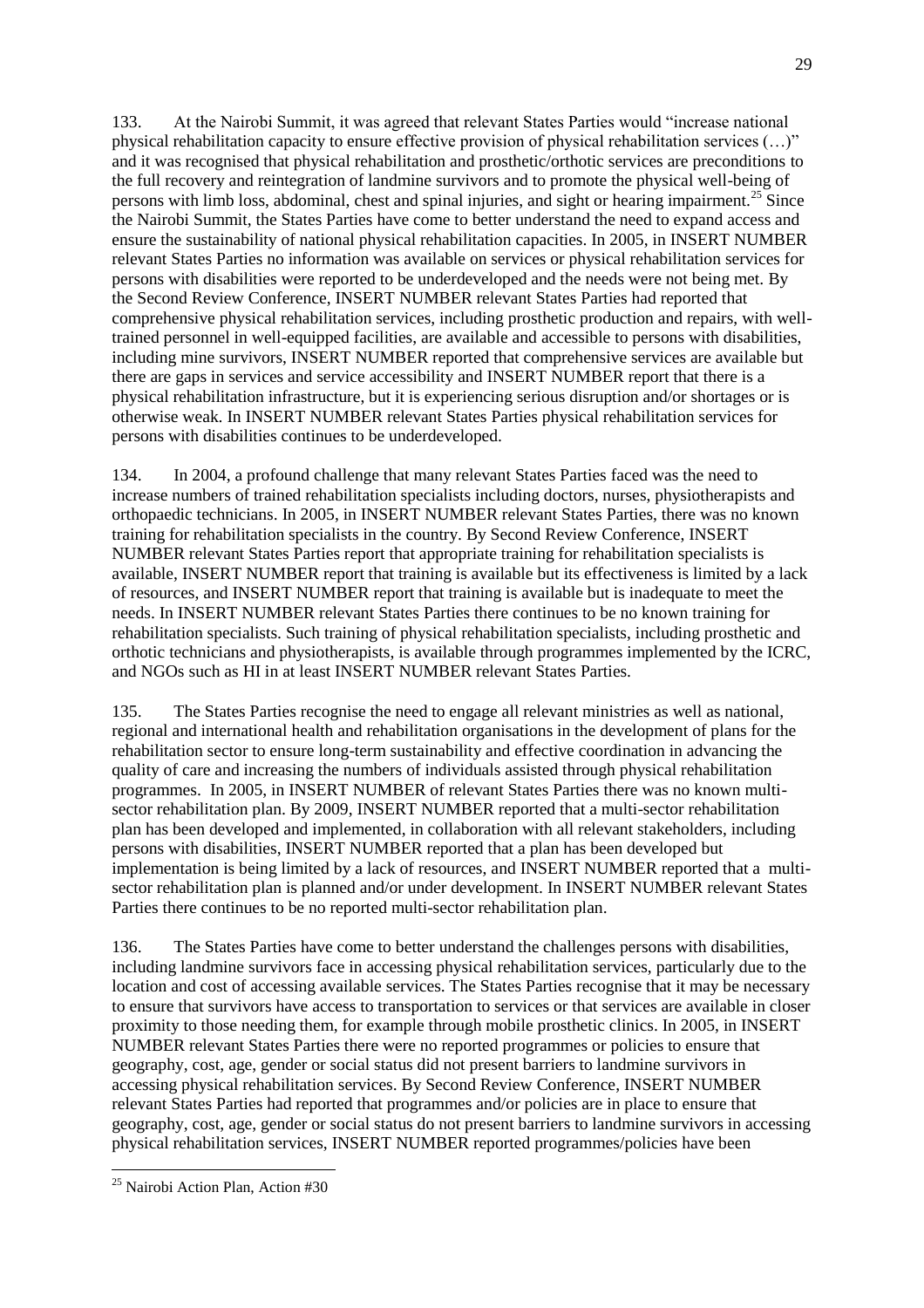133. At the Nairobi Summit, it was agreed that relevant States Parties would "increase national physical rehabilitation capacity to ensure effective provision of physical rehabilitation services (...)" and it was recognised that physical rehabilitation and prosthetic/orthotic services are preconditions to the full recovery and reintegration of landmine survivors and to promote the physical well-being of persons with limb loss, abdominal, chest and spinal injuries, and sight or hearing impairment.<sup>25</sup> Since the Nairobi Summit, the States Parties have come to better understand the need to expand access and ensure the sustainability of national physical rehabilitation capacities. In 2005, in INSERT NUMBER relevant States Parties no information was available on services or physical rehabilitation services for persons with disabilities were reported to be underdeveloped and the needs were not being met. By the Second Review Conference, INSERT NUMBER relevant States Parties had reported that comprehensive physical rehabilitation services, including prosthetic production and repairs, with welltrained personnel in well-equipped facilities, are available and accessible to persons with disabilities, including mine survivors, INSERT NUMBER reported that comprehensive services are available but there are gaps in services and service accessibility and INSERT NUMBER report that there is a physical rehabilitation infrastructure, but it is experiencing serious disruption and/or shortages or is otherwise weak. In INSERT NUMBER relevant States Parties physical rehabilitation services for persons with disabilities continues to be underdeveloped.

134. In 2004, a profound challenge that many relevant States Parties faced was the need to increase numbers of trained rehabilitation specialists including doctors, nurses, physiotherapists and orthopaedic technicians. In 2005, in INSERT NUMBER relevant States Parties, there was no known training for rehabilitation specialists in the country. By Second Review Conference, INSERT NUMBER relevant States Parties report that appropriate training for rehabilitation specialists is available, INSERT NUMBER report that training is available but its effectiveness is limited by a lack of resources, and INSERT NUMBER report that training is available but is inadequate to meet the needs. In INSERT NUMBER relevant States Parties there continues to be no known training for rehabilitation specialists. Such training of physical rehabilitation specialists, including prosthetic and orthotic technicians and physiotherapists, is available through programmes implemented by the ICRC, and NGOs such as HI in at least INSERT NUMBER relevant States Parties.

135. The States Parties recognise the need to engage all relevant ministries as well as national, regional and international health and rehabilitation organisations in the development of plans for the rehabilitation sector to ensure long-term sustainability and effective coordination in advancing the quality of care and increasing the numbers of individuals assisted through physical rehabilitation programmes. In 2005, in INSERT NUMBER of relevant States Parties there was no known multisector rehabilitation plan. By 2009, INSERT NUMBER reported that a multi-sector rehabilitation plan has been developed and implemented, in collaboration with all relevant stakeholders, including persons with disabilities, INSERT NUMBER reported that a plan has been developed but implementation is being limited by a lack of resources, and INSERT NUMBER reported that a multisector rehabilitation plan is planned and/or under development. In INSERT NUMBER relevant States Parties there continues to be no reported multi-sector rehabilitation plan.

136. The States Parties have come to better understand the challenges persons with disabilities, including landmine survivors face in accessing physical rehabilitation services, particularly due to the location and cost of accessing available services. The States Parties recognise that it may be necessary to ensure that survivors have access to transportation to services or that services are available in closer proximity to those needing them, for example through mobile prosthetic clinics. In 2005, in INSERT NUMBER relevant States Parties there were no reported programmes or policies to ensure that geography, cost, age, gender or social status did not present barriers to landmine survivors in accessing physical rehabilitation services. By Second Review Conference, INSERT NUMBER relevant States Parties had reported that programmes and/or policies are in place to ensure that geography, cost, age, gender or social status do not present barriers to landmine survivors in accessing physical rehabilitation services, INSERT NUMBER reported programmes/policies have been

<sup>&</sup>lt;sup>25</sup> Nairobi Action Plan, Action #30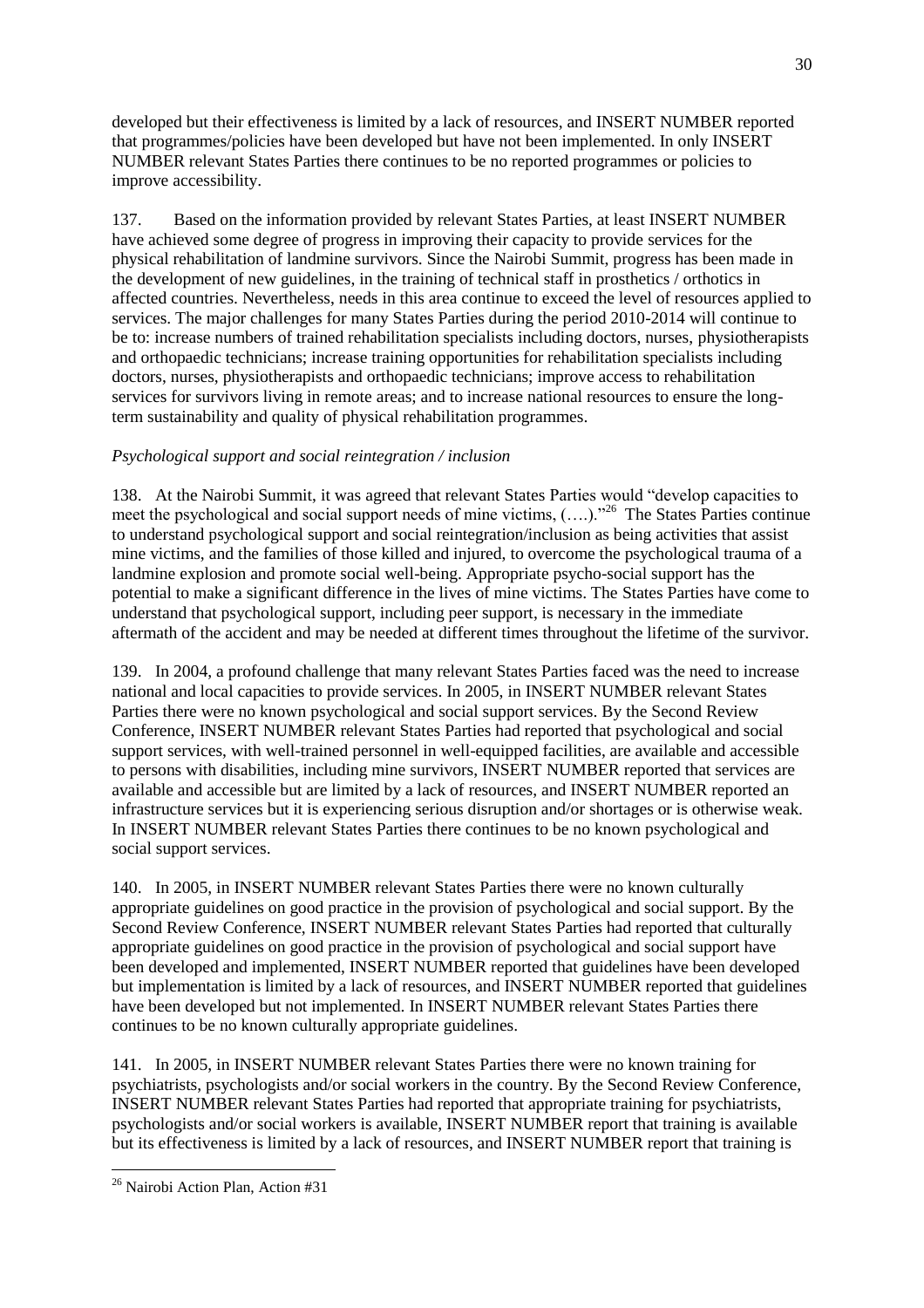developed but their effectiveness is limited by a lack of resources, and INSERT NUMBER reported that programmes/policies have been developed but have not been implemented. In only INSERT NUMBER relevant States Parties there continues to be no reported programmes or policies to improve accessibility.

137. Based on the information provided by relevant States Parties, at least INSERT NUMBER have achieved some degree of progress in improving their capacity to provide services for the physical rehabilitation of landmine survivors. Since the Nairobi Summit, progress has been made in the development of new guidelines, in the training of technical staff in prosthetics / orthotics in affected countries. Nevertheless, needs in this area continue to exceed the level of resources applied to services. The major challenges for many States Parties during the period 2010-2014 will continue to be to: increase numbers of trained rehabilitation specialists including doctors, nurses, physiotherapists and orthopaedic technicians; increase training opportunities for rehabilitation specialists including doctors, nurses, physiotherapists and orthopaedic technicians; improve access to rehabilitation services for survivors living in remote areas; and to increase national resources to ensure the longterm sustainability and quality of physical rehabilitation programmes.

# *Psychological support and social reintegration / inclusion*

138. At the Nairobi Summit, it was agreed that relevant States Parties would "develop capacities to meet the psychological and social support needs of mine victims,  $(...).$ <sup>26</sup> The States Parties continue to understand psychological support and social reintegration/inclusion as being activities that assist mine victims, and the families of those killed and injured, to overcome the psychological trauma of a landmine explosion and promote social well-being. Appropriate psycho-social support has the potential to make a significant difference in the lives of mine victims. The States Parties have come to understand that psychological support, including peer support, is necessary in the immediate aftermath of the accident and may be needed at different times throughout the lifetime of the survivor.

139. In 2004, a profound challenge that many relevant States Parties faced was the need to increase national and local capacities to provide services. In 2005, in INSERT NUMBER relevant States Parties there were no known psychological and social support services. By the Second Review Conference, INSERT NUMBER relevant States Parties had reported that psychological and social support services, with well-trained personnel in well-equipped facilities, are available and accessible to persons with disabilities, including mine survivors, INSERT NUMBER reported that services are available and accessible but are limited by a lack of resources, and INSERT NUMBER reported an infrastructure services but it is experiencing serious disruption and/or shortages or is otherwise weak. In INSERT NUMBER relevant States Parties there continues to be no known psychological and social support services.

140. In 2005, in INSERT NUMBER relevant States Parties there were no known culturally appropriate guidelines on good practice in the provision of psychological and social support. By the Second Review Conference, INSERT NUMBER relevant States Parties had reported that culturally appropriate guidelines on good practice in the provision of psychological and social support have been developed and implemented, INSERT NUMBER reported that guidelines have been developed but implementation is limited by a lack of resources, and INSERT NUMBER reported that guidelines have been developed but not implemented. In INSERT NUMBER relevant States Parties there continues to be no known culturally appropriate guidelines.

141. In 2005, in INSERT NUMBER relevant States Parties there were no known training for psychiatrists, psychologists and/or social workers in the country. By the Second Review Conference, INSERT NUMBER relevant States Parties had reported that appropriate training for psychiatrists, psychologists and/or social workers is available, INSERT NUMBER report that training is available but its effectiveness is limited by a lack of resources, and INSERT NUMBER report that training is

<sup>&</sup>lt;sup>26</sup> Nairobi Action Plan, Action #31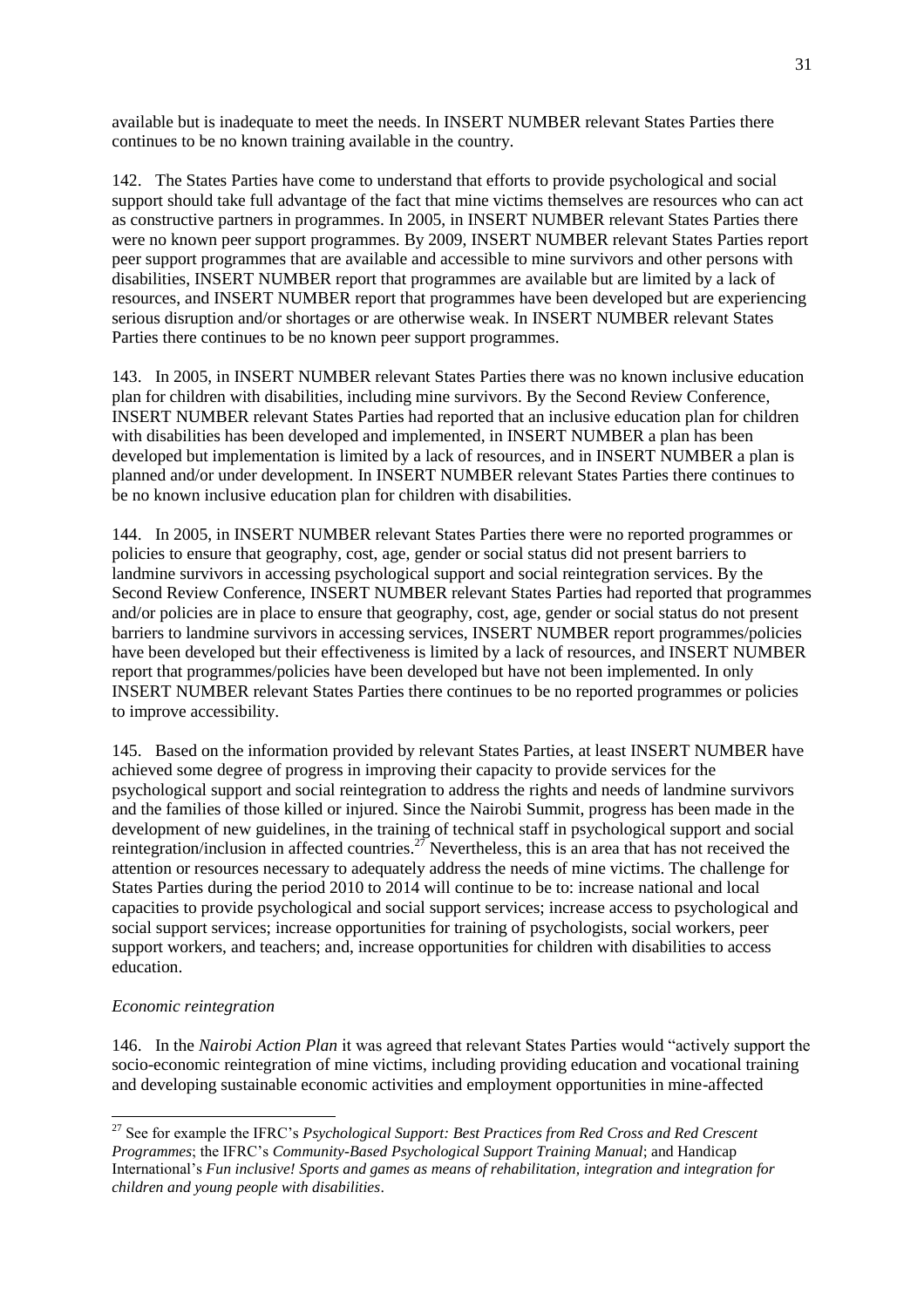available but is inadequate to meet the needs. In INSERT NUMBER relevant States Parties there continues to be no known training available in the country.

142. The States Parties have come to understand that efforts to provide psychological and social support should take full advantage of the fact that mine victims themselves are resources who can act as constructive partners in programmes. In 2005, in INSERT NUMBER relevant States Parties there were no known peer support programmes. By 2009, INSERT NUMBER relevant States Parties report peer support programmes that are available and accessible to mine survivors and other persons with disabilities, INSERT NUMBER report that programmes are available but are limited by a lack of resources, and INSERT NUMBER report that programmes have been developed but are experiencing serious disruption and/or shortages or are otherwise weak. In INSERT NUMBER relevant States Parties there continues to be no known peer support programmes.

143. In 2005, in INSERT NUMBER relevant States Parties there was no known inclusive education plan for children with disabilities, including mine survivors. By the Second Review Conference, INSERT NUMBER relevant States Parties had reported that an inclusive education plan for children with disabilities has been developed and implemented, in INSERT NUMBER a plan has been developed but implementation is limited by a lack of resources, and in INSERT NUMBER a plan is planned and/or under development. In INSERT NUMBER relevant States Parties there continues to be no known inclusive education plan for children with disabilities.

144. In 2005, in INSERT NUMBER relevant States Parties there were no reported programmes or policies to ensure that geography, cost, age, gender or social status did not present barriers to landmine survivors in accessing psychological support and social reintegration services. By the Second Review Conference, INSERT NUMBER relevant States Parties had reported that programmes and/or policies are in place to ensure that geography, cost, age, gender or social status do not present barriers to landmine survivors in accessing services, INSERT NUMBER report programmes/policies have been developed but their effectiveness is limited by a lack of resources, and INSERT NUMBER report that programmes/policies have been developed but have not been implemented. In only INSERT NUMBER relevant States Parties there continues to be no reported programmes or policies to improve accessibility.

145. Based on the information provided by relevant States Parties, at least INSERT NUMBER have achieved some degree of progress in improving their capacity to provide services for the psychological support and social reintegration to address the rights and needs of landmine survivors and the families of those killed or injured. Since the Nairobi Summit, progress has been made in the development of new guidelines, in the training of technical staff in psychological support and social reintegration/inclusion in affected countries.<sup>27</sup> Nevertheless, this is an area that has not received the attention or resources necessary to adequately address the needs of mine victims. The challenge for States Parties during the period 2010 to 2014 will continue to be to: increase national and local capacities to provide psychological and social support services; increase access to psychological and social support services; increase opportunities for training of psychologists, social workers, peer support workers, and teachers; and, increase opportunities for children with disabilities to access education.

### *Economic reintegration*

 $\overline{\phantom{a}}$ 

146. In the *Nairobi Action Plan* it was agreed that relevant States Parties would "actively support the socio-economic reintegration of mine victims, including providing education and vocational training and developing sustainable economic activities and employment opportunities in mine-affected

<sup>27</sup> See for example the IFRC's *Psychological Support: Best Practices from Red Cross and Red Crescent Programmes*; the IFRC's *Community-Based Psychological Support Training Manual*; and Handicap International's *Fun inclusive! Sports and games as means of rehabilitation, integration and integration for children and young people with disabilities*.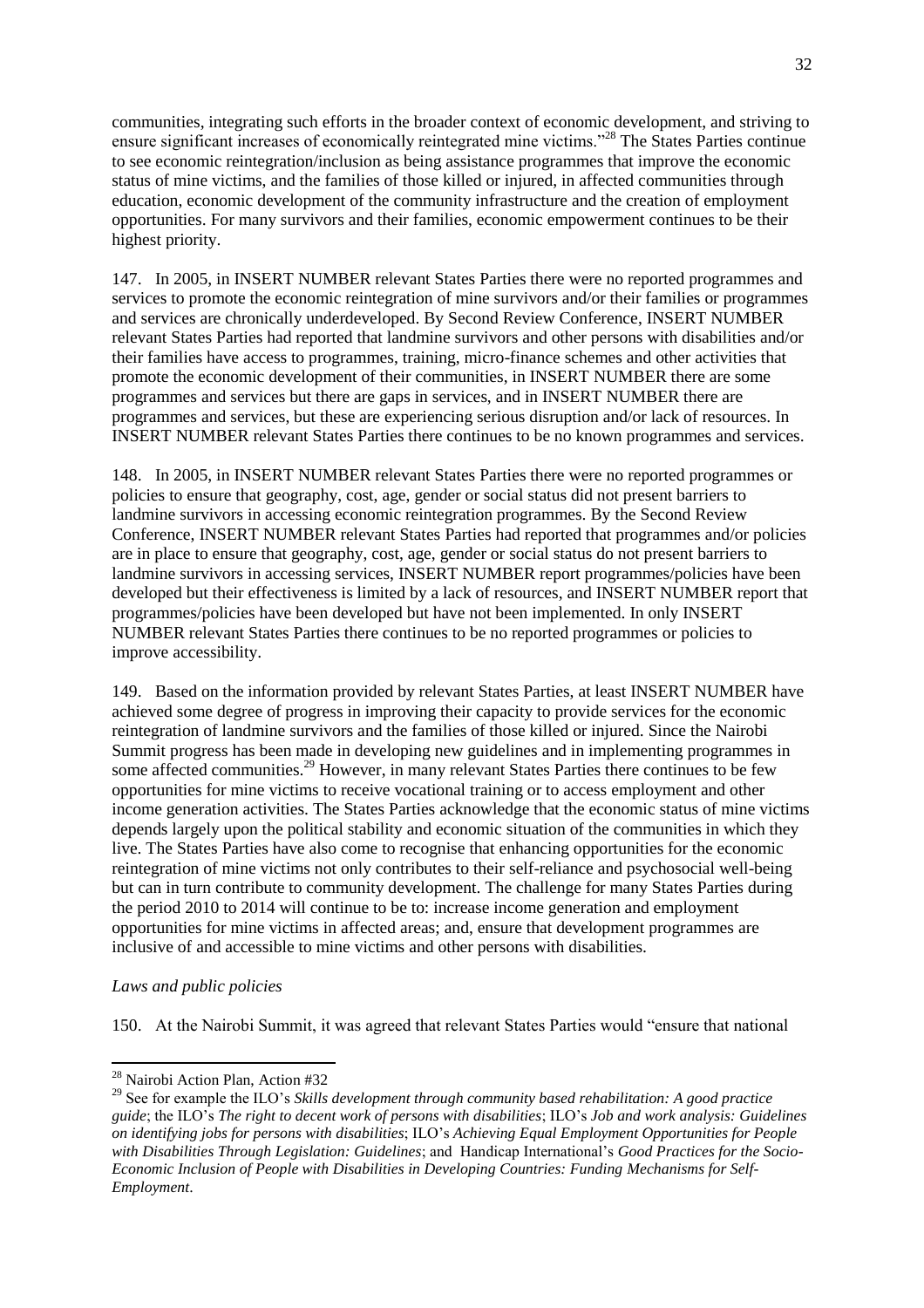communities, integrating such efforts in the broader context of economic development, and striving to ensure significant increases of economically reintegrated mine victims."<sup>28</sup> The States Parties continue to see economic reintegration/inclusion as being assistance programmes that improve the economic status of mine victims, and the families of those killed or injured, in affected communities through education, economic development of the community infrastructure and the creation of employment opportunities. For many survivors and their families, economic empowerment continues to be their highest priority.

147. In 2005, in INSERT NUMBER relevant States Parties there were no reported programmes and services to promote the economic reintegration of mine survivors and/or their families or programmes and services are chronically underdeveloped. By Second Review Conference, INSERT NUMBER relevant States Parties had reported that landmine survivors and other persons with disabilities and/or their families have access to programmes, training, micro-finance schemes and other activities that promote the economic development of their communities, in INSERT NUMBER there are some programmes and services but there are gaps in services, and in INSERT NUMBER there are programmes and services, but these are experiencing serious disruption and/or lack of resources. In INSERT NUMBER relevant States Parties there continues to be no known programmes and services.

148. In 2005, in INSERT NUMBER relevant States Parties there were no reported programmes or policies to ensure that geography, cost, age, gender or social status did not present barriers to landmine survivors in accessing economic reintegration programmes. By the Second Review Conference, INSERT NUMBER relevant States Parties had reported that programmes and/or policies are in place to ensure that geography, cost, age, gender or social status do not present barriers to landmine survivors in accessing services, INSERT NUMBER report programmes/policies have been developed but their effectiveness is limited by a lack of resources, and INSERT NUMBER report that programmes/policies have been developed but have not been implemented. In only INSERT NUMBER relevant States Parties there continues to be no reported programmes or policies to improve accessibility.

149. Based on the information provided by relevant States Parties, at least INSERT NUMBER have achieved some degree of progress in improving their capacity to provide services for the economic reintegration of landmine survivors and the families of those killed or injured. Since the Nairobi Summit progress has been made in developing new guidelines and in implementing programmes in some affected communities.<sup>29</sup> However, in many relevant States Parties there continues to be few opportunities for mine victims to receive vocational training or to access employment and other income generation activities. The States Parties acknowledge that the economic status of mine victims depends largely upon the political stability and economic situation of the communities in which they live. The States Parties have also come to recognise that enhancing opportunities for the economic reintegration of mine victims not only contributes to their self-reliance and psychosocial well-being but can in turn contribute to community development. The challenge for many States Parties during the period 2010 to 2014 will continue to be to: increase income generation and employment opportunities for mine victims in affected areas; and, ensure that development programmes are inclusive of and accessible to mine victims and other persons with disabilities.

#### *Laws and public policies*

 $\overline{\phantom{a}}$ 

150. At the Nairobi Summit, it was agreed that relevant States Parties would "ensure that national

<sup>&</sup>lt;sup>28</sup> Nairobi Action Plan, Action #32

<sup>29</sup> See for example the ILO's *Skills development through community based rehabilitation: A good practice guide*; the ILO's *The right to decent work of persons with disabilities*; ILO's *Job and work analysis: Guidelines on identifying jobs for persons with disabilities*; ILO's *Achieving Equal Employment Opportunities for People with Disabilities Through Legislation: Guidelines*; and Handicap International's *Good Practices for the Socio-Economic Inclusion of People with Disabilities in Developing Countries: Funding Mechanisms for Self-Employment*.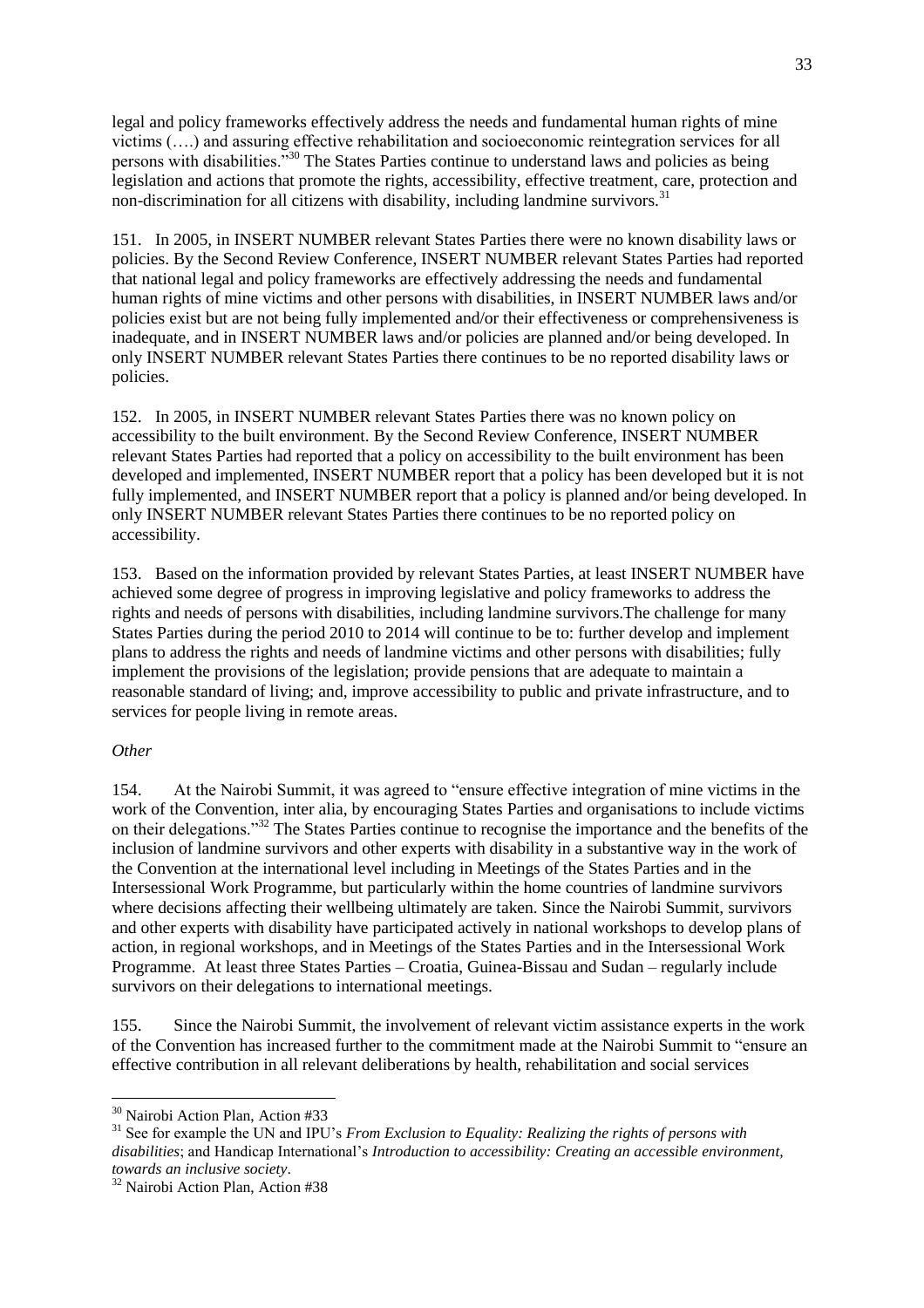legal and policy frameworks effectively address the needs and fundamental human rights of mine victims (….) and assuring effective rehabilitation and socioeconomic reintegration services for all persons with disabilities."<sup>30</sup> The States Parties continue to understand laws and policies as being legislation and actions that promote the rights, accessibility, effective treatment, care, protection and non-discrimination for all citizens with disability, including landmine survivors.<sup>31</sup>

151. In 2005, in INSERT NUMBER relevant States Parties there were no known disability laws or policies. By the Second Review Conference, INSERT NUMBER relevant States Parties had reported that national legal and policy frameworks are effectively addressing the needs and fundamental human rights of mine victims and other persons with disabilities, in INSERT NUMBER laws and/or policies exist but are not being fully implemented and/or their effectiveness or comprehensiveness is inadequate, and in INSERT NUMBER laws and/or policies are planned and/or being developed. In only INSERT NUMBER relevant States Parties there continues to be no reported disability laws or policies.

152. In 2005, in INSERT NUMBER relevant States Parties there was no known policy on accessibility to the built environment. By the Second Review Conference, INSERT NUMBER relevant States Parties had reported that a policy on accessibility to the built environment has been developed and implemented, INSERT NUMBER report that a policy has been developed but it is not fully implemented, and INSERT NUMBER report that a policy is planned and/or being developed. In only INSERT NUMBER relevant States Parties there continues to be no reported policy on accessibility.

153. Based on the information provided by relevant States Parties, at least INSERT NUMBER have achieved some degree of progress in improving legislative and policy frameworks to address the rights and needs of persons with disabilities, including landmine survivors.The challenge for many States Parties during the period 2010 to 2014 will continue to be to: further develop and implement plans to address the rights and needs of landmine victims and other persons with disabilities; fully implement the provisions of the legislation; provide pensions that are adequate to maintain a reasonable standard of living; and, improve accessibility to public and private infrastructure, and to services for people living in remote areas.

#### *Other*

154. At the Nairobi Summit, it was agreed to "ensure effective integration of mine victims in the work of the Convention, inter alia, by encouraging States Parties and organisations to include victims on their delegations."<sup>32</sup> The States Parties continue to recognise the importance and the benefits of the inclusion of landmine survivors and other experts with disability in a substantive way in the work of the Convention at the international level including in Meetings of the States Parties and in the Intersessional Work Programme, but particularly within the home countries of landmine survivors where decisions affecting their wellbeing ultimately are taken. Since the Nairobi Summit, survivors and other experts with disability have participated actively in national workshops to develop plans of action, in regional workshops, and in Meetings of the States Parties and in the Intersessional Work Programme. At least three States Parties – Croatia, Guinea-Bissau and Sudan – regularly include survivors on their delegations to international meetings.

155. Since the Nairobi Summit, the involvement of relevant victim assistance experts in the work of the Convention has increased further to the commitment made at the Nairobi Summit to "ensure an effective contribution in all relevant deliberations by health, rehabilitation and social services

<sup>&</sup>lt;sup>30</sup> Nairobi Action Plan, Action #33

<sup>&</sup>lt;sup>31</sup> See for example the UN and IPU's *From Exclusion to Equality: Realizing the rights of persons with disabilities*; and Handicap International's *Introduction to accessibility: Creating an accessible environment, towards an inclusive society*.

<sup>&</sup>lt;sup>32</sup> Nairobi Action Plan, Action #38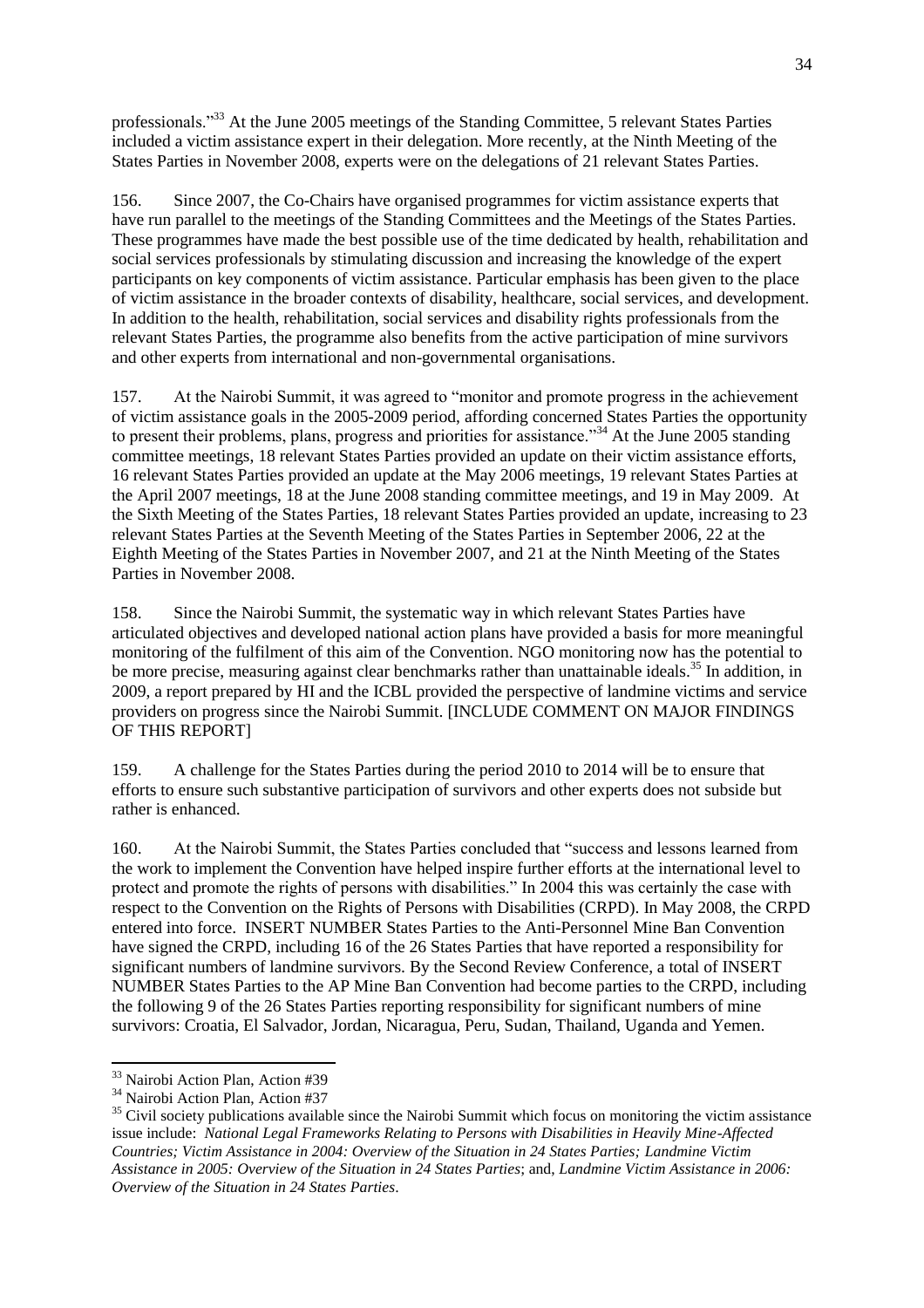professionals.<sup>33</sup> At the June 2005 meetings of the Standing Committee, 5 relevant States Parties included a victim assistance expert in their delegation. More recently, at the Ninth Meeting of the States Parties in November 2008, experts were on the delegations of 21 relevant States Parties.

156. Since 2007, the Co-Chairs have organised programmes for victim assistance experts that have run parallel to the meetings of the Standing Committees and the Meetings of the States Parties. These programmes have made the best possible use of the time dedicated by health, rehabilitation and social services professionals by stimulating discussion and increasing the knowledge of the expert participants on key components of victim assistance. Particular emphasis has been given to the place of victim assistance in the broader contexts of disability, healthcare, social services, and development. In addition to the health, rehabilitation, social services and disability rights professionals from the relevant States Parties, the programme also benefits from the active participation of mine survivors and other experts from international and non-governmental organisations.

157. At the Nairobi Summit, it was agreed to "monitor and promote progress in the achievement of victim assistance goals in the 2005-2009 period, affording concerned States Parties the opportunity to present their problems, plans, progress and priorities for assistance."<sup>34</sup> At the June 2005 standing committee meetings, 18 relevant States Parties provided an update on their victim assistance efforts, 16 relevant States Parties provided an update at the May 2006 meetings, 19 relevant States Parties at the April 2007 meetings, 18 at the June 2008 standing committee meetings, and 19 in May 2009. At the Sixth Meeting of the States Parties, 18 relevant States Parties provided an update, increasing to 23 relevant States Parties at the Seventh Meeting of the States Parties in September 2006, 22 at the Eighth Meeting of the States Parties in November 2007, and 21 at the Ninth Meeting of the States Parties in November 2008.

158. Since the Nairobi Summit, the systematic way in which relevant States Parties have articulated objectives and developed national action plans have provided a basis for more meaningful monitoring of the fulfilment of this aim of the Convention. NGO monitoring now has the potential to be more precise, measuring against clear benchmarks rather than unattainable ideals.<sup>35</sup> In addition, in 2009, a report prepared by HI and the ICBL provided the perspective of landmine victims and service providers on progress since the Nairobi Summit. [INCLUDE COMMENT ON MAJOR FINDINGS OF THIS REPORT]

159. A challenge for the States Parties during the period 2010 to 2014 will be to ensure that efforts to ensure such substantive participation of survivors and other experts does not subside but rather is enhanced.

160. At the Nairobi Summit, the States Parties concluded that "success and lessons learned from the work to implement the Convention have helped inspire further efforts at the international level to protect and promote the rights of persons with disabilities." In 2004 this was certainly the case with respect to the Convention on the Rights of Persons with Disabilities (CRPD). In May 2008, the CRPD entered into force. INSERT NUMBER States Parties to the Anti-Personnel Mine Ban Convention have signed the CRPD, including 16 of the 26 States Parties that have reported a responsibility for significant numbers of landmine survivors. By the Second Review Conference, a total of INSERT NUMBER States Parties to the AP Mine Ban Convention had become parties to the CRPD, including the following 9 of the 26 States Parties reporting responsibility for significant numbers of mine survivors: Croatia, El Salvador, Jordan, Nicaragua, Peru, Sudan, Thailand, Uganda and Yemen.

<sup>&</sup>lt;sup>33</sup> Nairobi Action Plan, Action #39

<sup>&</sup>lt;sup>34</sup> Nairobi Action Plan, Action #37

<sup>&</sup>lt;sup>35</sup> Civil society publications available since the Nairobi Summit which focus on monitoring the victim assistance issue include: *National Legal Frameworks Relating to Persons with Disabilities in Heavily Mine-Affected Countries; Victim Assistance in 2004: Overview of the Situation in 24 States Parties; Landmine Victim Assistance in 2005: Overview of the Situation in 24 States Parties*; and, *Landmine Victim Assistance in 2006: Overview of the Situation in 24 States Parties*.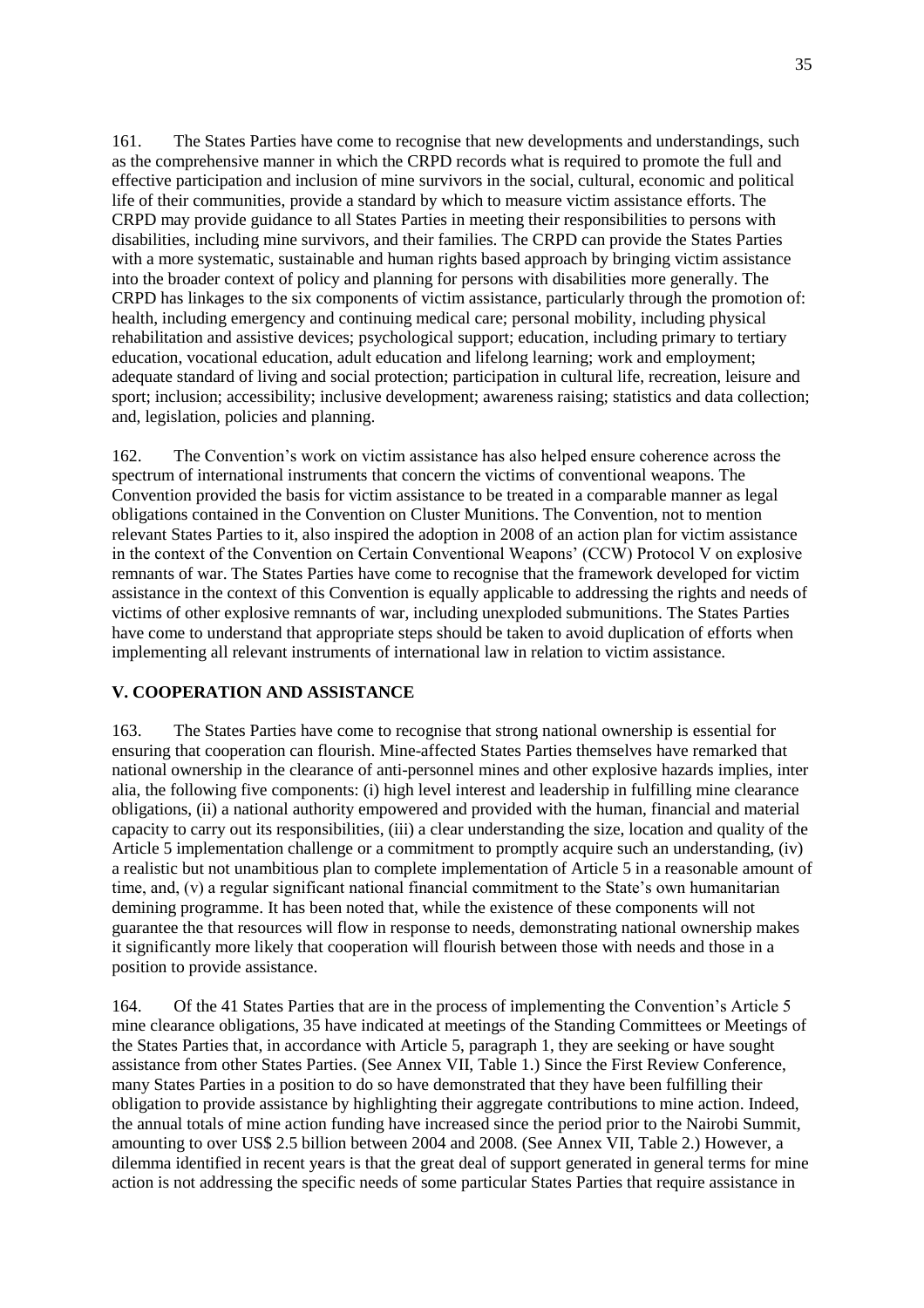161. The States Parties have come to recognise that new developments and understandings, such as the comprehensive manner in which the CRPD records what is required to promote the full and effective participation and inclusion of mine survivors in the social, cultural, economic and political life of their communities, provide a standard by which to measure victim assistance efforts. The CRPD may provide guidance to all States Parties in meeting their responsibilities to persons with disabilities, including mine survivors, and their families. The CRPD can provide the States Parties with a more systematic, sustainable and human rights based approach by bringing victim assistance into the broader context of policy and planning for persons with disabilities more generally. The CRPD has linkages to the six components of victim assistance, particularly through the promotion of: health, including emergency and continuing medical care; personal mobility, including physical rehabilitation and assistive devices; psychological support; education, including primary to tertiary education, vocational education, adult education and lifelong learning; work and employment; adequate standard of living and social protection; participation in cultural life, recreation, leisure and sport; inclusion; accessibility; inclusive development; awareness raising; statistics and data collection; and, legislation, policies and planning.

162. The Convention's work on victim assistance has also helped ensure coherence across the spectrum of international instruments that concern the victims of conventional weapons. The Convention provided the basis for victim assistance to be treated in a comparable manner as legal obligations contained in the Convention on Cluster Munitions. The Convention, not to mention relevant States Parties to it, also inspired the adoption in 2008 of an action plan for victim assistance in the context of the Convention on Certain Conventional Weapons' (CCW) Protocol V on explosive remnants of war. The States Parties have come to recognise that the framework developed for victim assistance in the context of this Convention is equally applicable to addressing the rights and needs of victims of other explosive remnants of war, including unexploded submunitions. The States Parties have come to understand that appropriate steps should be taken to avoid duplication of efforts when implementing all relevant instruments of international law in relation to victim assistance.

## **V. COOPERATION AND ASSISTANCE**

163. The States Parties have come to recognise that strong national ownership is essential for ensuring that cooperation can flourish. Mine-affected States Parties themselves have remarked that national ownership in the clearance of anti-personnel mines and other explosive hazards implies, inter alia, the following five components: (i) high level interest and leadership in fulfilling mine clearance obligations, (ii) a national authority empowered and provided with the human, financial and material capacity to carry out its responsibilities, (iii) a clear understanding the size, location and quality of the Article 5 implementation challenge or a commitment to promptly acquire such an understanding, (iv) a realistic but not unambitious plan to complete implementation of Article 5 in a reasonable amount of time, and, (v) a regular significant national financial commitment to the State's own humanitarian demining programme. It has been noted that, while the existence of these components will not guarantee the that resources will flow in response to needs, demonstrating national ownership makes it significantly more likely that cooperation will flourish between those with needs and those in a position to provide assistance.

164. Of the 41 States Parties that are in the process of implementing the Convention's Article 5 mine clearance obligations, 35 have indicated at meetings of the Standing Committees or Meetings of the States Parties that, in accordance with Article 5, paragraph 1, they are seeking or have sought assistance from other States Parties. (See Annex VII, Table 1.) Since the First Review Conference, many States Parties in a position to do so have demonstrated that they have been fulfilling their obligation to provide assistance by highlighting their aggregate contributions to mine action. Indeed, the annual totals of mine action funding have increased since the period prior to the Nairobi Summit, amounting to over US\$ 2.5 billion between 2004 and 2008. (See Annex VII, Table 2.) However, a dilemma identified in recent years is that the great deal of support generated in general terms for mine action is not addressing the specific needs of some particular States Parties that require assistance in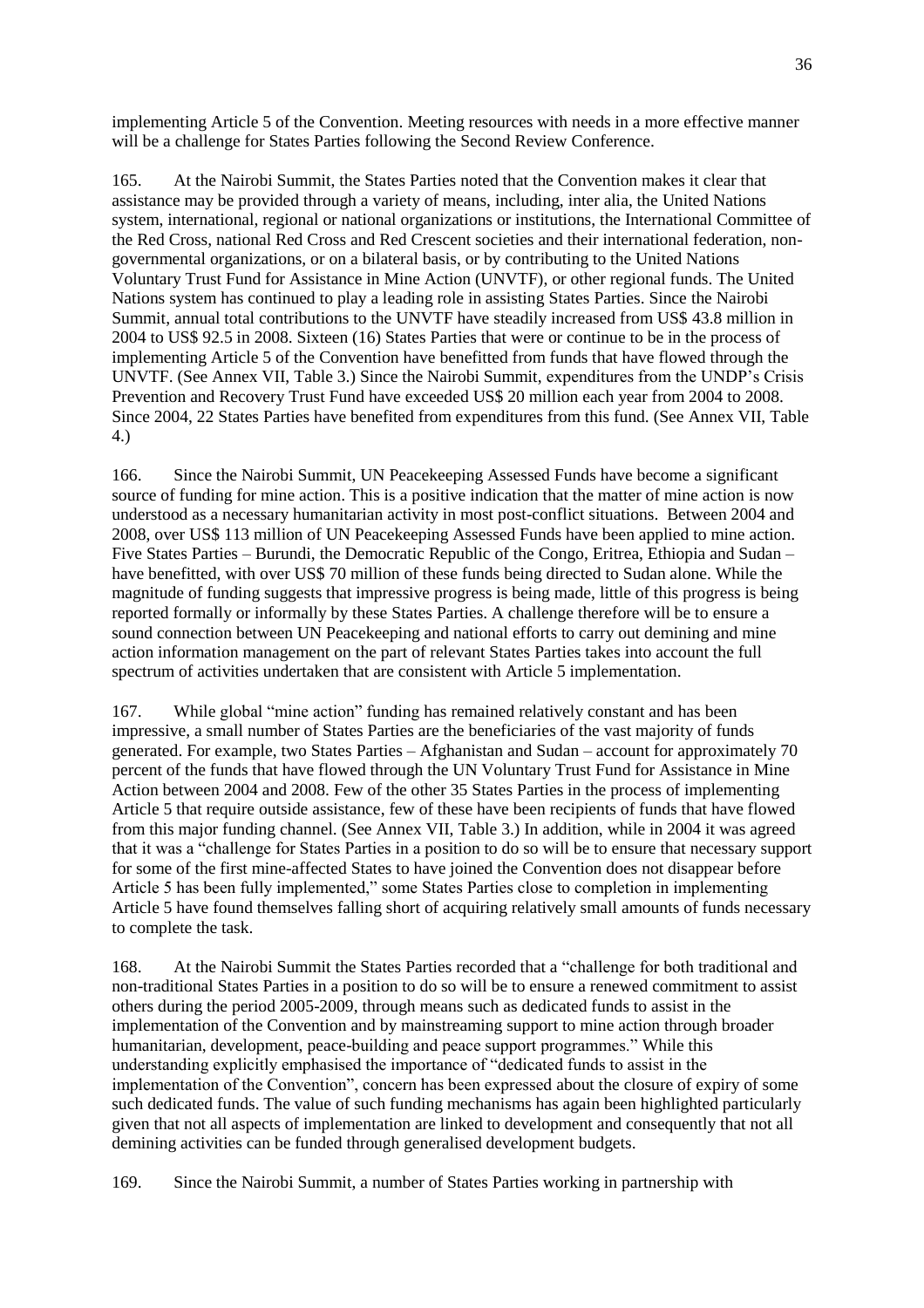implementing Article 5 of the Convention. Meeting resources with needs in a more effective manner will be a challenge for States Parties following the Second Review Conference.

165. At the Nairobi Summit, the States Parties noted that the Convention makes it clear that assistance may be provided through a variety of means, including, inter alia, the United Nations system, international, regional or national organizations or institutions, the International Committee of the Red Cross, national Red Cross and Red Crescent societies and their international federation, nongovernmental organizations, or on a bilateral basis, or by contributing to the United Nations Voluntary Trust Fund for Assistance in Mine Action (UNVTF), or other regional funds. The United Nations system has continued to play a leading role in assisting States Parties. Since the Nairobi Summit, annual total contributions to the UNVTF have steadily increased from US\$ 43.8 million in 2004 to US\$ 92.5 in 2008. Sixteen (16) States Parties that were or continue to be in the process of implementing Article 5 of the Convention have benefitted from funds that have flowed through the UNVTF. (See Annex VII, Table 3.) Since the Nairobi Summit, expenditures from the UNDP's Crisis Prevention and Recovery Trust Fund have exceeded US\$ 20 million each year from 2004 to 2008. Since 2004, 22 States Parties have benefited from expenditures from this fund. (See Annex VII, Table 4.)

166. Since the Nairobi Summit, UN Peacekeeping Assessed Funds have become a significant source of funding for mine action. This is a positive indication that the matter of mine action is now understood as a necessary humanitarian activity in most post-conflict situations. Between 2004 and 2008, over US\$ 113 million of UN Peacekeeping Assessed Funds have been applied to mine action. Five States Parties – Burundi, the Democratic Republic of the Congo, Eritrea, Ethiopia and Sudan – have benefitted, with over US\$ 70 million of these funds being directed to Sudan alone. While the magnitude of funding suggests that impressive progress is being made, little of this progress is being reported formally or informally by these States Parties. A challenge therefore will be to ensure a sound connection between UN Peacekeeping and national efforts to carry out demining and mine action information management on the part of relevant States Parties takes into account the full spectrum of activities undertaken that are consistent with Article 5 implementation.

167. While global "mine action" funding has remained relatively constant and has been impressive, a small number of States Parties are the beneficiaries of the vast majority of funds generated. For example, two States Parties – Afghanistan and Sudan – account for approximately 70 percent of the funds that have flowed through the UN Voluntary Trust Fund for Assistance in Mine Action between 2004 and 2008. Few of the other 35 States Parties in the process of implementing Article 5 that require outside assistance, few of these have been recipients of funds that have flowed from this major funding channel. (See Annex VII, Table 3.) In addition, while in 2004 it was agreed that it was a "challenge for States Parties in a position to do so will be to ensure that necessary support for some of the first mine-affected States to have joined the Convention does not disappear before Article 5 has been fully implemented," some States Parties close to completion in implementing Article 5 have found themselves falling short of acquiring relatively small amounts of funds necessary to complete the task.

168. At the Nairobi Summit the States Parties recorded that a "challenge for both traditional and non-traditional States Parties in a position to do so will be to ensure a renewed commitment to assist others during the period 2005-2009, through means such as dedicated funds to assist in the implementation of the Convention and by mainstreaming support to mine action through broader humanitarian, development, peace-building and peace support programmes." While this understanding explicitly emphasised the importance of "dedicated funds to assist in the implementation of the Convention", concern has been expressed about the closure of expiry of some such dedicated funds. The value of such funding mechanisms has again been highlighted particularly given that not all aspects of implementation are linked to development and consequently that not all demining activities can be funded through generalised development budgets.

169. Since the Nairobi Summit, a number of States Parties working in partnership with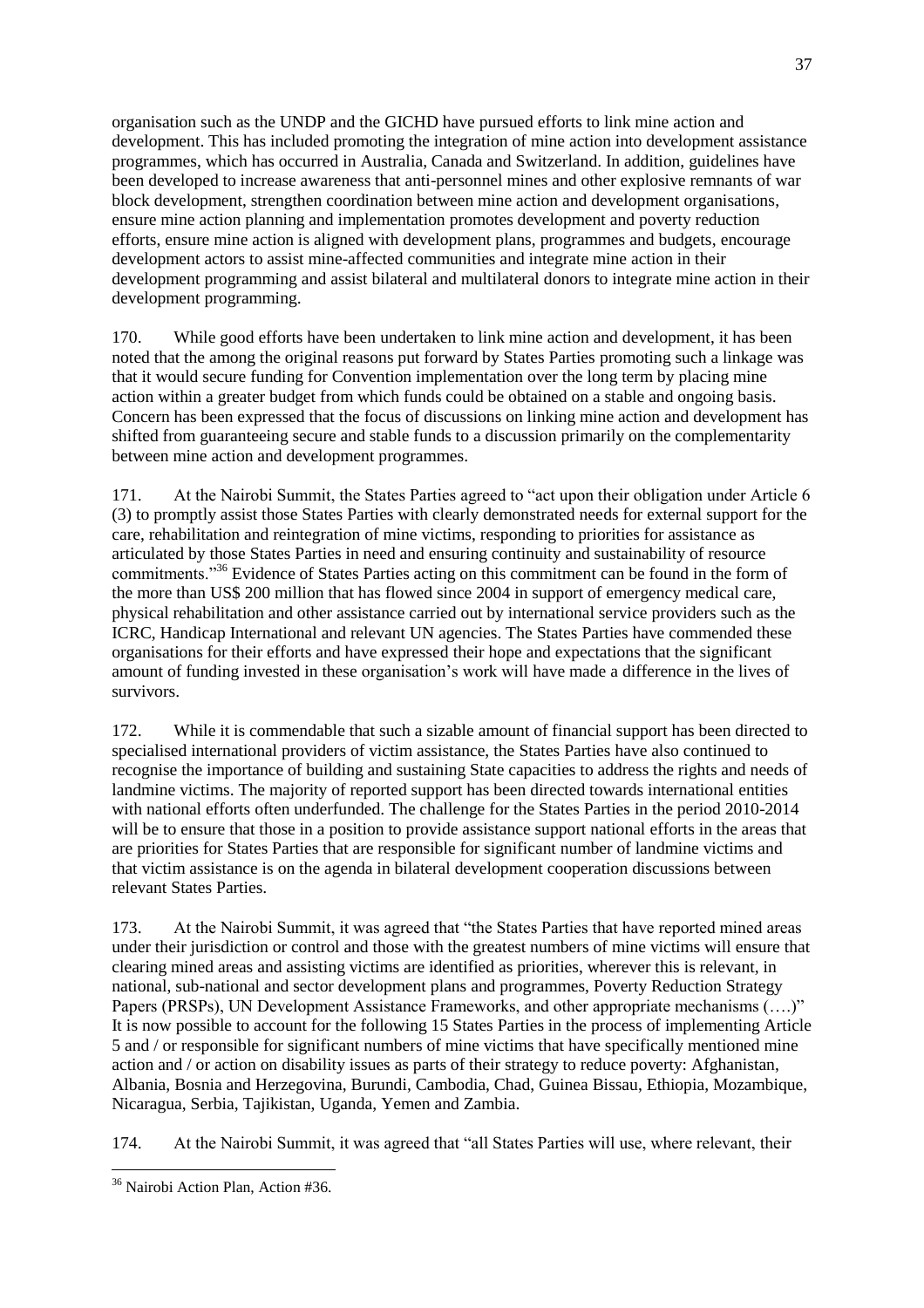organisation such as the UNDP and the GICHD have pursued efforts to link mine action and development. This has included promoting the integration of mine action into development assistance programmes, which has occurred in Australia, Canada and Switzerland. In addition, guidelines have been developed to increase awareness that anti-personnel mines and other explosive remnants of war block development, strengthen coordination between mine action and development organisations, ensure mine action planning and implementation promotes development and poverty reduction efforts, ensure mine action is aligned with development plans, programmes and budgets, encourage development actors to assist mine-affected communities and integrate mine action in their development programming and assist bilateral and multilateral donors to integrate mine action in their development programming.

170. While good efforts have been undertaken to link mine action and development, it has been noted that the among the original reasons put forward by States Parties promoting such a linkage was that it would secure funding for Convention implementation over the long term by placing mine action within a greater budget from which funds could be obtained on a stable and ongoing basis. Concern has been expressed that the focus of discussions on linking mine action and development has shifted from guaranteeing secure and stable funds to a discussion primarily on the complementarity between mine action and development programmes.

171. At the Nairobi Summit, the States Parties agreed to "act upon their obligation under Article 6 (3) to promptly assist those States Parties with clearly demonstrated needs for external support for the care, rehabilitation and reintegration of mine victims, responding to priorities for assistance as articulated by those States Parties in need and ensuring continuity and sustainability of resource commitments.<sup>356</sup> Evidence of States Parties acting on this commitment can be found in the form of the more than US\$ 200 million that has flowed since 2004 in support of emergency medical care, physical rehabilitation and other assistance carried out by international service providers such as the ICRC, Handicap International and relevant UN agencies. The States Parties have commended these organisations for their efforts and have expressed their hope and expectations that the significant amount of funding invested in these organisation's work will have made a difference in the lives of survivors.

172. While it is commendable that such a sizable amount of financial support has been directed to specialised international providers of victim assistance, the States Parties have also continued to recognise the importance of building and sustaining State capacities to address the rights and needs of landmine victims. The majority of reported support has been directed towards international entities with national efforts often underfunded. The challenge for the States Parties in the period 2010-2014 will be to ensure that those in a position to provide assistance support national efforts in the areas that are priorities for States Parties that are responsible for significant number of landmine victims and that victim assistance is on the agenda in bilateral development cooperation discussions between relevant States Parties.

173. At the Nairobi Summit, it was agreed that "the States Parties that have reported mined areas under their jurisdiction or control and those with the greatest numbers of mine victims will ensure that clearing mined areas and assisting victims are identified as priorities, wherever this is relevant, in national, sub-national and sector development plans and programmes, Poverty Reduction Strategy Papers (PRSPs), UN Development Assistance Frameworks, and other appropriate mechanisms (....)" It is now possible to account for the following 15 States Parties in the process of implementing Article 5 and / or responsible for significant numbers of mine victims that have specifically mentioned mine action and / or action on disability issues as parts of their strategy to reduce poverty: Afghanistan, Albania, Bosnia and Herzegovina, Burundi, Cambodia, Chad, Guinea Bissau, Ethiopia, Mozambique, Nicaragua, Serbia, Tajikistan, Uganda, Yemen and Zambia.

174. At the Nairobi Summit, it was agreed that "all States Parties will use, where relevant, their

 $\overline{a}$ <sup>36</sup> Nairobi Action Plan, Action #36.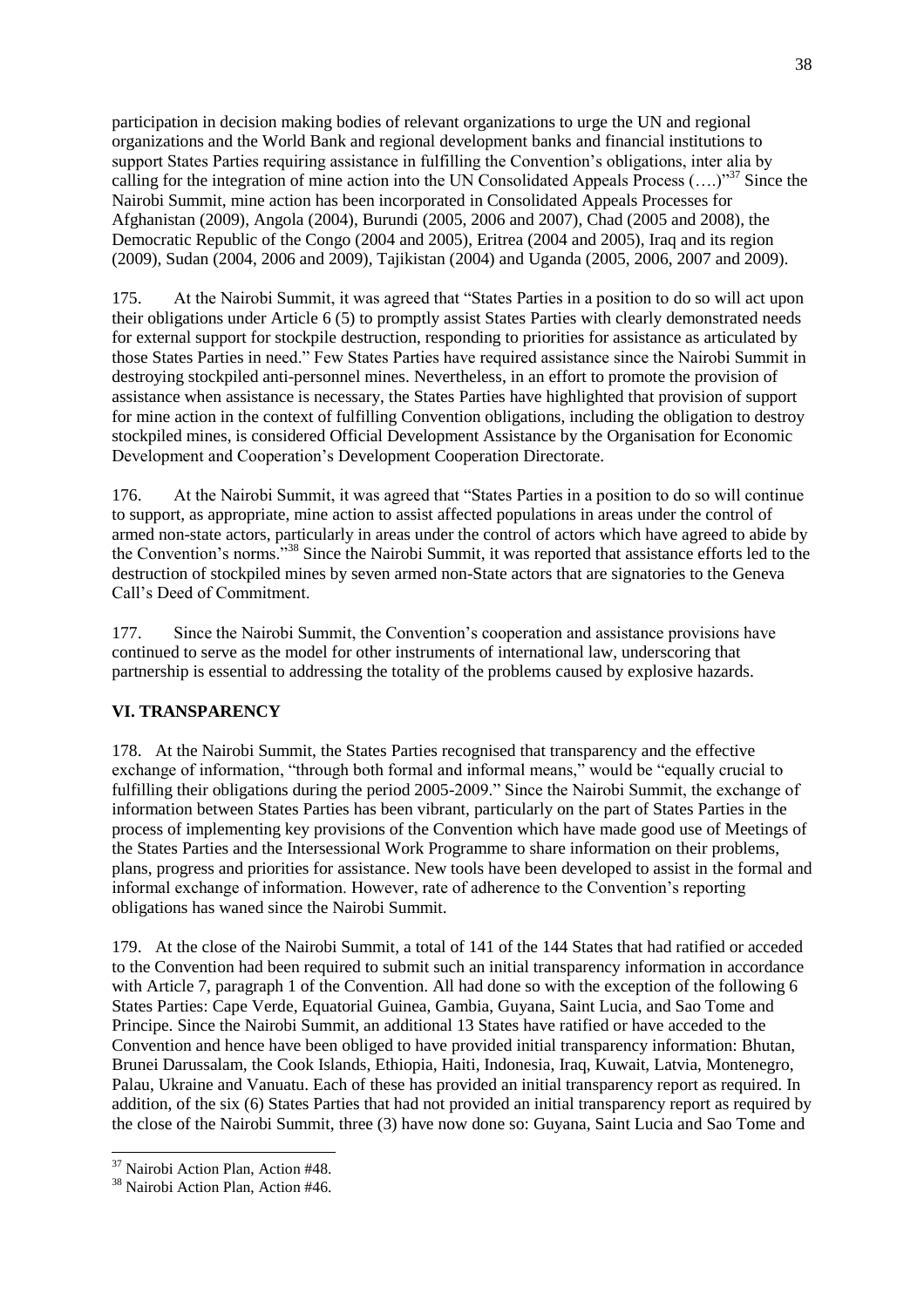participation in decision making bodies of relevant organizations to urge the UN and regional organizations and the World Bank and regional development banks and financial institutions to support States Parties requiring assistance in fulfilling the Convention's obligations, inter alia by calling for the integration of mine action into the UN Consolidated Appeals Process  $(...)^{37}$  Since the Nairobi Summit, mine action has been incorporated in Consolidated Appeals Processes for Afghanistan (2009), Angola (2004), Burundi (2005, 2006 and 2007), Chad (2005 and 2008), the Democratic Republic of the Congo (2004 and 2005), Eritrea (2004 and 2005), Iraq and its region (2009), Sudan (2004, 2006 and 2009), Tajikistan (2004) and Uganda (2005, 2006, 2007 and 2009).

175. At the Nairobi Summit, it was agreed that "States Parties in a position to do so will act upon their obligations under Article 6 (5) to promptly assist States Parties with clearly demonstrated needs for external support for stockpile destruction, responding to priorities for assistance as articulated by those States Parties in need." Few States Parties have required assistance since the Nairobi Summit in destroying stockpiled anti-personnel mines. Nevertheless, in an effort to promote the provision of assistance when assistance is necessary, the States Parties have highlighted that provision of support for mine action in the context of fulfilling Convention obligations, including the obligation to destroy stockpiled mines, is considered Official Development Assistance by the Organisation for Economic Development and Cooperation's Development Cooperation Directorate.

176. At the Nairobi Summit, it was agreed that "States Parties in a position to do so will continue to support, as appropriate, mine action to assist affected populations in areas under the control of armed non-state actors, particularly in areas under the control of actors which have agreed to abide by the Convention's norms."<sup>38</sup> Since the Nairobi Summit, it was reported that assistance efforts led to the destruction of stockpiled mines by seven armed non-State actors that are signatories to the Geneva Call's Deed of Commitment.

177. Since the Nairobi Summit, the Convention's cooperation and assistance provisions have continued to serve as the model for other instruments of international law, underscoring that partnership is essential to addressing the totality of the problems caused by explosive hazards.

## **VI. TRANSPARENCY**

178. At the Nairobi Summit, the States Parties recognised that transparency and the effective exchange of information, "through both formal and informal means," would be "equally crucial to fulfilling their obligations during the period 2005-2009." Since the Nairobi Summit, the exchange of information between States Parties has been vibrant, particularly on the part of States Parties in the process of implementing key provisions of the Convention which have made good use of Meetings of the States Parties and the Intersessional Work Programme to share information on their problems, plans, progress and priorities for assistance. New tools have been developed to assist in the formal and informal exchange of information. However, rate of adherence to the Convention's reporting obligations has waned since the Nairobi Summit.

179. At the close of the Nairobi Summit, a total of 141 of the 144 States that had ratified or acceded to the Convention had been required to submit such an initial transparency information in accordance with Article 7, paragraph 1 of the Convention. All had done so with the exception of the following 6 States Parties: Cape Verde, Equatorial Guinea, Gambia, Guyana, Saint Lucia, and Sao Tome and Principe. Since the Nairobi Summit, an additional 13 States have ratified or have acceded to the Convention and hence have been obliged to have provided initial transparency information: Bhutan, Brunei Darussalam, the Cook Islands, Ethiopia, Haiti, Indonesia, Iraq, Kuwait, Latvia, Montenegro, Palau, Ukraine and Vanuatu. Each of these has provided an initial transparency report as required. In addition, of the six (6) States Parties that had not provided an initial transparency report as required by the close of the Nairobi Summit, three (3) have now done so: Guyana, Saint Lucia and Sao Tome and

 $\overline{a}$ <sup>37</sup> Nairobi Action Plan, Action #48.

<sup>38</sup> Nairobi Action Plan, Action #46.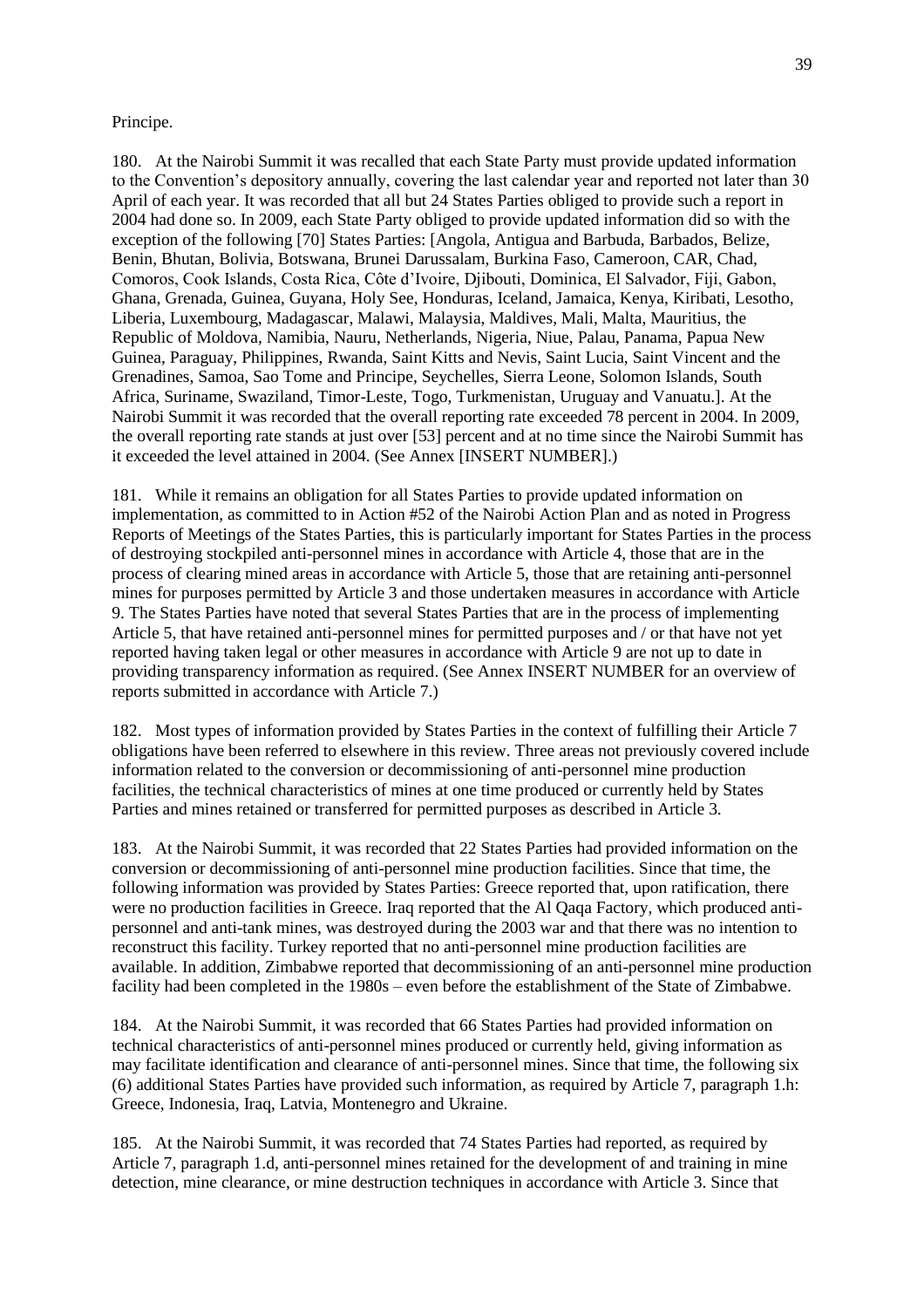#### Principe.

180. At the Nairobi Summit it was recalled that each State Party must provide updated information to the Convention's depository annually, covering the last calendar year and reported not later than 30 April of each year. It was recorded that all but 24 States Parties obliged to provide such a report in 2004 had done so. In 2009, each State Party obliged to provide updated information did so with the exception of the following [70] States Parties: [Angola, Antigua and Barbuda, Barbados, Belize, Benin, Bhutan, Bolivia, Botswana, Brunei Darussalam, Burkina Faso, Cameroon, CAR, Chad, Comoros, Cook Islands, Costa Rica, Côte d'Ivoire, Djibouti, Dominica, El Salvador, Fiji, Gabon, Ghana, Grenada, Guinea, Guyana, Holy See, Honduras, Iceland, Jamaica, Kenya, Kiribati, Lesotho, Liberia, Luxembourg, Madagascar, Malawi, Malaysia, Maldives, Mali, Malta, Mauritius, the Republic of Moldova, Namibia, Nauru, Netherlands, Nigeria, Niue, Palau, Panama, Papua New Guinea, Paraguay, Philippines, Rwanda, Saint Kitts and Nevis, Saint Lucia, Saint Vincent and the Grenadines, Samoa, Sao Tome and Principe, Seychelles, Sierra Leone, Solomon Islands, South Africa, Suriname, Swaziland, Timor-Leste, Togo, Turkmenistan, Uruguay and Vanuatu.]. At the Nairobi Summit it was recorded that the overall reporting rate exceeded 78 percent in 2004. In 2009, the overall reporting rate stands at just over [53] percent and at no time since the Nairobi Summit has it exceeded the level attained in 2004. (See Annex [INSERT NUMBER].)

181. While it remains an obligation for all States Parties to provide updated information on implementation, as committed to in Action #52 of the Nairobi Action Plan and as noted in Progress Reports of Meetings of the States Parties, this is particularly important for States Parties in the process of destroying stockpiled anti-personnel mines in accordance with Article 4, those that are in the process of clearing mined areas in accordance with Article 5, those that are retaining anti-personnel mines for purposes permitted by Article 3 and those undertaken measures in accordance with Article 9. The States Parties have noted that several States Parties that are in the process of implementing Article 5, that have retained anti-personnel mines for permitted purposes and / or that have not yet reported having taken legal or other measures in accordance with Article 9 are not up to date in providing transparency information as required. (See Annex INSERT NUMBER for an overview of reports submitted in accordance with Article 7.)

182. Most types of information provided by States Parties in the context of fulfilling their Article 7 obligations have been referred to elsewhere in this review. Three areas not previously covered include information related to the conversion or decommissioning of anti-personnel mine production facilities, the technical characteristics of mines at one time produced or currently held by States Parties and mines retained or transferred for permitted purposes as described in Article 3.

183. At the Nairobi Summit, it was recorded that 22 States Parties had provided information on the conversion or decommissioning of anti-personnel mine production facilities. Since that time, the following information was provided by States Parties: Greece reported that, upon ratification, there were no production facilities in Greece. Iraq reported that the Al Qaqa Factory, which produced antipersonnel and anti-tank mines, was destroyed during the 2003 war and that there was no intention to reconstruct this facility. Turkey reported that no anti-personnel mine production facilities are available. In addition, Zimbabwe reported that decommissioning of an anti-personnel mine production facility had been completed in the 1980s – even before the establishment of the State of Zimbabwe.

184. At the Nairobi Summit, it was recorded that 66 States Parties had provided information on technical characteristics of anti-personnel mines produced or currently held, giving information as may facilitate identification and clearance of anti-personnel mines. Since that time, the following six (6) additional States Parties have provided such information, as required by Article 7, paragraph 1.h: Greece, Indonesia, Iraq, Latvia, Montenegro and Ukraine.

185. At the Nairobi Summit, it was recorded that 74 States Parties had reported, as required by Article 7, paragraph 1.d, anti-personnel mines retained for the development of and training in mine detection, mine clearance, or mine destruction techniques in accordance with Article 3. Since that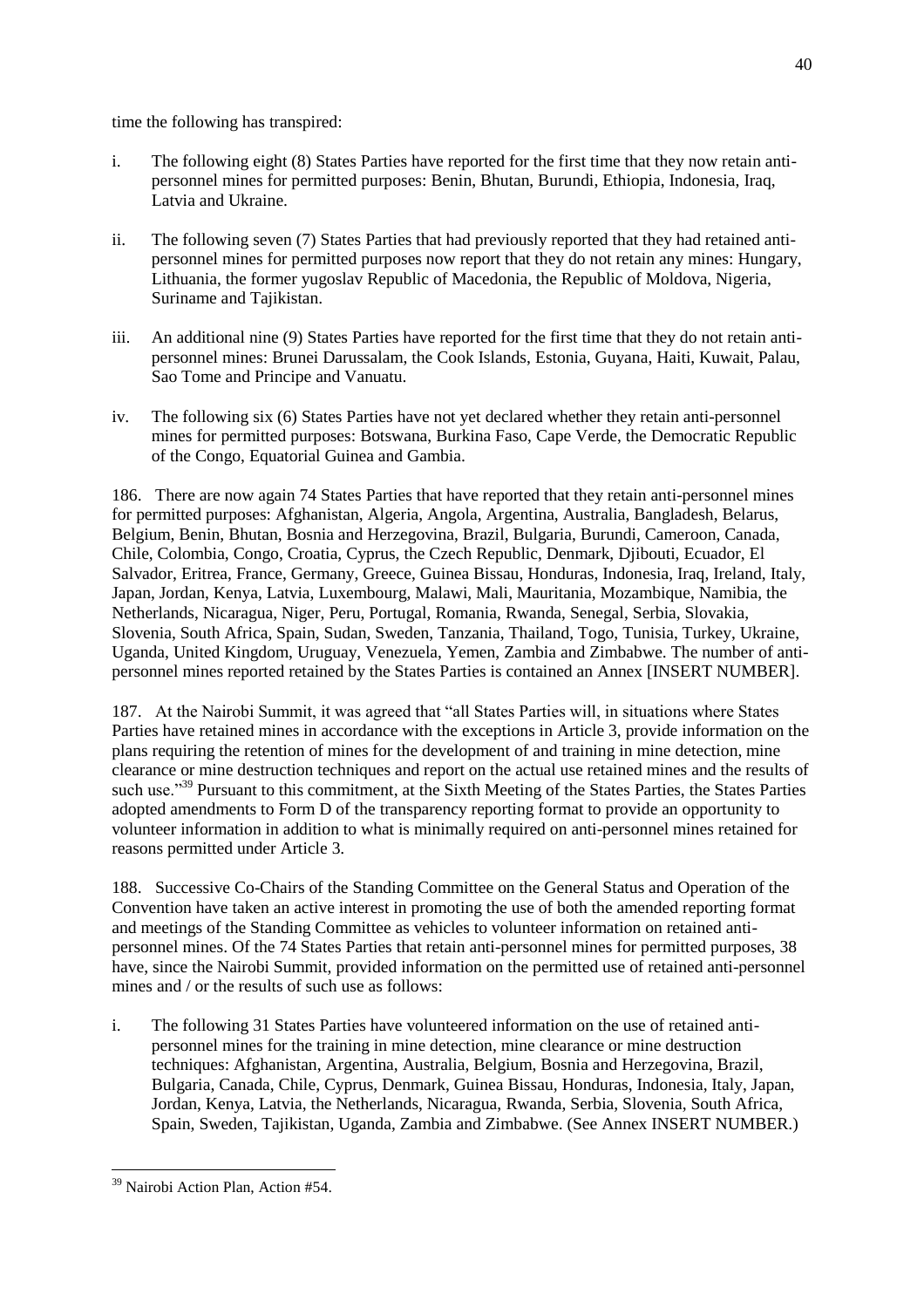time the following has transpired:

- i. The following eight (8) States Parties have reported for the first time that they now retain antipersonnel mines for permitted purposes: Benin, Bhutan, Burundi, Ethiopia, Indonesia, Iraq, Latvia and Ukraine.
- ii. The following seven (7) States Parties that had previously reported that they had retained antipersonnel mines for permitted purposes now report that they do not retain any mines: Hungary, Lithuania, the former yugoslav Republic of Macedonia, the Republic of Moldova, Nigeria, Suriname and Tajikistan.
- iii. An additional nine (9) States Parties have reported for the first time that they do not retain antipersonnel mines: Brunei Darussalam, the Cook Islands, Estonia, Guyana, Haiti, Kuwait, Palau, Sao Tome and Principe and Vanuatu.
- iv. The following six (6) States Parties have not yet declared whether they retain anti-personnel mines for permitted purposes: Botswana, Burkina Faso, Cape Verde, the Democratic Republic of the Congo, Equatorial Guinea and Gambia.

186. There are now again 74 States Parties that have reported that they retain anti-personnel mines for permitted purposes: Afghanistan, Algeria, Angola, Argentina, Australia, Bangladesh, Belarus, Belgium, Benin, Bhutan, Bosnia and Herzegovina, Brazil, Bulgaria, Burundi, Cameroon, Canada, Chile, Colombia, Congo, Croatia, Cyprus, the Czech Republic, Denmark, Djibouti, Ecuador, El Salvador, Eritrea, France, Germany, Greece, Guinea Bissau, Honduras, Indonesia, Iraq, Ireland, Italy, Japan, Jordan, Kenya, Latvia, Luxembourg, Malawi, Mali, Mauritania, Mozambique, Namibia, the Netherlands, Nicaragua, Niger, Peru, Portugal, Romania, Rwanda, Senegal, Serbia, Slovakia, Slovenia, South Africa, Spain, Sudan, Sweden, Tanzania, Thailand, Togo, Tunisia, Turkey, Ukraine, Uganda, United Kingdom, Uruguay, Venezuela, Yemen, Zambia and Zimbabwe. The number of antipersonnel mines reported retained by the States Parties is contained an Annex [INSERT NUMBER].

187. At the Nairobi Summit, it was agreed that "all States Parties will, in situations where States Parties have retained mines in accordance with the exceptions in Article 3, provide information on the plans requiring the retention of mines for the development of and training in mine detection, mine clearance or mine destruction techniques and report on the actual use retained mines and the results of such use.<sup>339</sup> Pursuant to this commitment, at the Sixth Meeting of the States Parties, the States Parties adopted amendments to Form D of the transparency reporting format to provide an opportunity to volunteer information in addition to what is minimally required on anti-personnel mines retained for reasons permitted under Article 3.

188. Successive Co-Chairs of the Standing Committee on the General Status and Operation of the Convention have taken an active interest in promoting the use of both the amended reporting format and meetings of the Standing Committee as vehicles to volunteer information on retained antipersonnel mines. Of the 74 States Parties that retain anti-personnel mines for permitted purposes, 38 have, since the Nairobi Summit, provided information on the permitted use of retained anti-personnel mines and / or the results of such use as follows:

i. The following 31 States Parties have volunteered information on the use of retained antipersonnel mines for the training in mine detection, mine clearance or mine destruction techniques: Afghanistan, Argentina, Australia, Belgium, Bosnia and Herzegovina, Brazil, Bulgaria, Canada, Chile, Cyprus, Denmark, Guinea Bissau, Honduras, Indonesia, Italy, Japan, Jordan, Kenya, Latvia, the Netherlands, Nicaragua, Rwanda, Serbia, Slovenia, South Africa, Spain, Sweden, Tajikistan, Uganda, Zambia and Zimbabwe. (See Annex INSERT NUMBER.)

 $\overline{a}$ <sup>39</sup> Nairobi Action Plan, Action #54.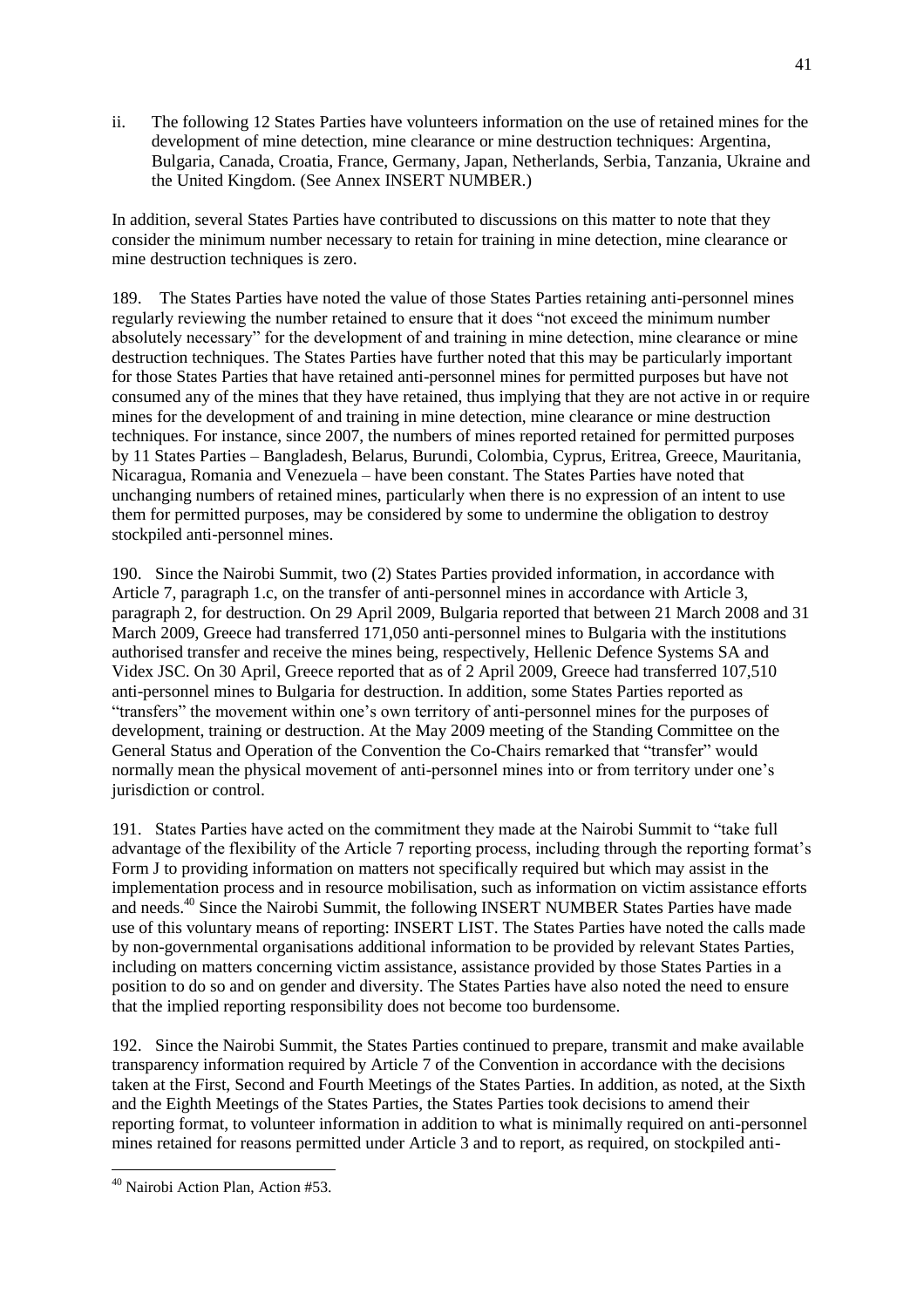ii. The following 12 States Parties have volunteers information on the use of retained mines for the development of mine detection, mine clearance or mine destruction techniques: Argentina, Bulgaria, Canada, Croatia, France, Germany, Japan, Netherlands, Serbia, Tanzania, Ukraine and the United Kingdom. (See Annex INSERT NUMBER.)

In addition, several States Parties have contributed to discussions on this matter to note that they consider the minimum number necessary to retain for training in mine detection, mine clearance or mine destruction techniques is zero.

189. The States Parties have noted the value of those States Parties retaining anti-personnel mines regularly reviewing the number retained to ensure that it does "not exceed the minimum number absolutely necessary" for the development of and training in mine detection, mine clearance or mine destruction techniques. The States Parties have further noted that this may be particularly important for those States Parties that have retained anti-personnel mines for permitted purposes but have not consumed any of the mines that they have retained, thus implying that they are not active in or require mines for the development of and training in mine detection, mine clearance or mine destruction techniques. For instance, since 2007, the numbers of mines reported retained for permitted purposes by 11 States Parties – Bangladesh, Belarus, Burundi, Colombia, Cyprus, Eritrea, Greece, Mauritania, Nicaragua, Romania and Venezuela – have been constant. The States Parties have noted that unchanging numbers of retained mines, particularly when there is no expression of an intent to use them for permitted purposes, may be considered by some to undermine the obligation to destroy stockpiled anti-personnel mines.

190. Since the Nairobi Summit, two (2) States Parties provided information, in accordance with Article 7, paragraph 1.c, on the transfer of anti-personnel mines in accordance with Article 3, paragraph 2, for destruction. On 29 April 2009, Bulgaria reported that between 21 March 2008 and 31 March 2009, Greece had transferred 171,050 anti-personnel mines to Bulgaria with the institutions authorised transfer and receive the mines being, respectively, Hellenic Defence Systems SA and Videx JSC. On 30 April, Greece reported that as of 2 April 2009, Greece had transferred 107,510 anti-personnel mines to Bulgaria for destruction. In addition, some States Parties reported as ―transfers‖ the movement within one's own territory of anti-personnel mines for the purposes of development, training or destruction. At the May 2009 meeting of the Standing Committee on the General Status and Operation of the Convention the Co-Chairs remarked that "transfer" would normally mean the physical movement of anti-personnel mines into or from territory under one's jurisdiction or control.

191. States Parties have acted on the commitment they made at the Nairobi Summit to "take full advantage of the flexibility of the Article 7 reporting process, including through the reporting format's Form J to providing information on matters not specifically required but which may assist in the implementation process and in resource mobilisation, such as information on victim assistance efforts and needs.<sup>40</sup> Since the Nairobi Summit, the following INSERT NUMBER States Parties have made use of this voluntary means of reporting: INSERT LIST. The States Parties have noted the calls made by non-governmental organisations additional information to be provided by relevant States Parties, including on matters concerning victim assistance, assistance provided by those States Parties in a position to do so and on gender and diversity. The States Parties have also noted the need to ensure that the implied reporting responsibility does not become too burdensome.

192. Since the Nairobi Summit, the States Parties continued to prepare, transmit and make available transparency information required by Article 7 of the Convention in accordance with the decisions taken at the First, Second and Fourth Meetings of the States Parties. In addition, as noted, at the Sixth and the Eighth Meetings of the States Parties, the States Parties took decisions to amend their reporting format, to volunteer information in addition to what is minimally required on anti-personnel mines retained for reasons permitted under Article 3 and to report, as required, on stockpiled anti-

 $\overline{a}$ 

<sup>40</sup> Nairobi Action Plan, Action #53.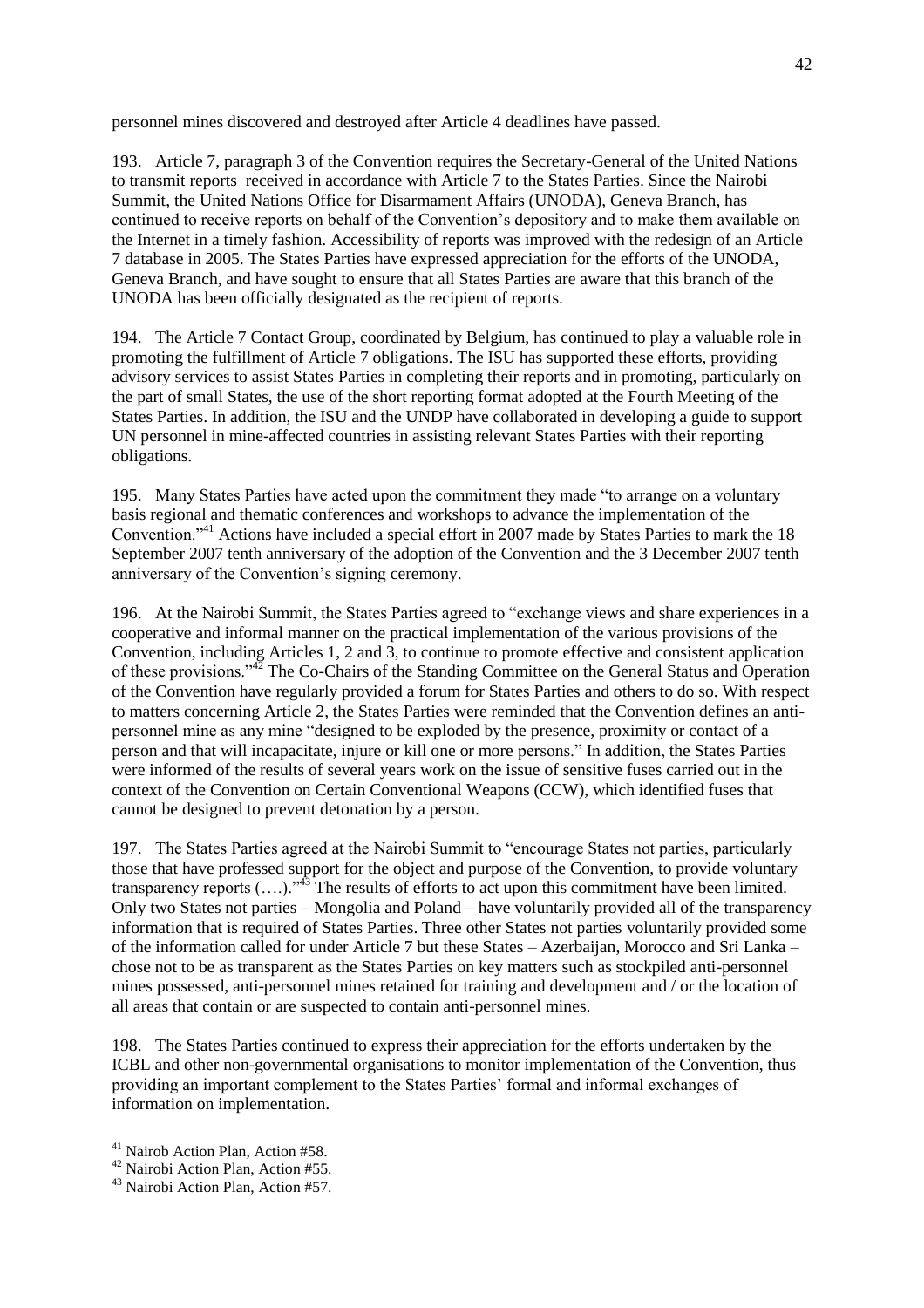personnel mines discovered and destroyed after Article 4 deadlines have passed.

193. Article 7, paragraph 3 of the Convention requires the Secretary-General of the United Nations to transmit reports received in accordance with Article 7 to the States Parties. Since the Nairobi Summit, the United Nations Office for Disarmament Affairs (UNODA), Geneva Branch, has continued to receive reports on behalf of the Convention's depository and to make them available on the Internet in a timely fashion. Accessibility of reports was improved with the redesign of an Article 7 database in 2005. The States Parties have expressed appreciation for the efforts of the UNODA, Geneva Branch, and have sought to ensure that all States Parties are aware that this branch of the UNODA has been officially designated as the recipient of reports.

194. The Article 7 Contact Group, coordinated by Belgium, has continued to play a valuable role in promoting the fulfillment of Article 7 obligations. The ISU has supported these efforts, providing advisory services to assist States Parties in completing their reports and in promoting, particularly on the part of small States, the use of the short reporting format adopted at the Fourth Meeting of the States Parties. In addition, the ISU and the UNDP have collaborated in developing a guide to support UN personnel in mine-affected countries in assisting relevant States Parties with their reporting obligations.

195. Many States Parties have acted upon the commitment they made "to arrange on a voluntary basis regional and thematic conferences and workshops to advance the implementation of the Convention."<sup>41</sup> Actions have included a special effort in 2007 made by States Parties to mark the 18 September 2007 tenth anniversary of the adoption of the Convention and the 3 December 2007 tenth anniversary of the Convention's signing ceremony.

196. At the Nairobi Summit, the States Parties agreed to "exchange views and share experiences in a cooperative and informal manner on the practical implementation of the various provisions of the Convention, including Articles 1, 2 and 3, to continue to promote effective and consistent application of these provisions.<sup>42</sup> The Co-Chairs of the Standing Committee on the General Status and Operation of the Convention have regularly provided a forum for States Parties and others to do so. With respect to matters concerning Article 2, the States Parties were reminded that the Convention defines an antipersonnel mine as any mine "designed to be exploded by the presence, proximity or contact of a person and that will incapacitate, injure or kill one or more persons." In addition, the States Parties were informed of the results of several years work on the issue of sensitive fuses carried out in the context of the Convention on Certain Conventional Weapons (CCW), which identified fuses that cannot be designed to prevent detonation by a person.

197. The States Parties agreed at the Nairobi Summit to "encourage States not parties, particularly those that have professed support for the object and purpose of the Convention, to provide voluntary transparency reports  $(...).$ <sup>33</sup> The results of efforts to act upon this commitment have been limited. Only two States not parties – Mongolia and Poland – have voluntarily provided all of the transparency information that is required of States Parties. Three other States not parties voluntarily provided some of the information called for under Article 7 but these States – Azerbaijan, Morocco and Sri Lanka – chose not to be as transparent as the States Parties on key matters such as stockpiled anti-personnel mines possessed, anti-personnel mines retained for training and development and / or the location of all areas that contain or are suspected to contain anti-personnel mines.

198. The States Parties continued to express their appreciation for the efforts undertaken by the ICBL and other non-governmental organisations to monitor implementation of the Convention, thus providing an important complement to the States Parties' formal and informal exchanges of information on implementation.

 $\overline{a}$ <sup>41</sup> Nairob Action Plan, Action #58.

<sup>42</sup> Nairobi Action Plan, Action #55.

<sup>43</sup> Nairobi Action Plan, Action #57.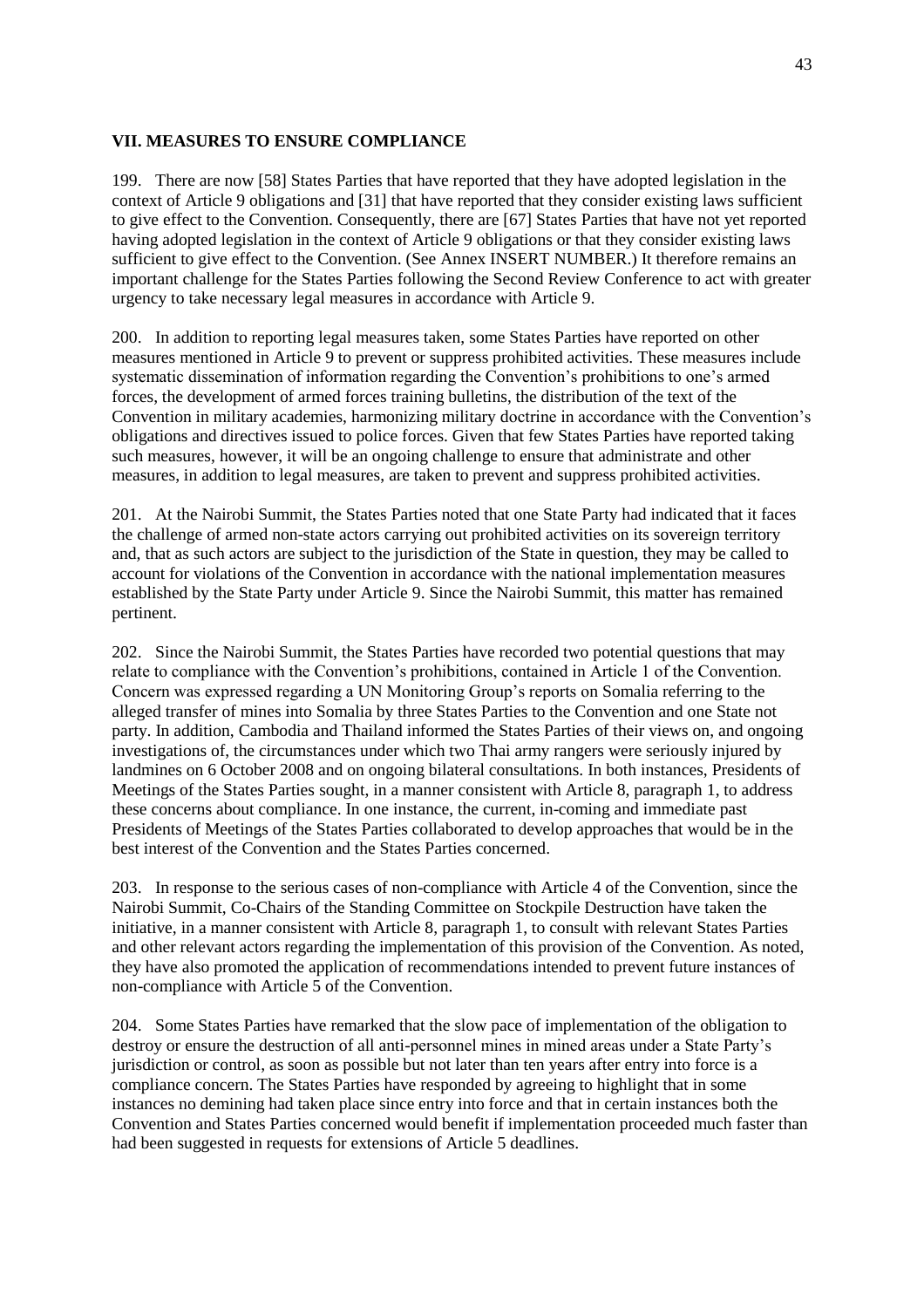#### **VII. MEASURES TO ENSURE COMPLIANCE**

199. There are now [58] States Parties that have reported that they have adopted legislation in the context of Article 9 obligations and [31] that have reported that they consider existing laws sufficient to give effect to the Convention. Consequently, there are [67] States Parties that have not yet reported having adopted legislation in the context of Article 9 obligations or that they consider existing laws sufficient to give effect to the Convention. (See Annex INSERT NUMBER.) It therefore remains an important challenge for the States Parties following the Second Review Conference to act with greater urgency to take necessary legal measures in accordance with Article 9.

200. In addition to reporting legal measures taken, some States Parties have reported on other measures mentioned in Article 9 to prevent or suppress prohibited activities. These measures include systematic dissemination of information regarding the Convention's prohibitions to one's armed forces, the development of armed forces training bulletins, the distribution of the text of the Convention in military academies, harmonizing military doctrine in accordance with the Convention's obligations and directives issued to police forces. Given that few States Parties have reported taking such measures, however, it will be an ongoing challenge to ensure that administrate and other measures, in addition to legal measures, are taken to prevent and suppress prohibited activities.

201. At the Nairobi Summit, the States Parties noted that one State Party had indicated that it faces the challenge of armed non-state actors carrying out prohibited activities on its sovereign territory and, that as such actors are subject to the jurisdiction of the State in question, they may be called to account for violations of the Convention in accordance with the national implementation measures established by the State Party under Article 9. Since the Nairobi Summit, this matter has remained pertinent.

202. Since the Nairobi Summit, the States Parties have recorded two potential questions that may relate to compliance with the Convention's prohibitions, contained in Article 1 of the Convention. Concern was expressed regarding a UN Monitoring Group's reports on Somalia referring to the alleged transfer of mines into Somalia by three States Parties to the Convention and one State not party. In addition, Cambodia and Thailand informed the States Parties of their views on, and ongoing investigations of, the circumstances under which two Thai army rangers were seriously injured by landmines on 6 October 2008 and on ongoing bilateral consultations. In both instances, Presidents of Meetings of the States Parties sought, in a manner consistent with Article 8, paragraph 1, to address these concerns about compliance. In one instance, the current, in-coming and immediate past Presidents of Meetings of the States Parties collaborated to develop approaches that would be in the best interest of the Convention and the States Parties concerned.

203. In response to the serious cases of non-compliance with Article 4 of the Convention, since the Nairobi Summit, Co-Chairs of the Standing Committee on Stockpile Destruction have taken the initiative, in a manner consistent with Article 8, paragraph 1, to consult with relevant States Parties and other relevant actors regarding the implementation of this provision of the Convention. As noted, they have also promoted the application of recommendations intended to prevent future instances of non-compliance with Article 5 of the Convention.

204. Some States Parties have remarked that the slow pace of implementation of the obligation to destroy or ensure the destruction of all anti-personnel mines in mined areas under a State Party's jurisdiction or control, as soon as possible but not later than ten years after entry into force is a compliance concern. The States Parties have responded by agreeing to highlight that in some instances no demining had taken place since entry into force and that in certain instances both the Convention and States Parties concerned would benefit if implementation proceeded much faster than had been suggested in requests for extensions of Article 5 deadlines.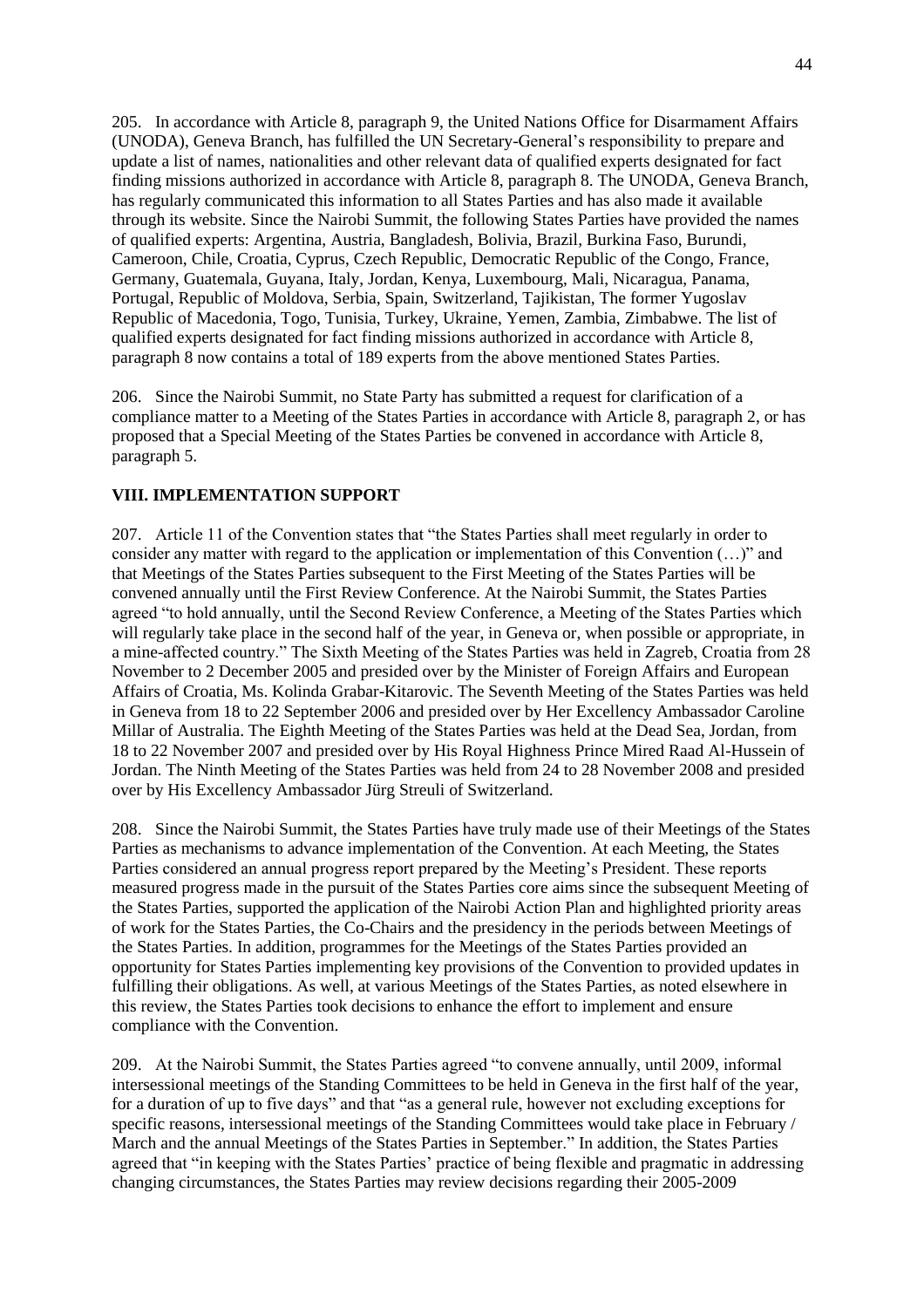205. In accordance with Article 8, paragraph 9, the United Nations Office for Disarmament Affairs (UNODA), Geneva Branch, has fulfilled the UN Secretary-General's responsibility to prepare and update a list of names, nationalities and other relevant data of qualified experts designated for fact finding missions authorized in accordance with Article 8, paragraph 8. The UNODA, Geneva Branch, has regularly communicated this information to all States Parties and has also made it available through its website. Since the Nairobi Summit, the following States Parties have provided the names of qualified experts: Argentina, Austria, Bangladesh, Bolivia, Brazil, Burkina Faso, Burundi, Cameroon, Chile, Croatia, Cyprus, Czech Republic, Democratic Republic of the Congo, France, Germany, Guatemala, Guyana, Italy, Jordan, Kenya, Luxembourg, Mali, Nicaragua, Panama, Portugal, Republic of Moldova, Serbia, Spain, Switzerland, Tajikistan, The former Yugoslav Republic of Macedonia, Togo, Tunisia, Turkey, Ukraine, Yemen, Zambia, Zimbabwe. The list of qualified experts designated for fact finding missions authorized in accordance with Article 8, paragraph 8 now contains a total of 189 experts from the above mentioned States Parties.

206. Since the Nairobi Summit, no State Party has submitted a request for clarification of a compliance matter to a Meeting of the States Parties in accordance with Article 8, paragraph 2, or has proposed that a Special Meeting of the States Parties be convened in accordance with Article 8, paragraph 5.

#### **VIII. IMPLEMENTATION SUPPORT**

207. Article 11 of the Convention states that "the States Parties shall meet regularly in order to consider any matter with regard to the application or implementation of this Convention  $(...)$  and that Meetings of the States Parties subsequent to the First Meeting of the States Parties will be convened annually until the First Review Conference. At the Nairobi Summit, the States Parties agreed "to hold annually, until the Second Review Conference, a Meeting of the States Parties which will regularly take place in the second half of the year, in Geneva or, when possible or appropriate, in a mine-affected country." The Sixth Meeting of the States Parties was held in Zagreb, Croatia from 28 November to 2 December 2005 and presided over by the Minister of Foreign Affairs and European Affairs of Croatia, Ms. Kolinda Grabar-Kitarovic. The Seventh Meeting of the States Parties was held in Geneva from 18 to 22 September 2006 and presided over by Her Excellency Ambassador Caroline Millar of Australia. The Eighth Meeting of the States Parties was held at the Dead Sea, Jordan, from 18 to 22 November 2007 and presided over by His Royal Highness Prince Mired Raad Al-Hussein of Jordan. The Ninth Meeting of the States Parties was held from 24 to 28 November 2008 and presided over by His Excellency Ambassador Jürg Streuli of Switzerland.

208. Since the Nairobi Summit, the States Parties have truly made use of their Meetings of the States Parties as mechanisms to advance implementation of the Convention. At each Meeting, the States Parties considered an annual progress report prepared by the Meeting's President. These reports measured progress made in the pursuit of the States Parties core aims since the subsequent Meeting of the States Parties, supported the application of the Nairobi Action Plan and highlighted priority areas of work for the States Parties, the Co-Chairs and the presidency in the periods between Meetings of the States Parties. In addition, programmes for the Meetings of the States Parties provided an opportunity for States Parties implementing key provisions of the Convention to provided updates in fulfilling their obligations. As well, at various Meetings of the States Parties, as noted elsewhere in this review, the States Parties took decisions to enhance the effort to implement and ensure compliance with the Convention.

209. At the Nairobi Summit, the States Parties agreed "to convene annually, until 2009, informal intersessional meetings of the Standing Committees to be held in Geneva in the first half of the year, for a duration of up to five days" and that "as a general rule, however not excluding exceptions for specific reasons, intersessional meetings of the Standing Committees would take place in February / March and the annual Meetings of the States Parties in September." In addition, the States Parties agreed that "in keeping with the States Parties' practice of being flexible and pragmatic in addressing changing circumstances, the States Parties may review decisions regarding their 2005-2009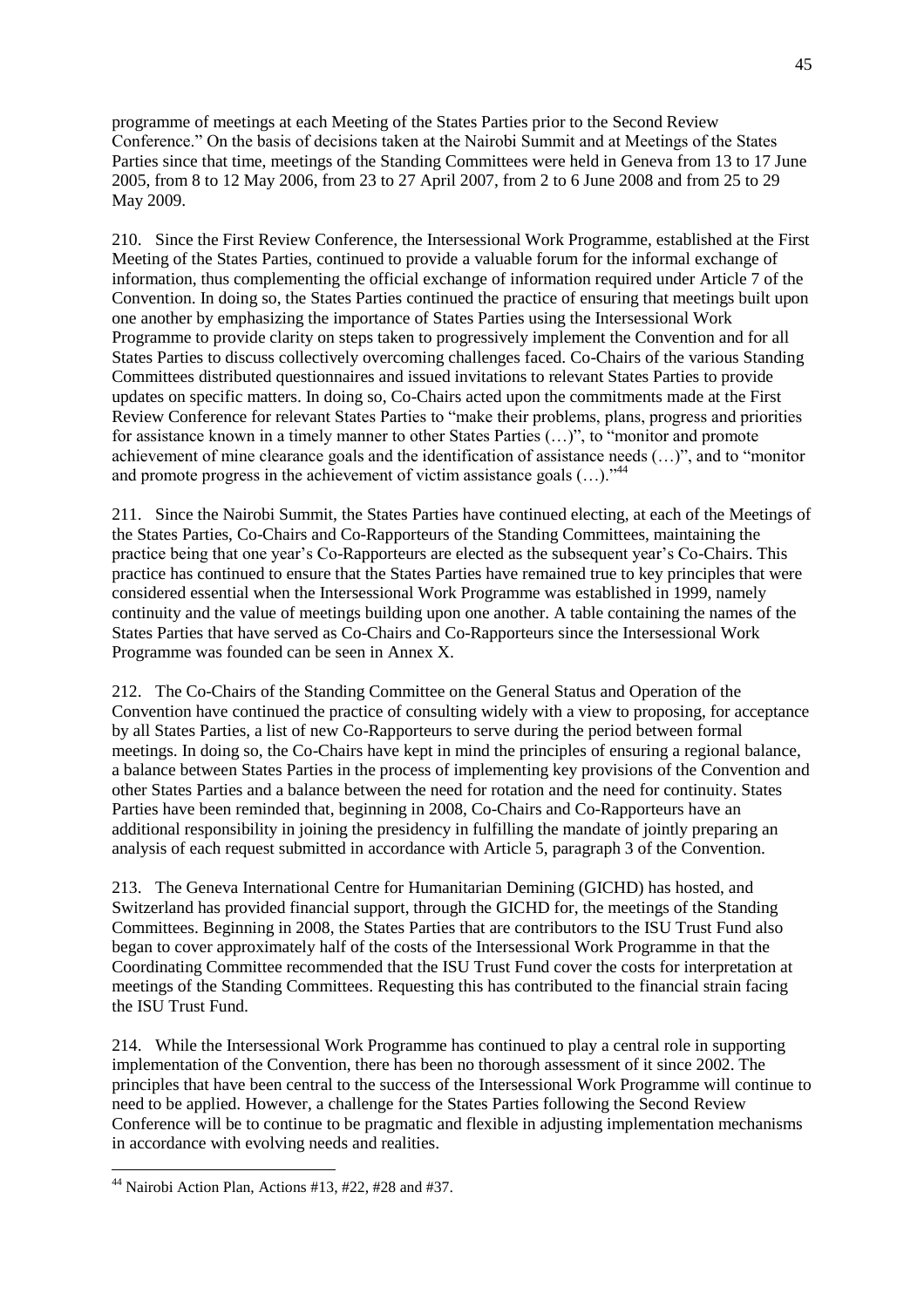programme of meetings at each Meeting of the States Parties prior to the Second Review Conference." On the basis of decisions taken at the Nairobi Summit and at Meetings of the States Parties since that time, meetings of the Standing Committees were held in Geneva from 13 to 17 June 2005, from 8 to 12 May 2006, from 23 to 27 April 2007, from 2 to 6 June 2008 and from 25 to 29 May 2009.

210. Since the First Review Conference, the Intersessional Work Programme, established at the First Meeting of the States Parties, continued to provide a valuable forum for the informal exchange of information, thus complementing the official exchange of information required under Article 7 of the Convention. In doing so, the States Parties continued the practice of ensuring that meetings built upon one another by emphasizing the importance of States Parties using the Intersessional Work Programme to provide clarity on steps taken to progressively implement the Convention and for all States Parties to discuss collectively overcoming challenges faced. Co-Chairs of the various Standing Committees distributed questionnaires and issued invitations to relevant States Parties to provide updates on specific matters. In doing so, Co-Chairs acted upon the commitments made at the First Review Conference for relevant States Parties to "make their problems, plans, progress and priorities for assistance known in a timely manner to other States Parties  $(...)$ , to "monitor and promote" achievement of mine clearance goals and the identification of assistance needs  $(...)$ , and to "monitor" and promote progress in the achievement of victim assistance goals  $(...).$ <sup>44</sup>

211. Since the Nairobi Summit, the States Parties have continued electing, at each of the Meetings of the States Parties, Co-Chairs and Co-Rapporteurs of the Standing Committees, maintaining the practice being that one year's Co-Rapporteurs are elected as the subsequent year's Co-Chairs. This practice has continued to ensure that the States Parties have remained true to key principles that were considered essential when the Intersessional Work Programme was established in 1999, namely continuity and the value of meetings building upon one another. A table containing the names of the States Parties that have served as Co-Chairs and Co-Rapporteurs since the Intersessional Work Programme was founded can be seen in Annex X.

212. The Co-Chairs of the Standing Committee on the General Status and Operation of the Convention have continued the practice of consulting widely with a view to proposing, for acceptance by all States Parties, a list of new Co-Rapporteurs to serve during the period between formal meetings. In doing so, the Co-Chairs have kept in mind the principles of ensuring a regional balance, a balance between States Parties in the process of implementing key provisions of the Convention and other States Parties and a balance between the need for rotation and the need for continuity. States Parties have been reminded that, beginning in 2008, Co-Chairs and Co-Rapporteurs have an additional responsibility in joining the presidency in fulfilling the mandate of jointly preparing an analysis of each request submitted in accordance with Article 5, paragraph 3 of the Convention.

213. The Geneva International Centre for Humanitarian Demining (GICHD) has hosted, and Switzerland has provided financial support, through the GICHD for, the meetings of the Standing Committees. Beginning in 2008, the States Parties that are contributors to the ISU Trust Fund also began to cover approximately half of the costs of the Intersessional Work Programme in that the Coordinating Committee recommended that the ISU Trust Fund cover the costs for interpretation at meetings of the Standing Committees. Requesting this has contributed to the financial strain facing the ISU Trust Fund.

214. While the Intersessional Work Programme has continued to play a central role in supporting implementation of the Convention, there has been no thorough assessment of it since 2002. The principles that have been central to the success of the Intersessional Work Programme will continue to need to be applied. However, a challenge for the States Parties following the Second Review Conference will be to continue to be pragmatic and flexible in adjusting implementation mechanisms in accordance with evolving needs and realities.

 $\overline{a}$ 

 $44$  Nairobi Action Plan, Actions #13, #22, #28 and #37.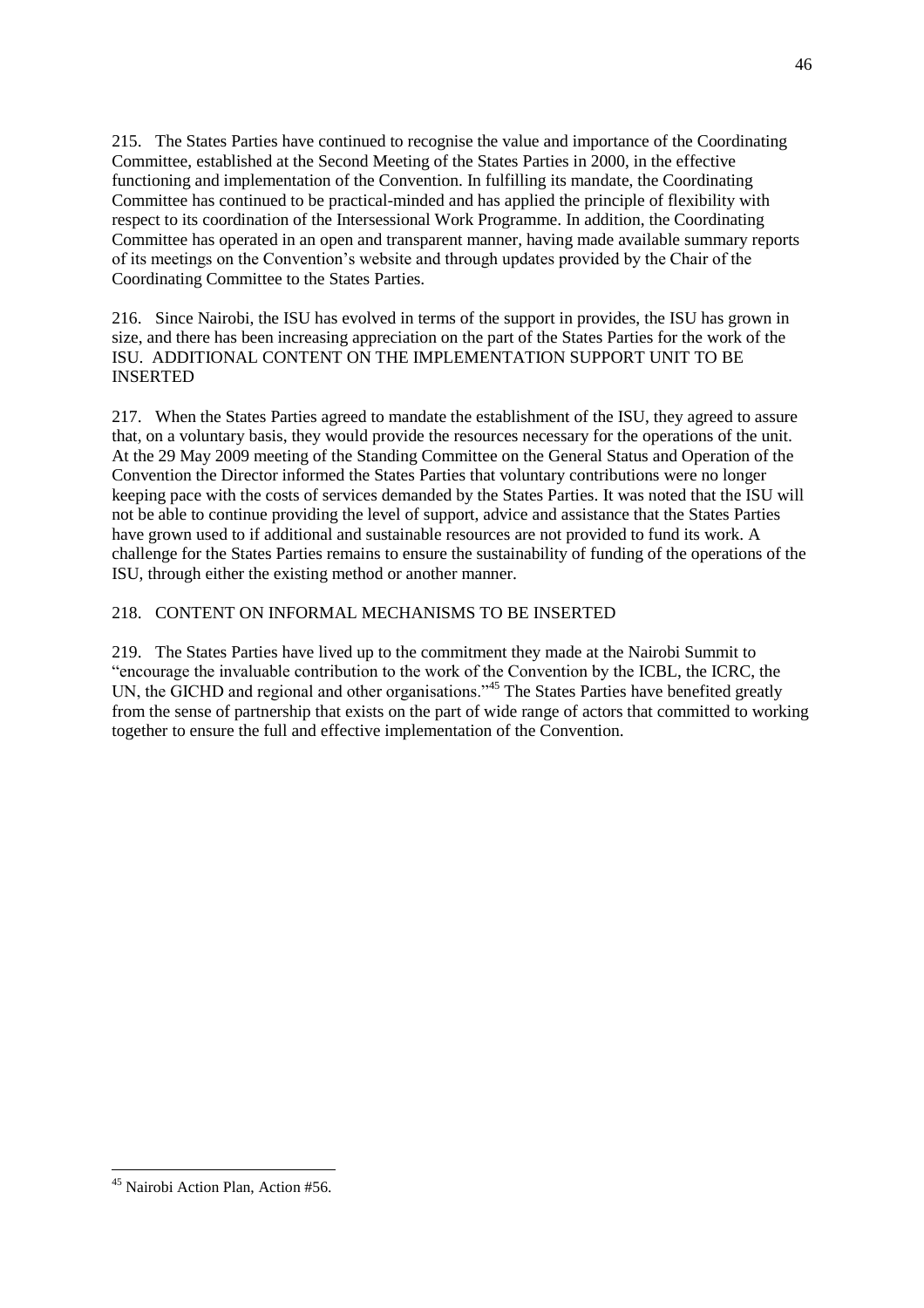215. The States Parties have continued to recognise the value and importance of the Coordinating Committee, established at the Second Meeting of the States Parties in 2000, in the effective functioning and implementation of the Convention. In fulfilling its mandate, the Coordinating Committee has continued to be practical-minded and has applied the principle of flexibility with respect to its coordination of the Intersessional Work Programme. In addition, the Coordinating Committee has operated in an open and transparent manner, having made available summary reports of its meetings on the Convention's website and through updates provided by the Chair of the Coordinating Committee to the States Parties.

216. Since Nairobi, the ISU has evolved in terms of the support in provides, the ISU has grown in size, and there has been increasing appreciation on the part of the States Parties for the work of the ISU. ADDITIONAL CONTENT ON THE IMPLEMENTATION SUPPORT UNIT TO BE INSERTED

217. When the States Parties agreed to mandate the establishment of the ISU, they agreed to assure that, on a voluntary basis, they would provide the resources necessary for the operations of the unit. At the 29 May 2009 meeting of the Standing Committee on the General Status and Operation of the Convention the Director informed the States Parties that voluntary contributions were no longer keeping pace with the costs of services demanded by the States Parties. It was noted that the ISU will not be able to continue providing the level of support, advice and assistance that the States Parties have grown used to if additional and sustainable resources are not provided to fund its work. A challenge for the States Parties remains to ensure the sustainability of funding of the operations of the ISU, through either the existing method or another manner.

### 218. CONTENT ON INFORMAL MECHANISMS TO BE INSERTED

219. The States Parties have lived up to the commitment they made at the Nairobi Summit to ―encourage the invaluable contribution to the work of the Convention by the ICBL, the ICRC, the UN, the GICHD and regional and other organisations."<sup>45</sup> The States Parties have benefited greatly from the sense of partnership that exists on the part of wide range of actors that committed to working together to ensure the full and effective implementation of the Convention.

 $\overline{a}$ <sup>45</sup> Nairobi Action Plan, Action #56.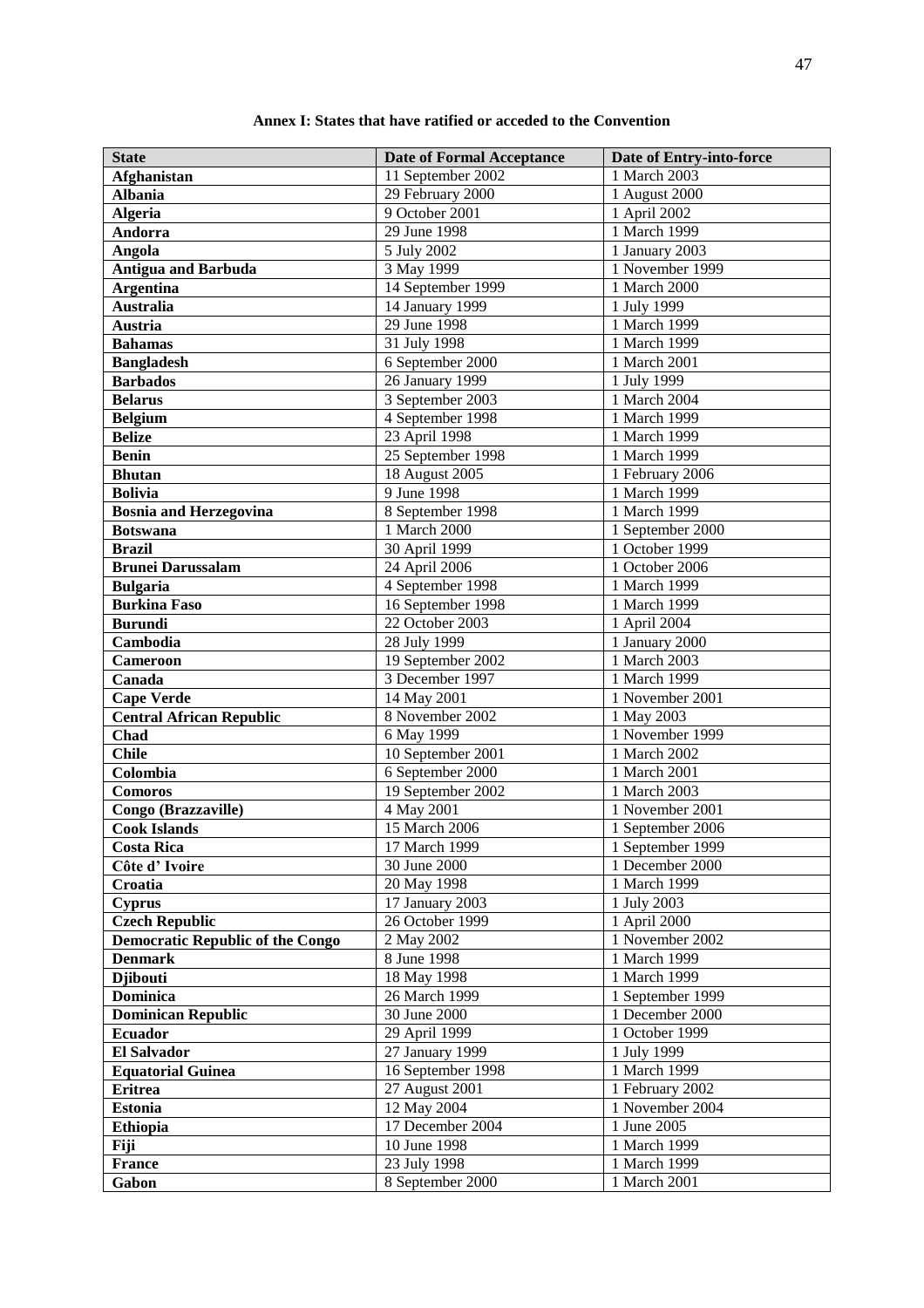| Annex I: States that have ratified or acceded to the Convention |
|-----------------------------------------------------------------|
|-----------------------------------------------------------------|

| <b>State</b>                            | <b>Date of Formal Acceptance</b> | Date of Entry-into-force |
|-----------------------------------------|----------------------------------|--------------------------|
| Afghanistan                             | 11 September 2002                | 1 March 2003             |
| <b>Albania</b>                          | 29 February 2000                 | 1 August 2000            |
| <b>Algeria</b>                          | 9 October 2001                   | 1 April 2002             |
| Andorra                                 | 29 June 1998                     | 1 March 1999             |
| Angola                                  | 5 July 2002                      | 1 January 2003           |
| <b>Antigua and Barbuda</b>              | 3 May 1999                       | 1 November 1999          |
| <b>Argentina</b>                        | 14 September 1999                | 1 March 2000             |
| <b>Australia</b>                        | 14 January 1999                  | 1 July 1999              |
| <b>Austria</b>                          | 29 June 1998                     | 1 March 1999             |
| <b>Bahamas</b>                          | 31 July 1998                     | 1 March 1999             |
| <b>Bangladesh</b>                       | 6 September 2000                 | 1 March 2001             |
| <b>Barbados</b>                         | 26 January 1999                  | 1 July 1999              |
| <b>Belarus</b>                          | 3 September 2003                 | 1 March 2004             |
| <b>Belgium</b>                          | 4 September 1998                 | 1 March 1999             |
| <b>Belize</b>                           | 23 April 1998                    | 1 March 1999             |
| <b>Benin</b>                            | 25 September 1998                | 1 March 1999             |
| <b>Bhutan</b>                           | 18 August 2005                   | 1 February 2006          |
| <b>Bolivia</b>                          | 9 June 1998                      | 1 March 1999             |
| <b>Bosnia and Herzegovina</b>           | 8 September 1998                 | 1 March 1999             |
| <b>Botswana</b>                         | 1 March 2000                     | 1 September 2000         |
| <b>Brazil</b>                           | 30 April 1999                    | 1 October 1999           |
| <b>Brunei Darussalam</b>                | 24 April 2006                    | 1 October 2006           |
| <b>Bulgaria</b>                         | 4 September 1998                 | 1 March 1999             |
| <b>Burkina Faso</b>                     | 16 September 1998                | 1 March 1999             |
| <b>Burundi</b>                          | 22 October 2003                  | 1 April 2004             |
| Cambodia                                | 28 July 1999                     | 1 January 2000           |
| <b>Cameroon</b>                         | 19 September 2002                | 1 March 2003             |
| Canada                                  | 3 December 1997                  | 1 March 1999             |
| <b>Cape Verde</b>                       | 14 May 2001                      | 1 November 2001          |
| <b>Central African Republic</b>         | 8 November 2002                  | 1 May 2003               |
| Chad                                    | 6 May 1999                       | 1 November 1999          |
| <b>Chile</b>                            | 10 September 2001                | 1 March 2002             |
| Colombia                                | 6 September 2000                 | 1 March 2001             |
| <b>Comoros</b>                          | 19 September 2002                | 1 March 2003             |
| Congo (Brazzaville)                     | 4 May 2001                       | 1 November 2001          |
| <b>Cook Islands</b>                     | 15 March 2006                    | 1 September 2006         |
| <b>Costa Rica</b>                       | 17 March 1999                    | 1 September 1999         |
| Côte d'Ivoire                           | 30 June 2000                     | 1 December 2000          |
| Croatia                                 | 20 May 1998                      | 1 March 1999             |
| <b>Cyprus</b>                           | 17 January 2003                  | 1 July 2003              |
| <b>Czech Republic</b>                   | 26 October 1999                  | 1 April 2000             |
| <b>Democratic Republic of the Congo</b> | 2 May 2002                       | 1 November 2002          |
| <b>Denmark</b>                          | 8 June 1998                      | 1 March 1999             |
| <b>Djibouti</b>                         | 18 May 1998                      | 1 March 1999             |
| Dominica                                | 26 March 1999                    | 1 September 1999         |
| <b>Dominican Republic</b>               | 30 June 2000                     | 1 December 2000          |
| <b>Ecuador</b>                          | 29 April 1999                    | 1 October 1999           |
| <b>El Salvador</b>                      | 27 January 1999                  | 1 July 1999              |
| <b>Equatorial Guinea</b>                | 16 September 1998                | 1 March 1999             |
| <b>Eritrea</b>                          | 27 August 2001                   | 1 February 2002          |
| <b>Estonia</b>                          | 12 May 2004                      | 1 November 2004          |
| <b>Ethiopia</b>                         | 17 December 2004                 | 1 June 2005              |
| Fiji                                    | 10 June 1998                     | 1 March 1999             |
| <b>France</b>                           | 23 July 1998                     | 1 March 1999             |
| Gabon                                   | 8 September 2000                 | 1 March 2001             |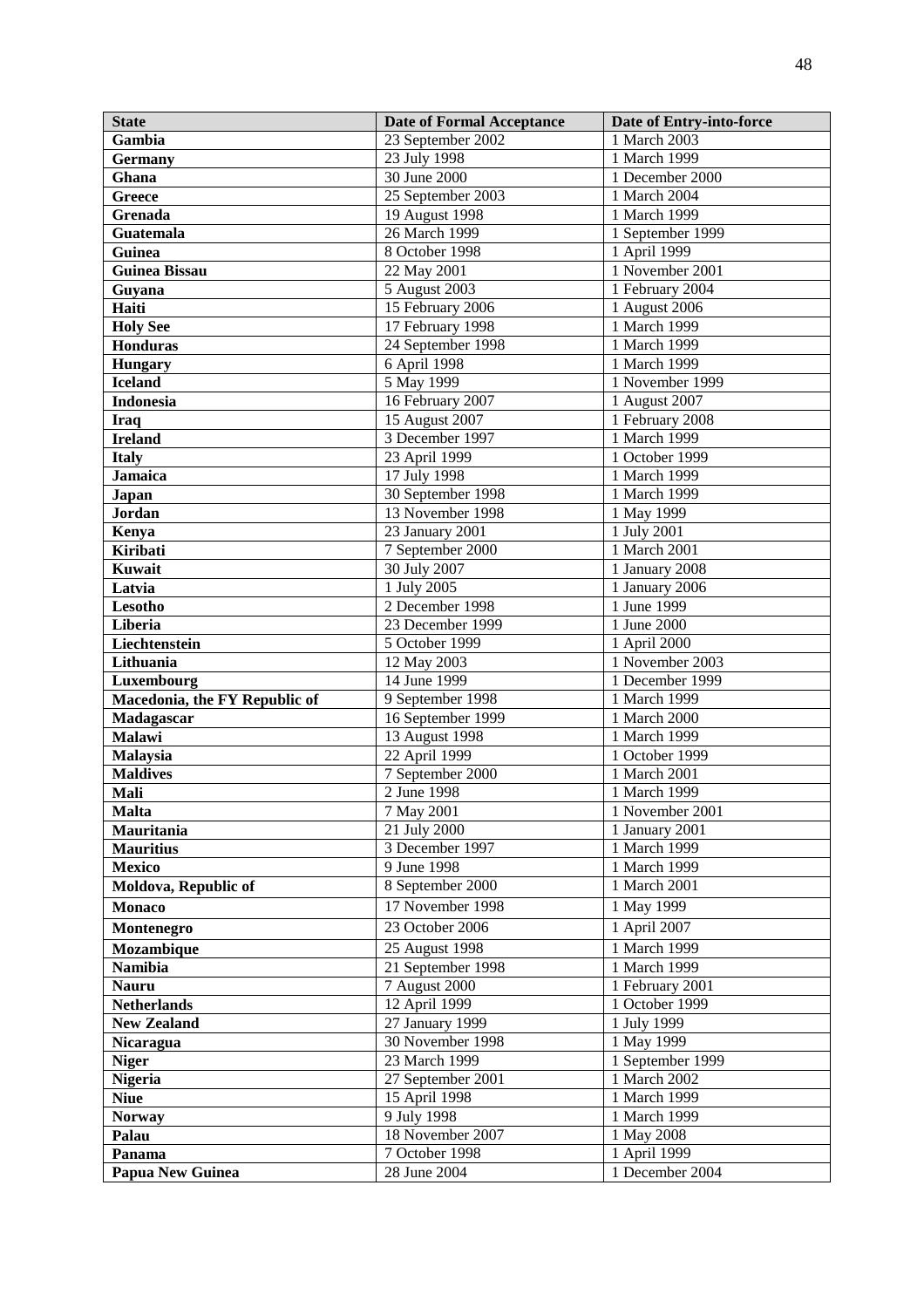| <b>State</b>                   | <b>Date of Formal Acceptance</b> | Date of Entry-into-force     |
|--------------------------------|----------------------------------|------------------------------|
| Gambia                         | 23 September 2002                | 1 March 2003                 |
| <b>Germany</b>                 | 23 July 1998                     | 1 March 1999                 |
| Ghana                          | 30 June 2000                     | 1 December 2000              |
| <b>Greece</b>                  | 25 September 2003                | 1 March 2004                 |
| Grenada                        | 19 August 1998                   | 1 March 1999                 |
| Guatemala                      | 26 March 1999                    | 1 September 1999             |
| Guinea                         | 8 October 1998                   | 1 April 1999                 |
| <b>Guinea Bissau</b>           | 22 May 2001                      | 1 November 2001              |
| Guyana                         | 5 August 2003                    | 1 February 2004              |
| Haiti                          | 15 February 2006                 | 1 August 2006                |
| <b>Holy See</b>                | 17 February 1998                 | 1 March 1999                 |
| <b>Honduras</b>                | 24 September 1998                | 1 March 1999                 |
| <b>Hungary</b>                 | 6 April 1998                     | 1 March 1999                 |
| <b>Iceland</b>                 | 5 May 1999                       | 1 November 1999              |
| <b>Indonesia</b>               | 16 February 2007                 | 1 August 2007                |
| <b>Iraq</b>                    | 15 August 2007                   | 1 February 2008              |
| <b>Ireland</b>                 | 3 December 1997                  | 1 March 1999                 |
| <b>Italy</b>                   | 23 April 1999                    | 1 October 1999               |
| <b>Jamaica</b>                 | 17 July 1998                     | 1 March 1999                 |
| Japan                          | 30 September 1998                | 1 March 1999                 |
| Jordan                         | 13 November 1998                 | 1 May 1999                   |
| Kenya                          | 23 January 2001                  | 1 July 2001                  |
| <b>Kiribati</b>                | 7 September 2000                 | 1 March 2001                 |
| Kuwait                         | 30 July 2007                     | 1 January 2008               |
| Latvia                         | 1 July 2005                      | 1 January 2006               |
| <b>Lesotho</b>                 | 2 December 1998                  | 1 June 1999                  |
| Liberia                        | 23 December 1999                 | 1 June 2000                  |
| Liechtenstein                  | 5 October 1999                   | 1 April 2000                 |
| Lithuania                      | 12 May 2003                      | 1 November 2003              |
| Luxembourg                     | 14 June 1999                     | 1 December 1999              |
| Macedonia, the FY Republic of  | 9 September 1998                 | 1 March 1999                 |
| Madagascar                     | 16 September 1999                | 1 March 2000                 |
| <b>Malawi</b>                  | 13 August 1998                   | 1 March 1999                 |
| Malaysia                       | 22 April 1999                    | 1 October 1999               |
| <b>Maldives</b>                | 7 September 2000                 | 1 March 2001                 |
| Mali                           | 2 June 1998                      | 1 March 1999                 |
| <b>Malta</b>                   | 7 May 2001                       | 1 November 2001              |
| Mauritania                     | 21 July 2000                     | 1 January 2001               |
| <b>Mauritius</b>               | 3 December 1997                  | 1 March 1999                 |
| Mexico<br>Moldova, Republic of | 9 June 1998<br>8 September 2000  | 1 March 1999<br>1 March 2001 |
|                                |                                  |                              |
| <b>Monaco</b>                  | 17 November 1998                 | 1 May 1999                   |
| Montenegro                     | 23 October 2006                  | 1 April 2007                 |
| Mozambique                     | 25 August 1998                   | 1 March 1999                 |
| <b>Namibia</b>                 | 21 September 1998                | $\frac{1}{1}$ March 1999     |
| <b>Nauru</b>                   | 7 August 2000                    | 1 February 2001              |
| <b>Netherlands</b>             | 12 April 1999                    | 1 October 1999               |
| <b>New Zealand</b>             | 27 January 1999                  | 1 July 1999                  |
| Nicaragua                      | 30 November 1998                 | 1 May 1999                   |
| <b>Niger</b>                   | 23 March 1999                    | 1 September 1999             |
| <b>Nigeria</b>                 | 27 September 2001                | 1 March 2002                 |
| <b>Niue</b>                    | 15 April 1998<br>9 July 1998     | 1 March 1999<br>1 March 1999 |
| <b>Norway</b>                  | 18 November 2007                 | 1 May 2008                   |
| Palau<br>Panama                | 7 October 1998                   | 1 April 1999                 |
| Papua New Guinea               | 28 June 2004                     | 1 December 2004              |
|                                |                                  |                              |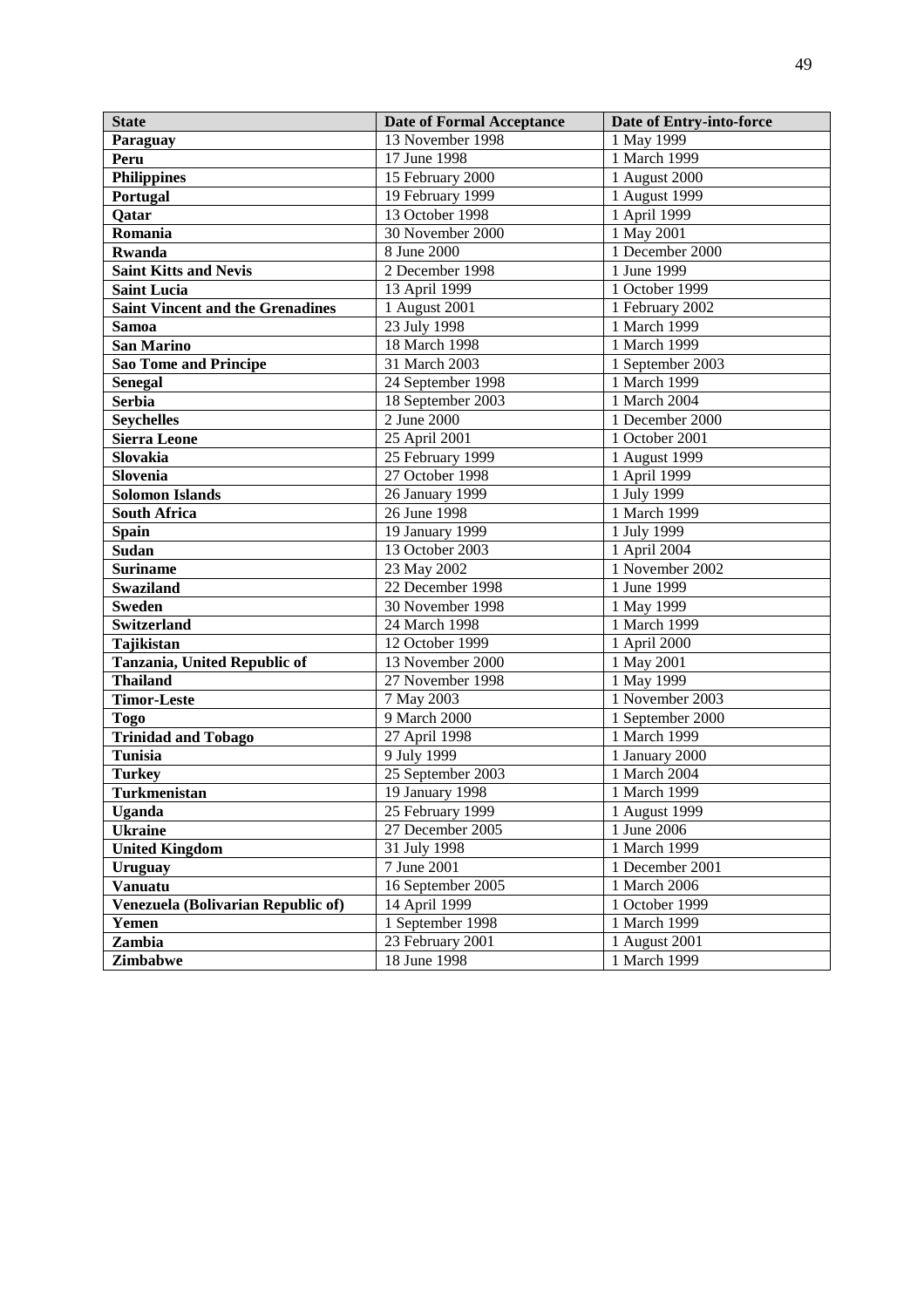| <b>State</b>                            | <b>Date of Formal Acceptance</b> | Date of Entry-into-force |
|-----------------------------------------|----------------------------------|--------------------------|
| Paraguay                                | 13 November 1998                 | 1 May 1999               |
| Peru                                    | 17 June 1998                     | 1 March 1999             |
| <b>Philippines</b>                      | 15 February 2000                 | 1 August 2000            |
| Portugal                                | 19 February 1999                 | 1 August 1999            |
| Qatar                                   | 13 October 1998                  | 1 April 1999             |
| Romania                                 | 30 November 2000                 | 1 May 2001               |
| <b>Rwanda</b>                           | 8 June 2000                      | 1 December 2000          |
| <b>Saint Kitts and Nevis</b>            | 2 December 1998                  | 1 June 1999              |
| <b>Saint Lucia</b>                      | 13 April 1999                    | 1 October 1999           |
| <b>Saint Vincent and the Grenadines</b> | 1 August 2001                    | 1 February 2002          |
| <b>Samoa</b>                            | 23 July 1998                     | 1 March 1999             |
| <b>San Marino</b>                       | 18 March 1998                    | 1 March 1999             |
| <b>Sao Tome and Principe</b>            | 31 March 2003                    | 1 September 2003         |
| <b>Senegal</b>                          | 24 September 1998                | 1 March 1999             |
| <b>Serbia</b>                           | 18 September 2003                | 1 March 2004             |
| <b>Seychelles</b>                       | 2 June 2000                      | 1 December 2000          |
| <b>Sierra Leone</b>                     | 25 April 2001                    | 1 October 2001           |
| Slovakia                                | 25 February 1999                 | 1 August 1999            |
| Slovenia                                | 27 October 1998                  | 1 April 1999             |
| <b>Solomon Islands</b>                  | 26 January 1999                  | 1 July 1999              |
| <b>South Africa</b>                     | 26 June 1998                     | 1 March 1999             |
| <b>Spain</b>                            | 19 January 1999                  | 1 July 1999              |
| <b>Sudan</b>                            | 13 October 2003                  | 1 April 2004             |
| <b>Suriname</b>                         | 23 May 2002                      | 1 November 2002          |
| <b>Swaziland</b>                        | 22 December 1998                 | 1 June 1999              |
| <b>Sweden</b>                           | 30 November 1998                 | 1 May 1999               |
| <b>Switzerland</b>                      | 24 March 1998                    | 1 March 1999             |
| Tajikistan                              | 12 October 1999                  | 1 April 2000             |
| Tanzania, United Republic of            | 13 November 2000                 | 1 May 2001               |
| <b>Thailand</b>                         | 27 November 1998                 | 1 May 1999               |
| <b>Timor-Leste</b>                      | 7 May 2003                       | 1 November 2003          |
| <b>Togo</b>                             | 9 March 2000                     | 1 September 2000         |
| <b>Trinidad and Tobago</b>              | 27 April 1998                    | 1 March 1999             |
| <b>Tunisia</b>                          | 9 July 1999                      | 1 January 2000           |
| <b>Turkey</b>                           | $25$ September 2003              | 1 March 2004             |
| Turkmenistan                            | 19 January 1998                  | 1 March 1999             |
| <b>Uganda</b>                           | 25 February 1999                 | 1 August 1999            |
| <b>Ukraine</b>                          | 27 December 2005                 | 1 June 2006              |
| <b>United Kingdom</b>                   | 31 July 1998                     | 1 March 1999             |
| <b>Uruguay</b>                          | 7 June 2001                      | 1 December 2001          |
| <b>Vanuatu</b>                          | 16 September 2005                | 1 March 2006             |
| Venezuela (Bolivarian Republic of)      | 14 April 1999                    | 1 October 1999           |
| Yemen                                   | 1 September 1998                 | 1 March 1999             |
| Zambia                                  | 23 February 2001                 | 1 August 2001            |
| Zimbabwe                                | 18 June 1998                     | 1 March 1999             |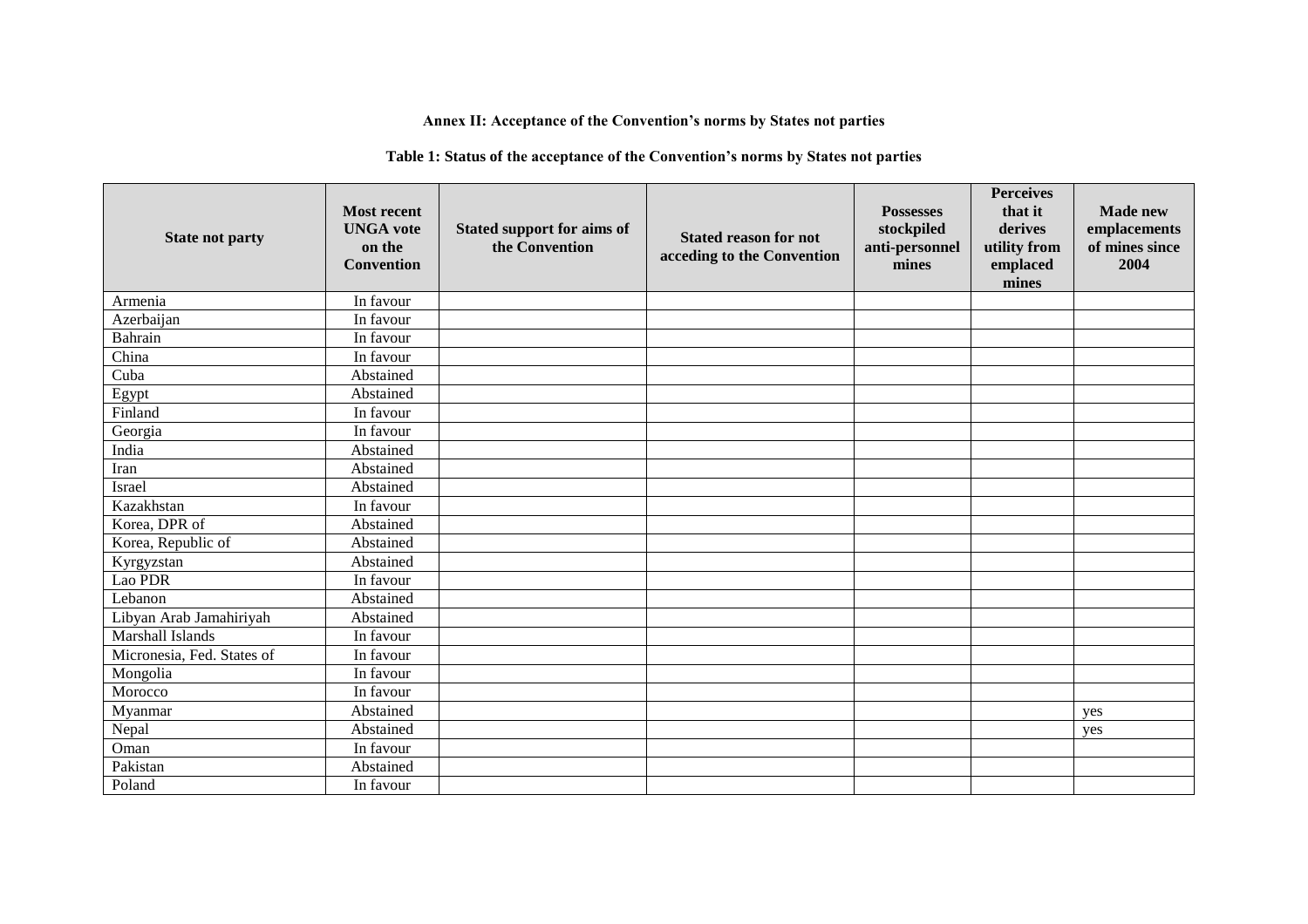# **Annex II: Acceptance of the Convention's norms by States not parties**

### **Table 1: Status of the acceptance of the Convention's norms by States not parties**

| <b>State not party</b>     | <b>Most recent</b><br><b>UNGA</b> vote<br>on the<br><b>Convention</b> | Stated support for aims of<br>the Convention | <b>Stated reason for not</b><br>acceding to the Convention | <b>Possesses</b><br>stockpiled<br>anti-personnel<br>mines | <b>Perceives</b><br>that it<br>derives<br>utility from<br>emplaced<br>mines | <b>Made new</b><br>emplacements<br>of mines since<br>2004 |
|----------------------------|-----------------------------------------------------------------------|----------------------------------------------|------------------------------------------------------------|-----------------------------------------------------------|-----------------------------------------------------------------------------|-----------------------------------------------------------|
| Armenia                    | In favour                                                             |                                              |                                                            |                                                           |                                                                             |                                                           |
| Azerbaijan                 | In favour                                                             |                                              |                                                            |                                                           |                                                                             |                                                           |
| Bahrain                    | In favour                                                             |                                              |                                                            |                                                           |                                                                             |                                                           |
| China                      | In favour                                                             |                                              |                                                            |                                                           |                                                                             |                                                           |
| Cuba                       | Abstained                                                             |                                              |                                                            |                                                           |                                                                             |                                                           |
| Egypt                      | Abstained                                                             |                                              |                                                            |                                                           |                                                                             |                                                           |
| Finland                    | In favour                                                             |                                              |                                                            |                                                           |                                                                             |                                                           |
| Georgia                    | In favour                                                             |                                              |                                                            |                                                           |                                                                             |                                                           |
| India                      | Abstained                                                             |                                              |                                                            |                                                           |                                                                             |                                                           |
| Iran                       | Abstained                                                             |                                              |                                                            |                                                           |                                                                             |                                                           |
| Israel                     | Abstained                                                             |                                              |                                                            |                                                           |                                                                             |                                                           |
| Kazakhstan                 | In favour                                                             |                                              |                                                            |                                                           |                                                                             |                                                           |
| Korea, DPR of              | Abstained                                                             |                                              |                                                            |                                                           |                                                                             |                                                           |
| Korea, Republic of         | Abstained                                                             |                                              |                                                            |                                                           |                                                                             |                                                           |
| Kyrgyzstan                 | Abstained                                                             |                                              |                                                            |                                                           |                                                                             |                                                           |
| Lao PDR                    | In favour                                                             |                                              |                                                            |                                                           |                                                                             |                                                           |
| Lebanon                    | Abstained                                                             |                                              |                                                            |                                                           |                                                                             |                                                           |
| Libyan Arab Jamahiriyah    | Abstained                                                             |                                              |                                                            |                                                           |                                                                             |                                                           |
| Marshall Islands           | In favour                                                             |                                              |                                                            |                                                           |                                                                             |                                                           |
| Micronesia, Fed. States of | In favour                                                             |                                              |                                                            |                                                           |                                                                             |                                                           |
| Mongolia                   | In favour                                                             |                                              |                                                            |                                                           |                                                                             |                                                           |
| Morocco                    | In favour                                                             |                                              |                                                            |                                                           |                                                                             |                                                           |
| Myanmar                    | Abstained                                                             |                                              |                                                            |                                                           |                                                                             | yes                                                       |
| Nepal                      | Abstained                                                             |                                              |                                                            |                                                           |                                                                             | yes                                                       |
| Oman                       | In favour                                                             |                                              |                                                            |                                                           |                                                                             |                                                           |
| Pakistan                   | Abstained                                                             |                                              |                                                            |                                                           |                                                                             |                                                           |
| Poland                     | In favour                                                             |                                              |                                                            |                                                           |                                                                             |                                                           |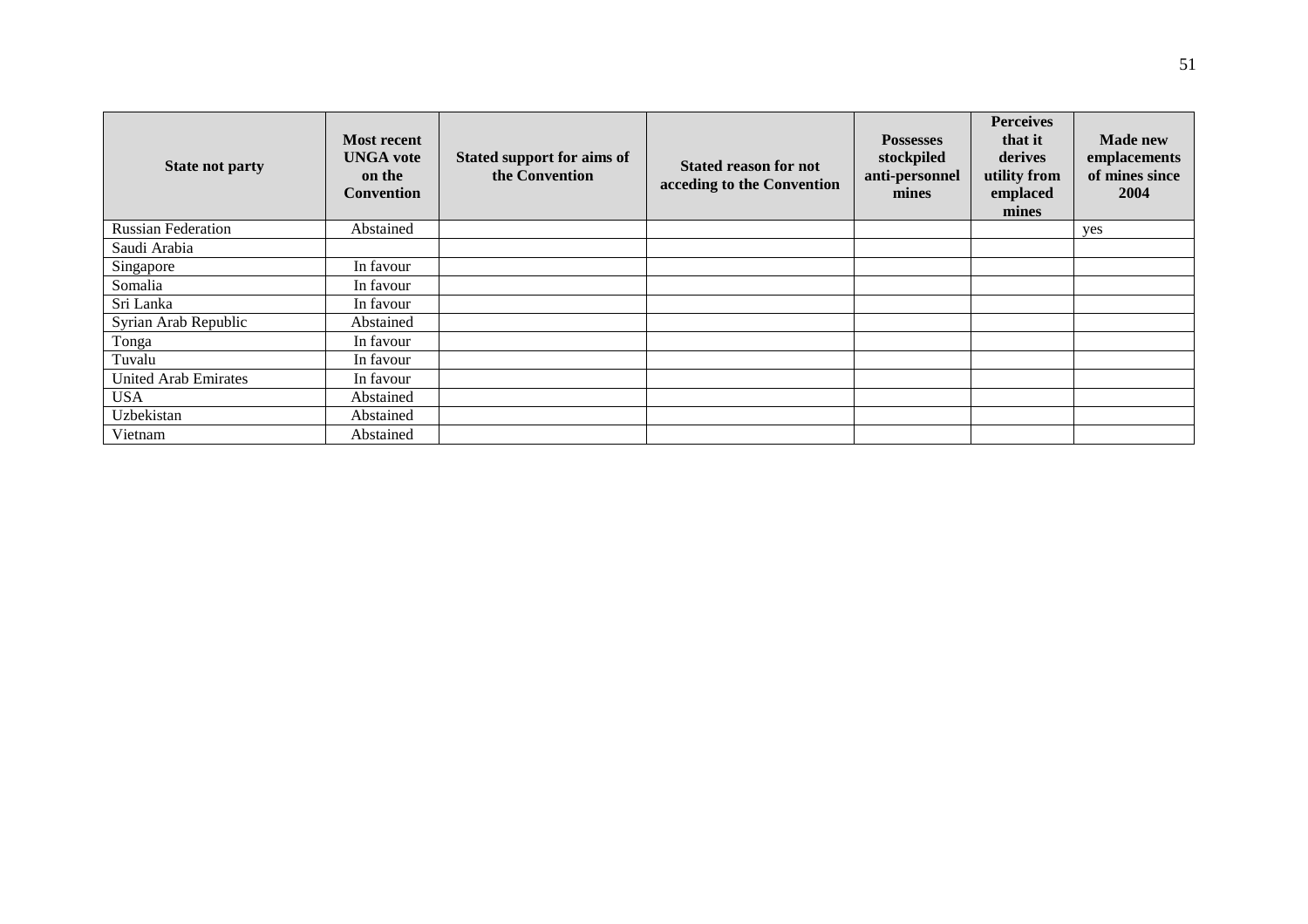| <b>State not party</b>      | <b>Most recent</b><br><b>UNGA</b> vote<br>on the<br>Convention | Stated support for aims of<br>the Convention | <b>Stated reason for not</b><br>acceding to the Convention | <b>Possesses</b><br>stockpiled<br>anti-personnel<br>mines | <b>Perceives</b><br>that it<br>derives<br>utility from<br>emplaced<br>mines | <b>Made new</b><br>emplacements<br>of mines since<br>2004 |
|-----------------------------|----------------------------------------------------------------|----------------------------------------------|------------------------------------------------------------|-----------------------------------------------------------|-----------------------------------------------------------------------------|-----------------------------------------------------------|
| <b>Russian Federation</b>   | Abstained                                                      |                                              |                                                            |                                                           |                                                                             | yes                                                       |
| Saudi Arabia                |                                                                |                                              |                                                            |                                                           |                                                                             |                                                           |
| Singapore                   | In favour                                                      |                                              |                                                            |                                                           |                                                                             |                                                           |
| Somalia                     | In favour                                                      |                                              |                                                            |                                                           |                                                                             |                                                           |
| Sri Lanka                   | In favour                                                      |                                              |                                                            |                                                           |                                                                             |                                                           |
| Syrian Arab Republic        | Abstained                                                      |                                              |                                                            |                                                           |                                                                             |                                                           |
| Tonga                       | In favour                                                      |                                              |                                                            |                                                           |                                                                             |                                                           |
| Tuvalu                      | In favour                                                      |                                              |                                                            |                                                           |                                                                             |                                                           |
| <b>United Arab Emirates</b> | In favour                                                      |                                              |                                                            |                                                           |                                                                             |                                                           |
| <b>USA</b>                  | Abstained                                                      |                                              |                                                            |                                                           |                                                                             |                                                           |
| Uzbekistan                  | Abstained                                                      |                                              |                                                            |                                                           |                                                                             |                                                           |
| Vietnam                     | Abstained                                                      |                                              |                                                            |                                                           |                                                                             |                                                           |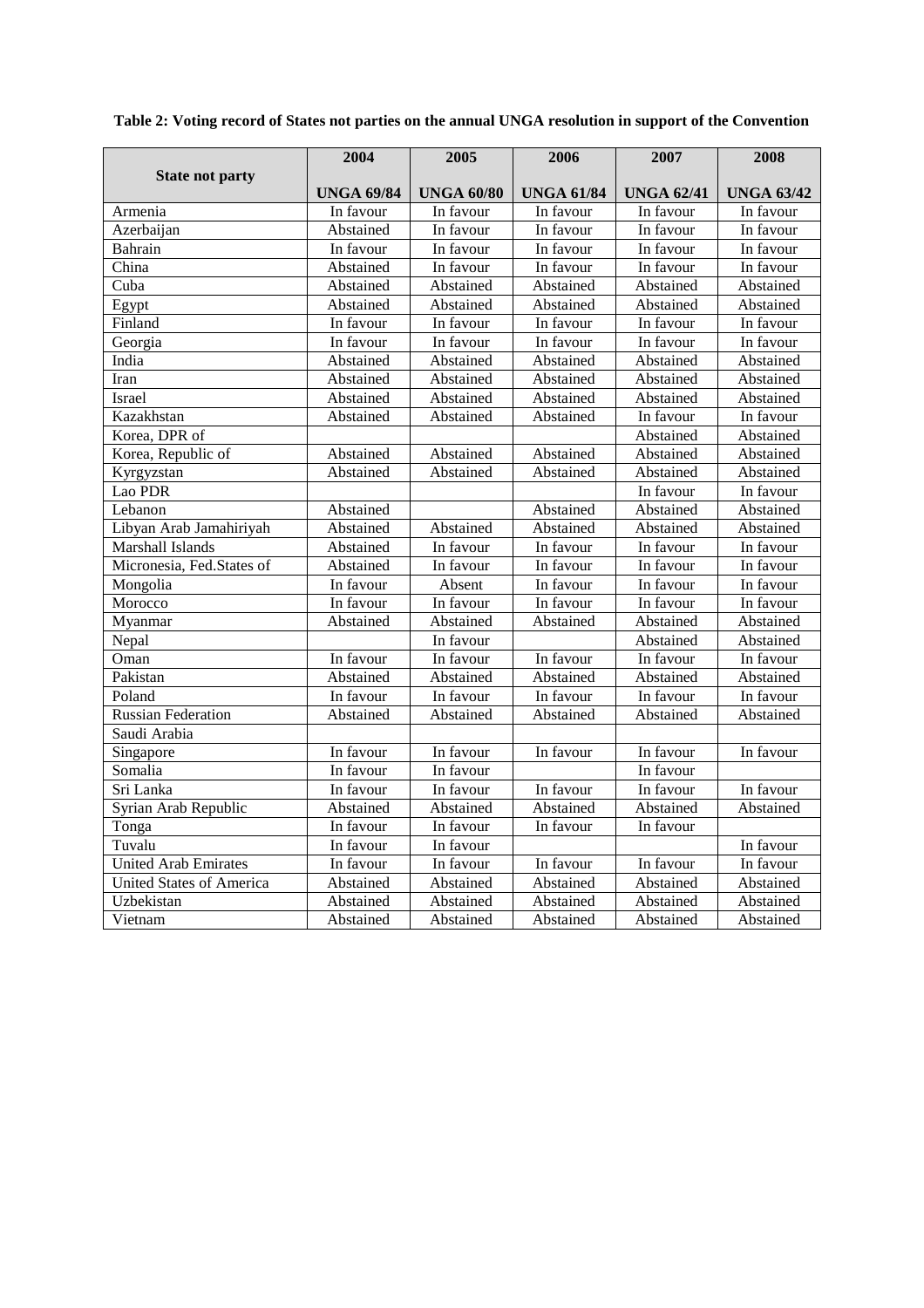|                                 | 2004              | 2005              | 2006              | 2007              | 2008              |
|---------------------------------|-------------------|-------------------|-------------------|-------------------|-------------------|
| <b>State not party</b>          | <b>UNGA 69/84</b> | <b>UNGA 60/80</b> | <b>UNGA 61/84</b> | <b>UNGA 62/41</b> | <b>UNGA 63/42</b> |
| Armenia                         | In favour         | In favour         | In favour         | In favour         | In favour         |
| Azerbaijan                      | Abstained         | In favour         | In favour         | In favour         | In favour         |
| Bahrain                         | In favour         | In favour         | In favour         | In favour         | In favour         |
| China                           | Abstained         | In favour         | In favour         | In favour         | In favour         |
| Cuba                            | Abstained         | Abstained         | Abstained         | Abstained         | Abstained         |
| Egypt                           | Abstained         | Abstained         | Abstained         | Abstained         | Abstained         |
| Finland                         | In favour         | In favour         | In favour         | In favour         | In favour         |
| Georgia                         | In favour         | In favour         | In favour         | In favour         | In favour         |
| India                           | Abstained         | Abstained         | Abstained         | Abstained         | Abstained         |
| Iran                            | Abstained         | Abstained         | Abstained         | Abstained         | Abstained         |
| Israel                          | Abstained         | Abstained         | Abstained         | Abstained         | Abstained         |
| Kazakhstan                      | Abstained         | Abstained         | Abstained         | In favour         | In favour         |
| Korea, DPR of                   |                   |                   |                   | Abstained         | Abstained         |
| Korea, Republic of              | Abstained         | Abstained         | Abstained         | Abstained         | Abstained         |
| Kyrgyzstan                      | Abstained         | Abstained         | Abstained         | Abstained         | Abstained         |
| Lao PDR                         |                   |                   |                   | In favour         | In favour         |
| Lebanon                         | Abstained         |                   | Abstained         | Abstained         | Abstained         |
| Libyan Arab Jamahiriyah         | Abstained         | Abstained         | Abstained         | Abstained         | Abstained         |
| Marshall Islands                | Abstained         | In favour         | In favour         | In favour         | In favour         |
| Micronesia, Fed.States of       | Abstained         | In favour         | In favour         | In favour         | In favour         |
| Mongolia                        | In favour         | Absent            | In favour         | In favour         | In favour         |
| Morocco                         | In favour         | In favour         | In favour         | In favour         | In favour         |
| Myanmar                         | Abstained         | Abstained         | Abstained         | Abstained         | Abstained         |
| Nepal                           |                   | In favour         |                   | Abstained         | Abstained         |
| Oman                            | In favour         | In favour         | In favour         | In favour         | In favour         |
| Pakistan                        | Abstained         | Abstained         | Abstained         | Abstained         | Abstained         |
| Poland                          | In favour         | In favour         | In favour         | In favour         | In favour         |
| <b>Russian Federation</b>       | Abstained         | Abstained         | Abstained         | Abstained         | Abstained         |
| Saudi Arabia                    |                   |                   |                   |                   |                   |
| Singapore                       | In favour         | In favour         | In favour         | In favour         | In favour         |
| Somalia                         | In favour         | In favour         |                   | In favour         |                   |
| Sri Lanka                       | In favour         | In favour         | In favour         | In favour         | In favour         |
| Syrian Arab Republic            | Abstained         | Abstained         | Abstained         | Abstained         | Abstained         |
| Tonga                           | In favour         | In favour         | In favour         | In favour         |                   |
| Tuvalu                          | In favour         | In favour         |                   |                   | In favour         |
| United Arab Emirates            | In favour         | In favour         | In favour         | In favour         | In favour         |
| <b>United States of America</b> | Abstained         | Abstained         | Abstained         | Abstained         | Abstained         |
| Uzbekistan                      | Abstained         | Abstained         | Abstained         | Abstained         | Abstained         |
| Vietnam                         | Abstained         | Abstained         | Abstained         | Abstained         | Abstained         |

**Table 2: Voting record of States not parties on the annual UNGA resolution in support of the Convention**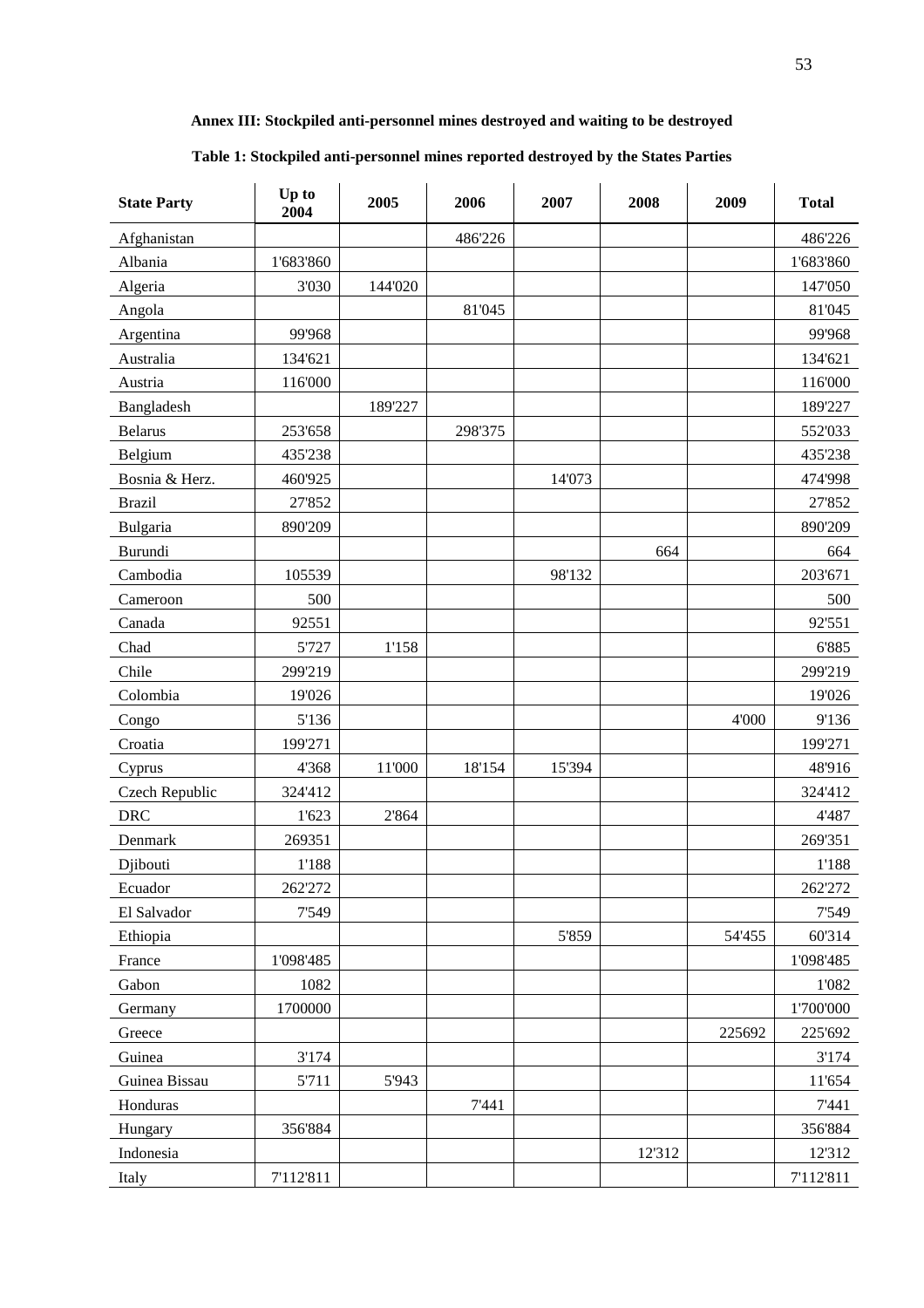### **Annex III: Stockpiled anti-personnel mines destroyed and waiting to be destroyed**

### **Table 1: Stockpiled anti-personnel mines reported destroyed by the States Parties**

| <b>State Party</b> | Up to<br>2004 | 2005    | 2006    | 2007   | 2008   | 2009   | <b>Total</b> |
|--------------------|---------------|---------|---------|--------|--------|--------|--------------|
| Afghanistan        |               |         | 486'226 |        |        |        | 486'226      |
| Albania            | 1'683'860     |         |         |        |        |        | 1'683'860    |
| Algeria            | 3'030         | 144'020 |         |        |        |        | 147'050      |
| Angola             |               |         | 81'045  |        |        |        | 81'045       |
| Argentina          | 99'968        |         |         |        |        |        | 99'968       |
| Australia          | 134'621       |         |         |        |        |        | 134'621      |
| Austria            | 116'000       |         |         |        |        |        | 116'000      |
| Bangladesh         |               | 189'227 |         |        |        |        | 189'227      |
| <b>Belarus</b>     | 253'658       |         | 298'375 |        |        |        | 552'033      |
| Belgium            | 435'238       |         |         |        |        |        | 435'238      |
| Bosnia & Herz.     | 460'925       |         |         | 14'073 |        |        | 474'998      |
| <b>Brazil</b>      | 27'852        |         |         |        |        |        | 27'852       |
| Bulgaria           | 890'209       |         |         |        |        |        | 890'209      |
| Burundi            |               |         |         |        | 664    |        | 664          |
| Cambodia           | 105539        |         |         | 98'132 |        |        | 203'671      |
| Cameroon           | 500           |         |         |        |        |        | 500          |
| Canada             | 92551         |         |         |        |        |        | 92'551       |
| Chad               | 5'727         | 1'158   |         |        |        |        | 6'885        |
| Chile              | 299'219       |         |         |        |        |        | 299'219      |
| Colombia           | 19'026        |         |         |        |        |        | 19'026       |
| Congo              | 5'136         |         |         |        |        | 4'000  | 9'136        |
| Croatia            | 199'271       |         |         |        |        |        | 199'271      |
| Cyprus             | 4'368         | 11'000  | 18'154  | 15'394 |        |        | 48'916       |
| Czech Republic     | 324'412       |         |         |        |        |        | 324'412      |
| <b>DRC</b>         | 1'623         | 2'864   |         |        |        |        | 4'487        |
| Denmark            | 269351        |         |         |        |        |        | 269'351      |
| Djibouti           | 1'188         |         |         |        |        |        | 1'188        |
| Ecuador            | 262'272       |         |         |        |        |        | 262'272      |
| El Salvador        | 7'549         |         |         |        |        |        | 7'549        |
| Ethiopia           |               |         |         | 5'859  |        | 54'455 | 60'314       |
| France             | 1'098'485     |         |         |        |        |        | 1'098'485    |
| Gabon              | 1082          |         |         |        |        |        | 1'082        |
| Germany            | 1700000       |         |         |        |        |        | 1'700'000    |
| Greece             |               |         |         |        |        | 225692 | 225'692      |
| Guinea             | 3'174         |         |         |        |        |        | 3'174        |
| Guinea Bissau      | 5'711         | 5'943   |         |        |        |        | 11'654       |
| Honduras           |               |         | 7'441   |        |        |        | 7'441        |
| Hungary            | 356'884       |         |         |        |        |        | 356'884      |
| Indonesia          |               |         |         |        | 12'312 |        | 12'312       |
| Italy              | 7'112'811     |         |         |        |        |        | 7'112'811    |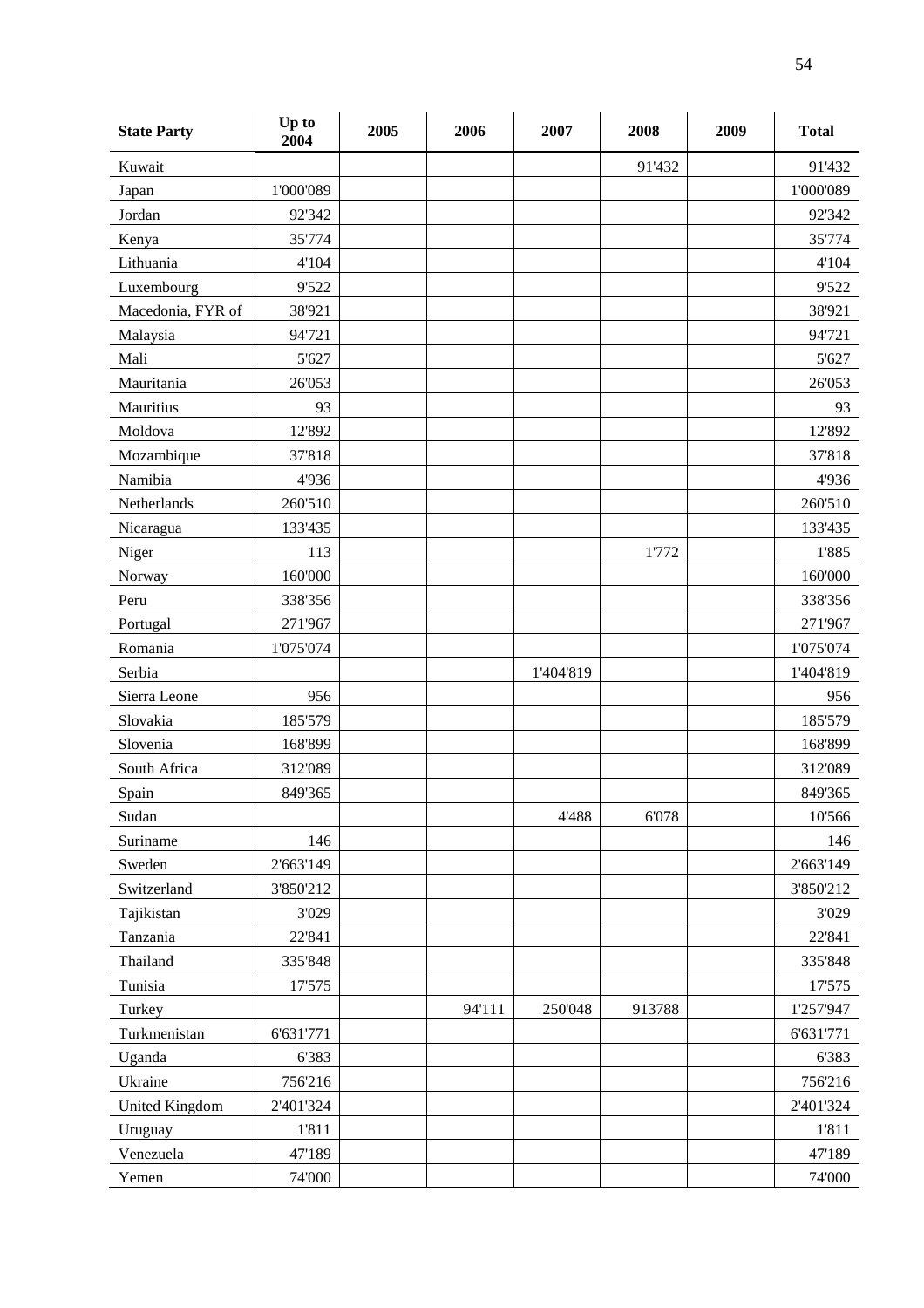| <b>State Party</b>    | Up to<br>2004 | 2005 | 2006   | 2007      | 2008   | 2009 | <b>Total</b> |
|-----------------------|---------------|------|--------|-----------|--------|------|--------------|
| Kuwait                |               |      |        |           | 91'432 |      | 91'432       |
| Japan                 | 1'000'089     |      |        |           |        |      | 1'000'089    |
| Jordan                | 92'342        |      |        |           |        |      | 92'342       |
| Kenya                 | 35'774        |      |        |           |        |      | 35'774       |
| Lithuania             | 4'104         |      |        |           |        |      | 4'104        |
| Luxembourg            | 9'522         |      |        |           |        |      | 9'522        |
| Macedonia, FYR of     | 38'921        |      |        |           |        |      | 38'921       |
| Malaysia              | 94'721        |      |        |           |        |      | 94'721       |
| Mali                  | 5'627         |      |        |           |        |      | 5'627        |
| Mauritania            | 26'053        |      |        |           |        |      | 26'053       |
| Mauritius             | 93            |      |        |           |        |      | 93           |
| Moldova               | 12'892        |      |        |           |        |      | 12'892       |
| Mozambique            | 37'818        |      |        |           |        |      | 37'818       |
| Namibia               | 4'936         |      |        |           |        |      | 4'936        |
| Netherlands           | 260'510       |      |        |           |        |      | 260'510      |
| Nicaragua             | 133'435       |      |        |           |        |      | 133'435      |
| Niger                 | 113           |      |        |           | 1'772  |      | 1'885        |
| Norway                | 160'000       |      |        |           |        |      | 160'000      |
| Peru                  | 338'356       |      |        |           |        |      | 338'356      |
| Portugal              | 271'967       |      |        |           |        |      | 271'967      |
| Romania               | 1'075'074     |      |        |           |        |      | 1'075'074    |
| Serbia                |               |      |        | 1'404'819 |        |      | 1'404'819    |
| Sierra Leone          | 956           |      |        |           |        |      | 956          |
| Slovakia              | 185'579       |      |        |           |        |      | 185'579      |
| Slovenia              | 168'899       |      |        |           |        |      | 168'899      |
| South Africa          | 312'089       |      |        |           |        |      | 312'089      |
| Spain                 | 849'365       |      |        |           |        |      | 849'365      |
| Sudan                 |               |      |        | 4'488     | 6'078  |      | 10'566       |
| Suriname              | 146           |      |        |           |        |      | 146          |
| Sweden                | 2'663'149     |      |        |           |        |      | 2'663'149    |
| Switzerland           | 3'850'212     |      |        |           |        |      | 3'850'212    |
| Tajikistan            | 3'029         |      |        |           |        |      | 3'029        |
| Tanzania              | 22'841        |      |        |           |        |      | 22'841       |
| Thailand              | 335'848       |      |        |           |        |      | 335'848      |
| Tunisia               | 17'575        |      |        |           |        |      | 17'575       |
| Turkey                |               |      | 94'111 | 250'048   | 913788 |      | 1'257'947    |
| Turkmenistan          | 6'631'771     |      |        |           |        |      | 6'631'771    |
| Uganda                | 6'383         |      |        |           |        |      | 6'383        |
| Ukraine               | 756'216       |      |        |           |        |      | 756'216      |
| <b>United Kingdom</b> | 2'401'324     |      |        |           |        |      | 2'401'324    |
| Uruguay               | 1'811         |      |        |           |        |      | 1'811        |
| Venezuela             | 47'189        |      |        |           |        |      | 47'189       |
| Yemen                 | 74'000        |      |        |           |        |      | 74'000       |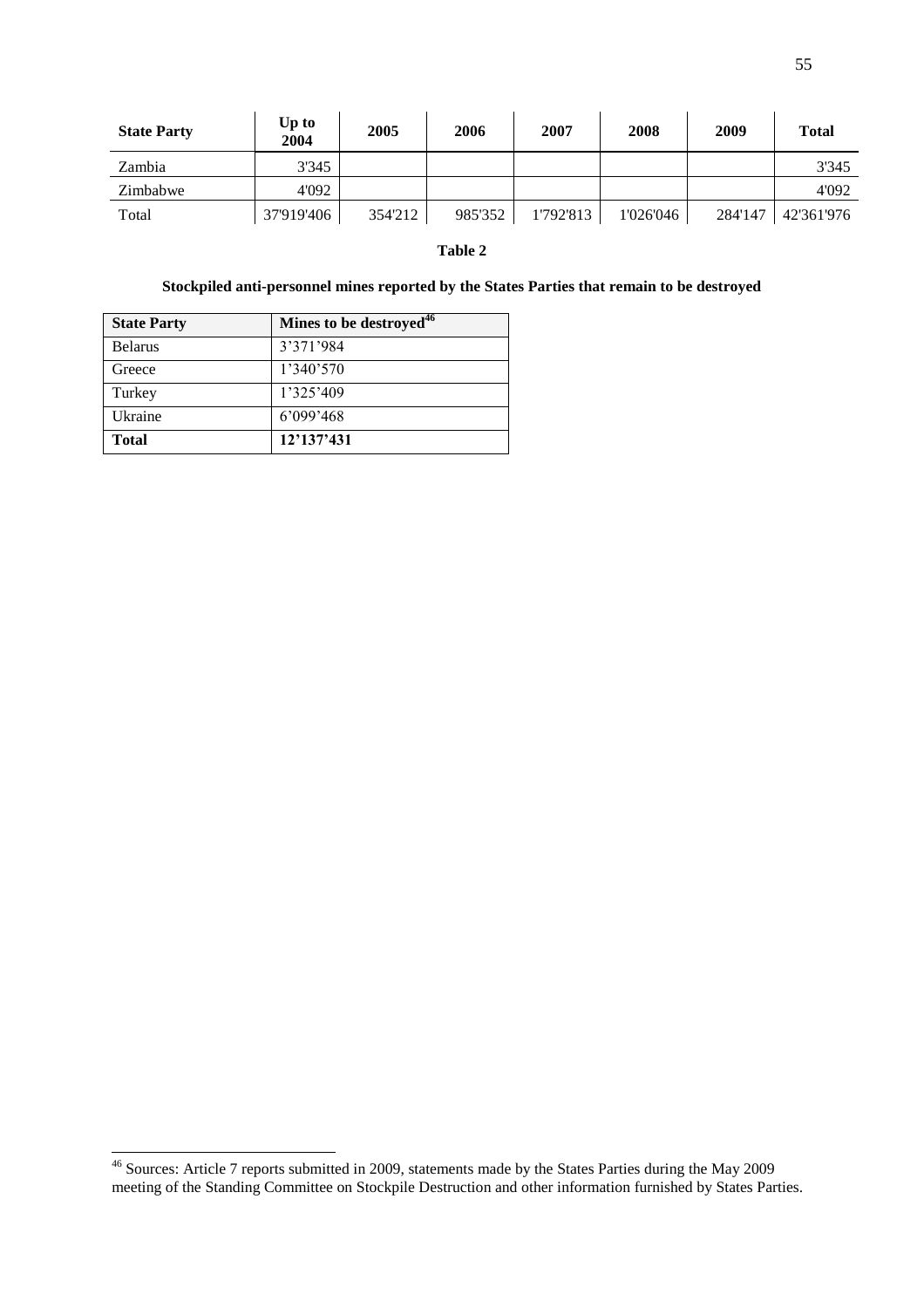| <b>State Party</b> | Up to<br>2004 | 2005    | 2006    | 2007      | 2008      | 2009    | <b>Total</b> |
|--------------------|---------------|---------|---------|-----------|-----------|---------|--------------|
| Zambia             | 3'345         |         |         |           |           |         | 3'345        |
| Zimbabwe           | 4'092         |         |         |           |           |         | 4'092        |
| Total              | 37'919'406    | 354'212 | 985'352 | 1'792'813 | 1'026'046 | 284'147 | 42'361'976   |

### **Table 2**

## **Stockpiled anti-personnel mines reported by the States Parties that remain to be destroyed**

| <b>State Party</b> | Mines to be destroyed <sup>46</sup> |
|--------------------|-------------------------------------|
| <b>Belarus</b>     | 3'371'984                           |
| Greece             | 1'340'570                           |
| Turkey             | 1'325'409                           |
| Ukraine            | 6'099'468                           |
| <b>Total</b>       | 12'137'431                          |

l,

 $\overline{a}$ <sup>46</sup> Sources: Article 7 reports submitted in 2009, statements made by the States Parties during the May 2009 meeting of the Standing Committee on Stockpile Destruction and other information furnished by States Parties.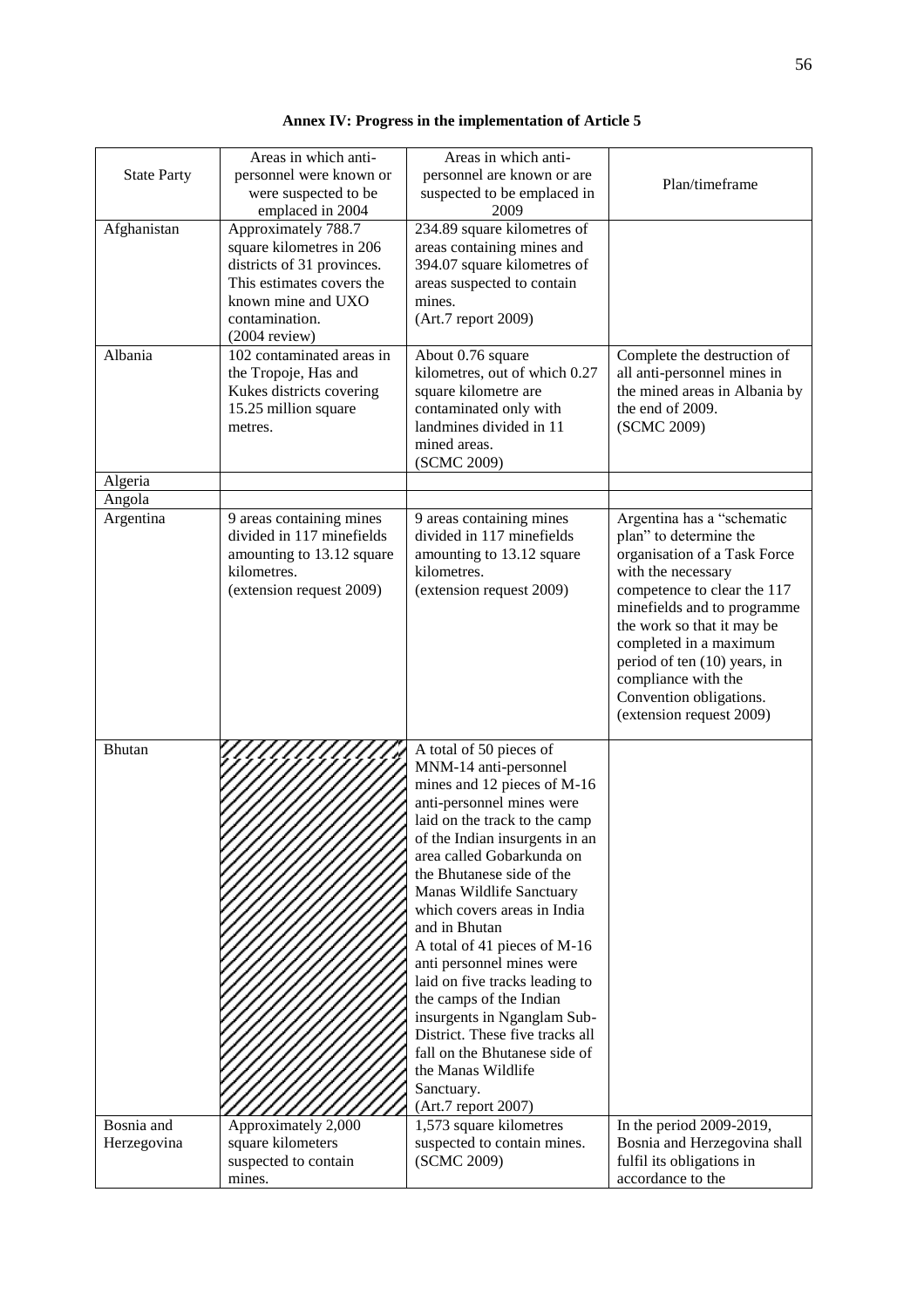| <b>Annex IV: Progress in the implementation of Article 5</b> |  |  |  |
|--------------------------------------------------------------|--|--|--|
|--------------------------------------------------------------|--|--|--|

| <b>State Party</b>        | Areas in which anti-<br>personnel were known or<br>were suspected to be<br>emplaced in 2004                                                                           | Areas in which anti-<br>personnel are known or are<br>suspected to be emplaced in<br>2009                                                                                                                                                                                                                                                                                                                                                                                                                                                                                                                     | Plan/timeframe                                                                                                                                                                                                                                                                                                                                 |
|---------------------------|-----------------------------------------------------------------------------------------------------------------------------------------------------------------------|---------------------------------------------------------------------------------------------------------------------------------------------------------------------------------------------------------------------------------------------------------------------------------------------------------------------------------------------------------------------------------------------------------------------------------------------------------------------------------------------------------------------------------------------------------------------------------------------------------------|------------------------------------------------------------------------------------------------------------------------------------------------------------------------------------------------------------------------------------------------------------------------------------------------------------------------------------------------|
| Afghanistan               | Approximately 788.7<br>square kilometres in 206<br>districts of 31 provinces.<br>This estimates covers the<br>known mine and UXO<br>contamination.<br>$(2004$ review) | 234.89 square kilometres of<br>areas containing mines and<br>394.07 square kilometres of<br>areas suspected to contain<br>mines.<br>(Art.7 report 2009)                                                                                                                                                                                                                                                                                                                                                                                                                                                       |                                                                                                                                                                                                                                                                                                                                                |
| Albania                   | 102 contaminated areas in<br>the Tropoje, Has and<br>Kukes districts covering<br>15.25 million square<br>metres.                                                      | About 0.76 square<br>kilometres, out of which 0.27<br>square kilometre are<br>contaminated only with<br>landmines divided in 11<br>mined areas.<br>(SCMC 2009)                                                                                                                                                                                                                                                                                                                                                                                                                                                | Complete the destruction of<br>all anti-personnel mines in<br>the mined areas in Albania by<br>the end of 2009.<br>(SCMC 2009)                                                                                                                                                                                                                 |
| Algeria                   |                                                                                                                                                                       |                                                                                                                                                                                                                                                                                                                                                                                                                                                                                                                                                                                                               |                                                                                                                                                                                                                                                                                                                                                |
| Angola                    |                                                                                                                                                                       |                                                                                                                                                                                                                                                                                                                                                                                                                                                                                                                                                                                                               |                                                                                                                                                                                                                                                                                                                                                |
| Argentina                 | 9 areas containing mines<br>divided in 117 minefields<br>amounting to 13.12 square<br>kilometres.<br>(extension request 2009)                                         | 9 areas containing mines<br>divided in 117 minefields<br>amounting to 13.12 square<br>kilometres.<br>(extension request 2009)                                                                                                                                                                                                                                                                                                                                                                                                                                                                                 | Argentina has a "schematic<br>plan" to determine the<br>organisation of a Task Force<br>with the necessary<br>competence to clear the 117<br>minefields and to programme<br>the work so that it may be<br>completed in a maximum<br>period of ten (10) years, in<br>compliance with the<br>Convention obligations.<br>(extension request 2009) |
| Bhutan                    |                                                                                                                                                                       | A total of 50 pieces of<br>MNM-14 anti-personnel<br>mines and 12 pieces of M-16<br>anti-personnel mines were<br>laid on the track to the camp<br>of the Indian insurgents in an<br>area called Gobarkunda on<br>the Bhutanese side of the<br>Manas Wildlife Sanctuary<br>which covers areas in India<br>and in Bhutan<br>A total of 41 pieces of M-16<br>anti personnel mines were<br>laid on five tracks leading to<br>the camps of the Indian<br>insurgents in Nganglam Sub-<br>District. These five tracks all<br>fall on the Bhutanese side of<br>the Manas Wildlife<br>Sanctuary.<br>(Art.7 report 2007) |                                                                                                                                                                                                                                                                                                                                                |
| Bosnia and<br>Herzegovina | Approximately 2,000<br>square kilometers<br>suspected to contain<br>mines.                                                                                            | 1,573 square kilometres<br>suspected to contain mines.<br>(SCMC 2009)                                                                                                                                                                                                                                                                                                                                                                                                                                                                                                                                         | In the period 2009-2019,<br>Bosnia and Herzegovina shall<br>fulfil its obligations in<br>accordance to the                                                                                                                                                                                                                                     |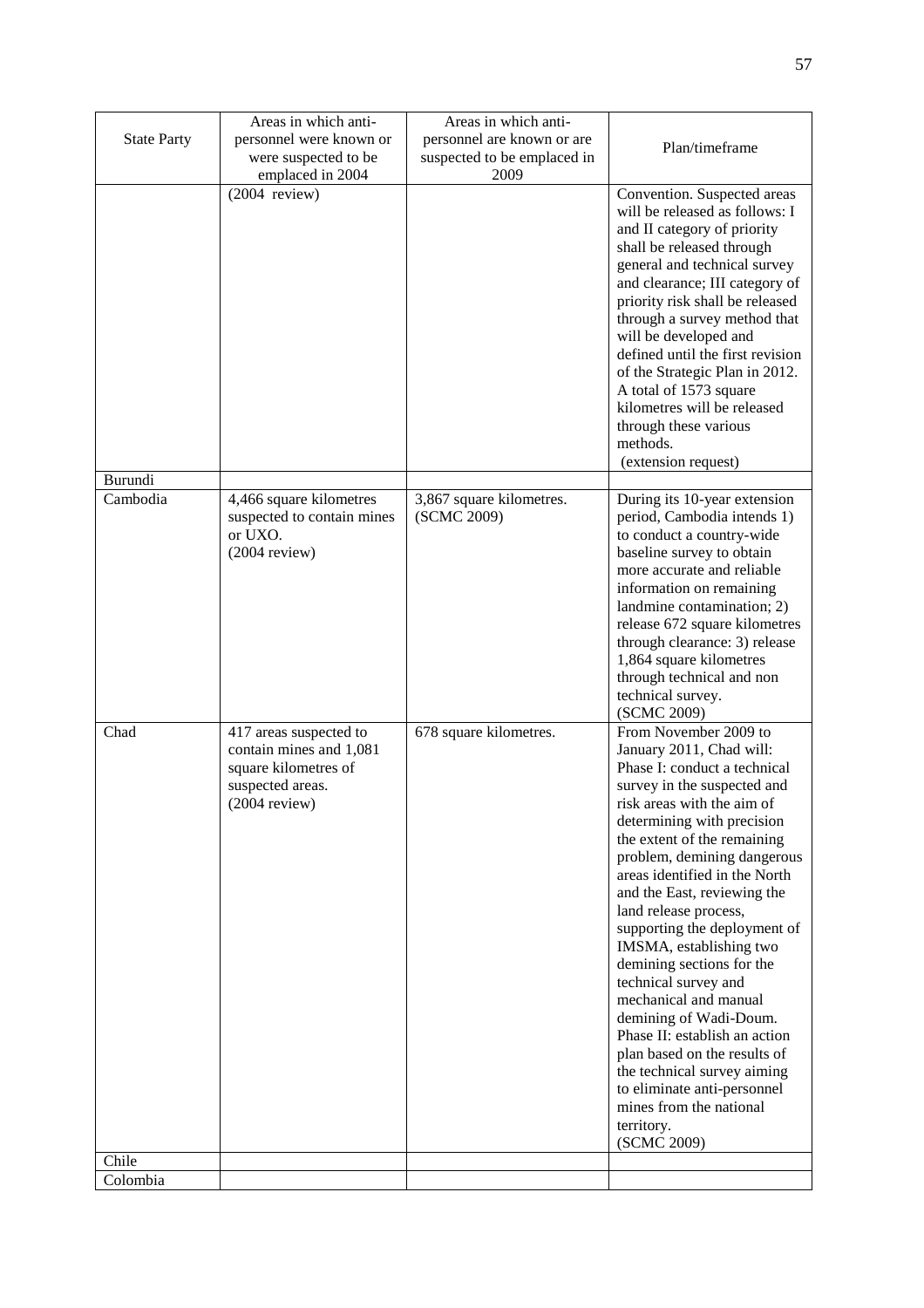| <b>State Party</b> | Areas in which anti-<br>personnel were known or<br>were suspected to be                                          | Areas in which anti-<br>personnel are known or are<br>suspected to be emplaced in | Plan/timeframe                                                                                                                                                                                                                                                                                                                                                                                                                                                                                                                                                                                                                                                                                |
|--------------------|------------------------------------------------------------------------------------------------------------------|-----------------------------------------------------------------------------------|-----------------------------------------------------------------------------------------------------------------------------------------------------------------------------------------------------------------------------------------------------------------------------------------------------------------------------------------------------------------------------------------------------------------------------------------------------------------------------------------------------------------------------------------------------------------------------------------------------------------------------------------------------------------------------------------------|
|                    | emplaced in 2004<br>$(2004$ review)                                                                              | 2009                                                                              | Convention. Suspected areas<br>will be released as follows: I<br>and II category of priority<br>shall be released through<br>general and technical survey<br>and clearance; III category of<br>priority risk shall be released<br>through a survey method that<br>will be developed and<br>defined until the first revision<br>of the Strategic Plan in 2012.<br>A total of 1573 square<br>kilometres will be released<br>through these various<br>methods.<br>(extension request)                                                                                                                                                                                                            |
| Burundi            |                                                                                                                  |                                                                                   |                                                                                                                                                                                                                                                                                                                                                                                                                                                                                                                                                                                                                                                                                               |
| Cambodia           | 4,466 square kilometres<br>suspected to contain mines<br>or UXO.<br>$(2004$ review)                              | 3,867 square kilometres.<br>(SCMC 2009)                                           | During its 10-year extension<br>period, Cambodia intends 1)<br>to conduct a country-wide<br>baseline survey to obtain<br>more accurate and reliable<br>information on remaining<br>landmine contamination; 2)<br>release 672 square kilometres<br>through clearance: 3) release<br>1,864 square kilometres<br>through technical and non<br>technical survey.<br>(SCMC 2009)                                                                                                                                                                                                                                                                                                                   |
| Chad<br>Chile      | 417 areas suspected to<br>contain mines and 1,081<br>square kilometres of<br>suspected areas.<br>$(2004$ review) | 678 square kilometres.                                                            | From November 2009 to<br>January 2011, Chad will:<br>Phase I: conduct a technical<br>survey in the suspected and<br>risk areas with the aim of<br>determining with precision<br>the extent of the remaining<br>problem, demining dangerous<br>areas identified in the North<br>and the East, reviewing the<br>land release process,<br>supporting the deployment of<br>IMSMA, establishing two<br>demining sections for the<br>technical survey and<br>mechanical and manual<br>demining of Wadi-Doum.<br>Phase II: establish an action<br>plan based on the results of<br>the technical survey aiming<br>to eliminate anti-personnel<br>mines from the national<br>territory.<br>(SCMC 2009) |
| Colombia           |                                                                                                                  |                                                                                   |                                                                                                                                                                                                                                                                                                                                                                                                                                                                                                                                                                                                                                                                                               |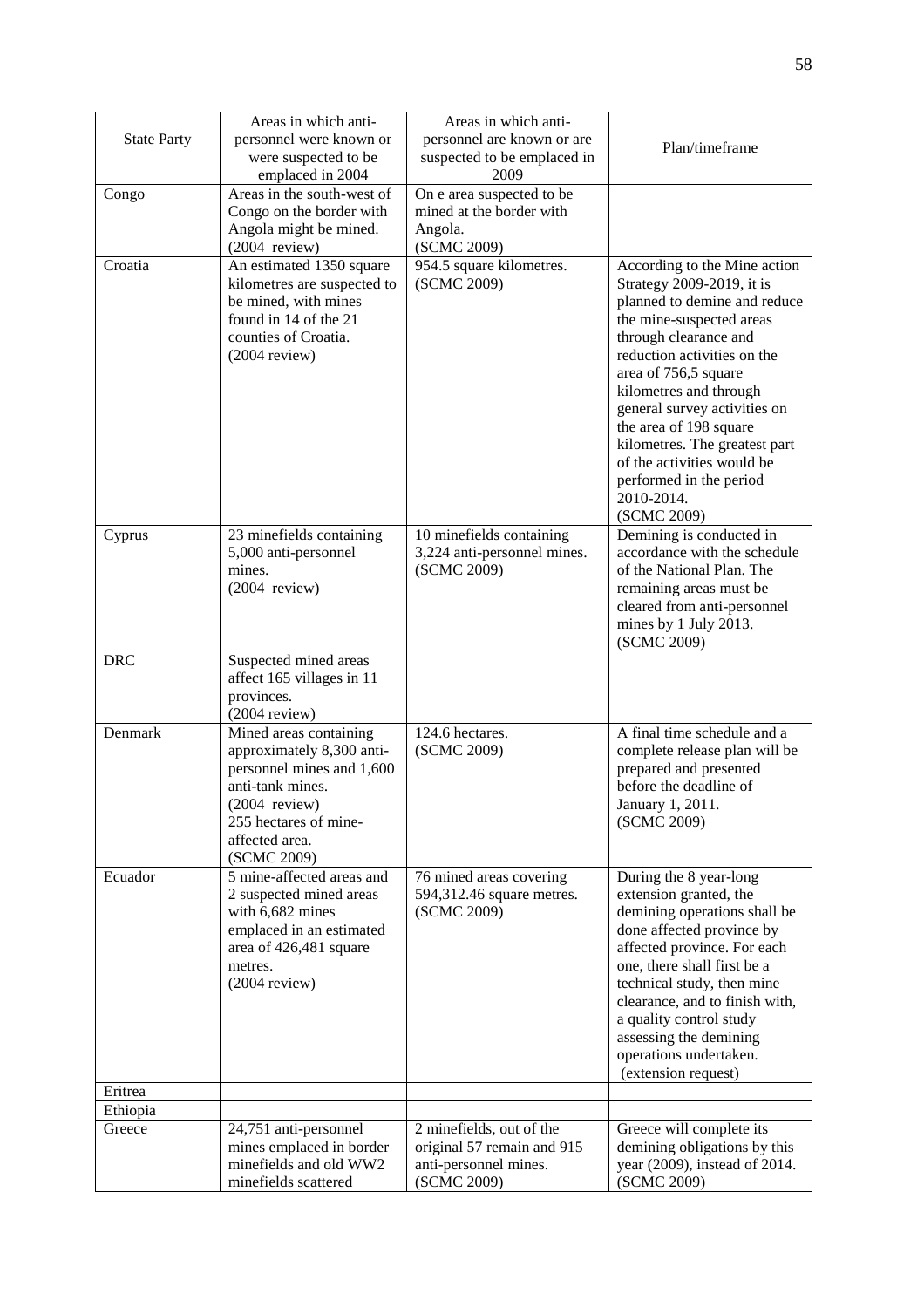|                    | Areas in which anti-          | Areas in which anti-        |                                |
|--------------------|-------------------------------|-----------------------------|--------------------------------|
| <b>State Party</b> | personnel were known or       | personnel are known or are  |                                |
|                    | were suspected to be          | suspected to be emplaced in | Plan/timeframe                 |
|                    | emplaced in 2004              | 2009                        |                                |
| Congo              | Areas in the south-west of    | On e area suspected to be   |                                |
|                    | Congo on the border with      | mined at the border with    |                                |
|                    | Angola might be mined.        | Angola.                     |                                |
|                    | $(2004$ review)               | (SCMC 2009)                 |                                |
| Croatia            | An estimated 1350 square      | 954.5 square kilometres.    | According to the Mine action   |
|                    | kilometres are suspected to   | (SCMC 2009)                 | Strategy 2009-2019, it is      |
|                    | be mined, with mines          |                             | planned to demine and reduce   |
|                    | found in 14 of the 21         |                             | the mine-suspected areas       |
|                    | counties of Croatia.          |                             | through clearance and          |
|                    | $(2004$ review)               |                             | reduction activities on the    |
|                    |                               |                             | area of 756,5 square           |
|                    |                               |                             | kilometres and through         |
|                    |                               |                             | general survey activities on   |
|                    |                               |                             | the area of 198 square         |
|                    |                               |                             | kilometres. The greatest part  |
|                    |                               |                             | of the activities would be     |
|                    |                               |                             | performed in the period        |
|                    |                               |                             | 2010-2014.                     |
|                    |                               |                             | (SCMC 2009)                    |
| Cyprus             | 23 minefields containing      | 10 minefields containing    | Demining is conducted in       |
|                    | 5,000 anti-personnel          | 3,224 anti-personnel mines. | accordance with the schedule   |
|                    | mines.                        | (SCMC 2009)                 | of the National Plan. The      |
|                    | $(2004$ review)               |                             | remaining areas must be        |
|                    |                               |                             | cleared from anti-personnel    |
|                    |                               |                             | mines by 1 July 2013.          |
|                    |                               |                             | (SCMC 2009)                    |
| <b>DRC</b>         | Suspected mined areas         |                             |                                |
|                    | affect 165 villages in 11     |                             |                                |
|                    | provinces.<br>$(2004$ review) |                             |                                |
| Denmark            | Mined areas containing        | 124.6 hectares.             | A final time schedule and a    |
|                    | approximately 8,300 anti-     | (SCMC 2009)                 | complete release plan will be  |
|                    | personnel mines and 1,600     |                             | prepared and presented         |
|                    | anti-tank mines.              |                             | before the deadline of         |
|                    | $(2004$ review)               |                             | January 1, 2011.               |
|                    | 255 hectares of mine-         |                             | (SCMC 2009)                    |
|                    | affected area.                |                             |                                |
|                    | (SCMC 2009)                   |                             |                                |
| Ecuador            | 5 mine-affected areas and     | 76 mined areas covering     | During the 8 year-long         |
|                    | 2 suspected mined areas       | 594,312.46 square metres.   | extension granted, the         |
|                    | with 6,682 mines              | (SCMC 2009)                 | demining operations shall be   |
|                    | emplaced in an estimated      |                             | done affected province by      |
|                    | area of 426,481 square        |                             | affected province. For each    |
|                    | metres.                       |                             | one, there shall first be a    |
|                    | $(2004$ review)               |                             | technical study, then mine     |
|                    |                               |                             | clearance, and to finish with, |
|                    |                               |                             | a quality control study        |
|                    |                               |                             | assessing the demining         |
|                    |                               |                             | operations undertaken.         |
| Eritrea            |                               |                             | (extension request)            |
| Ethiopia           |                               |                             |                                |
| Greece             | 24,751 anti-personnel         | 2 minefields, out of the    | Greece will complete its       |
|                    | mines emplaced in border      | original 57 remain and 915  | demining obligations by this   |
|                    | minefields and old WW2        | anti-personnel mines.       | year (2009), instead of 2014.  |
|                    | minefields scattered          | (SCMC 2009)                 | (SCMC 2009)                    |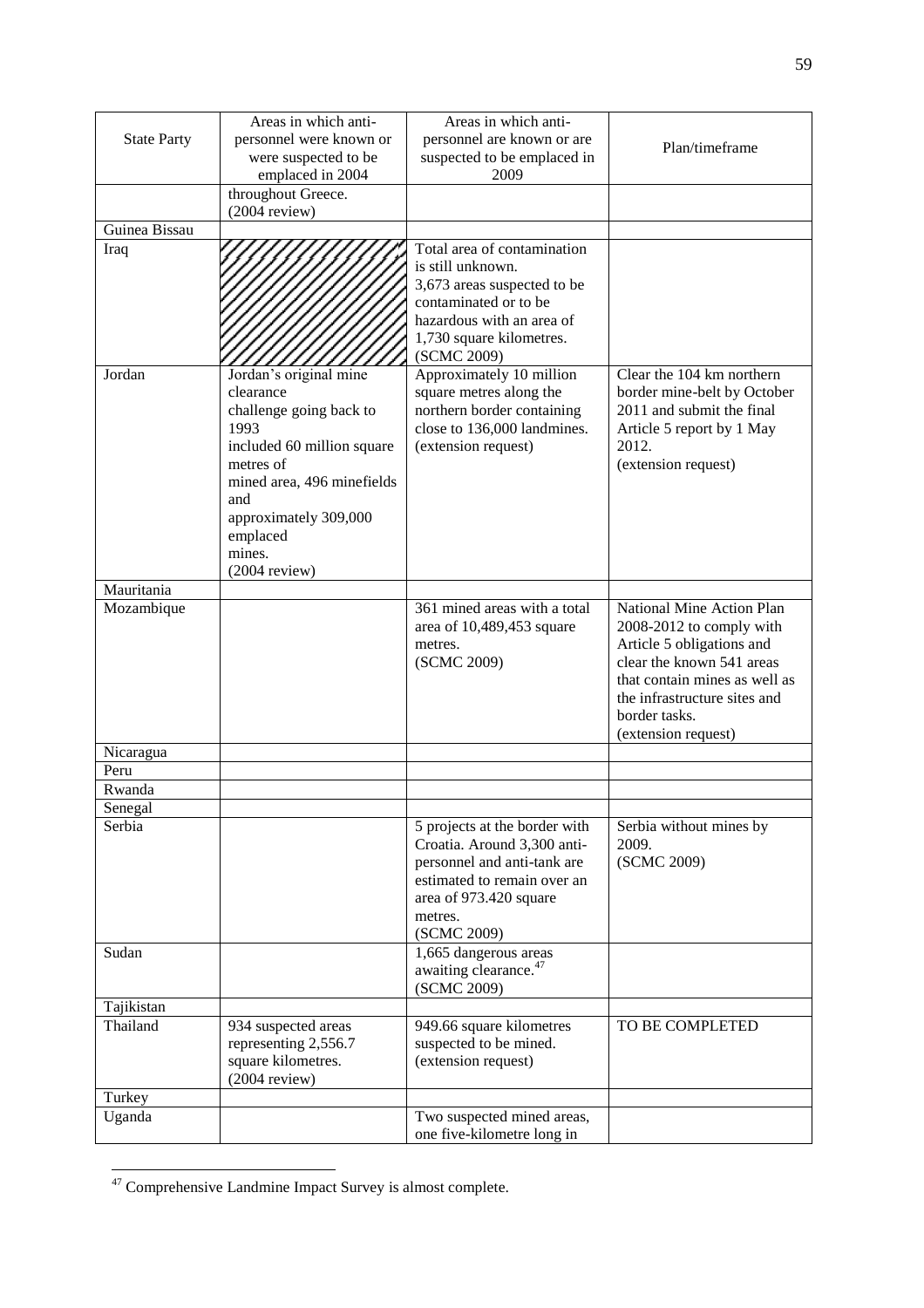| <b>State Party</b> | Areas in which anti-<br>personnel were known or<br>were suspected to be                                                                                                                                                  | Areas in which anti-<br>personnel are known or are<br>suspected to be emplaced in                                                                                                | Plan/timeframe                                                                                                                                                                                                           |  |  |
|--------------------|--------------------------------------------------------------------------------------------------------------------------------------------------------------------------------------------------------------------------|----------------------------------------------------------------------------------------------------------------------------------------------------------------------------------|--------------------------------------------------------------------------------------------------------------------------------------------------------------------------------------------------------------------------|--|--|
|                    | emplaced in 2004<br>throughout Greece.                                                                                                                                                                                   | 2009                                                                                                                                                                             |                                                                                                                                                                                                                          |  |  |
|                    | $(2004$ review)                                                                                                                                                                                                          |                                                                                                                                                                                  |                                                                                                                                                                                                                          |  |  |
| Guinea Bissau      |                                                                                                                                                                                                                          |                                                                                                                                                                                  |                                                                                                                                                                                                                          |  |  |
| Iraq               |                                                                                                                                                                                                                          | Total area of contamination<br>is still unknown.<br>3,673 areas suspected to be<br>contaminated or to be<br>hazardous with an area of<br>1,730 square kilometres.<br>(SCMC 2009) |                                                                                                                                                                                                                          |  |  |
| Jordan             | Jordan's original mine<br>clearance<br>challenge going back to<br>1993<br>included 60 million square<br>metres of<br>mined area, 496 minefields<br>and<br>approximately 309,000<br>emplaced<br>mines.<br>$(2004$ review) | Approximately 10 million<br>square metres along the<br>northern border containing<br>close to 136,000 landmines.<br>(extension request)                                          | Clear the 104 km northern<br>border mine-belt by October<br>2011 and submit the final<br>Article 5 report by 1 May<br>2012.<br>(extension request)                                                                       |  |  |
| Mauritania         |                                                                                                                                                                                                                          |                                                                                                                                                                                  |                                                                                                                                                                                                                          |  |  |
| Mozambique         |                                                                                                                                                                                                                          | 361 mined areas with a total<br>area of 10,489,453 square<br>metres.<br>(SCMC 2009)                                                                                              | National Mine Action Plan<br>2008-2012 to comply with<br>Article 5 obligations and<br>clear the known 541 areas<br>that contain mines as well as<br>the infrastructure sites and<br>border tasks.<br>(extension request) |  |  |
| Nicaragua          |                                                                                                                                                                                                                          |                                                                                                                                                                                  |                                                                                                                                                                                                                          |  |  |
| Peru               |                                                                                                                                                                                                                          |                                                                                                                                                                                  |                                                                                                                                                                                                                          |  |  |
| Rwanda             |                                                                                                                                                                                                                          |                                                                                                                                                                                  |                                                                                                                                                                                                                          |  |  |
| Senegal            |                                                                                                                                                                                                                          |                                                                                                                                                                                  |                                                                                                                                                                                                                          |  |  |
| Serbia             |                                                                                                                                                                                                                          | 5 projects at the border with<br>Croatia. Around 3,300 anti-<br>personnel and anti-tank are<br>estimated to remain over an<br>area of 973.420 square<br>metres.<br>(SCMC 2009)   | Serbia without mines by<br>2009.<br>(SCMC 2009)                                                                                                                                                                          |  |  |
| Sudan              |                                                                                                                                                                                                                          | 1,665 dangerous areas<br>awaiting clearance. <sup>47</sup><br>(SCMC 2009)                                                                                                        |                                                                                                                                                                                                                          |  |  |
| Tajikistan         |                                                                                                                                                                                                                          |                                                                                                                                                                                  |                                                                                                                                                                                                                          |  |  |
| Thailand           | 934 suspected areas<br>representing 2,556.7<br>square kilometres.<br>$(2004$ review)                                                                                                                                     | 949.66 square kilometres<br>suspected to be mined.<br>(extension request)                                                                                                        | TO BE COMPLETED                                                                                                                                                                                                          |  |  |
| Turkey             |                                                                                                                                                                                                                          |                                                                                                                                                                                  |                                                                                                                                                                                                                          |  |  |
| Uganda             |                                                                                                                                                                                                                          | Two suspected mined areas,<br>one five-kilometre long in                                                                                                                         |                                                                                                                                                                                                                          |  |  |

 $\overline{a}$  $47$  Comprehensive Landmine Impact Survey is almost complete.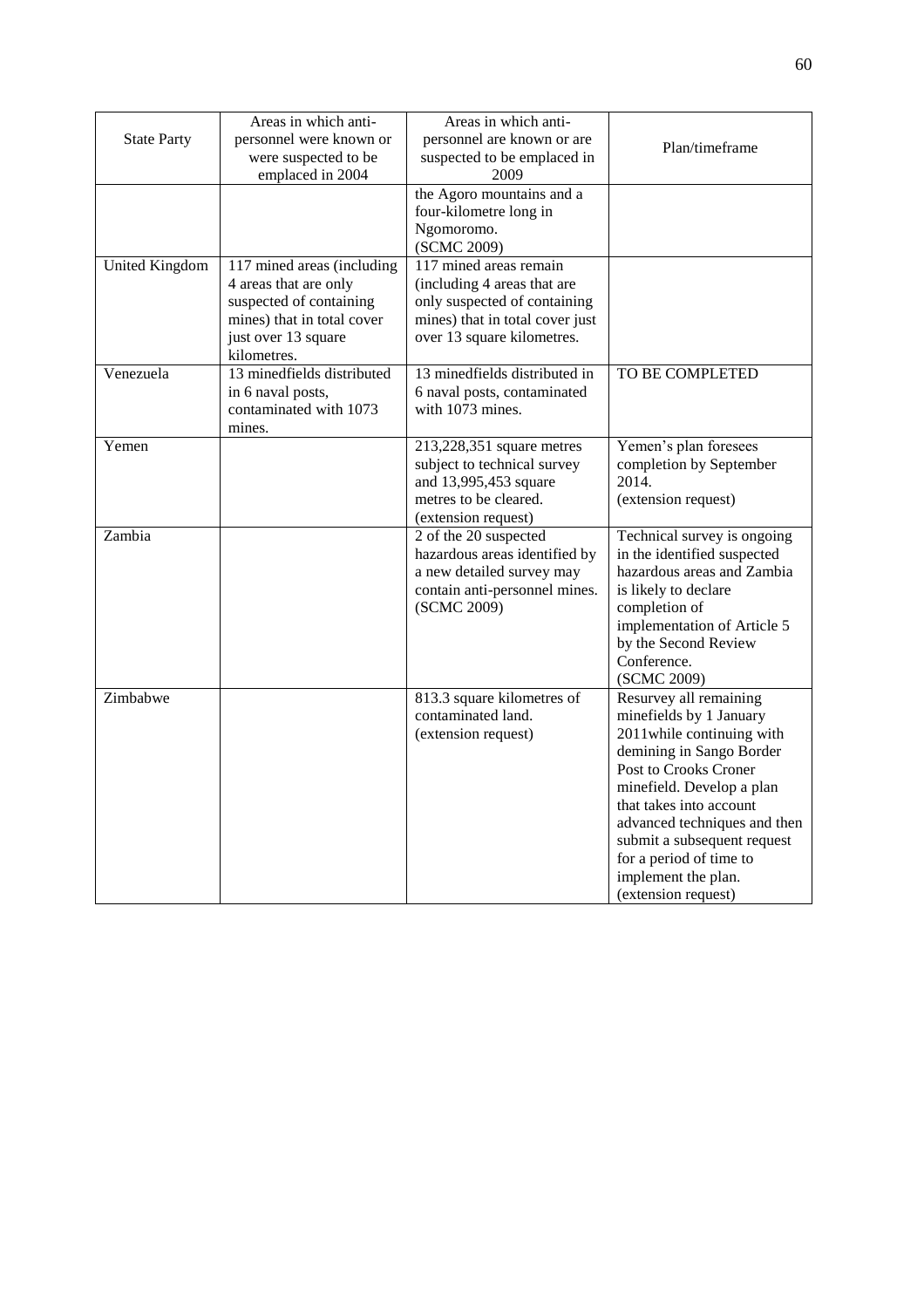|                       | Areas in which anti-       | Areas in which anti-            |                                                      |
|-----------------------|----------------------------|---------------------------------|------------------------------------------------------|
| <b>State Party</b>    | personnel were known or    | personnel are known or are      |                                                      |
|                       | were suspected to be       | suspected to be emplaced in     | Plan/timeframe                                       |
|                       | emplaced in 2004           | 2009                            |                                                      |
|                       |                            | the Agoro mountains and a       |                                                      |
|                       |                            | four-kilometre long in          |                                                      |
|                       |                            | Ngomoromo.                      |                                                      |
|                       |                            | (SCMC 2009)                     |                                                      |
| <b>United Kingdom</b> | 117 mined areas (including | 117 mined areas remain          |                                                      |
|                       | 4 areas that are only      | (including 4 areas that are     |                                                      |
|                       | suspected of containing    | only suspected of containing    |                                                      |
|                       | mines) that in total cover | mines) that in total cover just |                                                      |
|                       | just over 13 square        | over 13 square kilometres.      |                                                      |
|                       | kilometres.                |                                 |                                                      |
| Venezuela             | 13 minedfields distributed | 13 minedfields distributed in   | TO BE COMPLETED                                      |
|                       | in 6 naval posts,          | 6 naval posts, contaminated     |                                                      |
|                       | contaminated with 1073     | with 1073 mines.                |                                                      |
|                       | mines.                     |                                 |                                                      |
| Yemen                 |                            | 213,228,351 square metres       | Yemen's plan foresees                                |
|                       |                            | subject to technical survey     | completion by September                              |
|                       |                            | and 13,995,453 square           | 2014.                                                |
|                       |                            | metres to be cleared.           | (extension request)                                  |
|                       |                            | (extension request)             |                                                      |
| Zambia                |                            | 2 of the 20 suspected           | Technical survey is ongoing                          |
|                       |                            | hazardous areas identified by   | in the identified suspected                          |
|                       |                            | a new detailed survey may       | hazardous areas and Zambia                           |
|                       |                            | contain anti-personnel mines.   | is likely to declare                                 |
|                       |                            | (SCMC 2009)                     | completion of                                        |
|                       |                            |                                 | implementation of Article 5                          |
|                       |                            |                                 | by the Second Review                                 |
|                       |                            |                                 | Conference.                                          |
|                       |                            |                                 | (SCMC 2009)                                          |
| Zimbabwe              |                            | 813.3 square kilometres of      | Resurvey all remaining                               |
|                       |                            | contaminated land.              | minefields by 1 January                              |
|                       |                            | (extension request)             | 2011 while continuing with                           |
|                       |                            |                                 | demining in Sango Border<br>Post to Crooks Croner    |
|                       |                            |                                 |                                                      |
|                       |                            |                                 | minefield. Develop a plan<br>that takes into account |
|                       |                            |                                 | advanced techniques and then                         |
|                       |                            |                                 | submit a subsequent request                          |
|                       |                            |                                 | for a period of time to                              |
|                       |                            |                                 | implement the plan.                                  |
|                       |                            |                                 | (extension request)                                  |
|                       |                            |                                 |                                                      |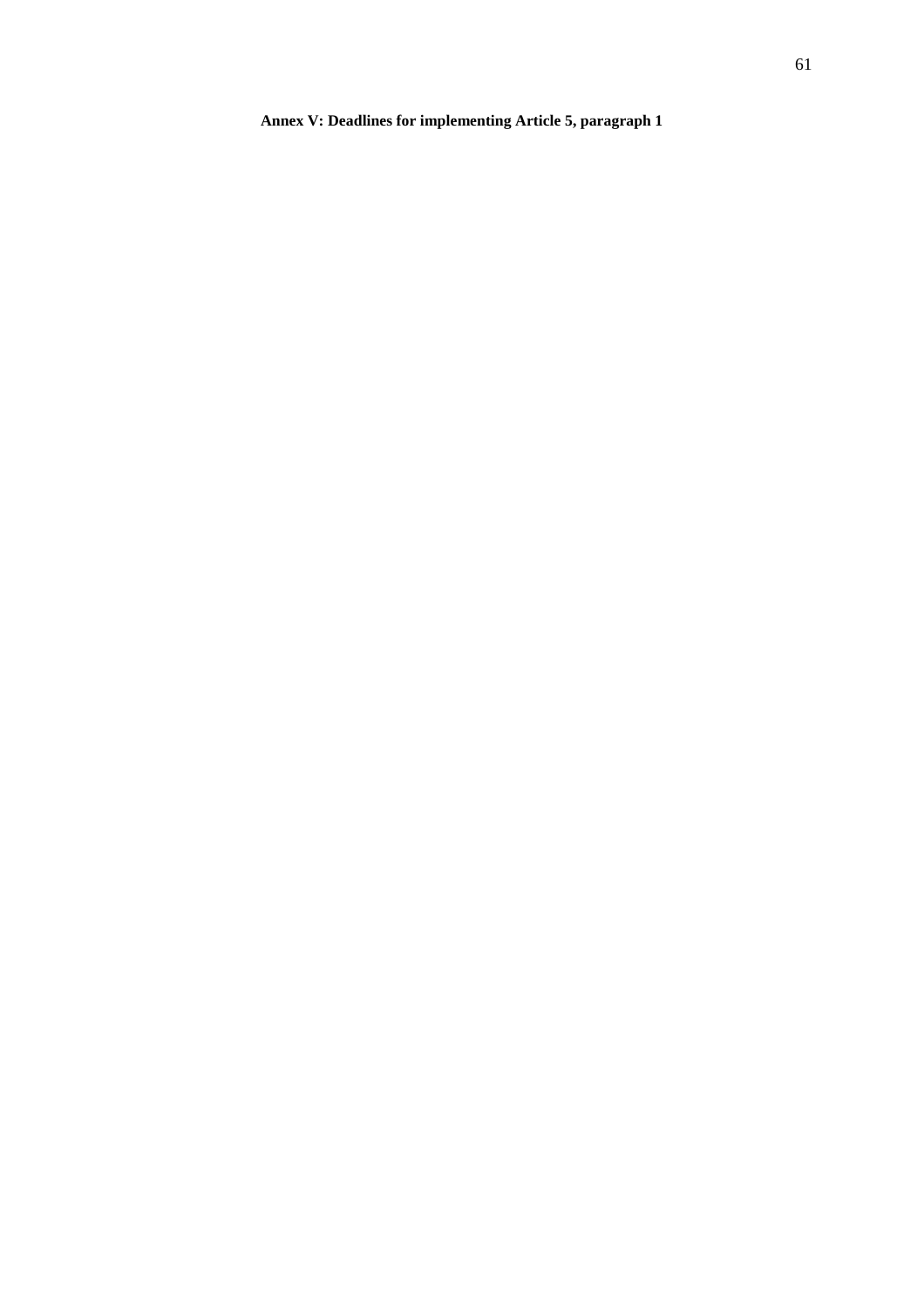# **Annex V: Deadlines for implementing Article 5, paragraph 1**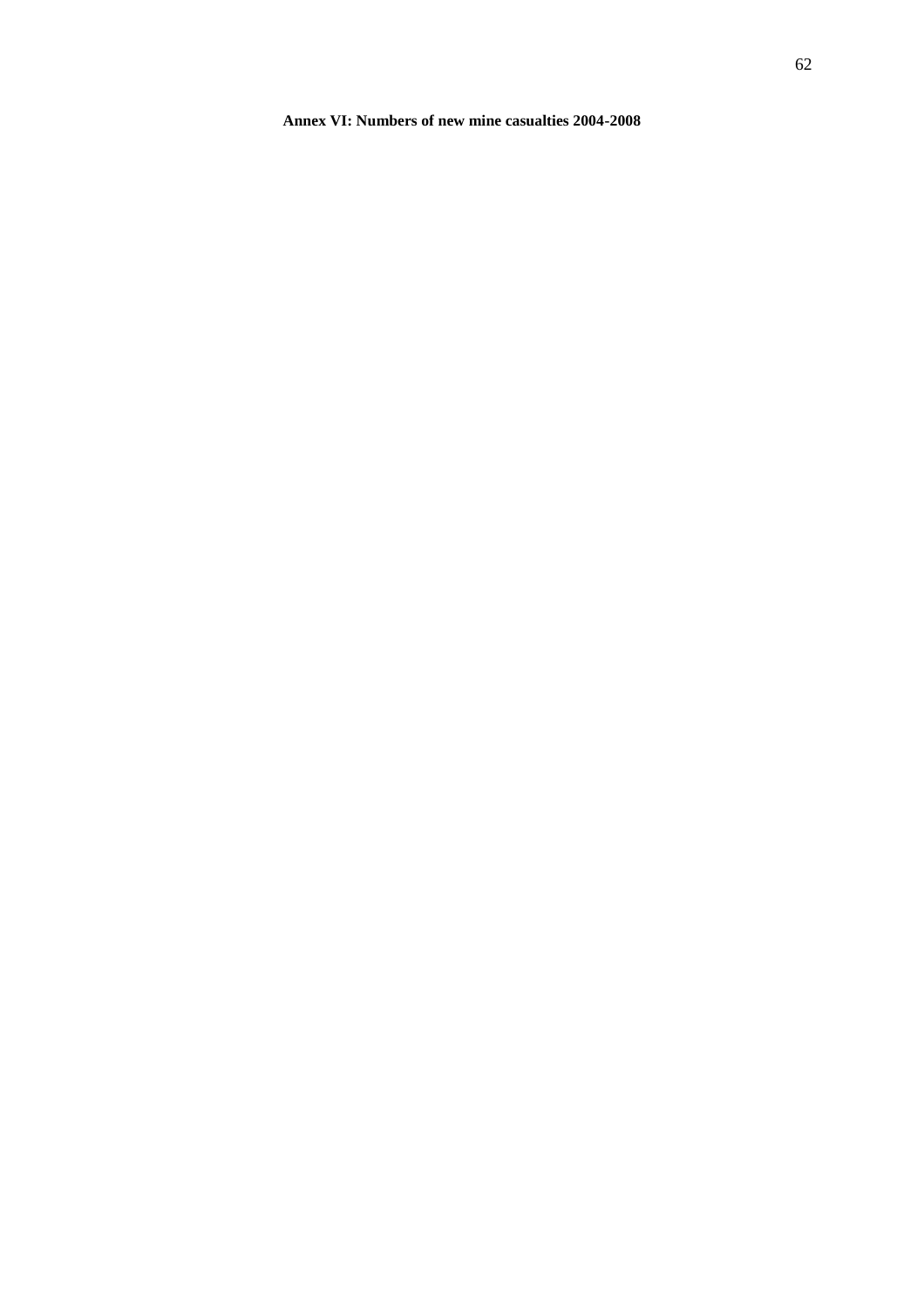**Annex VI: Numbers of new mine casualties 2004-2008**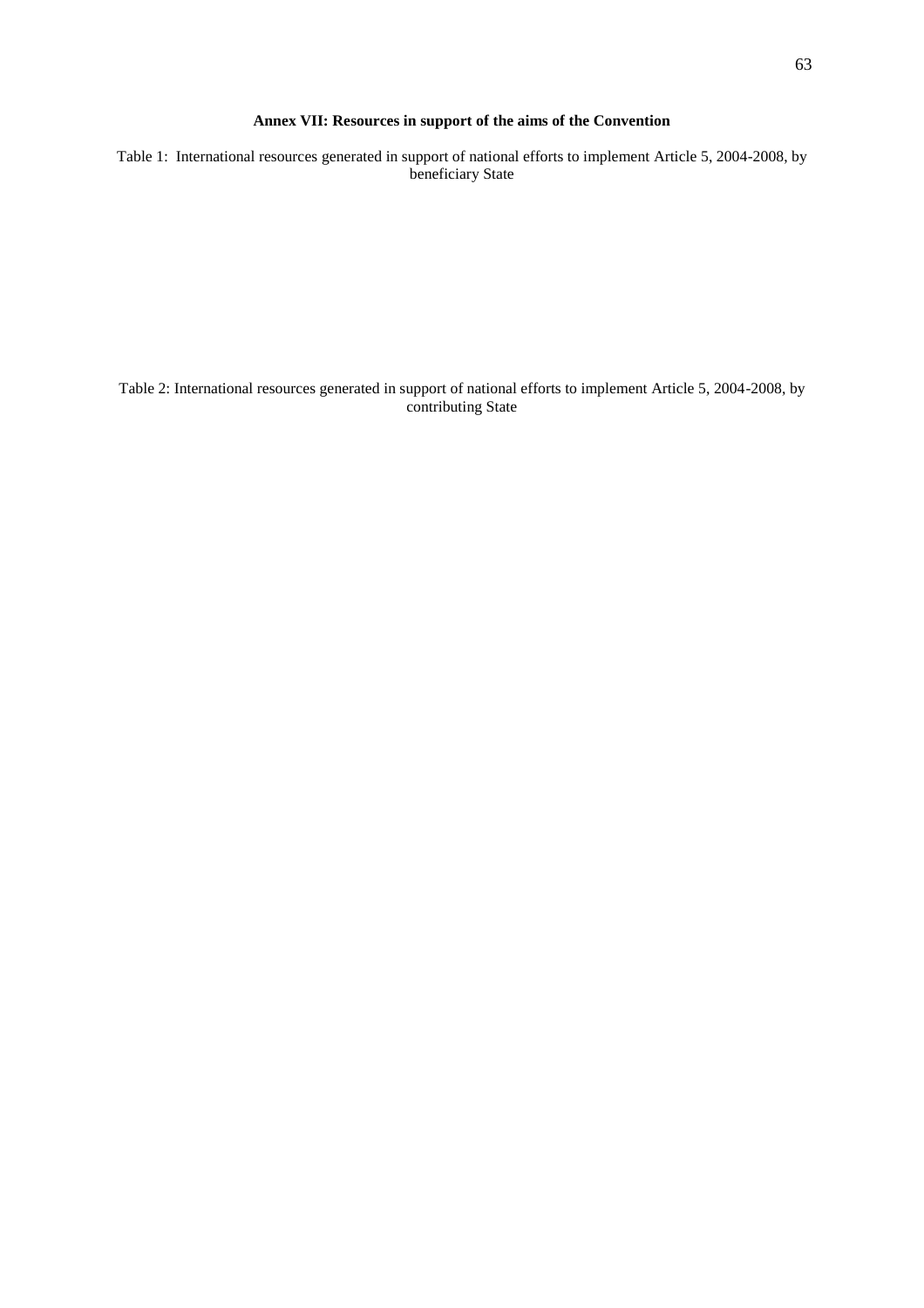#### **Annex VII: Resources in support of the aims of the Convention**

Table 1: International resources generated in support of national efforts to implement Article 5, 2004-2008, by beneficiary State

Table 2: International resources generated in support of national efforts to implement Article 5, 2004-2008, by contributing State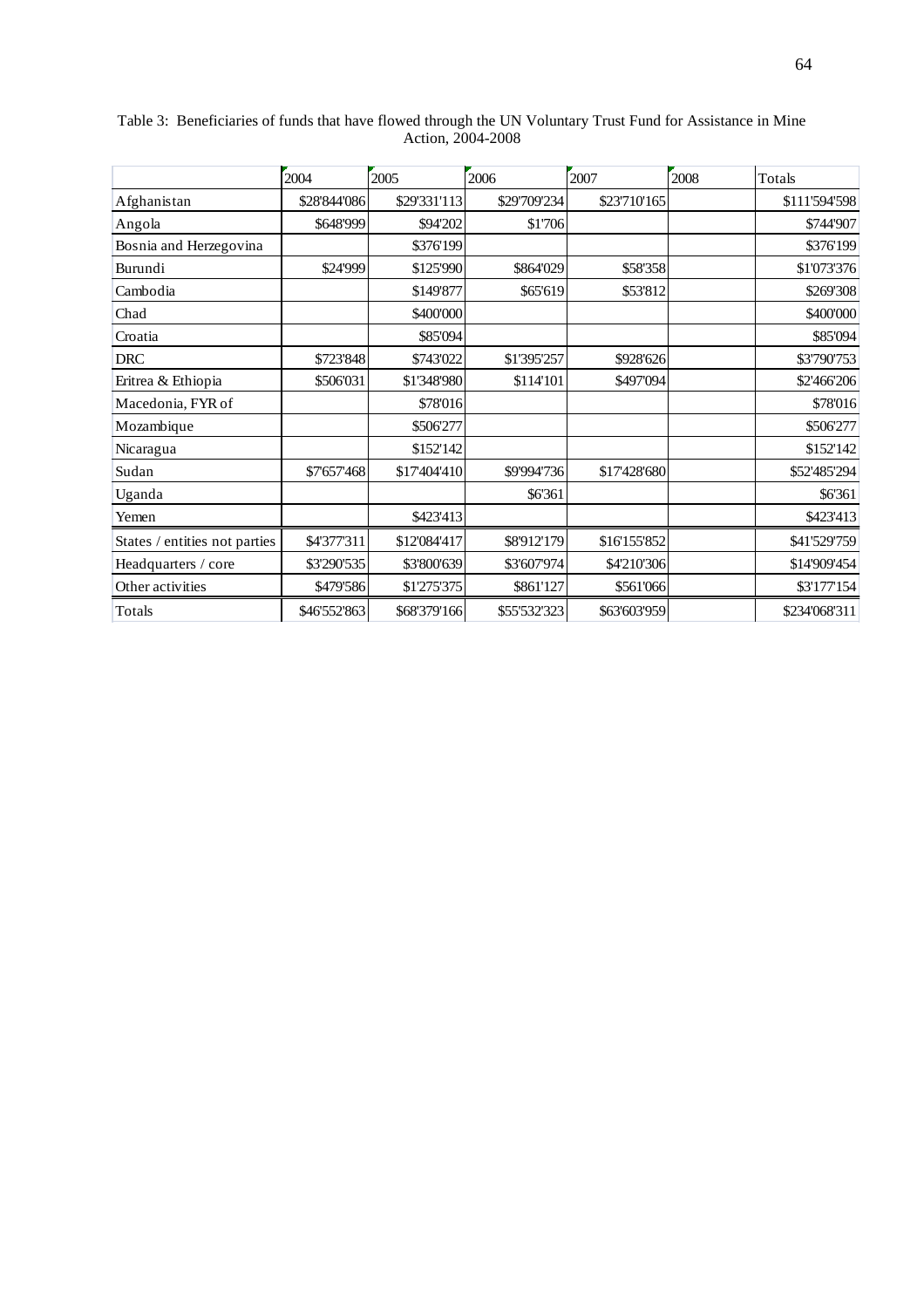|                               | 2004         | 2005         | 2006         | 2007         | 2008 | Totals        |
|-------------------------------|--------------|--------------|--------------|--------------|------|---------------|
| Afghanistan                   | \$28'844'086 | \$29'331'113 | \$29'709'234 | \$23'710'165 |      | \$111'594'598 |
| Angola                        | \$648'999    | \$94'202     | \$1'706      |              |      | \$744'907     |
| Bosnia and Herzegovina        |              | \$376'199    |              |              |      | \$376'199     |
| Burundi                       | \$24'999     | \$125'990    | \$864'029    | \$58'358     |      | \$1'073'376   |
| Cambodia                      |              | \$149'877    | \$65'619     | \$53'812     |      | \$269'308     |
| Chad                          |              | \$400'000    |              |              |      | \$400'000     |
| Croatia                       |              | \$85'094     |              |              |      | \$85'094      |
| <b>DRC</b>                    | \$723'848    | \$743'022    | \$1'395'257  | \$928'626    |      | \$3'790'753   |
| Eritrea & Ethiopia            | \$506'031    | \$1'348'980  | \$114'101    | \$497'094    |      | \$2'466'206   |
| Macedonia, FYR of             |              | \$78'016     |              |              |      | \$78'016      |
| Mozambique                    |              | \$506'277    |              |              |      | \$506'277     |
| Nicaragua                     |              | \$152'142    |              |              |      | \$152'142     |
| Sudan                         | \$7'657'468  | \$17'404'410 | \$9'994'736  | \$17'428'680 |      | \$52'485'294  |
| Uganda                        |              |              | \$6'361      |              |      | \$6'361       |
| Yemen                         |              | \$423'413    |              |              |      | \$423'413     |
| States / entities not parties | \$4'377'311  | \$12'084'417 | \$8'912'179  | \$16'155'852 |      | \$41'529'759  |
| Headquarters / core           | \$3'290'535  | \$3'800'639  | \$3'607'974  | \$4'210'306  |      | \$14'909'454  |
| Other activities              | \$479'586    | \$1'275'375  | \$861'127    | \$561'066    |      | \$3'177'154   |
| Totals                        | \$46'552'863 | \$68'379'166 | \$55'532'323 | \$63'603'959 |      | \$234'068'311 |

Table 3: Beneficiaries of funds that have flowed through the UN Voluntary Trust Fund for Assistance in Mine Action, 2004-2008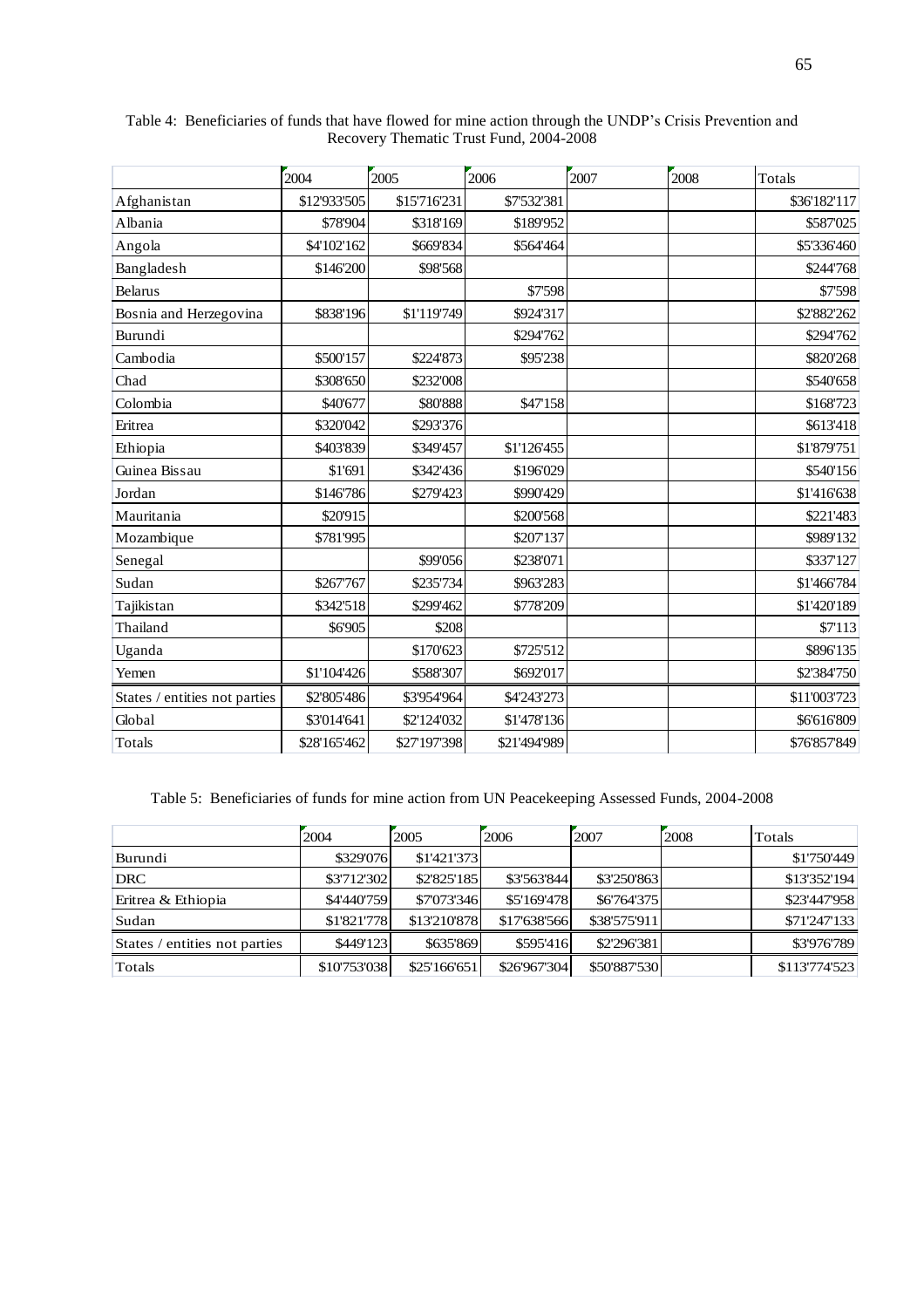|                               | 2004         | 2005         | 2006         | 2007 | 2008 | Totals       |
|-------------------------------|--------------|--------------|--------------|------|------|--------------|
| Afghanistan                   | \$12'933'505 | \$15'716'231 | \$7'532'381  |      |      | \$36'182'117 |
| Albania                       | \$78'904     | \$318'169    | \$189'952    |      |      | \$587'025    |
| Angola                        | \$4'102'162  | \$669'834    | \$564'464    |      |      | \$5'336'460  |
| Bangladesh                    | \$146'200    | \$98'568     |              |      |      | \$244'768    |
| <b>Belarus</b>                |              |              | \$7'598      |      |      | \$7'598      |
| Bosnia and Herzegovina        | \$838'196    | \$1'119'749  | \$924'317    |      |      | \$2'882'262  |
| Burundi                       |              |              | \$294'762    |      |      | \$294'762    |
| Cambodia                      | \$500'157    | \$224'873    | \$95'238     |      |      | \$820'268    |
| Chad                          | \$308'650    | \$232'008    |              |      |      | \$540'658    |
| Colombia                      | \$40'677     | \$80'888     | \$47'158     |      |      | \$168'723    |
| Eritrea                       | \$320'042    | \$293'376    |              |      |      | \$613'418    |
| Ethiopia                      | \$403'839    | \$349'457    | \$1'126'455  |      |      | \$1'879'751  |
| Guinea Bissau                 | \$1'691      | \$342'436    | \$196'029    |      |      | \$540'156    |
| Jordan                        | \$146'786    | \$279'423    | \$990'429    |      |      | \$1'416'638  |
| Mauritania                    | \$20'915     |              | \$200'568    |      |      | \$221'483    |
| Mozambique                    | \$781'995    |              | \$207'137    |      |      | \$989'132    |
| Senegal                       |              | \$99'056     | \$238'071    |      |      | \$337'127    |
| Sudan                         | \$267'767    | \$235'734    | \$963'283    |      |      | \$1'466'784  |
| Tajikistan                    | \$342'518    | \$299'462    | \$778'209    |      |      | \$1'420'189  |
| Thailand                      | \$6'905      | \$208        |              |      |      | \$7'113      |
| Uganda                        |              | \$170'623    | \$725'512    |      |      | \$896'135    |
| Yemen                         | \$1'104'426  | \$588'307    | \$692'017    |      |      | \$2'384'750  |
| States / entities not parties | \$2'805'486  | \$3'954'964  | \$4'243'273  |      |      | \$11'003'723 |
| Global                        | \$3'014'641  | \$2'124'032  | \$1'478'136  |      |      | \$6'616'809  |
| Totals                        | \$28'165'462 | \$27'197'398 | \$21'494'989 |      |      | \$76'857'849 |

Table 4: Beneficiaries of funds that have flowed for mine action through the UNDP's Crisis Prevention and Recovery Thematic Trust Fund, 2004-2008

Table 5: Beneficiaries of funds for mine action from UN Peacekeeping Assessed Funds, 2004-2008

|                               | 2004         | 2005         | 2006         | 2007         | 2008 | Totals        |
|-------------------------------|--------------|--------------|--------------|--------------|------|---------------|
| Burundi                       | \$329'076    | \$1'421'373  |              |              |      | \$1'750'449   |
| <b>DRC</b>                    | \$3'712'302  | \$2'825'185  | \$3'563'844  | \$3'250'863  |      | \$13'352'194  |
| Eritrea & Ethiopia            | \$4'440'759  | \$7'073'346  | \$5'169'478  | \$6'764'375  |      | \$23'447'958  |
| Sudan                         | \$1'821'778  | \$13'210'878 | \$17'638'566 | \$38'575'911 |      | \$71'247'133  |
| States / entities not parties | \$449'123    | \$635'869    | \$595'416    | \$2'296'381  |      | \$3'976'789   |
| Totals                        | \$10'753'038 | \$25'166'651 | \$26'967'304 | \$50'887'530 |      | \$113'774'523 |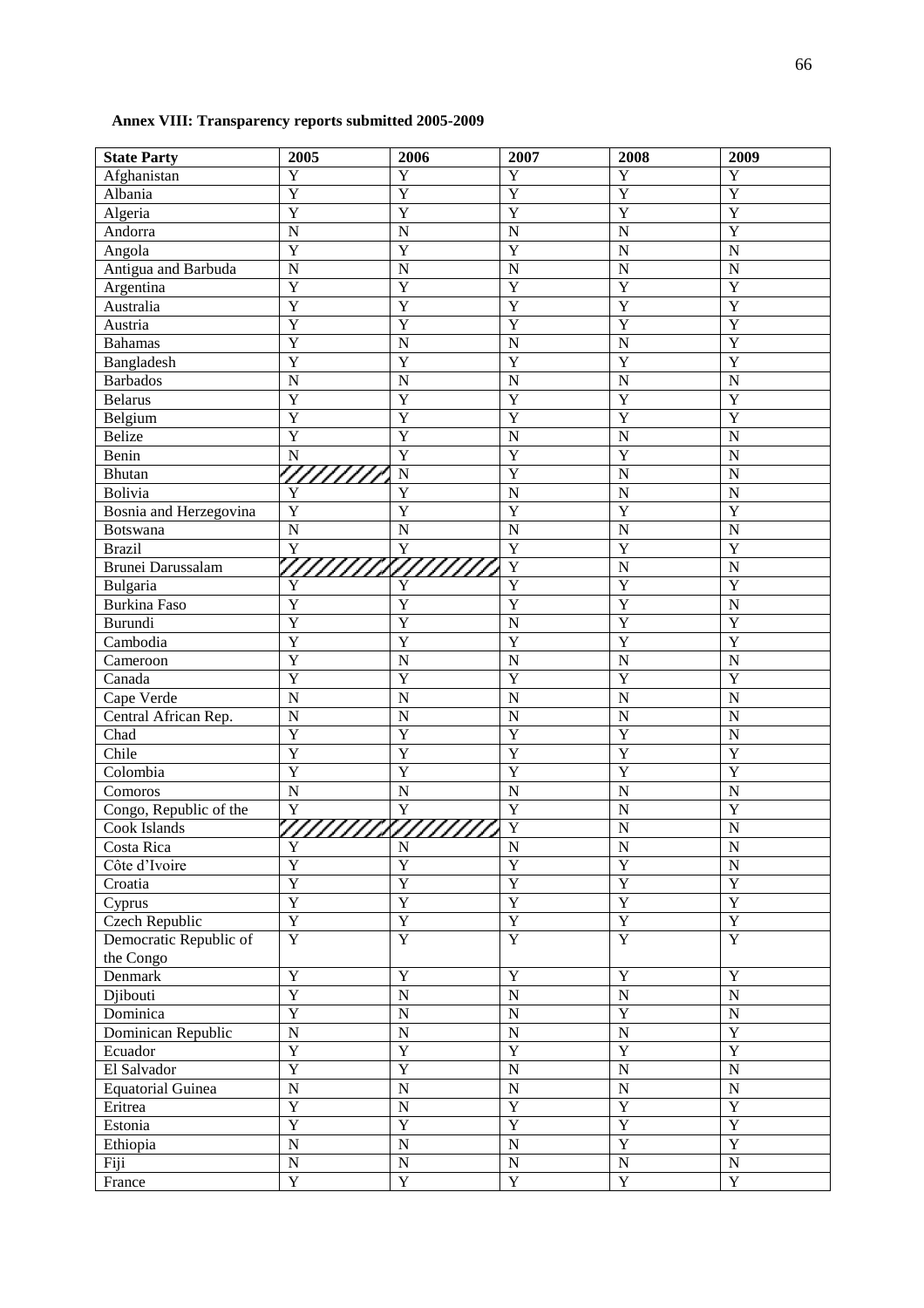# **Annex VIII: Transparency reports submitted 2005-2009**

| <b>State Party</b>       | 2005                  | 2006                    | 2007                    | 2008           | 2009                  |
|--------------------------|-----------------------|-------------------------|-------------------------|----------------|-----------------------|
| Afghanistan              | Y                     | Y                       | Y                       | Y              | $\mathbf Y$           |
| Albania                  | $\overline{Y}$        | $\overline{Y}$          | $\overline{Y}$          | $\overline{Y}$ | $\overline{Y}$        |
| Algeria                  | $\overline{\text{Y}}$ | $\overline{Y}$          | $\overline{Y}$          | $\overline{Y}$ | $\overline{Y}$        |
| Andorra                  | $\mathbf N$           | $\overline{N}$          | $\overline{N}$          | ${\bf N}$      | $\overline{Y}$        |
| Angola                   | $\overline{Y}$        | $\overline{Y}$          | $\overline{Y}$          | $\mathbf N$    | ${\bf N}$             |
| Antigua and Barbuda      | $\overline{N}$        | $\overline{N}$          | $\overline{\bf N}$      | ${\bf N}$      | ${\bf N}$             |
| Argentina                | $\overline{Y}$        | $\overline{Y}$          | $\overline{Y}$          | $\overline{Y}$ | $\overline{Y}$        |
| Australia                | $\overline{Y}$        | Y                       | $\overline{Y}$          | $\overline{Y}$ | $\overline{Y}$        |
| Austria                  | $\overline{\text{Y}}$ | Y                       | $\overline{Y}$          | $\overline{Y}$ | $\overline{Y}$        |
| <b>Bahamas</b>           | $\overline{\text{Y}}$ | $\overline{N}$          | $\mathbf N$             | $\mathbf N$    | $\overline{Y}$        |
| Bangladesh               | $\overline{\text{Y}}$ | $\overline{Y}$          | $\overline{Y}$          | $\overline{Y}$ | $\overline{Y}$        |
| <b>Barbados</b>          | $\overline{N}$        | $\overline{N}$          | $\overline{\mathbf{N}}$ | $\overline{N}$ | ${\bf N}$             |
| <b>Belarus</b>           | $\overline{Y}$        | $\overline{Y}$          | $\overline{Y}$          | $\overline{Y}$ | $\overline{Y}$        |
| Belgium                  | $\overline{\text{Y}}$ | Y                       | $\overline{Y}$          | $\overline{Y}$ | $\overline{Y}$        |
| Belize                   | $\overline{\text{Y}}$ | Y                       | $\mathbf N$             | $\mathbf N$    | ${\bf N}$             |
| Benin                    | $\mathbf N$           | $\overline{\text{Y}}$   | $\overline{Y}$          | $\overline{Y}$ | $\overline{N}$        |
| Bhutan                   | 777777                | $\mathbf N$             | $\overline{Y}$          | ${\bf N}$      | $\overline{N}$        |
| Bolivia                  | Y                     | Y                       | $\overline{N}$          | $\overline{N}$ | ${\bf N}$             |
| Bosnia and Herzegovina   | $\overline{Y}$        | Y                       | $\overline{Y}$          | $\overline{Y}$ | $\overline{Y}$        |
| Botswana                 | $\overline{N}$        | $\mathbf N$             | $\mathbf N$             | $\mathbf N$    | $\overline{N}$        |
| <b>Brazil</b>            | $\overline{Y}$        | $\overline{Y}$          | $\overline{Y}$          | $\overline{Y}$ | $\overline{Y}$        |
| Brunei Darussalam        |                       | 7777787777777           | $\overline{Y}$          | $\mathbf N$    | ${\bf N}$             |
| Bulgaria                 | Y                     | Y                       | Y                       | $\overline{Y}$ | Y                     |
| <b>Burkina Faso</b>      | Y                     | Y                       | $\overline{Y}$          | $\overline{Y}$ | ${\bf N}$             |
| Burundi                  | $\overline{Y}$        | Y                       | $\mathbf N$             | $\overline{Y}$ | $\overline{Y}$        |
| Cambodia                 | $\overline{\text{Y}}$ | $\overline{Y}$          | $\overline{Y}$          | $\overline{Y}$ | $\overline{Y}$        |
| Cameroon                 | $\overline{Y}$        | $\overline{N}$          | $\overline{\mathbf{N}}$ | $\mathbf N$    | ${\bf N}$             |
| Canada                   | $\overline{Y}$        | $\overline{Y}$          | $\overline{Y}$          | $\overline{Y}$ | $\overline{Y}$        |
| Cape Verde               | $\overline{N}$        | $\overline{N}$          | $\overline{\mathbf{N}}$ | $\overline{N}$ | ${\bf N}$             |
| Central African Rep.     | $\overline{N}$        | $\mathbf N$             | $\mathbf N$             | $\mathbf N$    | $\overline{N}$        |
| Chad                     | $\overline{Y}$        | Y                       | Y                       | $\overline{Y}$ | $\overline{N}$        |
| Chile                    | $\overline{\text{Y}}$ | Y                       | $\overline{Y}$          | $\overline{Y}$ | $\overline{Y}$        |
| Colombia                 | $\overline{Y}$        | $\overline{Y}$          | $\overline{Y}$          | $\overline{Y}$ | $\overline{Y}$        |
| Comoros                  | $\overline{N}$        | $\overline{\bf N}$      | $\overline{N}$          | $\overline{N}$ | ${\bf N}$             |
| Congo, Republic of the   | $\overline{Y}$        | $\overline{\textbf{Y}}$ | $\overline{Y}$          | $\mathbf N$    | $\overline{Y}$        |
| Cook Islands             |                       | <u>IIIIII XIIIIIII</u>  | $\overline{Y}$          | $\mathbf N$    | ${\bf N}$             |
| Costa Rica               | Y                     | $\mathbf N$             | $\overline{\text{N}}$   | $\overline{N}$ | $\overline{\text{N}}$ |
| Côte d'Ivoire            | $\overline{Y}$        | $\overline{Y}$          | $\overline{Y}$          | $\overline{Y}$ | $\overline{\text{N}}$ |
| Croatia                  | $\overline{Y}$        | $\overline{Y}$          | Y                       | $\overline{Y}$ | $\overline{Y}$        |
| Cyprus                   | $\overline{Y}$        | $\overline{Y}$          | Y                       | $\overline{Y}$ | $\overline{Y}$        |
| Czech Republic           | $\overline{Y}$        | $\overline{Y}$          | $\overline{Y}$          | $\overline{Y}$ | $\overline{Y}$        |
| Democratic Republic of   | $\overline{Y}$        | $\overline{Y}$          | $\overline{Y}$          | $\overline{Y}$ | $\overline{Y}$        |
| the Congo                |                       |                         |                         |                |                       |
| Denmark                  | $\overline{Y}$        | Y                       | Y                       | Y              | Y                     |
| Djibouti                 | $\overline{Y}$        | $\mathbf N$             | $\mathbf N$             | ${\bf N}$      | $\overline{N}$        |
| Dominica                 | $\overline{Y}$        | ${\bf N}$               | $\mathbf N$             | Y              | $\overline{N}$        |
| Dominican Republic       | $\overline{N}$        | ${\bf N}$               | $\overline{N}$          | $\mathbf N$    | $\overline{Y}$        |
| Ecuador                  | $\overline{Y}$        | $\overline{Y}$          | $\overline{Y}$          | Y              | $\overline{Y}$        |
| El Salvador              | $\overline{Y}$        | $\overline{Y}$          | $\overline{N}$          | $\mathbf N$    | $\overline{N}$        |
| <b>Equatorial Guinea</b> | $\overline{N}$        | $\overline{N}$          | $\overline{N}$          | $\mathbf N$    | $\overline{N}$        |
| Eritrea                  | $\overline{Y}$        | ${\bf N}$               | $\overline{Y}$          | Y              | $\overline{Y}$        |
| Estonia                  | $\overline{Y}$        | $\overline{Y}$          | $\overline{Y}$          | $\overline{Y}$ | $\overline{Y}$        |
| Ethiopia                 | $\overline{N}$        | $\overline{N}$          | $\overline{N}$          | Y              | $\overline{Y}$        |
| Fiji                     | $\overline{N}$        | $\overline{N}$          | $\mathbf N$             | ${\bf N}$      | $\overline{\text{N}}$ |
| France                   | $\overline{Y}$        | $\overline{Y}$          | $\overline{Y}$          | $\overline{Y}$ | $\overline{Y}$        |
|                          |                       |                         |                         |                |                       |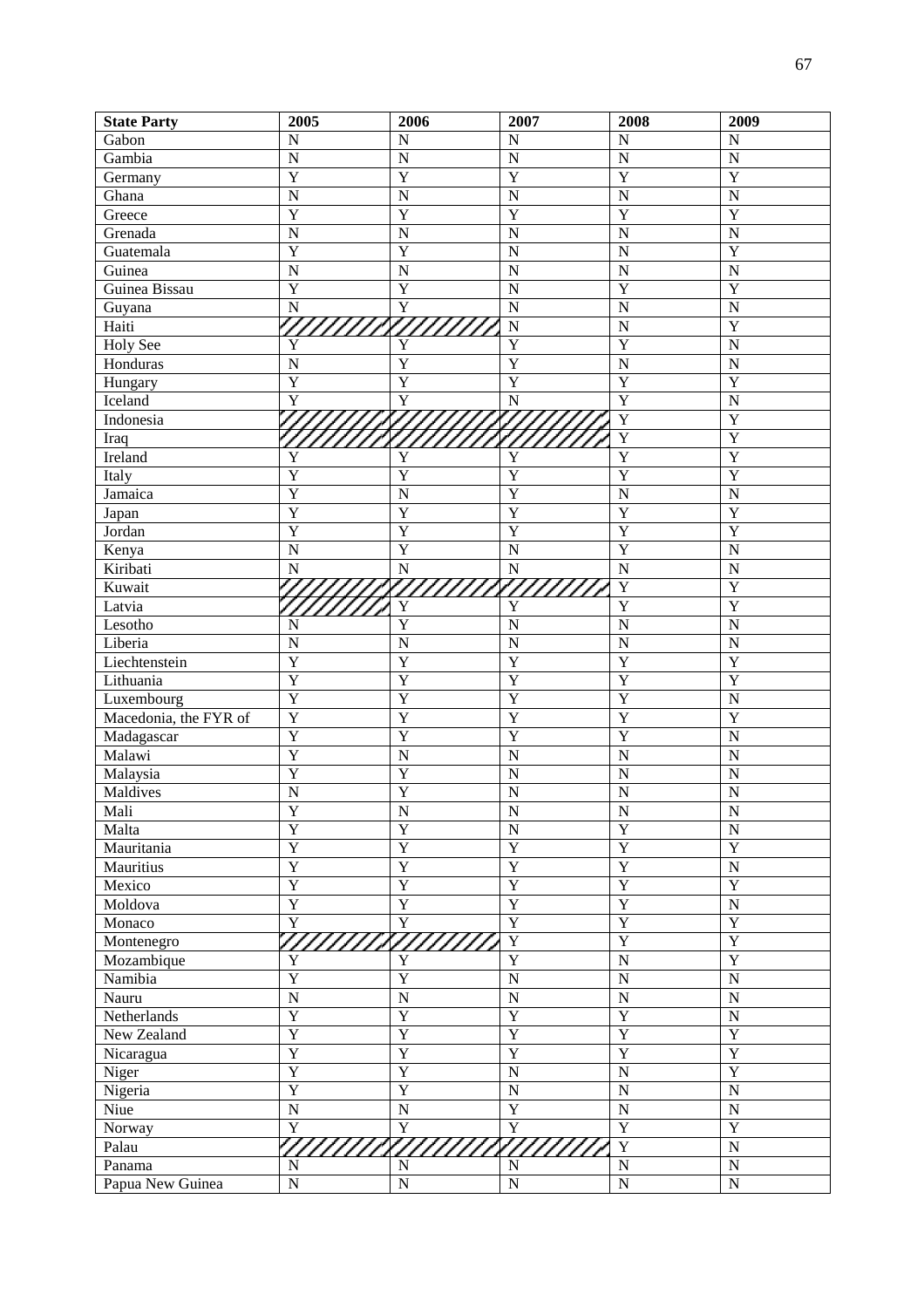| <b>State Party</b>    | 2005                    | 2006                    | 2007                    | 2008                  | 2009                  |
|-----------------------|-------------------------|-------------------------|-------------------------|-----------------------|-----------------------|
| Gabon                 | N                       | $\mathbf N$             | $\overline{N}$          | $\overline{N}$        | $\mathbf N$           |
| Gambia                | $\mathbf N$             | $\overline{N}$          | $\overline{N}$          | $\overline{N}$        | $\overline{N}$        |
| Germany               | $\overline{Y}$          | $\overline{Y}$          | Y                       | Y                     | $\overline{Y}$        |
| Ghana                 | $\overline{N}$          | $\mathbf N$             | $\overline{N}$          | N                     | $\overline{N}$        |
| Greece                | $\overline{Y}$          | Y                       | Y                       | $\overline{Y}$        | $\overline{Y}$        |
| Grenada               | $\overline{N}$          | $\overline{N}$          | $\overline{N}$          | $\overline{N}$        | $\overline{N}$        |
| Guatemala             | $\overline{Y}$          | $\overline{Y}$          | $\overline{N}$          | N                     | $\overline{Y}$        |
| Guinea                | $\overline{N}$          | $\mathbf N$             | $\overline{N}$          | N                     | $\overline{N}$        |
| Guinea Bissau         | $\overline{Y}$          | $\overline{Y}$          | $\overline{N}$          | $\overline{Y}$        | $\overline{Y}$        |
| Guyana                | $\overline{N}$          | $\overline{Y}$          | $\overline{N}$          | $\overline{N}$        | $\overline{N}$        |
| Haiti                 |                         |                         | $\overline{N}$          | $\overline{N}$        | $\overline{Y}$        |
| <b>Holy See</b>       | Y                       | Y                       | $\overline{Y}$          | $\overline{Y}$        | $\overline{N}$        |
| Honduras              | $\mathbf N$             | $\overline{Y}$          | $\overline{Y}$          | N                     | $\overline{N}$        |
| Hungary               | $\overline{Y}$          | $\overline{Y}$          | $\overline{Y}$          | $\overline{Y}$        | $\overline{Y}$        |
| <b>Iceland</b>        | Y                       | Y                       | $\mathbf N$             | $\overline{Y}$        | $\overline{N}$        |
| Indonesia             |                         |                         |                         | $\overline{\text{Y}}$ | $\overline{Y}$        |
| Iraq                  |                         |                         |                         | $\overline{\text{Y}}$ | $\overline{Y}$        |
| Ireland               | Y                       | Y                       | Y                       | $\overline{Y}$        | $\overline{Y}$        |
| Italy                 | $\overline{Y}$          | $\overline{Y}$          | $\overline{Y}$          | $\overline{Y}$        | $\overline{Y}$        |
| Jamaica               | $\overline{Y}$          | $\overline{N}$          | Y                       | $\overline{N}$        | $\overline{N}$        |
| Japan                 | $\overline{Y}$          | Y                       | Y                       | $\overline{Y}$        | $\overline{Y}$        |
| Jordan                | $\overline{Y}$          | Y                       | Y                       | $\overline{Y}$        | $\overline{Y}$        |
| Kenya                 | $\overline{N}$          | $\overline{Y}$          | $\overline{N}$          | $\overline{Y}$        | $\overline{N}$        |
| Kiribati              | N                       | ${\bf N}$               | ${\bf N}$               | $\overline{N}$        | $\overline{N}$        |
| Kuwait                |                         |                         |                         | $\overline{Y}$        | $\overline{Y}$        |
| Latvia                |                         | Y                       | Y                       | $\overline{Y}$        | $\overline{Y}$        |
| Lesotho               | N                       | $\overline{Y}$          | $\overline{N}$          | $\overline{N}$        | $\overline{N}$        |
| Liberia               | $\mathbf N$             | $\overline{N}$          | $\overline{N}$          | $\overline{N}$        | $\overline{N}$        |
| Liechtenstein         | $\overline{Y}$          | Y                       | Y                       | $\overline{Y}$        | $\overline{Y}$        |
| Lithuania             | $\overline{Y}$          | Y                       | Y                       | $\overline{Y}$        | $\overline{Y}$        |
| Luxembourg            | $\overline{Y}$          | Y                       | Y                       | $\overline{Y}$        | $\overline{N}$        |
| Macedonia, the FYR of | $\overline{Y}$          | Y                       | Y                       | $\overline{Y}$        | $\overline{Y}$        |
| Madagascar            | $\overline{Y}$          | Y                       | Y                       | $\overline{Y}$        | $\overline{N}$        |
| Malawi                | $\overline{Y}$          | $\overline{N}$          | $\overline{N}$          | $\overline{N}$        | $\overline{N}$        |
| Malaysia              | $\overline{Y}$          | Y                       | $\overline{N}$          | $\overline{N}$        | $\overline{N}$        |
| Maldives              | $\overline{\rm N}$      | $\overline{Y}$          | $\overline{N}$          | $\overline{N}$        | $\overline{N}$        |
| Mali                  | $\overline{\mathbf{Y}}$ | $\overline{\text{N}}$   | $\overline{\text{N}}$   | $\overline{N}$        | $\overline{\text{N}}$ |
| Malta                 | $\overline{Y}$          | $\overline{Y}$          | $\overline{N}$          | Y                     | $\overline{N}$        |
| Mauritania            | $\overline{Y}$          | $\overline{Y}$          | $\overline{Y}$          | $\overline{Y}$        | $\overline{Y}$        |
| Mauritius             | $\overline{Y}$          | $\overline{Y}$          | $\overline{\textbf{Y}}$ | $\overline{Y}$        | $\overline{N}$        |
| Mexico                | $\overline{Y}$          | $\overline{Y}$          | $\overline{Y}$          | $\overline{Y}$        | $\overline{Y}$        |
| Moldova               | $\overline{Y}$          | $\overline{Y}$          | $\overline{Y}$          | $\overline{Y}$        | $\overline{N}$        |
| Monaco                | $\overline{Y}$          | $\overline{\mathbf{Y}}$ | $\overline{Y}$          | $\overline{Y}$        | $\overline{Y}$        |
| Montenegro            |                         |                         | $\overline{Y}$          | $\overline{Y}$        | $\overline{Y}$        |
| Mozambique            | Y                       | Y                       | $\overline{Y}$          | $\overline{N}$        | $\overline{Y}$        |
| Namibia               | $\overline{Y}$          | $\overline{Y}$          | $\overline{N}$          | $\overline{N}$        | $\overline{N}$        |
| Nauru                 | $\overline{N}$          | ${\bf N}$               | $\overline{\text{N}}$   | $\overline{N}$        | $\overline{N}$        |
| Netherlands           | $\overline{Y}$          | $\overline{Y}$          | $\overline{\textbf{Y}}$ | $\overline{Y}$        | $\overline{N}$        |
| New Zealand           | $\overline{Y}$          | $\overline{Y}$          | $\overline{Y}$          | $\overline{Y}$        | $\overline{Y}$        |
|                       | $\overline{Y}$          | $\overline{Y}$          | $\overline{Y}$          | $\overline{Y}$        | $\overline{Y}$        |
| Nicaragua             | $\overline{Y}$          | $\overline{Y}$          | $\overline{N}$          | $\overline{N}$        | $\overline{Y}$        |
| Niger                 | $\overline{Y}$          | $\overline{Y}$          | $\overline{N}$          | $\overline{N}$        | $\overline{N}$        |
| Nigeria               | $\overline{N}$          |                         | $\overline{Y}$          | $\overline{N}$        | $\overline{N}$        |
| Niue                  |                         | ${\bf N}$               |                         | $\overline{Y}$        | $\overline{Y}$        |
| Norway                | $\overline{Y}$          | $\overline{\mathbf{Y}}$ | $\overline{\mathbf{Y}}$ | Y                     |                       |
| Palau                 |                         |                         | <u>7777777</u>          |                       | $\overline{N}$        |
| Panama                | N                       | $\mathbf N$             | $\mathbf N$             | $\overline{N}$        | $\overline{N}$        |
| Papua New Guinea      | $\overline{N}$          | $\overline{N}$          | $\overline{N}$          | $\overline{\text{N}}$ | $\overline{N}$        |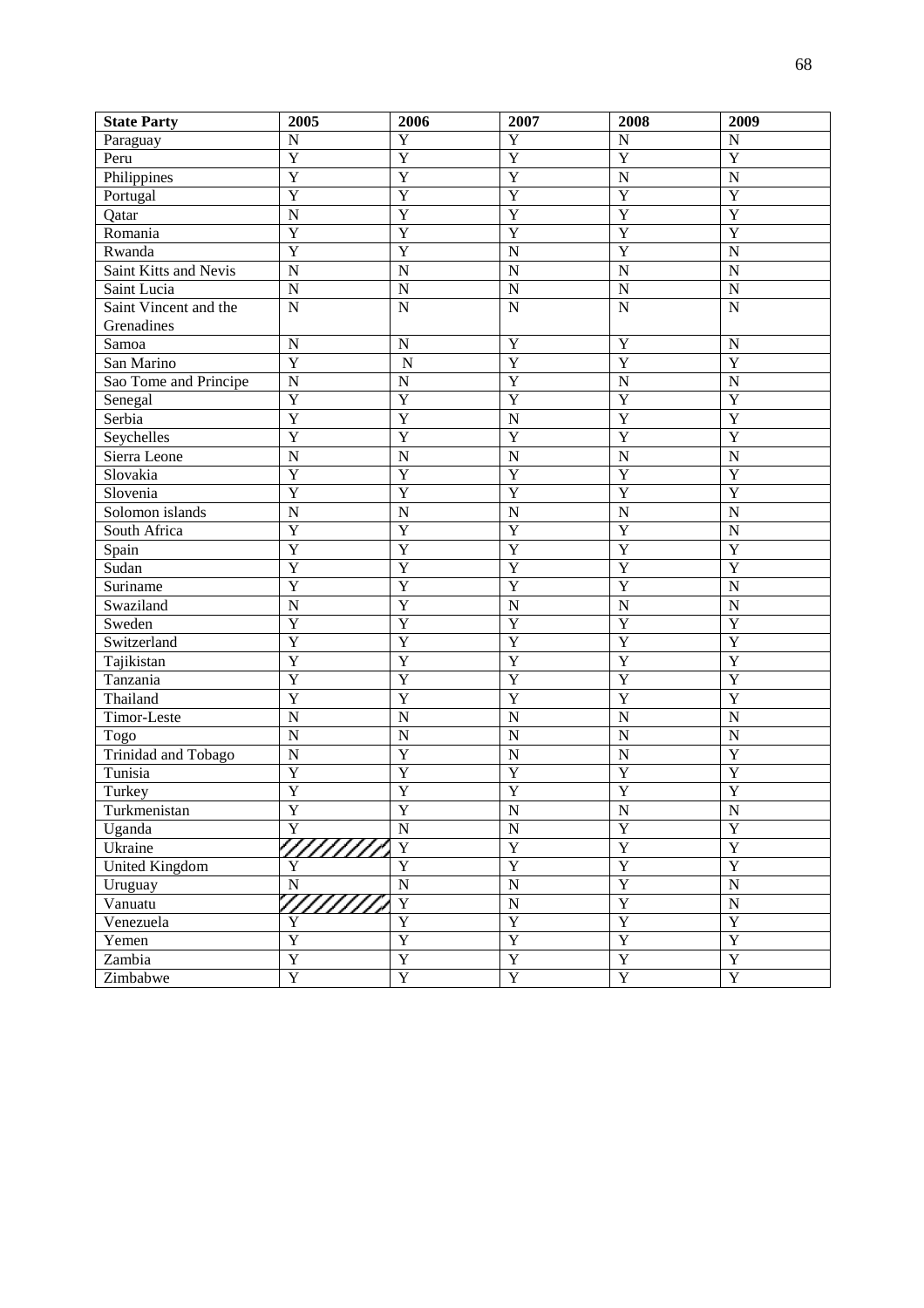| <b>State Party</b>            | 2005           | 2006                    | 2007                  | 2008                    | 2009                             |
|-------------------------------|----------------|-------------------------|-----------------------|-------------------------|----------------------------------|
| Paraguay                      | $\mathbf N$    | $\overline{Y}$          | $\overline{Y}$        | $\mathbf N$             | $\mathbf N$                      |
| Peru                          | $\overline{Y}$ | $\overline{Y}$          | $\overline{Y}$        | $\overline{Y}$          | $\overline{Y}$                   |
| Philippines                   | $\overline{Y}$ | $\overline{\text{Y}}$   | $\overline{Y}$        | $\overline{N}$          | $\overline{N}$                   |
| Portugal                      | $\overline{Y}$ | $\overline{\text{Y}}$   | $\overline{Y}$        | $\overline{Y}$          | $\overline{Y}$                   |
| Qatar                         | $\mathbf N$    | $\overline{\text{Y}}$   | $\overline{Y}$        | $\overline{Y}$          | $\overline{Y}$                   |
| Romania                       | $\overline{Y}$ | $\overline{\text{Y}}$   | $\overline{Y}$        | $\overline{Y}$          | $\overline{\text{Y}}$            |
| Rwanda                        | $\overline{Y}$ | $\overline{\text{Y}}$   | $\overline{N}$        | $\overline{Y}$          | $\overline{N}$                   |
| Saint Kitts and Nevis         | $\mathbf N$    | $\overline{N}$          | $\mathbf N$           | $\overline{N}$          | $\overline{N}$                   |
| Saint Lucia                   | $\mathbf N$    | $\overline{N}$          | ${\bf N}$             | $\overline{N}$          | $\overline{N}$                   |
| Saint Vincent and the         | $\mathbf N$    | $\overline{N}$          | $\mathbf N$           | $\overline{N}$          | $\overline{N}$                   |
| Grenadines                    |                |                         |                       |                         |                                  |
| Samoa                         | $\mathbf N$    | $\mathbf N$             | $\overline{Y}$        | $\overline{Y}$          | $\mathbf N$                      |
| San Marino                    | $\overline{Y}$ | $\overline{N}$          | $\overline{Y}$        | Y                       | $\overline{Y}$                   |
| Sao Tome and Principe         | $\overline{N}$ | $\overline{N}$          | $\overline{Y}$        | $\overline{N}$          | $\overline{N}$                   |
| Senegal                       | $\overline{Y}$ | $\overline{Y}$          | $\overline{Y}$        | Y                       | $\overline{Y}$                   |
| Serbia                        | $\overline{Y}$ | $\overline{Y}$          | $\mathbf N$           | Y                       | $\overline{Y}$                   |
| Seychelles                    | $\overline{Y}$ | $\overline{Y}$          | $\overline{Y}$        | $\overline{Y}$          | $\overline{Y}$                   |
| Sierra Leone                  | $\overline{N}$ | $\overline{N}$          | $\overline{N}$        | $\overline{N}$          | $\overline{N}$                   |
| Slovakia                      | $\overline{Y}$ | $\overline{Y}$          | $\overline{Y}$        | Y                       | $\overline{Y}$                   |
| $\overline{\text{S}}$ lovenia | $\overline{Y}$ | $\overline{Y}$          | $\overline{Y}$        | Y                       | $\overline{Y}$                   |
| Solomon islands               | $\overline{N}$ | $\overline{N}$          | $\overline{N}$        | $\overline{N}$          | $\overline{N}$                   |
| South Africa                  | $\overline{Y}$ | $\overline{Y}$          | $\overline{Y}$        | Y                       | $\overline{N}$                   |
| Spain                         | $\overline{Y}$ | $\overline{Y}$          | $\overline{Y}$        | Y                       | $\overline{Y}$                   |
| Sudan                         | $\overline{Y}$ | $\overline{Y}$          | $\overline{Y}$        | Y                       | $\overline{Y}$                   |
| Suriname                      | $\overline{Y}$ | $\overline{Y}$          | $\overline{Y}$        | $\overline{Y}$          | $\overline{N}$                   |
| Swaziland                     | $\overline{N}$ | $\overline{\text{Y}}$   | $\overline{N}$        | $\overline{N}$          | $\overline{N}$                   |
| Sweden                        | $\overline{Y}$ | $\overline{Y}$          | $\overline{Y}$        | Y                       | $\overline{Y}$                   |
| Switzerland                   | $\overline{Y}$ | $\overline{\text{Y}}$   | $\overline{Y}$        | $\overline{Y}$          | $\overline{Y}$                   |
| Tajikistan                    | $\overline{Y}$ | $\overline{Y}$          | $\overline{Y}$        | $\overline{Y}$          | $\overline{Y}$                   |
| Tanzania                      | $\overline{Y}$ | $\overline{\text{Y}}$   | $\overline{Y}$        | Y                       | $\overline{Y}$                   |
| Thailand                      | $\overline{Y}$ | $\overline{Y}$          | $\overline{Y}$        | Y                       | $\overline{Y}$                   |
| Timor-Leste                   | $\overline{N}$ | $\overline{N}$          | $\overline{N}$        | $\overline{N}$          | $\overline{N}$                   |
| Togo                          | $\overline{N}$ | $\overline{N}$          | ${\bf N}$             | $\overline{N}$          | $\overline{N}$                   |
| <b>Trinidad and Tobago</b>    | $\overline{N}$ | $\overline{Y}$          | ${\bf N}$             | $\overline{N}$          | $\overline{Y}$                   |
| Tunisia                       | $\overline{Y}$ | $\overline{Y}$          | $\overline{Y}$        | $\overline{Y}$          | $\overline{Y}$                   |
| Turkey                        | $\overline{Y}$ | $\overline{Y}$          | $\overline{Y}$        | $\overline{\textbf{Y}}$ | $\overline{Y}$                   |
| Turkmenistan                  | $\overline{Y}$ | Y                       | $\overline{\text{N}}$ | $\frac{N}{Y}$           | $\overline{N}$<br>$\overline{Y}$ |
| Uganda                        | $\overline{Y}$ | $\overline{N}$          | ${\bf N}$             |                         |                                  |
| Ukraine                       | 7777777        | $\overline{\mathbf{Y}}$ | $\overline{Y}$        | $\overline{Y}$          | $\overline{Y}$                   |
| <b>United Kingdom</b>         | $\overline{Y}$ | $\overline{Y}$          | $\overline{Y}$        | $\overline{Y}$          | $\overline{Y}$                   |
| Uruguay                       | $\overline{N}$ | $\overline{N}$          | $\overline{\text{N}}$ | $\overline{Y}$          | $\overline{\text{N}}$            |
| Vanuatu                       | 777777         | $\overline{\mathbf{Y}}$ | $\overline{\text{N}}$ | $\overline{Y}$          | $\overline{\text{N}}$            |
| Venezuela                     | $\mathbf Y$    | $\overline{Y}$          | $\overline{Y}$        | $\overline{Y}$          | $\overline{Y}$                   |
| Yemen                         | $\overline{Y}$ | $\overline{Y}$          | $\overline{Y}$        | $\overline{Y}$          | $\overline{Y}$                   |
| Zambia                        | $\overline{Y}$ | $\overline{Y}$          | $\overline{Y}$        | $\overline{Y}$          | $\overline{Y}$                   |
| Zimbabwe                      | $\overline{Y}$ | $\overline{Y}$          | $\overline{Y}$        | $\overline{\mathbf{Y}}$ | $\overline{Y}$                   |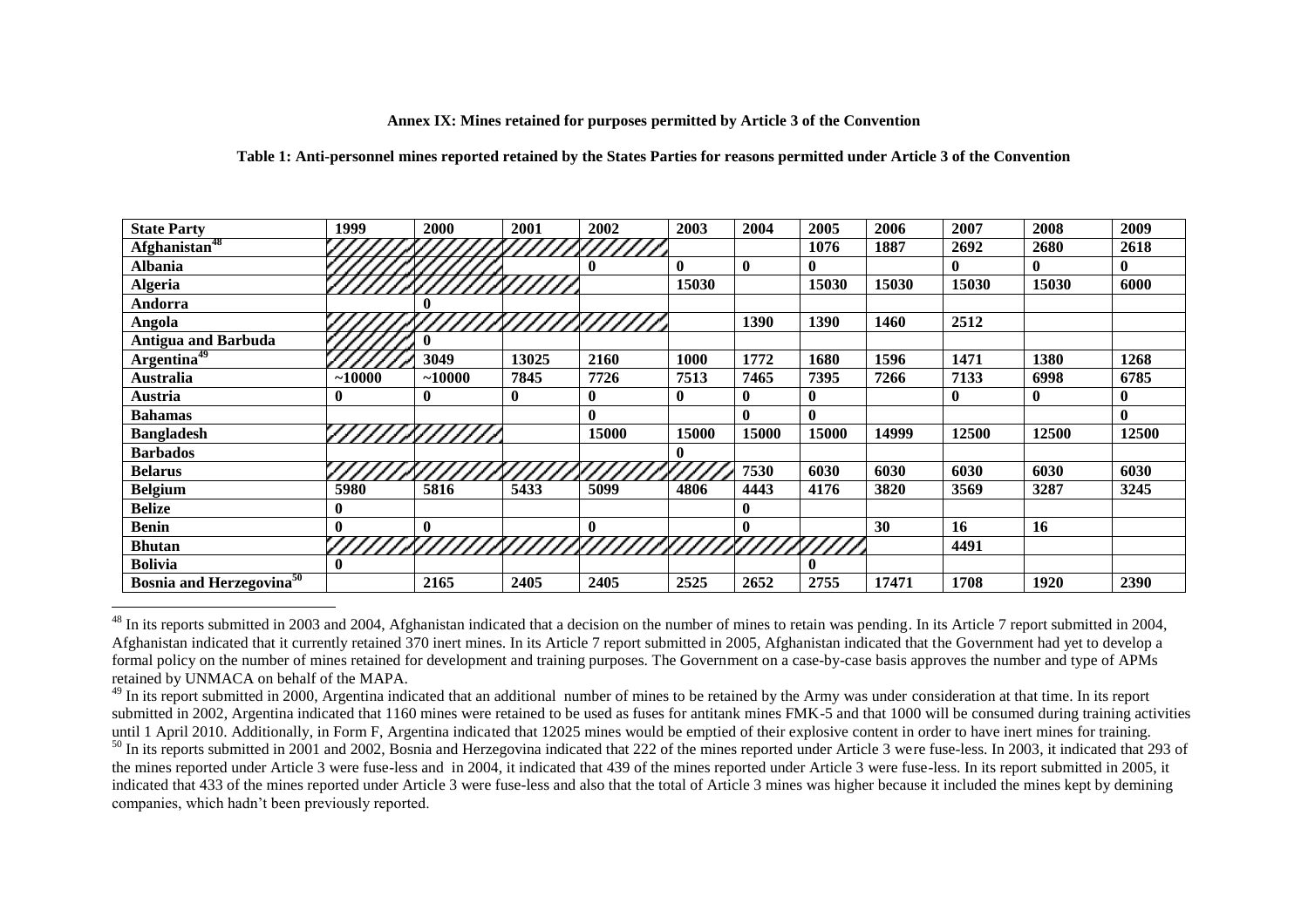#### **Annex IX: Mines retained for purposes permitted by Article 3 of the Convention**

#### **Table 1: Anti-personnel mines reported retained by the States Parties for reasons permitted under Article 3 of the Convention**

| <b>State Party</b>                          | 1999     | 2000                         | 2001         | 2002  | 2003         | 2004         | 2005             | 2006  | 2007         | 2008  | 2009        |
|---------------------------------------------|----------|------------------------------|--------------|-------|--------------|--------------|------------------|-------|--------------|-------|-------------|
| Afghanistan <sup>48</sup>                   |          |                              |              |       |              |              | 1076             | 1887  | 2692         | 2680  | 2618        |
| <b>Albania</b>                              |          |                              |              |       | $\mathbf{0}$ | $\bf{0}$     | $\mathbf{0}$     |       | $\mathbf{0}$ | 0     | $\bf{0}$    |
| <b>Algeria</b>                              |          |                              |              |       | 15030        |              | 15030            | 15030 | 15030        | 15030 | 6000        |
| Andorra                                     |          |                              |              |       |              |              |                  |       |              |       |             |
| Angola                                      |          |                              |              |       |              | 1390         | 1390             | 1460  | 2512         |       |             |
| <b>Antigua and Barbuda</b>                  |          |                              |              |       |              |              |                  |       |              |       |             |
| Argentina <sup>49</sup>                     |          | 3049                         | 13025        | 2160  | 1000         | 1772         | 1680             | 1596  | 1471         | 1380  | 1268        |
| Australia                                   | $-10000$ | ~10000                       | 7845         | 7726  | 7513         | 7465         | 7395             | 7266  | 7133         | 6998  | 6785        |
| Austria                                     | $\bf{0}$ | $\mathbf{0}$                 | $\mathbf{0}$ | 0     | $\bf{0}$     | $\mathbf{0}$ | $\boldsymbol{0}$ |       | $\mathbf{0}$ | 0     | $\bf{0}$    |
| <b>Bahamas</b>                              |          |                              |              |       |              | $\mathbf{0}$ | $\mathbf{0}$     |       |              |       | $\mathbf 0$ |
| <b>Bangladesh</b>                           |          |                              |              | 15000 | 15000        | 15000        | 15000            | 14999 | 12500        | 12500 | 12500       |
| <b>Barbados</b>                             |          |                              |              |       | 0            |              |                  |       |              |       |             |
| <b>Belarus</b>                              |          |                              |              |       |              | 7530         | 6030             | 6030  | 6030         | 6030  | 6030        |
| <b>Belgium</b>                              | 5980     | 5816                         | 5433         | 5099  | 4806         | 4443         | 4176             | 3820  | 3569         | 3287  | 3245        |
| <b>Belize</b>                               | 0        |                              |              |       |              | $\mathbf{0}$ |                  |       |              |       |             |
| <b>Benin</b>                                | 0        | $\bf{0}$                     |              |       |              | $\bf{0}$     |                  | 30    | 16           | 16    |             |
| <b>Bhutan</b>                               |          | <i>ONJOUNUMNUMMINIUMUMMI</i> |              |       |              |              |                  |       | 4491         |       |             |
| <b>Bolivia</b>                              | 0        |                              |              |       |              |              |                  |       |              |       |             |
| <b>Bosnia and Herzegovina</b> <sup>50</sup> |          | 2165                         | 2405         | 2405  | 2525         | 2652         | 2755             | 17471 | 1708         | 1920  | 2390        |

 $^{48}$  In its reports submitted in 2003 and 2004, Afghanistan indicated that a decision on the number of mines to retain was pending. In its Article 7 report submitted in 2004, Afghanistan indicated that it currently retained 370 inert mines. In its Article 7 report submitted in 2005, Afghanistan indicated that the Government had yet to develop a formal policy on the number of mines retained for development and training purposes. The Government on a case-by-case basis approves the number and type of APMs retained by UNMACA on behalf of the MAPA.

<u>.</u>

<sup>&</sup>lt;sup>49</sup> In its report submitted in 2000, Argentina indicated that an additional number of mines to be retained by the Army was under consideration at that time. In its report submitted in 2002, Argentina indicated that 1160 mines were retained to be used as fuses for antitank mines FMK-5 and that 1000 will be consumed during training activities until 1 April 2010. Additionally, in Form F, Argentina indicated that 12025 mines would be emptied of their explosive content in order to have inert mines for training.

 $50$  In its reports submitted in 2001 and 2002, Bosnia and Herzegovina indicated that 222 of the mines reported under Article 3 were fuse-less. In 2003, it indicated that 293 of the mines reported under Article 3 were fuse-less and in 2004, it indicated that 439 of the mines reported under Article 3 were fuse-less. In its report submitted in 2005, it indicated that 433 of the mines reported under Article 3 were fuse-less and also that the total of Article 3 mines was higher because it included the mines kept by demining companies, which hadn't been previously reported.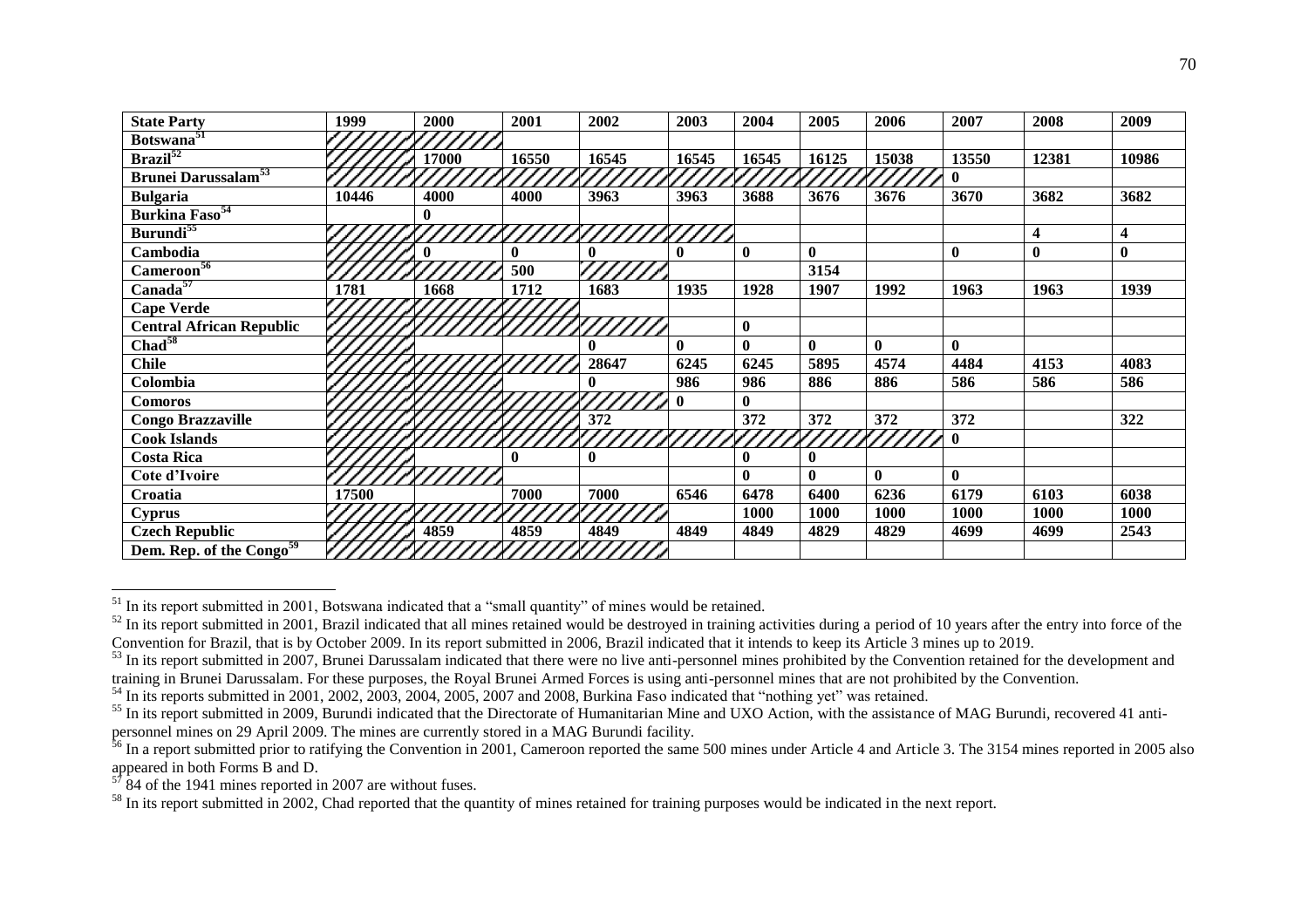| <b>State Party</b>                    | 1999  | 2000  | 2001  | 2002     | 2003         | 2004         | 2005         | 2006         | 2007         | 2008     | 2009     |
|---------------------------------------|-------|-------|-------|----------|--------------|--------------|--------------|--------------|--------------|----------|----------|
| Botswana <sup>51</sup>                |       |       |       |          |              |              |              |              |              |          |          |
| $\overline{\text{Brazil}^{52}}$       |       | 17000 | 16550 | 16545    | 16545        | 16545        | 16125        | 15038        | 13550        | 12381    | 10986    |
| <b>Brunei Darussalam<sup>53</sup></b> |       |       |       |          |              |              |              |              | $\mathbf{0}$ |          |          |
| <b>Bulgaria</b>                       | 10446 | 4000  | 4000  | 3963     | 3963         | 3688         | 3676         | 3676         | 3670         | 3682     | 3682     |
| <b>Burkina Faso</b> <sup>54</sup>     |       | 0     |       |          |              |              |              |              |              |          |          |
| Burundi <sup>55</sup>                 |       |       |       |          |              |              |              |              |              | 4        | 4        |
| Cambodia                              |       |       | 0     |          | 0            | $\bf{0}$     | $\mathbf{0}$ |              | $\mathbf{0}$ | $\bf{0}$ | $\bf{0}$ |
| Cameroon <sup>56</sup>                |       |       | 500   |          |              |              | 3154         |              |              |          |          |
| Canada <sup>57</sup>                  | 1781  | 1668  | 1712  | 1683     | 1935         | 1928         | 1907         | 1992         | 1963         | 1963     | 1939     |
| <b>Cape Verde</b>                     |       |       |       |          |              |              |              |              |              |          |          |
| <b>Central African Republic</b>       |       |       |       |          |              | $\bf{0}$     |              |              |              |          |          |
| Chad <sup>58</sup>                    |       |       |       |          | $\mathbf{0}$ | $\mathbf{0}$ | $\mathbf{0}$ | $\mathbf{0}$ | $\mathbf{0}$ |          |          |
| <b>Chile</b>                          |       |       |       | 28647    | 6245         | 6245         | 5895         | 4574         | 4484         | 4153     | 4083     |
| Colombia                              |       |       |       |          | 986          | 986          | 886          | 886          | 586          | 586      | 586      |
| <b>Comoros</b>                        |       |       |       |          | $\mathbf{0}$ | $\mathbf{0}$ |              |              |              |          |          |
| <b>Congo Brazzaville</b>              |       |       |       | 372      |              | 372          | 372          | 372          | 372          |          | 322      |
| <b>Cook Islands</b>                   |       |       |       |          |              |              |              |              | $\mathbf{0}$ |          |          |
| <b>Costa Rica</b>                     |       |       | 0     | $\bf{0}$ |              | $\bf{0}$     | $\mathbf{0}$ |              |              |          |          |
| Cote d'Ivoire                         |       |       |       |          |              | $\mathbf{0}$ | $\mathbf{0}$ | $\mathbf{0}$ | $\mathbf{0}$ |          |          |
| Croatia                               | 17500 |       | 7000  | 7000     | 6546         | 6478         | 6400         | 6236         | 6179         | 6103     | 6038     |
| <b>Cyprus</b>                         |       |       |       |          |              | 1000         | 1000         | 1000         | 1000         | 1000     | 1000     |
| <b>Czech Republic</b>                 |       | 4859  | 4859  | 4849     | 4849         | 4849         | 4829         | 4829         | 4699         | 4699     | 2543     |
| Dem. Rep. of the Congo <sup>59</sup>  |       |       |       |          |              |              |              |              |              |          |          |

 $51$  In its report submitted in 2001, Botswana indicated that a "small quantity" of mines would be retained.

<u>.</u>

 $52$  In its report submitted in 2001, Brazil indicated that all mines retained would be destroyed in training activities during a period of 10 years after the entry into force of the Convention for Brazil, that is by October 2009. In its report submitted in 2006, Brazil indicated that it intends to keep its Article 3 mines up to 2019.

<sup>&</sup>lt;sup>53</sup> In its report submitted in 2007, Brunei Darussalam indicated that there were no live anti-personnel mines prohibited by the Convention retained for the development and training in Brunei Darussalam. For these purposes, the Royal Brunei Armed Forces is using anti-personnel mines that are not prohibited by the Convention.

 $54$  In its reports submitted in 2001, 2002, 2003, 2004, 2005, 2007 and 2008, Burkina Faso indicated that "nothing yet" was retained.

<sup>&</sup>lt;sup>55</sup> In its report submitted in 2009, Burundi indicated that the Directorate of Humanitarian Mine and UXO Action, with the assistance of MAG Burundi, recovered 41 antipersonnel mines on 29 April 2009. The mines are currently stored in a MAG Burundi facility.

<sup>&</sup>lt;sup>56</sup> In a report submitted prior to ratifying the Convention in 2001, Cameroon reported the same 500 mines under Article 4 and Article 3. The 3154 mines reported in 2005 also appeared in both Forms B and D.

 $\hat{7}$  84 of the 1941 mines reported in 2007 are without fuses.

<sup>&</sup>lt;sup>58</sup> In its report submitted in 2002, Chad reported that the quantity of mines retained for training purposes would be indicated in the next report.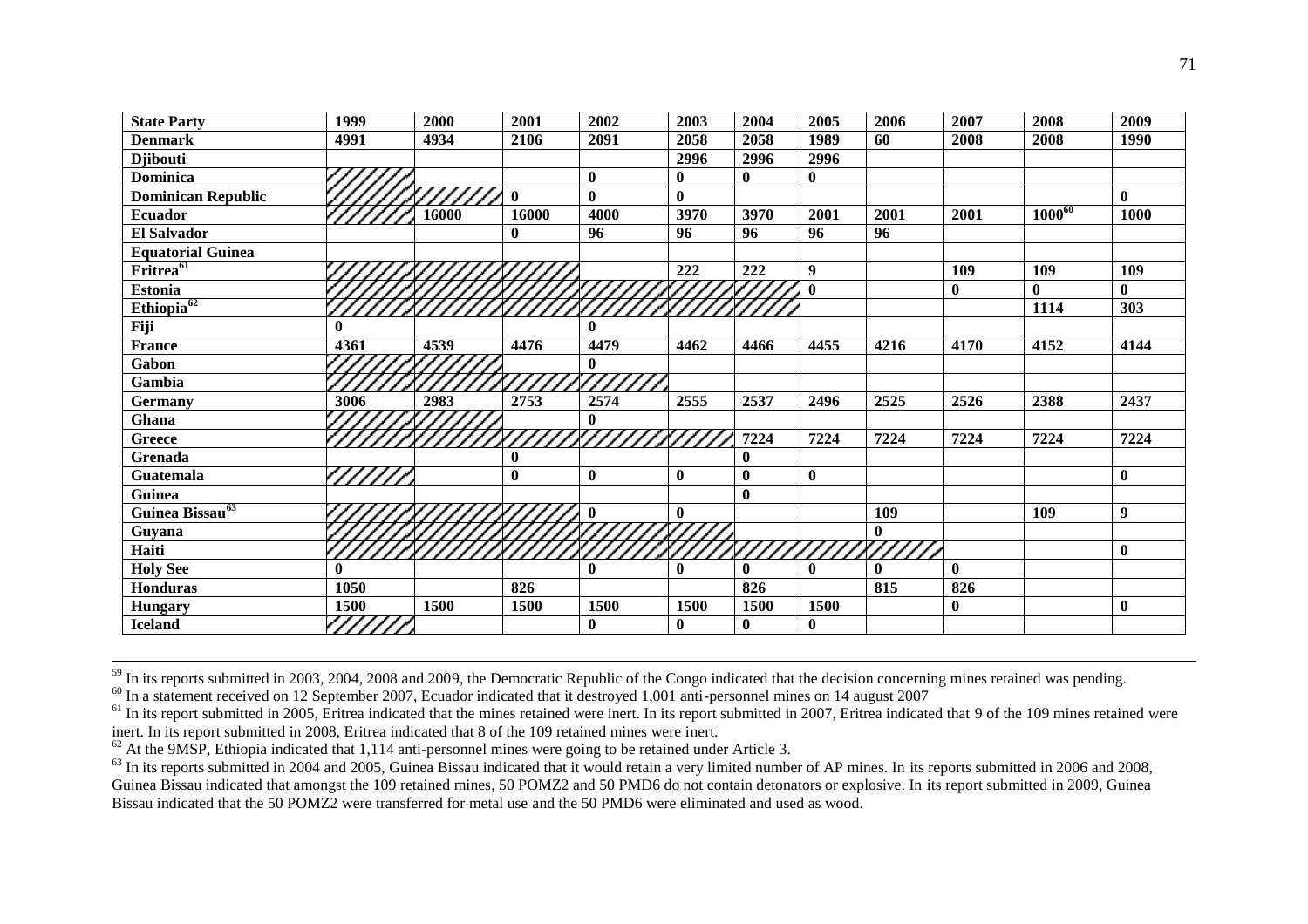| <b>State Party</b>          | 1999     | 2000  | 2001         | 2002     | 2003         | 2004         | 2005         | 2006         | 2007         | 2008        | 2009         |
|-----------------------------|----------|-------|--------------|----------|--------------|--------------|--------------|--------------|--------------|-------------|--------------|
| <b>Denmark</b>              | 4991     | 4934  | 2106         | 2091     | 2058         | 2058         | 1989         | 60           | 2008         | 2008        | 1990         |
| <b>Djibouti</b>             |          |       |              |          | 2996         | 2996         | 2996         |              |              |             |              |
| <b>Dominica</b>             |          |       |              | 0        | $\bf{0}$     | $\mathbf{0}$ | $\bf{0}$     |              |              |             |              |
| <b>Dominican Republic</b>   |          |       | $\mathbf{0}$ | $\bf{0}$ | $\mathbf{0}$ |              |              |              |              |             | $\mathbf{0}$ |
| <b>Ecuador</b>              |          | 16000 | 16000        | 4000     | 3970         | 3970         | 2001         | 2001         | 2001         | $1000^{60}$ | 1000         |
| El Salvador                 |          |       | $\mathbf{0}$ | 96       | 96           | 96           | 96           | 96           |              |             |              |
| <b>Equatorial Guinea</b>    |          |       |              |          |              |              |              |              |              |             |              |
| Eritrea <sup>61</sup>       |          |       |              |          | 222          | 222          | 9            |              | 109          | 109         | 109          |
| <b>Estonia</b>              |          |       |              |          |              |              | $\mathbf{0}$ |              | $\mathbf{0}$ | 0           | $\mathbf{0}$ |
| $Ethiopia^{62}$             |          |       |              |          |              |              |              |              |              | 1114        | 303          |
| Fiji                        | $\bf{0}$ |       |              | $\bf{0}$ |              |              |              |              |              |             |              |
| <b>France</b>               | 4361     | 4539  | 4476         | 4479     | 4462         | 4466         | 4455         | 4216         | 4170         | 4152        | 4144         |
| Gabon                       |          |       |              | $\bf{0}$ |              |              |              |              |              |             |              |
| Gambia                      |          |       |              |          |              |              |              |              |              |             |              |
| Germany                     | 3006     | 2983  | 2753         | 2574     | 2555         | 2537         | 2496         | 2525         | 2526         | 2388        | 2437         |
| Ghana                       |          |       |              | 0        |              |              |              |              |              |             |              |
| <b>Greece</b>               |          |       |              |          |              | 7224         | 7224         | 7224         | 7224         | 7224        | 7224         |
| Grenada                     |          |       | $\mathbf{0}$ |          |              | $\bf{0}$     |              |              |              |             |              |
| Guatemala                   |          |       | $\bf{0}$     | $\bf{0}$ | $\bf{0}$     | $\bf{0}$     | $\bf{0}$     |              |              |             | $\bf{0}$     |
| Guinea                      |          |       |              |          |              | $\bf{0}$     |              |              |              |             |              |
| Guinea Bissau <sup>63</sup> |          |       |              |          | $\bf{0}$     |              |              | 109          |              | 109         | 9            |
| Guyana                      |          |       |              |          |              |              |              | $\bf{0}$     |              |             |              |
| Haiti                       |          |       |              |          |              |              |              |              |              |             | $\mathbf{0}$ |
| <b>Holy See</b>             | 0        |       |              | $\bf{0}$ | $\mathbf{0}$ | $\mathbf{0}$ | $\mathbf{0}$ | $\mathbf{0}$ | $\mathbf{0}$ |             |              |
| Honduras                    | 1050     |       | 826          |          |              | 826          |              | 815          | 826          |             |              |
| <b>Hungary</b>              | 1500     | 1500  | 1500         | 1500     | 1500         | 1500         | 1500         |              | $\bf{0}$     |             | $\bf{0}$     |
| <b>Iceland</b>              | لركم     |       |              | 0        | $\bf{0}$     | $\mathbf{0}$ | $\mathbf{0}$ |              |              |             |              |

 $59$  In its reports submitted in 2003, 2004, 2008 and 2009, the Democratic Republic of the Congo indicated that the decision concerning mines retained was pending.

<sup>60</sup> In a statement received on 12 September 2007, Ecuador indicated that it destroyed 1,001 anti-personnel mines on 14 august 2007

<sup>62</sup> At the 9MSP, Ethiopia indicated that 1,114 anti-personnel mines were going to be retained under Article 3.

<u>.</u>

 $^{63}$  In its reports submitted in 2004 and 2005, Guinea Bissau indicated that it would retain a very limited number of AP mines. In its reports submitted in 2006 and 2008, Guinea Bissau indicated that amongst the 109 retained mines, 50 POMZ2 and 50 PMD6 do not contain detonators or explosive. In its report submitted in 2009, Guinea Bissau indicated that the 50 POMZ2 were transferred for metal use and the 50 PMD6 were eliminated and used as wood.

<sup>&</sup>lt;sup>61</sup> In its report submitted in 2005, Eritrea indicated that the mines retained were inert. In its report submitted in 2007, Eritrea indicated that 9 of the 109 mines retained were inert. In its report submitted in 2008, Eritrea indicated that 8 of the 109 retained mines were inert.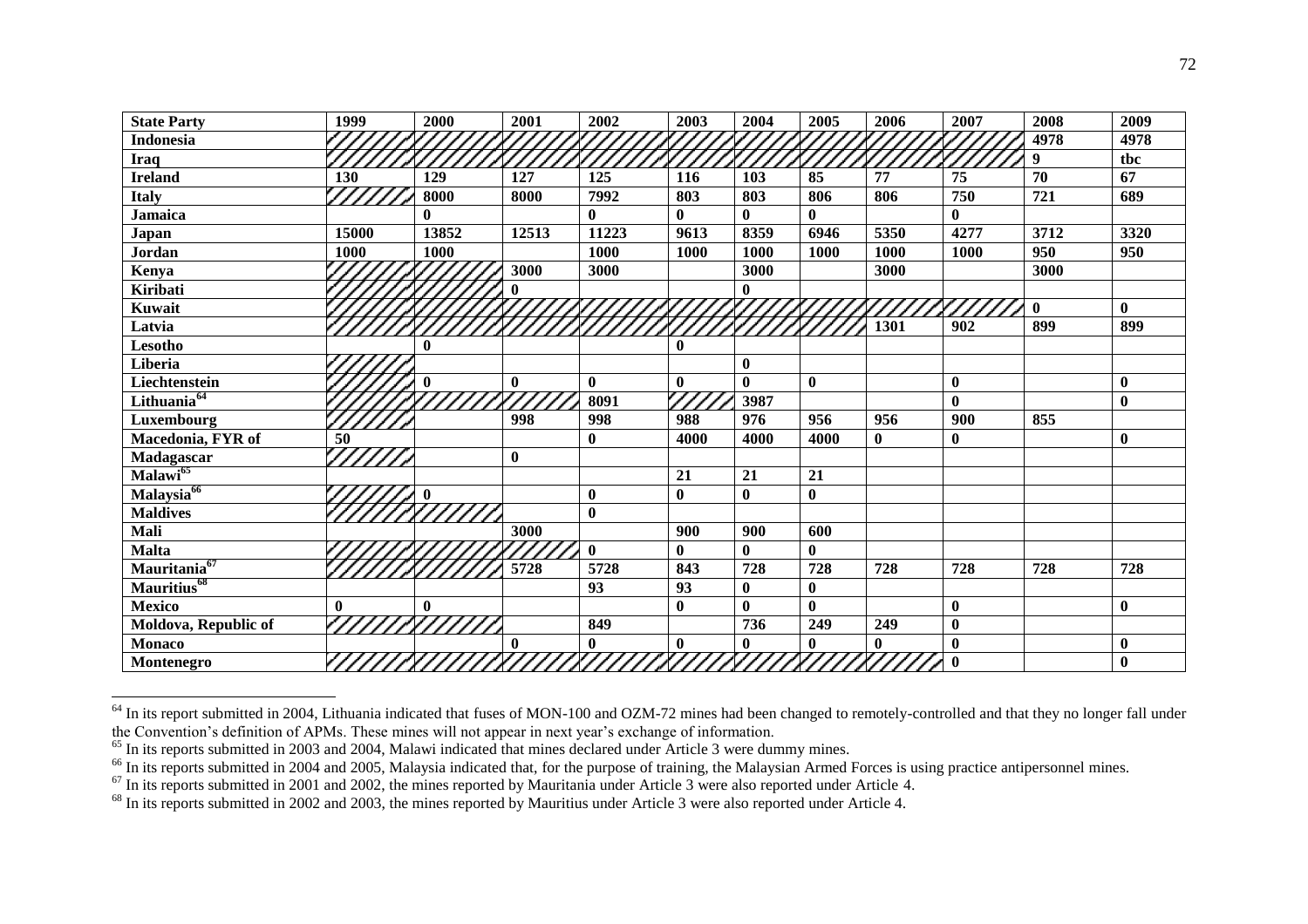| <b>State Party</b>       | 1999      | 2000         | 2001         | 2002     | 2003         | 2004         | 2005         | 2006                       | 2007         | 2008         | 2009         |
|--------------------------|-----------|--------------|--------------|----------|--------------|--------------|--------------|----------------------------|--------------|--------------|--------------|
| <b>Indonesia</b>         |           |              |              |          |              |              |              |                            |              | 4978         | 4978         |
| <b>Iraq</b>              |           |              |              |          |              |              |              |                            |              | 9            | tbc          |
| <b>Ireland</b>           | 130       | 129          | 127          | 125      | 116          | 103          | 85           | 77                         | 75           | 70           | 67           |
| <b>Italy</b>             |           | 8000         | 8000         | 7992     | 803          | 803          | 806          | 806                        | 750          | 721          | 689          |
| <b>Jamaica</b>           |           | $\mathbf{0}$ |              | $\bf{0}$ | $\bf{0}$     | $\mathbf{0}$ | $\mathbf{0}$ |                            | $\mathbf{0}$ |              |              |
| Japan                    | 15000     | 13852        | 12513        | 11223    | 9613         | 8359         | 6946         | 5350                       | 4277         | 3712         | 3320         |
| Jordan                   | 1000      | 1000         |              | 1000     | 1000         | 1000         | 1000         | 1000                       | 1000         | 950          | 950          |
| Kenya                    |           |              | 3000         | 3000     |              | 3000         |              | 3000                       |              | 3000         |              |
| Kiribati                 |           |              |              |          |              | 0            |              |                            |              |              |              |
| Kuwait                   |           |              |              |          |              |              |              |                            |              | $\mathbf{0}$ | $\mathbf{0}$ |
| Latvia                   |           |              |              |          |              |              |              | 1301                       | 902          | 899          | 899          |
| Lesotho                  |           | $\mathbf{0}$ |              |          | $\mathbf{0}$ |              |              |                            |              |              |              |
| Liberia                  |           |              |              |          |              | $\mathbf{0}$ |              |                            |              |              |              |
| Liechtenstein            |           |              | $\mathbf{0}$ | $\bf{0}$ | $\bf{0}$     | $\mathbf{0}$ | $\mathbf{0}$ |                            | $\bf{0}$     |              | $\bf{0}$     |
| Lithuania <sup>64</sup>  |           |              |              | 8091     |              | 3987         |              |                            | $\bf{0}$     |              | $\bf{0}$     |
| Luxembourg               |           |              | 998          | 998      | 988          | 976          | 956          | 956                        | 900          | 855          |              |
| Macedonia, FYR of        | 50        |              |              | $\bf{0}$ | 4000         | 4000         | 4000         | $\mathbf{0}$               | $\bf{0}$     |              | $\bf{0}$     |
| <b>Madagascar</b>        |           |              | $\mathbf{0}$ |          |              |              |              |                            |              |              |              |
| $M$ alawi $^{65}$        |           |              |              |          | 21           | 21           | 21           |                            |              |              |              |
| Malaysia <sup>66</sup>   |           |              |              | $\bf{0}$ | $\bf{0}$     | $\bf{0}$     | $\bf{0}$     |                            |              |              |              |
| <b>Maldives</b>          |           |              |              | $\bf{0}$ |              |              |              |                            |              |              |              |
| Mali                     |           |              | 3000         |          | 900          | 900          | 600          |                            |              |              |              |
| <b>Malta</b>             |           |              |              | $\bf{0}$ | $\bf{0}$     | $\mathbf{0}$ | $\mathbf{0}$ |                            |              |              |              |
| Mauritania <sup>67</sup> |           |              | 5728         | 5728     | 843          | 728          | 728          | 728                        | 728          | 728          | 728          |
| Mauritius <sup>68</sup>  |           |              |              | 93       | 93           | $\bf{0}$     | $\bf{0}$     |                            |              |              |              |
| <b>Mexico</b>            | $\bf{0}$  | $\mathbf{0}$ |              |          | $\bf{0}$     | $\mathbf{0}$ | $\mathbf{0}$ |                            | $\bf{0}$     |              | $\bf{0}$     |
| Moldova, Republic of     |           |              |              | 849      |              | 736          | 249          | 249                        | $\bf{0}$     |              |              |
| <b>Monaco</b>            |           |              | $\mathbf{0}$ | $\bf{0}$ | $\bf{0}$     | $\mathbf{0}$ | $\mathbf{0}$ | $\mathbf{0}$               | $\mathbf{0}$ |              | $\bf{0}$     |
| Montenegro               | ///////// |              |              |          |              |              |              | 77777877778777787777877777 | $\mathbf{0}$ |              | $\bf{0}$     |

 $64$  In its report submitted in 2004, Lithuania indicated that fuses of MON-100 and OZM-72 mines had been changed to remotely-controlled and that they no longer fall under the Convention's definition of APMs. These mines will not appear in next year's exchange of information.

<u>.</u>

<sup>&</sup>lt;sup>65</sup> In its reports submitted in 2003 and 2004, Malawi indicated that mines declared under Article 3 were dummy mines.

<sup>&</sup>lt;sup>66</sup> In its reports submitted in 2004 and 2005, Malaysia indicated that, for the purpose of training, the Malaysian Armed Forces is using practice antipersonnel mines.

 $67$  In its reports submitted in 2001 and 2002, the mines reported by Mauritania under Article 3 were also reported under Article 4.

<sup>68</sup> In its reports submitted in 2002 and 2003, the mines reported by Mauritius under Article 3 were also reported under Article 4.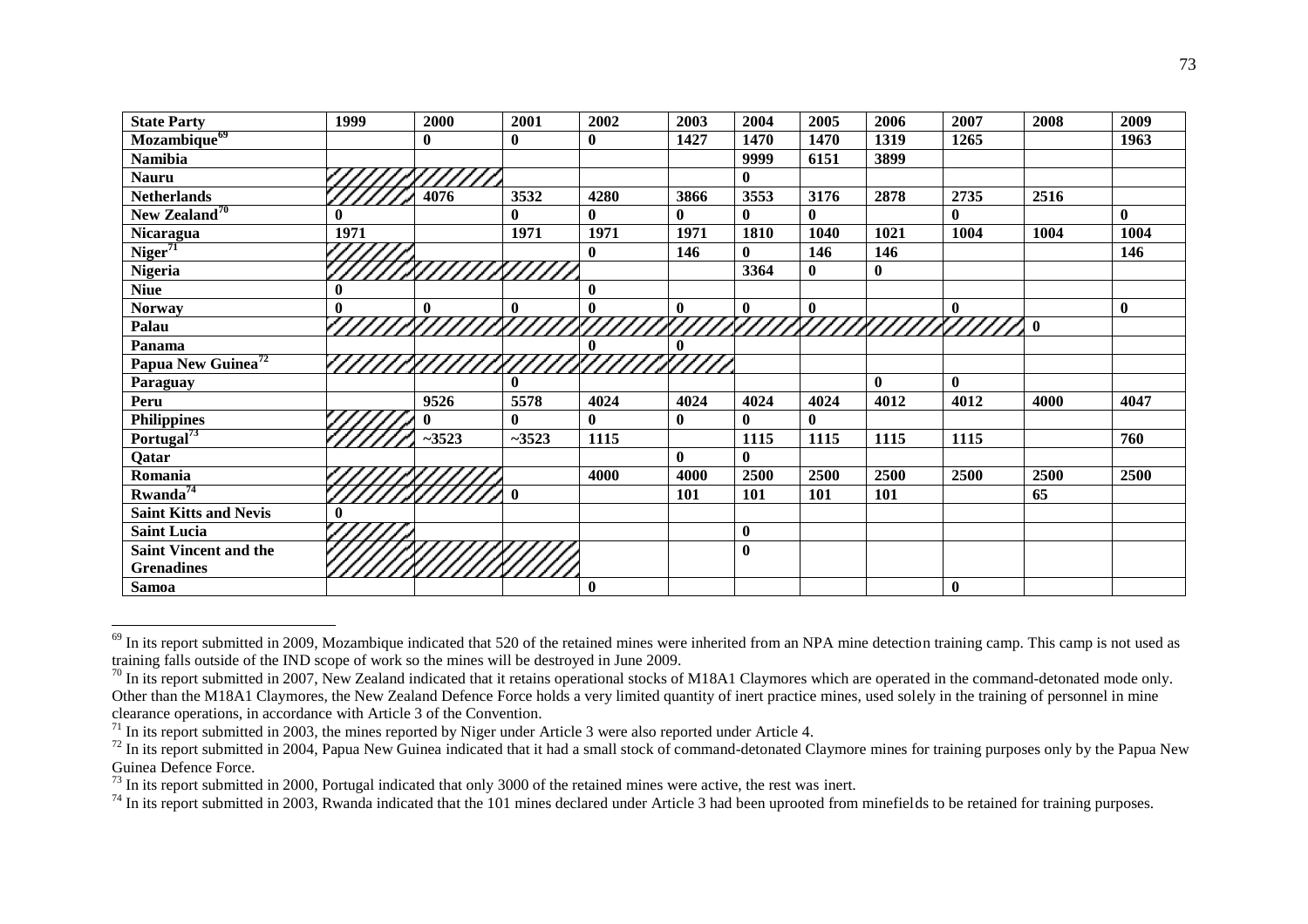| <b>State Party</b>             | 1999             | 2000         | 2001         | 2002         | 2003         | 2004         | 2005         | 2006         | 2007         | 2008        | 2009         |
|--------------------------------|------------------|--------------|--------------|--------------|--------------|--------------|--------------|--------------|--------------|-------------|--------------|
| Mozambique <sup>69</sup>       |                  | $\mathbf{0}$ | $\mathbf{0}$ | $\bf{0}$     | 1427         | 1470         | 1470         | 1319         | 1265         |             | 1963         |
| Namibia                        |                  |              |              |              |              | 9999         | 6151         | 3899         |              |             |              |
| <b>Nauru</b>                   |                  |              |              |              |              | $\bf{0}$     |              |              |              |             |              |
| <b>Netherlands</b>             |                  | 4076         | 3532         | 4280         | 3866         | 3553         | 3176         | 2878         | 2735         | 2516        |              |
| New Zealand <sup>70</sup>      | $\mathbf{0}$     |              | $\mathbf{0}$ | $\mathbf{0}$ | $\mathbf{0}$ | $\mathbf{0}$ | $\mathbf{0}$ |              | $\mathbf{0}$ |             | $\mathbf{0}$ |
| Nicaragua                      | 1971             |              | 1971         | 1971         | 1971         | 1810         | 1040         | 1021         | 1004         | 1004        | 1004         |
| Niger <sup>71</sup>            |                  |              |              | $\bf{0}$     | 146          | $\bf{0}$     | 146          | 146          |              |             | 146          |
| <b>Nigeria</b>                 |                  |              |              |              |              | 3364         | $\mathbf{0}$ | $\bf{0}$     |              |             |              |
| <b>Niue</b>                    | $\boldsymbol{0}$ |              |              | $\bf{0}$     |              |              |              |              |              |             |              |
| <b>Norway</b>                  | $\boldsymbol{0}$ | $\mathbf{0}$ | $\mathbf{0}$ | $\bf{0}$     | $\bf{0}$     | $\bf{0}$     | $\bf{0}$     |              | $\mathbf{0}$ |             | $\mathbf{0}$ |
| Palau                          |                  |              |              |              |              |              |              |              |              | $\mathbf 0$ |              |
| Panama                         |                  |              |              | $\bf{0}$     | 0            |              |              |              |              |             |              |
| Papua New Guinea <sup>72</sup> |                  |              |              |              |              |              |              |              |              |             |              |
| Paraguay                       |                  |              | $\mathbf{0}$ |              |              |              |              | $\mathbf{0}$ | $\mathbf{0}$ |             |              |
| Peru                           |                  | 9526         | 5578         | 4024         | 4024         | 4024         | 4024         | 4012         | 4012         | 4000        | 4047         |
| <b>Philippines</b>             |                  |              | $\mathbf{0}$ | $\mathbf{0}$ | $\bf{0}$     | $\bf{0}$     | $\mathbf{0}$ |              |              |             |              |
| Portugal <sup>73</sup>         |                  | $-3523$      | $-3523$      | 1115         |              | 1115         | 1115         | 1115         | 1115         |             | 760          |
| Qatar                          |                  |              |              |              | $\mathbf{0}$ | 0            |              |              |              |             |              |
| Romania                        |                  |              |              | 4000         | 4000         | 2500         | 2500         | 2500         | 2500         | 2500        | 2500         |
| $Rwanda^{74}$                  |                  |              | $\mathbf{0}$ |              | 101          | 101          | 101          | <b>101</b>   |              | 65          |              |
| <b>Saint Kitts and Nevis</b>   | $\mathbf{0}$     |              |              |              |              |              |              |              |              |             |              |
| <b>Saint Lucia</b>             |                  |              |              |              |              | $\bf{0}$     |              |              |              |             |              |
| <b>Saint Vincent and the</b>   |                  |              |              |              |              | $\bf{0}$     |              |              |              |             |              |
| <b>Grenadines</b>              |                  |              |              |              |              |              |              |              |              |             |              |
| <b>Samoa</b>                   |                  |              |              | $\bf{0}$     |              |              |              |              | $\bf{0}$     |             |              |

 $^{69}$  In its report submitted in 2009, Mozambique indicated that 520 of the retained mines were inherited from an NPA mine detection training camp. This camp is not used as training falls outside of the IND scope of work so the mines will be destroyed in June 2009.

<u>.</u>

 $^{70}$  In its report submitted in 2007, New Zealand indicated that it retains operational stocks of M18A1 Claymores which are operated in the command-detonated mode only. Other than the M18A1 Claymores, the New Zealand Defence Force holds a very limited quantity of inert practice mines, used solely in the training of personnel in mine clearance operations, in accordance with Article 3 of the Convention.

 $71$  In its report submitted in 2003, the mines reported by Niger under Article 3 were also reported under Article 4.

 $\frac{72}{10}$  In its report submitted in 2004, Papua New Guinea indicated that it had a small stock of command-detonated Claymore mines for training purposes only by the Papua New Guinea Defence Force.

 $^{73}$  In its report submitted in 2000, Portugal indicated that only 3000 of the retained mines were active, the rest was inert.

<sup>&</sup>lt;sup>74</sup> In its report submitted in 2003, Rwanda indicated that the 101 mines declared under Article 3 had been uprooted from minefields to be retained for training purposes.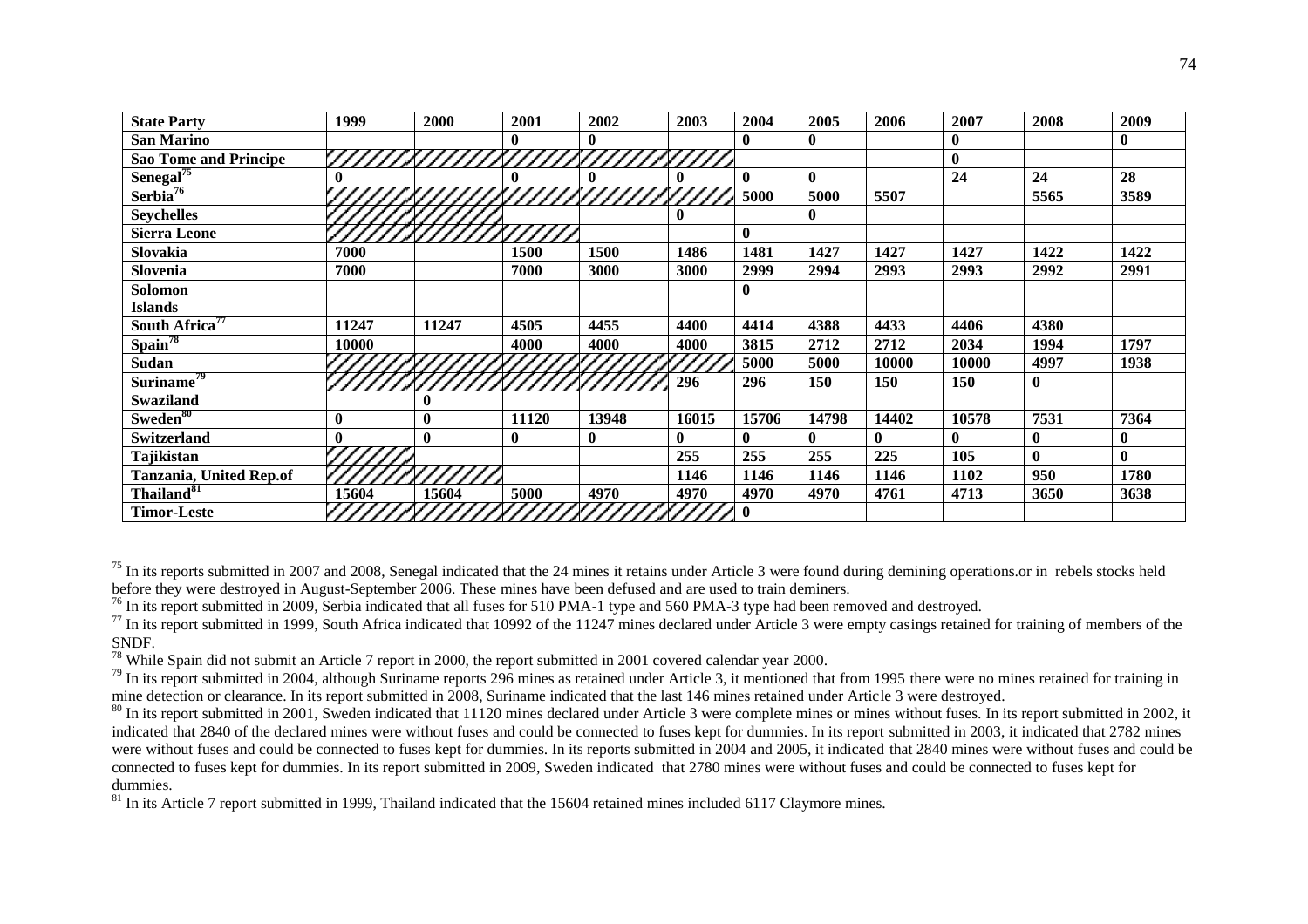| <b>State Party</b>           | 1999         | 2000     | 2001     | 2002       | 2003         | 2004         | 2005     | 2006  | 2007         | 2008             | 2009             |
|------------------------------|--------------|----------|----------|------------|--------------|--------------|----------|-------|--------------|------------------|------------------|
| <b>San Marino</b>            |              |          |          |            |              | $\mathbf{0}$ | $\bf{0}$ |       | $\bf{0}$     |                  | $\boldsymbol{0}$ |
| <b>Sao Tome and Principe</b> |              |          |          |            |              |              |          |       | $\bf{0}$     |                  |                  |
| Senegal <sup>75</sup>        | 0            |          |          |            |              | $\bf{0}$     | $\bf{0}$ |       | 24           | 24               | 28               |
| Serbia <sup>76</sup>         |              |          |          | ////////// |              | 5000         | 5000     | 5507  |              | 5565             | 3589             |
| <b>Seychelles</b>            |              |          |          |            |              |              | $\bf{0}$ |       |              |                  |                  |
| <b>Sierra Leone</b>          |              |          |          |            |              | $\mathbf{0}$ |          |       |              |                  |                  |
| Slovakia                     | 7000         |          | 1500     | 1500       | 1486         | 1481         | 1427     | 1427  | 1427         | 1422             | 1422             |
| Slovenia                     | 7000         |          | 7000     | 3000       | 3000         | 2999         | 2994     | 2993  | 2993         | 2992             | 2991             |
| Solomon                      |              |          |          |            |              | $\mathbf{0}$ |          |       |              |                  |                  |
| <b>Islands</b>               |              |          |          |            |              |              |          |       |              |                  |                  |
| South Africa <sup>77</sup>   | 11247        | 11247    | 4505     | 4455       | 4400         | 4414         | 4388     | 4433  | 4406         | 4380             |                  |
| Spain <sup>78</sup>          | 10000        |          | 4000     | 4000       | 4000         | 3815         | 2712     | 2712  | 2034         | 1994             | 1797             |
| <b>Sudan</b>                 |              |          |          |            |              | 5000         | 5000     | 10000 | 10000        | 4997             | 1938             |
| Suriname <sup>79</sup>       |              |          |          |            | 296          | 296          | 150      | 150   | 150          | $\boldsymbol{0}$ |                  |
| <b>Swaziland</b>             |              | $\bf{0}$ |          |            |              |              |          |       |              |                  |                  |
| Sweden <sup>80</sup>         | $\bf{0}$     | $\bf{0}$ | 11120    | 13948      | 16015        | 15706        | 14798    | 14402 | 10578        | 7531             | 7364             |
| <b>Switzerland</b>           | $\mathbf{0}$ | $\bf{0}$ | $\bf{0}$ | $\bf{0}$   | $\mathbf{0}$ | $\mathbf{0}$ | 0        | 0     | $\mathbf{0}$ | $\bf{0}$         | $\mathbf 0$      |
| Tajikistan                   |              |          |          |            | 255          | 255          | 255      | 225   | 105          | $\mathbf{0}$     | $\mathbf{0}$     |
| Tanzania, United Rep.of      |              |          |          |            | 1146         | 1146         | 1146     | 1146  | 1102         | 950              | 1780             |
| Thailand <sup>81</sup>       | 15604        | 15604    | 5000     | 4970       | 4970         | 4970         | 4970     | 4761  | 4713         | 3650             | 3638             |
| <b>Timor-Leste</b>           |              |          |          |            |              | $\mathbf{0}$ |          |       |              |                  |                  |

 $75$  In its reports submitted in 2007 and 2008, Senegal indicated that the 24 mines it retains under Article 3 were found during demining operations or in rebels stocks held before they were destroyed in August-September 2006. These mines have been defused and are used to train deminers.

<u>.</u>

<sup>&</sup>lt;sup>76</sup> In its report submitted in 2009, Serbia indicated that all fuses for 510 PMA-1 type and 560 PMA-3 type had been removed and destroyed.

 $^{77}$  In its report submitted in 1999, South Africa indicated that 10992 of the 11247 mines declared under Article 3 were empty casings retained for training of members of the SNDF.

<sup>&</sup>lt;sup>78</sup> While Spain did not submit an Article 7 report in 2000, the report submitted in 2001 covered calendar year 2000.

 $^{79}$  In its report submitted in 2004, although Suriname reports 296 mines as retained under Article 3, it mentioned that from 1995 there were no mines retained for training in mine detection or clearance. In its report submitted in 2008, Suriname indicated that the last 146 mines retained under Article 3 were destroyed.

 $80$  In its report submitted in 2001, Sweden indicated that 11120 mines declared under Article 3 were complete mines or mines without fuses. In its report submitted in 2002, it indicated that 2840 of the declared mines were without fuses and could be connected to fuses kept for dummies. In its report submitted in 2003, it indicated that 2782 mines were without fuses and could be connected to fuses kept for dummies. In its reports submitted in 2004 and 2005, it indicated that 2840 mines were without fuses and could be connected to fuses kept for dummies. In its report submitted in 2009, Sweden indicated that 2780 mines were without fuses and could be connected to fuses kept for dummies.

 $81$  In its Article 7 report submitted in 1999, Thailand indicated that the 15604 retained mines included 6117 Claymore mines.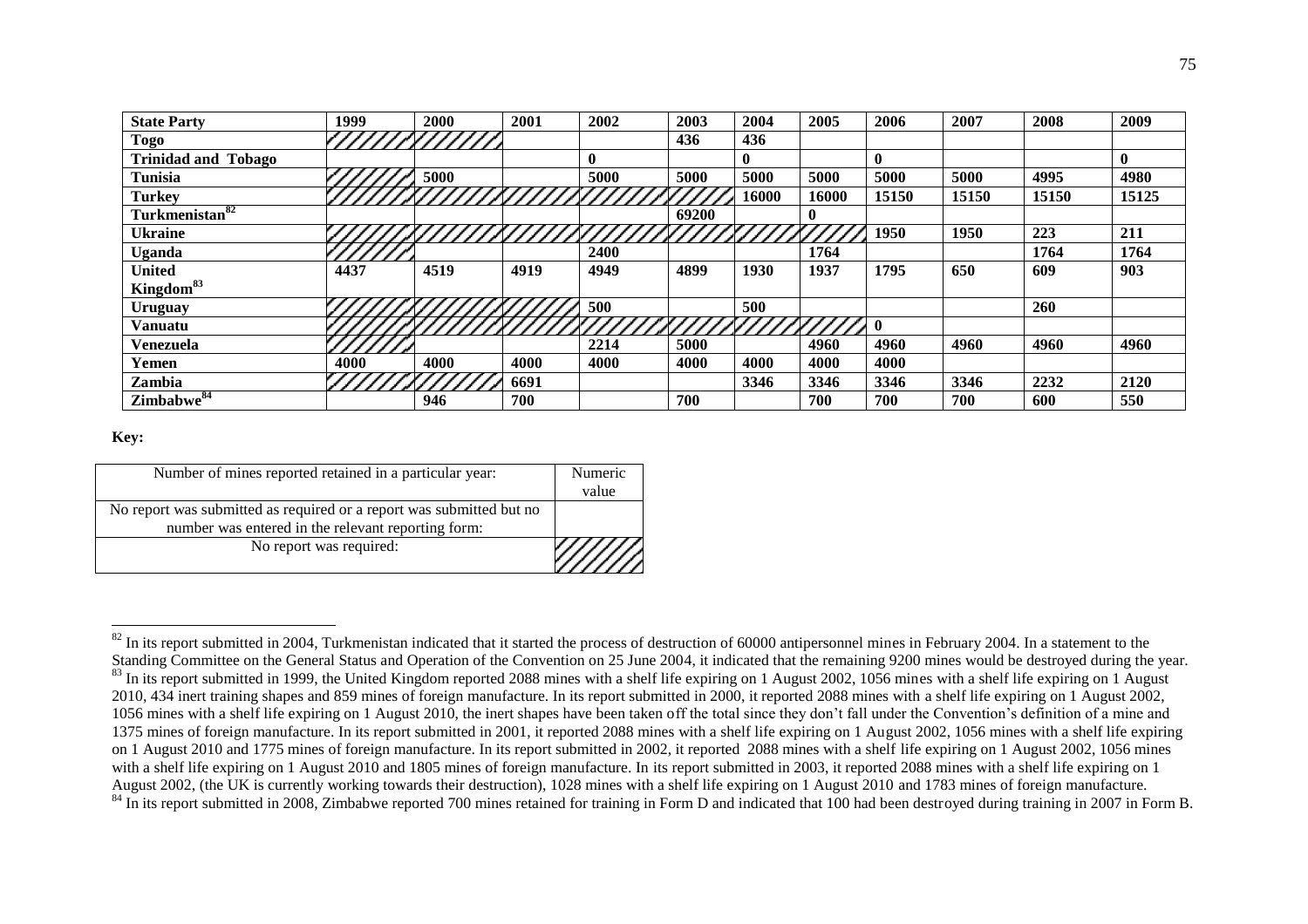| <b>State Party</b>         | 1999 | 2000 | 2001 | 2002 | 2003  | 2004         | 2005     | 2006         | 2007  | 2008       | 2009         |
|----------------------------|------|------|------|------|-------|--------------|----------|--------------|-------|------------|--------------|
| <b>Togo</b>                |      |      |      |      | 436   | 436          |          |              |       |            |              |
| <b>Trinidad and Tobago</b> |      |      |      |      |       | $\mathbf{0}$ |          | $\bf{0}$     |       |            | $\mathbf{0}$ |
| <b>Tunisia</b>             |      | 5000 |      | 5000 | 5000  | 5000         | 5000     | 5000         | 5000  | 4995       | 4980         |
| <b>Turkey</b>              |      |      |      |      |       | 16000        | 16000    | 15150        | 15150 | 15150      | 15125        |
| Turkmenistan <sup>82</sup> |      |      |      |      | 69200 |              | $\bf{0}$ |              |       |            |              |
| <b>Ukraine</b>             |      |      |      |      |       |              |          | 1950         | 1950  | 223        | 211          |
| Uganda                     |      |      |      | 2400 |       |              | 1764     |              |       | 1764       | 1764         |
| United                     | 4437 | 4519 | 4919 | 4949 | 4899  | 1930         | 1937     | 1795         | 650   | 609        | 903          |
| Kingdom <sup>83</sup>      |      |      |      |      |       |              |          |              |       |            |              |
| Uruguay                    |      |      |      | 500  |       | 500          |          |              |       | <b>260</b> |              |
| <b>Vanuatu</b>             |      |      |      |      |       |              |          | $\mathbf{0}$ |       |            |              |
| Venezuela                  |      |      |      | 2214 | 5000  |              | 4960     | 4960         | 4960  | 4960       | 4960         |
| Yemen                      | 4000 | 4000 | 4000 | 4000 | 4000  | 4000         | 4000     | 4000         |       |            |              |
| Zambia                     |      |      | 6691 |      |       | 3346         | 3346     | 3346         | 3346  | 2232       | 2120         |
| Zimbabwe <sup>84</sup>     |      | 946  | 700  |      | 700   |              | 700      | 700          | 700   | 600        | 550          |

## **Key:**

<u>.</u>

| Number of mines reported retained in a particular year:              | Numeric<br>value |
|----------------------------------------------------------------------|------------------|
|                                                                      |                  |
| No report was submitted as required or a report was submitted but no |                  |
| number was entered in the relevant reporting form:                   |                  |
| No report was required:                                              |                  |

 $82$  In its report submitted in 2004, Turkmenistan indicated that it started the process of destruction of 60000 antipersonnel mines in February 2004. In a statement to the Standing Committee on the General Status and Operation of the Convention on 25 June 2004, it indicated that the remaining 9200 mines would be destroyed during the year. <sup>83</sup> In its report submitted in 1999, the United Kingdom reported 2088 mines with a shelf life expiring on 1 August 2002, 1056 mines with a shelf life expiring on 1 August 2010, 434 inert training shapes and 859 mines of foreign manufacture. In its report submitted in 2000, it reported 2088 mines with a shelf life expiring on 1 August 2002, 1056 mines with a shelf life expiring on 1 August 2010, the inert shapes have been taken off the total since they don't fall under the Convention's definition of a mine and 1375 mines of foreign manufacture. In its report submitted in 2001, it reported 2088 mines with a shelf life expiring on 1 August 2002, 1056 mines with a shelf life expiring on 1 August 2010 and 1775 mines of foreign manufacture. In its report submitted in 2002, it reported 2088 mines with a shelf life expiring on 1 August 2002, 1056 mines with a shelf life expiring on 1 August 2010 and 1805 mines of foreign manufacture. In its report submitted in 2003, it reported 2088 mines with a shelf life expiring on 1 August 2002, (the UK is currently working towards their destruction), 1028 mines with a shelf life expiring on 1 August 2010 and 1783 mines of foreign manufacture. <sup>84</sup> In its report submitted in 2008, Zimbabwe reported 700 mines retained for training in Form D and indicated that 100 had been destroyed during training in 2007 in Form B.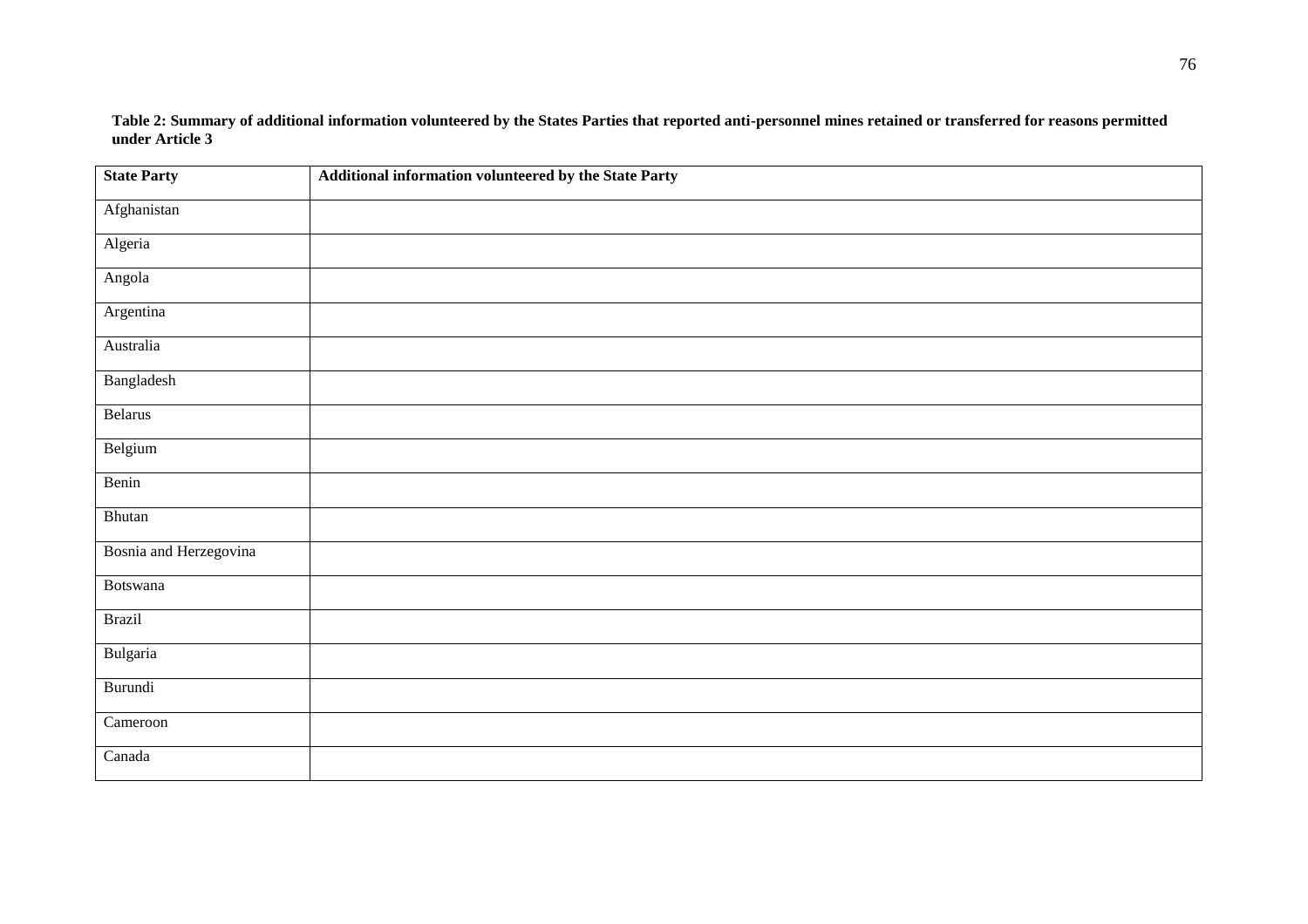**Table 2: Summary of additional information volunteered by the States Parties that reported anti-personnel mines retained or transferred for reasons permitted under Article 3**

| <b>State Party</b>     | Additional information volunteered by the State Party |
|------------------------|-------------------------------------------------------|
| Afghanistan            |                                                       |
| Algeria                |                                                       |
| Angola                 |                                                       |
| Argentina              |                                                       |
| Australia              |                                                       |
| Bangladesh             |                                                       |
| Belarus                |                                                       |
| Belgium                |                                                       |
| Benin                  |                                                       |
| Bhutan                 |                                                       |
| Bosnia and Herzegovina |                                                       |
| Botswana               |                                                       |
| <b>Brazil</b>          |                                                       |
| Bulgaria               |                                                       |
| Burundi                |                                                       |
| Cameroon               |                                                       |
| Canada                 |                                                       |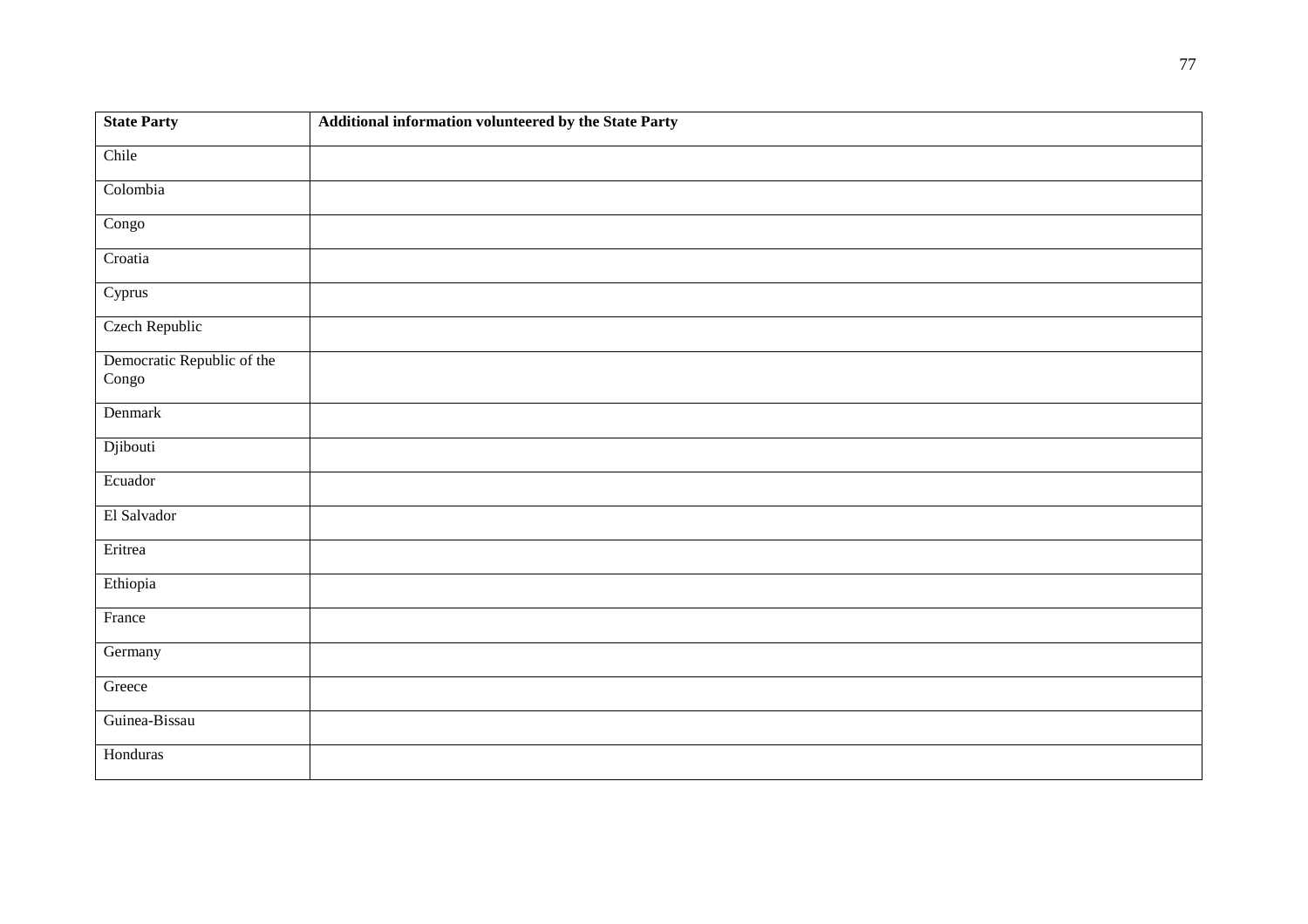| <b>State Party</b>                  | Additional information volunteered by the State Party |
|-------------------------------------|-------------------------------------------------------|
| Chile                               |                                                       |
| Colombia                            |                                                       |
| Congo                               |                                                       |
| Croatia                             |                                                       |
| Cyprus                              |                                                       |
| Czech Republic                      |                                                       |
| Democratic Republic of the<br>Congo |                                                       |
| Denmark                             |                                                       |
| Djibouti                            |                                                       |
| Ecuador                             |                                                       |
| El Salvador                         |                                                       |
| Eritrea                             |                                                       |
| Ethiopia                            |                                                       |
| France                              |                                                       |
| Germany                             |                                                       |
| Greece                              |                                                       |
| Guinea-Bissau                       |                                                       |
| Honduras                            |                                                       |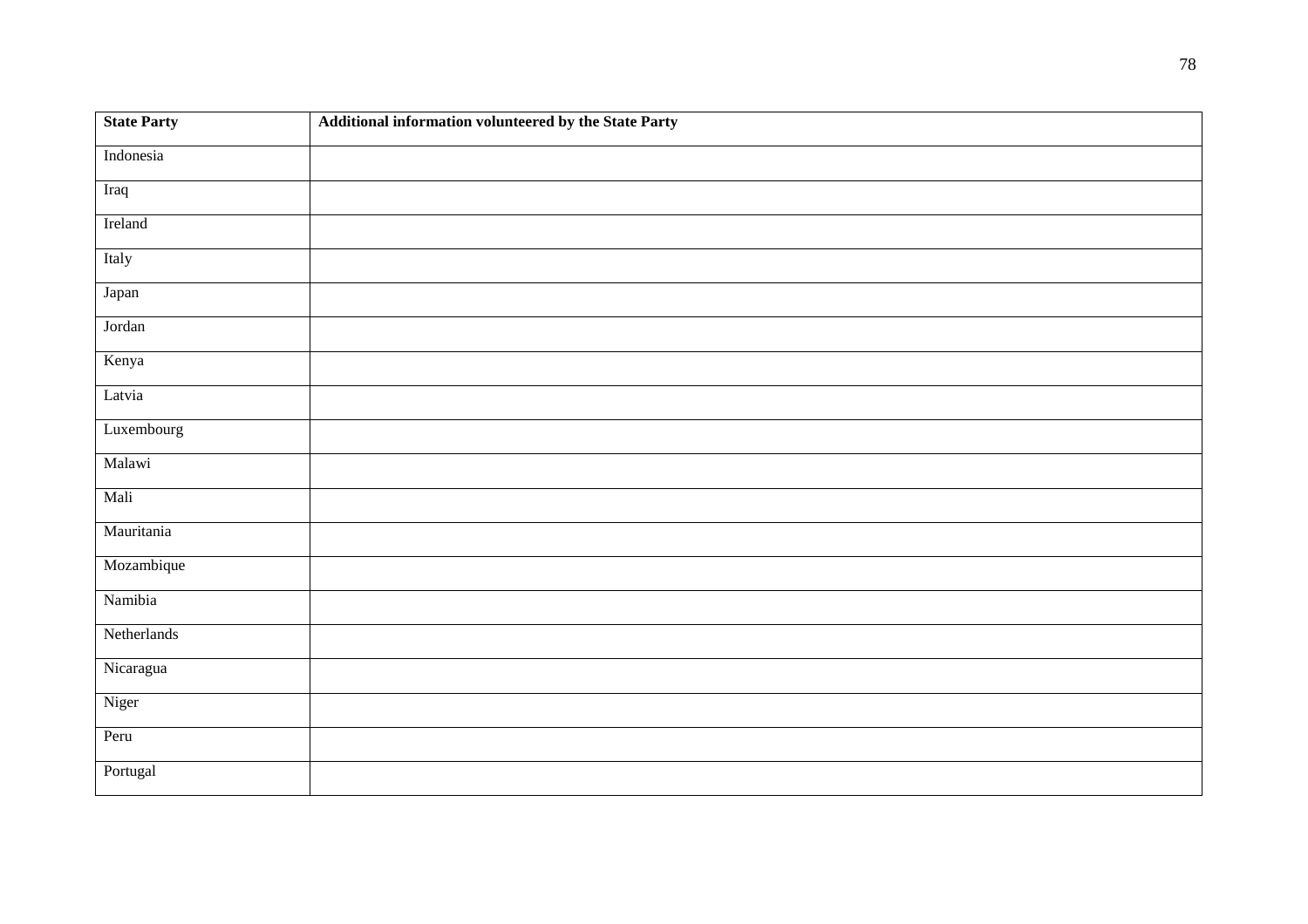| <b>State Party</b> | Additional information volunteered by the State Party |
|--------------------|-------------------------------------------------------|
| Indonesia          |                                                       |
| Iraq               |                                                       |
| Ireland            |                                                       |
| Italy              |                                                       |
| Japan              |                                                       |
| Jordan             |                                                       |
| Kenya              |                                                       |
| Latvia             |                                                       |
| Luxembourg         |                                                       |
| Malawi             |                                                       |
| Mali               |                                                       |
| Mauritania         |                                                       |
| Mozambique         |                                                       |
| Namibia            |                                                       |
| Netherlands        |                                                       |
| Nicaragua          |                                                       |
| Niger              |                                                       |
| Peru               |                                                       |
| Portugal           |                                                       |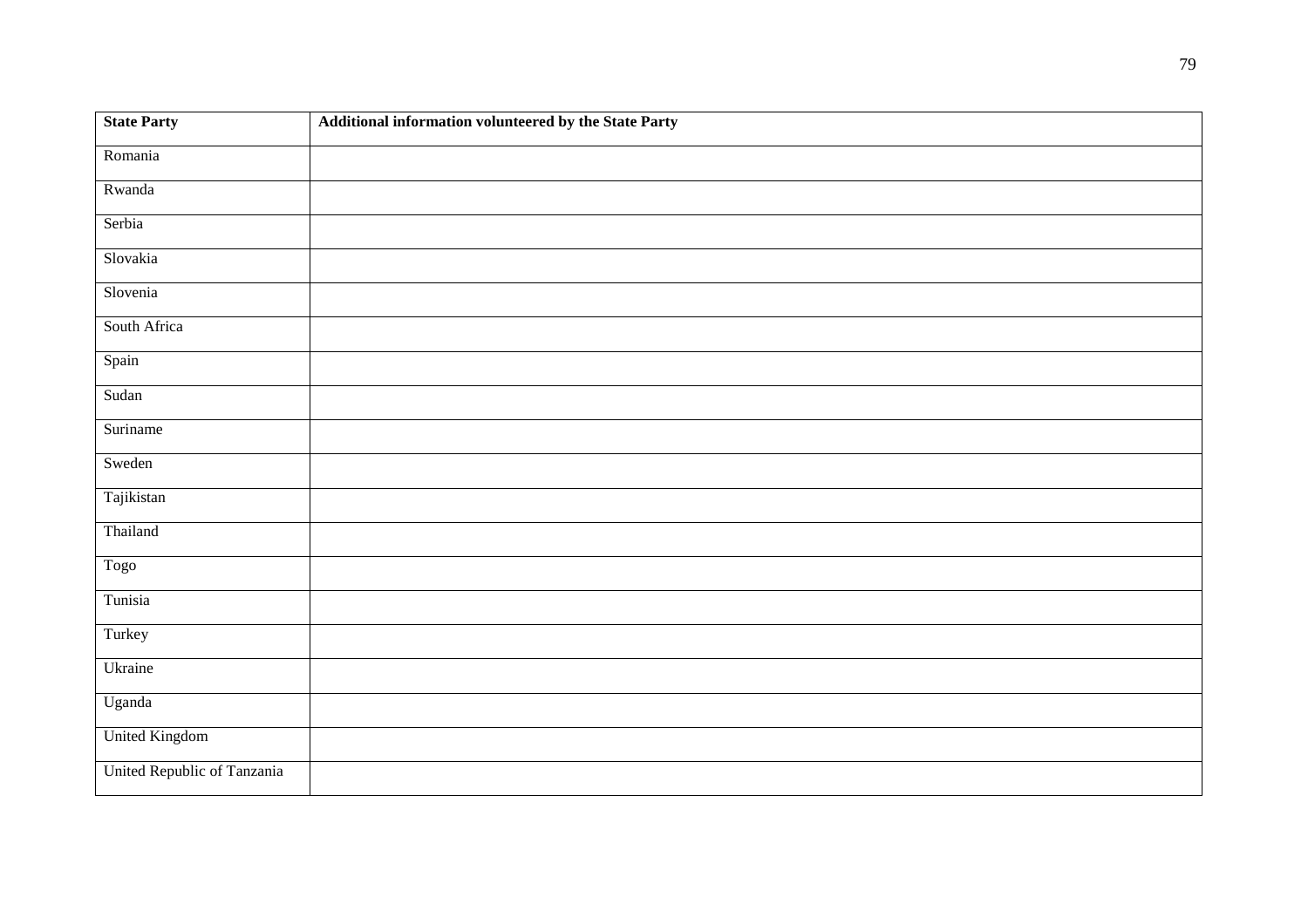| <b>State Party</b>          | Additional information volunteered by the State Party |
|-----------------------------|-------------------------------------------------------|
| Romania                     |                                                       |
| Rwanda                      |                                                       |
| Serbia                      |                                                       |
| Slovakia                    |                                                       |
| Slovenia                    |                                                       |
| South Africa                |                                                       |
| Spain                       |                                                       |
| Sudan                       |                                                       |
| Suriname                    |                                                       |
| Sweden                      |                                                       |
| Tajikistan                  |                                                       |
| Thailand                    |                                                       |
| Togo                        |                                                       |
| Tunisia                     |                                                       |
| Turkey                      |                                                       |
| Ukraine                     |                                                       |
| Uganda                      |                                                       |
| <b>United Kingdom</b>       |                                                       |
| United Republic of Tanzania |                                                       |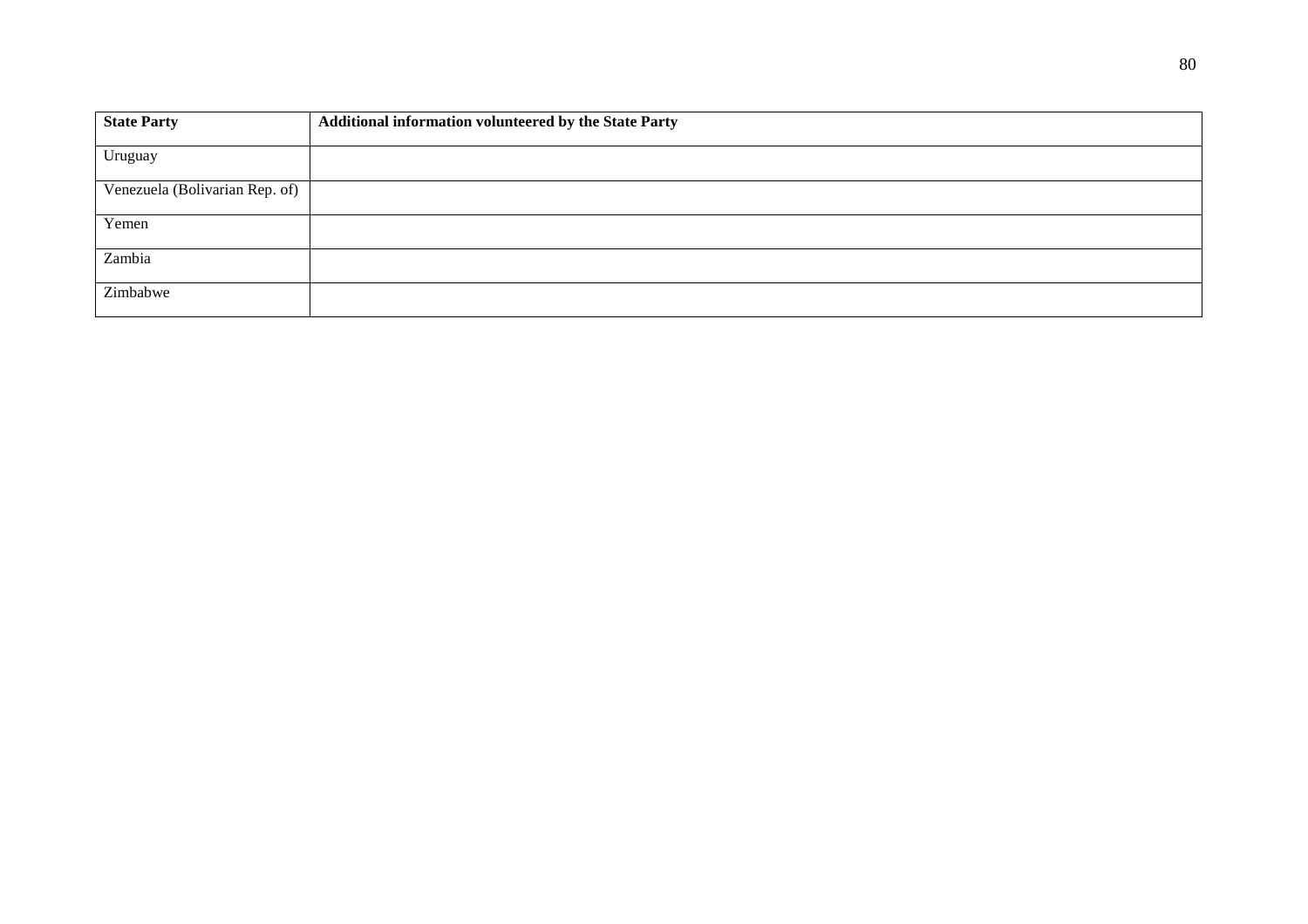| <b>State Party</b>             | Additional information volunteered by the State Party |
|--------------------------------|-------------------------------------------------------|
| Uruguay                        |                                                       |
| Venezuela (Bolivarian Rep. of) |                                                       |
| Yemen                          |                                                       |
| Zambia                         |                                                       |
| Zimbabwe                       |                                                       |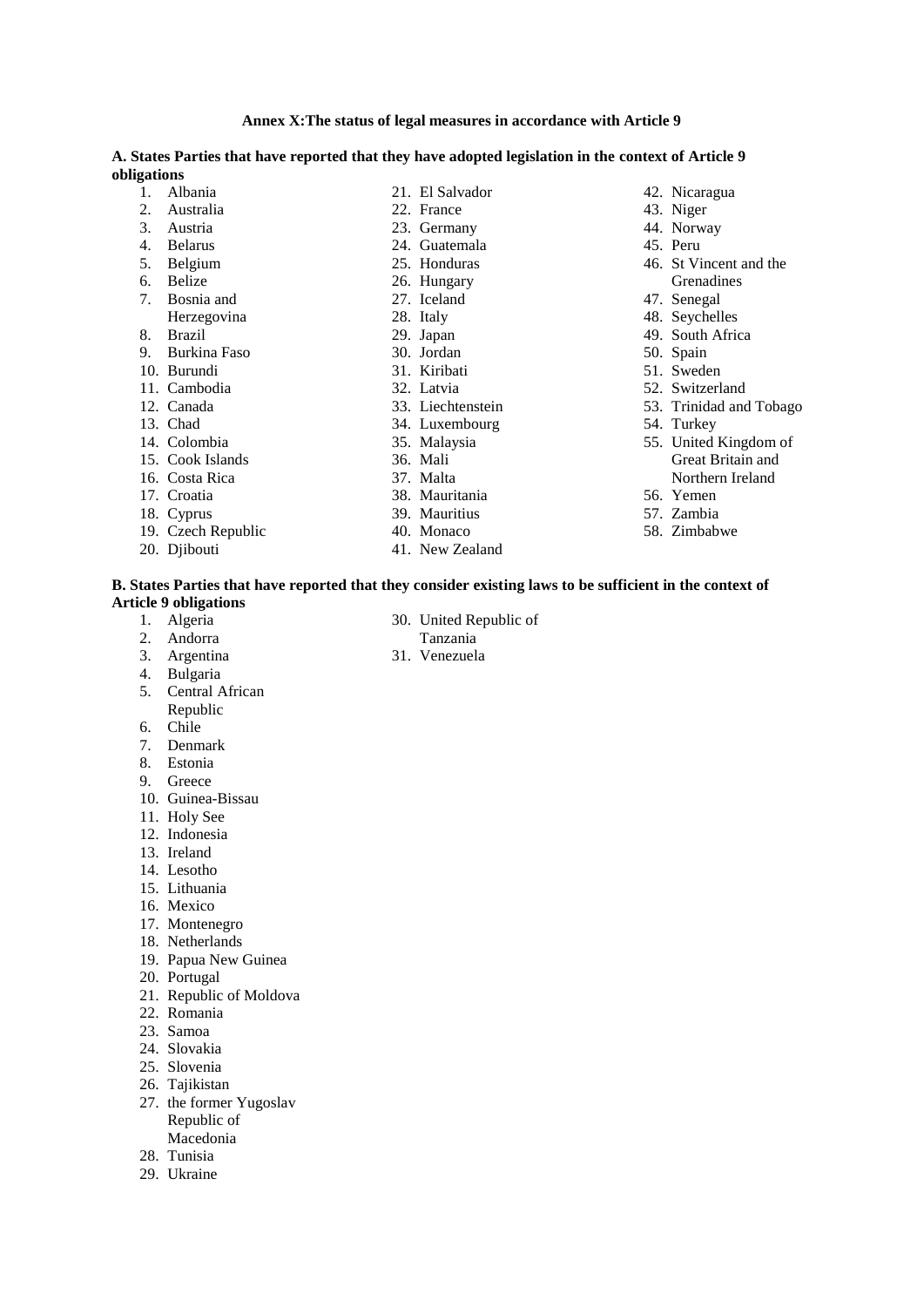|             |         | A. States Parties that have reported that they have adopted legislation in the context of Article 9 |                 |  |               |
|-------------|---------|-----------------------------------------------------------------------------------------------------|-----------------|--|---------------|
| obligations |         |                                                                                                     |                 |  |               |
|             | Albania |                                                                                                     | 21. El Salvador |  | 42. Nicaragua |

22. France 23. Germany 24. Guatemala 25. Honduras 26. Hungary 27. Iceland 28. Italy 29. Japan 30. Jordan 31. Kiribati 32. Latvia 33. Liechtenstein 34. Luxembourg 35. Malaysia 36. Mali 37. Malta 38. Mauritania 39. Mauritius

- 1. Albania
- 2. Australia
- 3. Austria
- 4. Belarus
- 5. Belgium
- 6. Belize
- 7. Bosnia and
- Herzegovina
- 8. Brazil
- 9. Burkina Faso
- 10. Burundi
- 11. Cambodia
- 12. Canada
- 13. Chad
- 14. Colombia
- 15. Cook Islands
- 16. Costa Rica
- 17. Croatia
- 18. Cyprus
- 19. Czech Republic
- 20. Djibouti
- 
- 40. Monaco
- 41. New Zealand
- 42. Nicaragua
- 43. Niger
- 44. Norway
- 45. Peru
- 46. St Vincent and the Grenadines
- 47. Senegal
- 48. Seychelles
- 49. South Africa
- 50. Spain
- 51. Sweden
- 52. Switzerland
- 53. Trinidad and Tobago
- 54. Turkey
- 55. United Kingdom of Great Britain and Northern Ireland
- 56. Yemen
- 57. Zambia
- 58. Zimbabwe

## **B. States Parties that have reported that they consider existing laws to be sufficient in the context of Article 9 obligations**

- 1. Algeria
- 2. Andorra
- 3. Argentina
- 4. Bulgaria
- 5. Central African
- Republic
- 6. Chile
- 7. Denmark
- 8. Estonia
- 9. Greece
- 10. Guinea-Bissau
- 11. Holy See
- 12. Indonesia
- 13. Ireland
- 14. Lesotho
- 15. Lithuania
- 16. Mexico
- 17. Montenegro
- 18. Netherlands
- 19. Papua New Guinea
- 20. Portugal
- 
- 21. Republic of Moldova
- 22. Romania
- 23. Samoa
- 24. Slovakia
- 25. Slovenia
- 26. Tajikistan
- 27. the former Yugoslav Republic of Macedonia
- 28. Tunisia
- 29. Ukraine
- - Tanzania
- 31. Venezuela
- 30. United Republic of
- 
-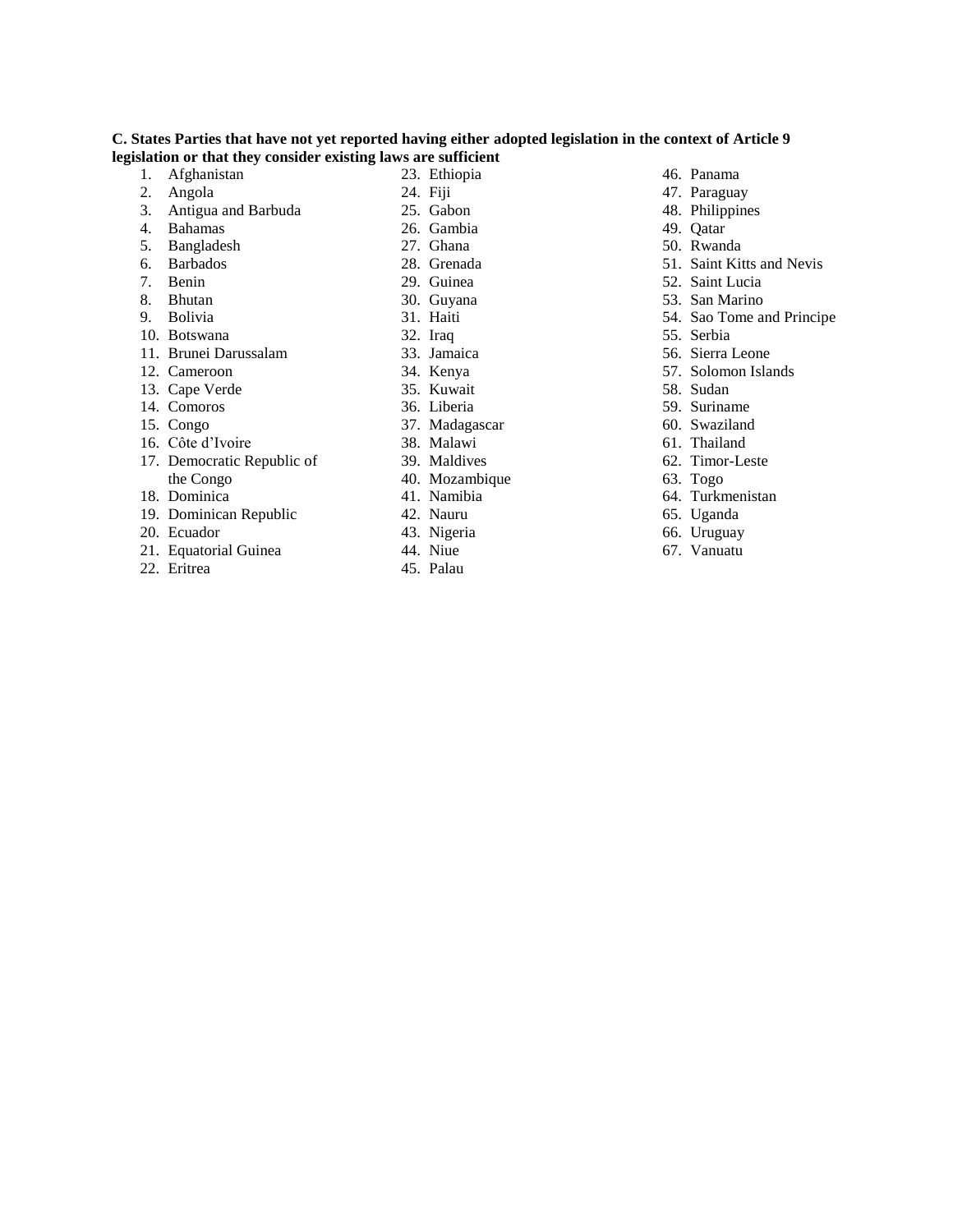## **C. States Parties that have not yet reported having either adopted legislation in the context of Article 9 legislation or that they consider existing laws are sufficient**

- 1. Afghanistan
- 2. Angola
- 3. Antigua and Barbuda 4. Bahamas
- 5. Bangladesh
- 6. Barbados
- 7. Benin
- 8. Bhutan
- 9. Bolivia
- 10. Botswana
- 11. Brunei Darussalam
- 12. Cameroon
- 13. Cape Verde
- 14. Comoros
- 15. Congo
- 16. Côte d'Ivoire
- 17. Democratic Republic of
- the Congo
- 18. Dominica
- 19. Dominican Republic
- 20. Ecuador
- 21. Equatorial Guinea
- 22. Eritrea
- 23. Ethiopia 24. Fiji
- 25. Gabon
- 26. Gambia
- 27. Ghana
- 28. Grenada
- 29. Guinea
- 30. Guyana
- 31. Haiti
- 32. Iraq
- 33. Jamaica
- 34. Kenya
- 35. Kuwait
- 36. Liberia
- 37. Madagascar
- 38. Malawi
- 39. Maldives
- 40. Mozambique
- 41. Namibia
- 42. Nauru
- 
- 43. Nigeria
- 44. Niue
- 45. Palau
- 46. Panama
- 47. Paraguay
- 48. Philippines
- 49. Qatar
- 50. Rwanda
- 51. Saint Kitts and Nevis
- 52. Saint Lucia
- 53. San Marino
- 54. Sao Tome and Principe
- 55. Serbia
- 56. Sierra Leone
- 57. Solomon Islands
- 58. Sudan
- 59. Suriname
- 60. Swaziland
- 61. Thailand
- 62. Timor-Leste
- 63. Togo
- 64. Turkmenistan
- 65. Uganda
- 66. Uruguay
- 67. Vanuatu
-